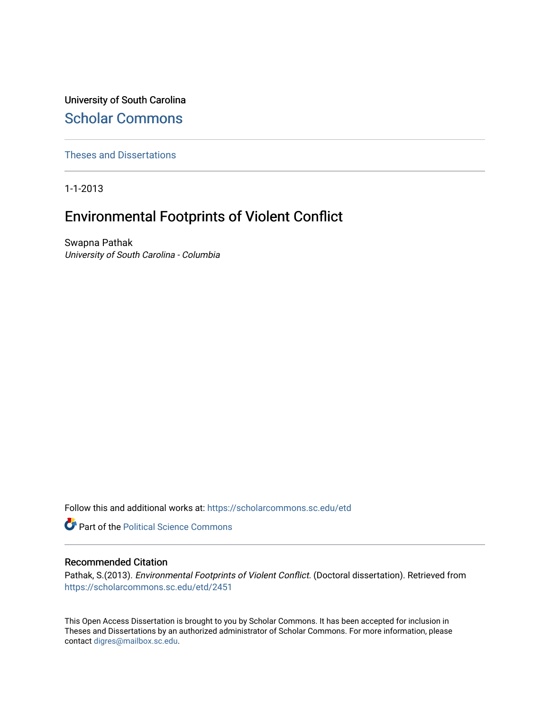University of South Carolina [Scholar Commons](https://scholarcommons.sc.edu/) 

[Theses and Dissertations](https://scholarcommons.sc.edu/etd)

1-1-2013

# Environmental Footprints of Violent Conflict

Swapna Pathak University of South Carolina - Columbia

Follow this and additional works at: [https://scholarcommons.sc.edu/etd](https://scholarcommons.sc.edu/etd?utm_source=scholarcommons.sc.edu%2Fetd%2F2451&utm_medium=PDF&utm_campaign=PDFCoverPages)

**Part of the Political Science Commons** 

#### Recommended Citation

Pathak, S.(2013). Environmental Footprints of Violent Conflict. (Doctoral dissertation). Retrieved from [https://scholarcommons.sc.edu/etd/2451](https://scholarcommons.sc.edu/etd/2451?utm_source=scholarcommons.sc.edu%2Fetd%2F2451&utm_medium=PDF&utm_campaign=PDFCoverPages) 

This Open Access Dissertation is brought to you by Scholar Commons. It has been accepted for inclusion in Theses and Dissertations by an authorized administrator of Scholar Commons. For more information, please contact [digres@mailbox.sc.edu.](mailto:digres@mailbox.sc.edu)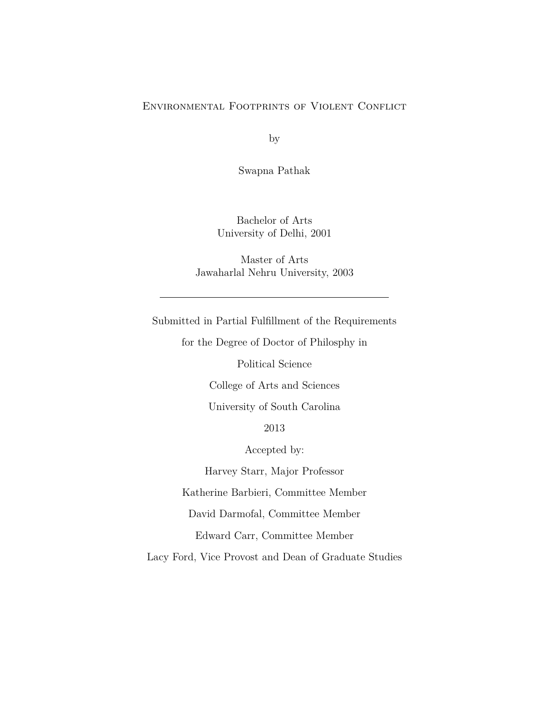#### Environmental Footprints of Violent Conflict

by

Swapna Pathak

Bachelor of Arts University of Delhi, 2001

Master of Arts Jawaharlal Nehru University, 2003

Submitted in Partial Fulfillment of the Requirements

for the Degree of Doctor of Philosphy in

Political Science

College of Arts and Sciences

University of South Carolina

2013

Accepted by:

Harvey Starr, Major Professor

Katherine Barbieri, Committee Member

David Darmofal, Committee Member

Edward Carr, Committee Member

Lacy Ford, Vice Provost and Dean of Graduate Studies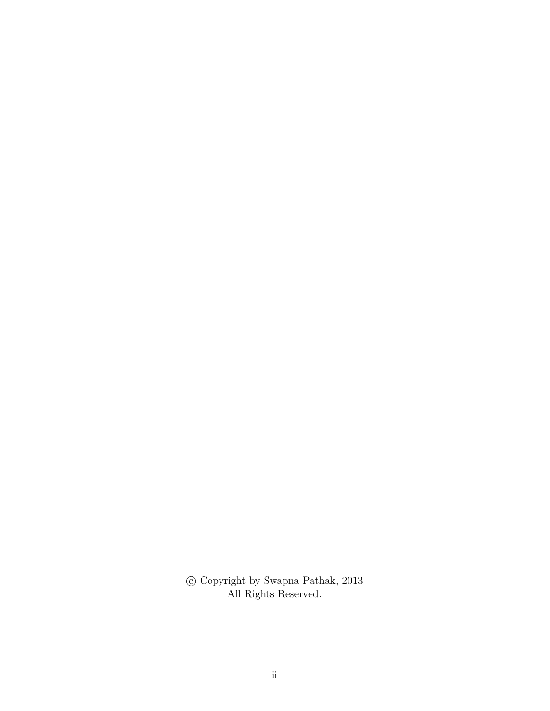$\copyright$  Copyright by Swapna Pathak, 2013 All Rights Reserved.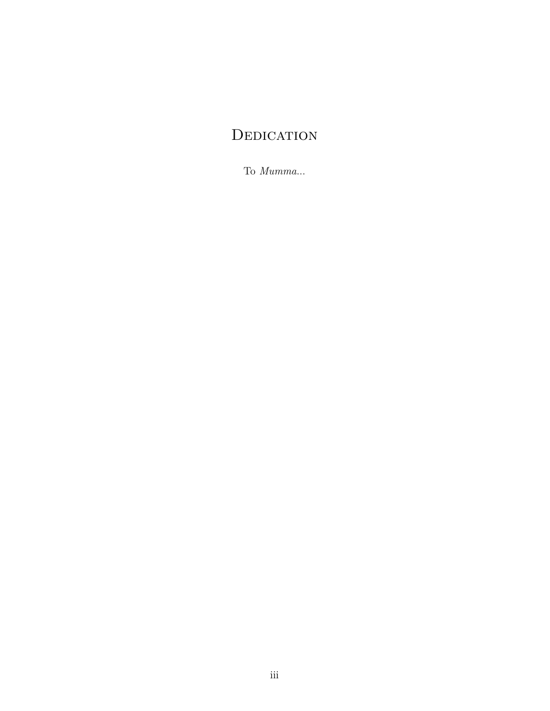# **DEDICATION**

To *Mumma*...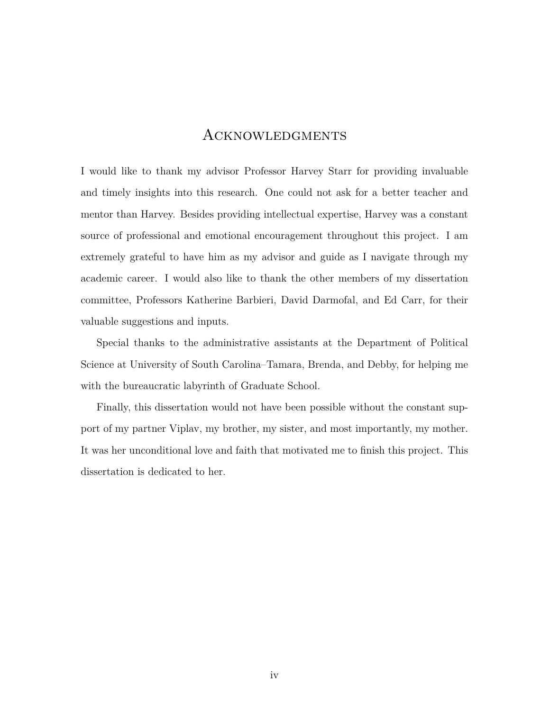## Acknowledgments

I would like to thank my advisor Professor Harvey Starr for providing invaluable and timely insights into this research. One could not ask for a better teacher and mentor than Harvey. Besides providing intellectual expertise, Harvey was a constant source of professional and emotional encouragement throughout this project. I am extremely grateful to have him as my advisor and guide as I navigate through my academic career. I would also like to thank the other members of my dissertation committee, Professors Katherine Barbieri, David Darmofal, and Ed Carr, for their valuable suggestions and inputs.

Special thanks to the administrative assistants at the Department of Political Science at University of South Carolina–Tamara, Brenda, and Debby, for helping me with the bureaucratic labyrinth of Graduate School.

Finally, this dissertation would not have been possible without the constant support of my partner Viplav, my brother, my sister, and most importantly, my mother. It was her unconditional love and faith that motivated me to finish this project. This dissertation is dedicated to her.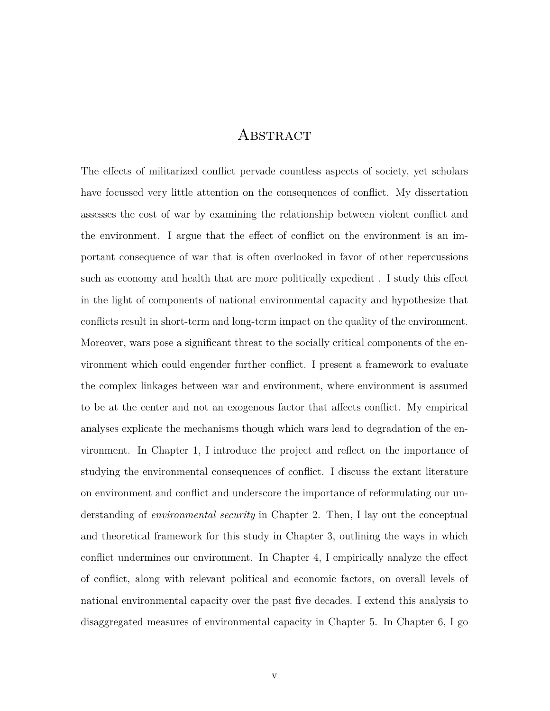## **ABSTRACT**

The effects of militarized conflict pervade countless aspects of society, yet scholars have focussed very little attention on the consequences of conflict. My dissertation assesses the cost of war by examining the relationship between violent conflict and the environment. I argue that the effect of conflict on the environment is an important consequence of war that is often overlooked in favor of other repercussions such as economy and health that are more politically expedient . I study this effect in the light of components of national environmental capacity and hypothesize that conflicts result in short-term and long-term impact on the quality of the environment. Moreover, wars pose a significant threat to the socially critical components of the environment which could engender further conflict. I present a framework to evaluate the complex linkages between war and environment, where environment is assumed to be at the center and not an exogenous factor that affects conflict. My empirical analyses explicate the mechanisms though which wars lead to degradation of the environment. In Chapter 1, I introduce the project and reflect on the importance of studying the environmental consequences of conflict. I discuss the extant literature on environment and conflict and underscore the importance of reformulating our understanding of *environmental security* in Chapter 2. Then, I lay out the conceptual and theoretical framework for this study in Chapter 3, outlining the ways in which conflict undermines our environment. In Chapter 4, I empirically analyze the effect of conflict, along with relevant political and economic factors, on overall levels of national environmental capacity over the past five decades. I extend this analysis to disaggregated measures of environmental capacity in Chapter 5. In Chapter 6, I go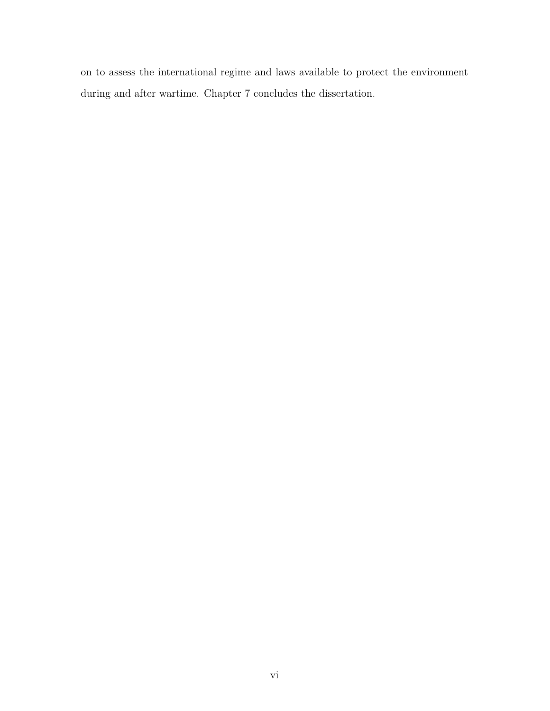on to assess the international regime and laws available to protect the environment during and after wartime. Chapter 7 concludes the dissertation.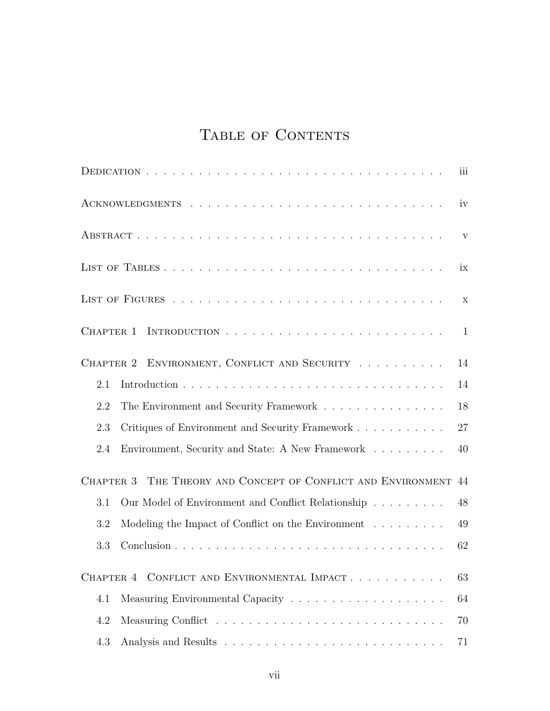# TABLE OF CONTENTS

|                                              |                                                                           | iii |  |  |  |
|----------------------------------------------|---------------------------------------------------------------------------|-----|--|--|--|
|                                              | iv                                                                        |     |  |  |  |
|                                              |                                                                           |     |  |  |  |
|                                              |                                                                           |     |  |  |  |
|                                              |                                                                           |     |  |  |  |
| CHAPTER 1                                    |                                                                           | 1   |  |  |  |
| CHAPTER 2 ENVIRONMENT, CONFLICT AND SECURITY |                                                                           | 14  |  |  |  |
| 2.1                                          |                                                                           | 14  |  |  |  |
| 2.2                                          |                                                                           | 18  |  |  |  |
| 2.3                                          | Critiques of Environment and Security Framework                           | 27  |  |  |  |
| 2.4                                          | Environment, Security and State: A New Framework                          | 40  |  |  |  |
| CHAPTER 3                                    | THE THEORY AND CONCEPT OF CONFLICT AND ENVIRONMENT                        | 44  |  |  |  |
| 3.1                                          | Our Model of Environment and Conflict Relationship                        | 48  |  |  |  |
| 3.2                                          | Modeling the Impact of Conflict on the Environment $\ldots \ldots \ldots$ | 49  |  |  |  |
| 3.3                                          |                                                                           | 62  |  |  |  |
|                                              | CHAPTER 4 CONFLICT AND ENVIRONMENTAL IMPACT                               | 63  |  |  |  |
| 4.1                                          |                                                                           | 64  |  |  |  |
| 4.2                                          |                                                                           | 70  |  |  |  |
| 4.3                                          |                                                                           | 71  |  |  |  |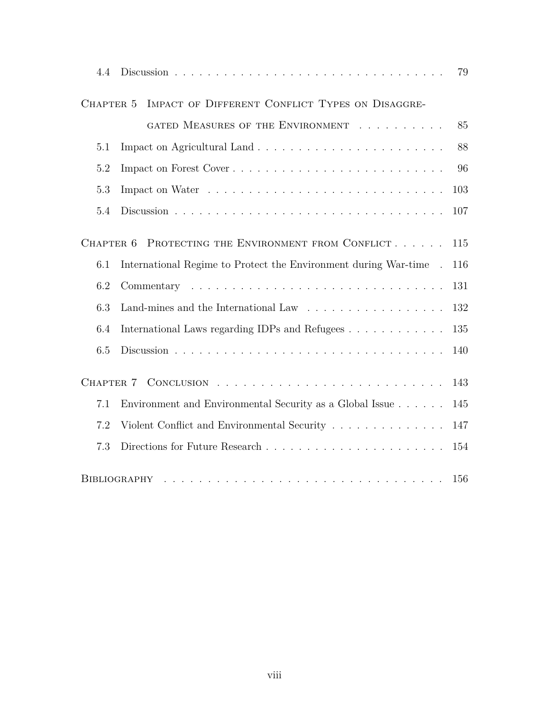| 4.4                                                                                                                              |                                                                  | 79  |  |
|----------------------------------------------------------------------------------------------------------------------------------|------------------------------------------------------------------|-----|--|
| CHAPTER 5                                                                                                                        | IMPACT OF DIFFERENT CONFLICT TYPES ON DISAGGRE-                  |     |  |
|                                                                                                                                  | GATED MEASURES OF THE ENVIRONMENT                                | 85  |  |
| 5.1                                                                                                                              |                                                                  | 88  |  |
| 5.2                                                                                                                              |                                                                  | 96  |  |
| 5.3                                                                                                                              |                                                                  | 103 |  |
| 5.4                                                                                                                              |                                                                  | 107 |  |
| PROTECTING THE ENVIRONMENT FROM CONFLICT<br>CHAPTER 6                                                                            |                                                                  | 115 |  |
| 6.1                                                                                                                              | International Regime to Protect the Environment during War-time. | 116 |  |
| 6.2                                                                                                                              |                                                                  | 131 |  |
| 6.3                                                                                                                              | Land-mines and the International Law                             | 132 |  |
| 6.4                                                                                                                              | International Laws regarding IDPs and Refugees                   | 135 |  |
| 6.5                                                                                                                              |                                                                  | 140 |  |
| CHAPTER 7                                                                                                                        |                                                                  | 143 |  |
| 7.1                                                                                                                              | Environment and Environmental Security as a Global Issue         | 145 |  |
| 7.2                                                                                                                              | Violent Conflict and Environmental Security                      | 147 |  |
| 7.3                                                                                                                              |                                                                  | 154 |  |
| 156<br>BIBLIOGRAPHY<br>بمناقض والمناقل والمناقل والمناقل والمناقل والمناقل والمناقل والمناقل والمناقل والمناقل والمناقل والمناقل |                                                                  |     |  |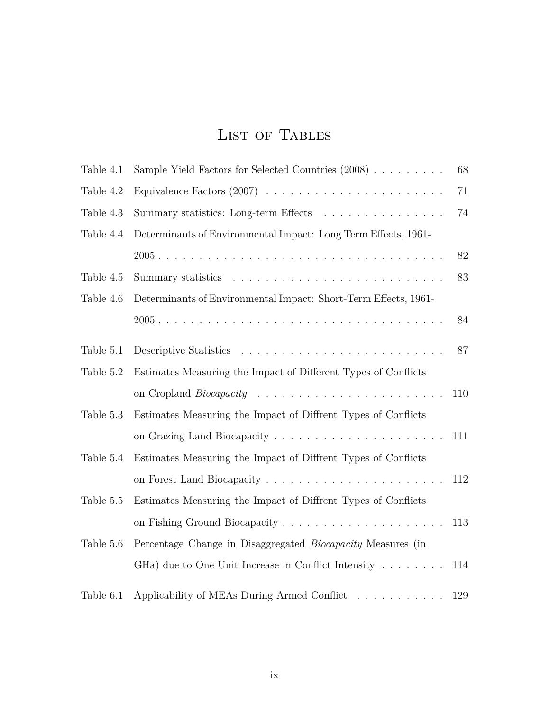# LIST OF TABLES

| Table 4.1 | Sample Yield Factors for Selected Countries (2008)                        | 68  |
|-----------|---------------------------------------------------------------------------|-----|
| Table 4.2 |                                                                           | 71  |
| Table 4.3 | Summary statistics: Long-term Effects                                     | 74  |
| Table 4.4 | Determinants of Environmental Impact: Long Term Effects, 1961-            |     |
|           |                                                                           | 82  |
| Table 4.5 |                                                                           | 83  |
| Table 4.6 | Determinants of Environmental Impact: Short-Term Effects, 1961-           |     |
|           |                                                                           | 84  |
| Table 5.1 |                                                                           | 87  |
| Table 5.2 | Estimates Measuring the Impact of Different Types of Conflicts            |     |
|           |                                                                           | 110 |
| Table 5.3 | Estimates Measuring the Impact of Diffrent Types of Conflicts             |     |
|           |                                                                           | 111 |
| Table 5.4 | Estimates Measuring the Impact of Diffrent Types of Conflicts             |     |
|           |                                                                           | 112 |
| Table 5.5 | Estimates Measuring the Impact of Diffrent Types of Conflicts             |     |
|           |                                                                           | 113 |
| Table 5.6 | Percentage Change in Disaggregated Biocapacity Measures (in               |     |
|           | GHa) due to One Unit Increase in Conflict Intensity                       | 114 |
| Table 6.1 | Applicability of MEAs During Armed Conflict $\ldots \ldots \ldots \ldots$ | 129 |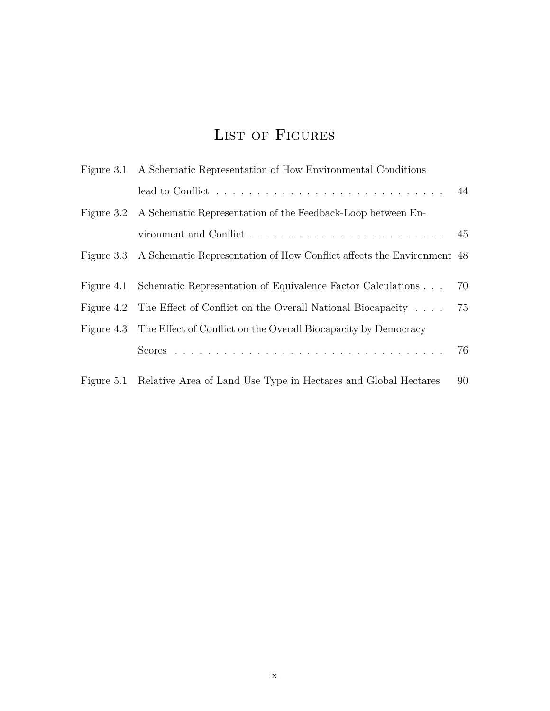# LIST OF FIGURES

|  | Figure 3.1 A Schematic Representation of How Environmental Conditions                    |    |
|--|------------------------------------------------------------------------------------------|----|
|  | lead to Conflict $\ldots \ldots \ldots \ldots \ldots \ldots \ldots \ldots \ldots \ldots$ |    |
|  | Figure 3.2 A Schematic Representation of the Feedback-Loop between En-                   |    |
|  |                                                                                          |    |
|  | Figure 3.3 A Schematic Representation of How Conflict affects the Environment 48         |    |
|  |                                                                                          |    |
|  | Figure 4.1 Schematic Representation of Equivalence Factor Calculations                   | 70 |
|  | Figure 4.2 The Effect of Conflict on the Overall National Biocapacity                    | 75 |
|  | Figure 4.3 The Effect of Conflict on the Overall Biocapacity by Democracy                |    |
|  |                                                                                          |    |
|  | Figure 5.1 Relative Area of Land Use Type in Hectares and Global Hectares                | 90 |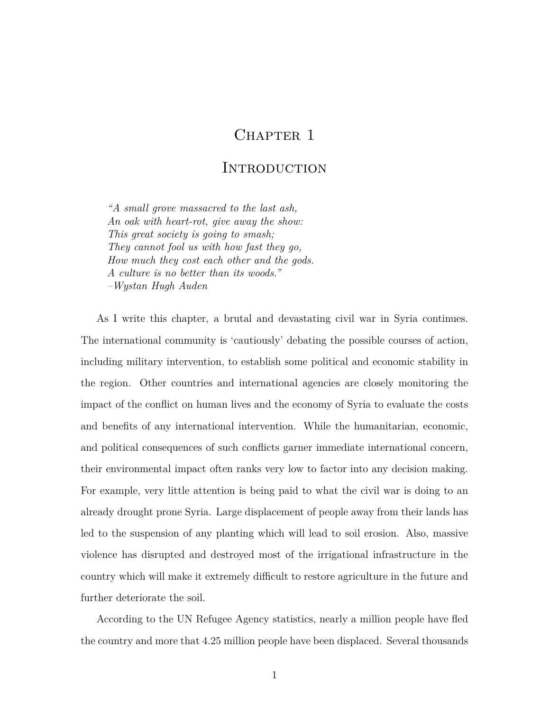## CHAPTER 1

## **INTRODUCTION**

*"A small grove massacred to the last ash, An oak with heart-rot, give away the show: This great society is going to smash; They cannot fool us with how fast they go, How much they cost each other and the gods. A culture is no better than its woods." –Wystan Hugh Auden*

As I write this chapter, a brutal and devastating civil war in Syria continues. The international community is 'cautiously' debating the possible courses of action, including military intervention, to establish some political and economic stability in the region. Other countries and international agencies are closely monitoring the impact of the conflict on human lives and the economy of Syria to evaluate the costs and benefits of any international intervention. While the humanitarian, economic, and political consequences of such conflicts garner immediate international concern, their environmental impact often ranks very low to factor into any decision making. For example, very little attention is being paid to what the civil war is doing to an already drought prone Syria. Large displacement of people away from their lands has led to the suspension of any planting which will lead to soil erosion. Also, massive violence has disrupted and destroyed most of the irrigational infrastructure in the country which will make it extremely difficult to restore agriculture in the future and further deteriorate the soil.

According to the UN Refugee Agency statistics, nearly a million people have fled the country and more that 4.25 million people have been displaced. Several thousands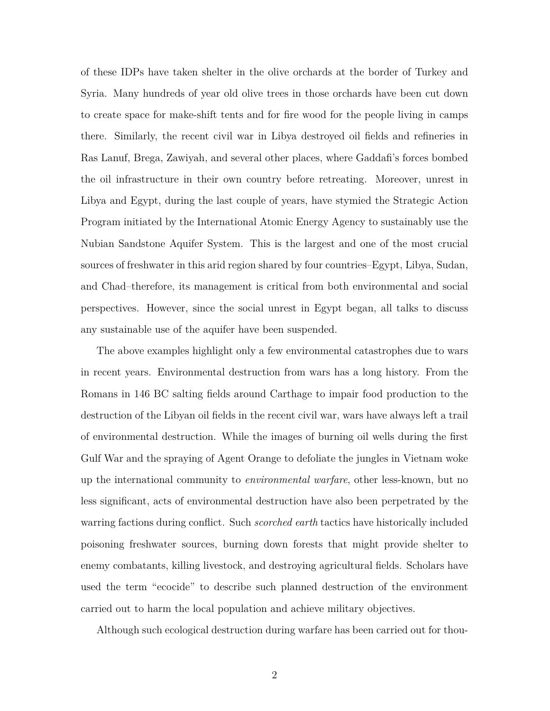of these IDPs have taken shelter in the olive orchards at the border of Turkey and Syria. Many hundreds of year old olive trees in those orchards have been cut down to create space for make-shift tents and for fire wood for the people living in camps there. Similarly, the recent civil war in Libya destroyed oil fields and refineries in Ras Lanuf, Brega, Zawiyah, and several other places, where Gaddafi's forces bombed the oil infrastructure in their own country before retreating. Moreover, unrest in Libya and Egypt, during the last couple of years, have stymied the Strategic Action Program initiated by the International Atomic Energy Agency to sustainably use the Nubian Sandstone Aquifer System. This is the largest and one of the most crucial sources of freshwater in this arid region shared by four countries–Egypt, Libya, Sudan, and Chad–therefore, its management is critical from both environmental and social perspectives. However, since the social unrest in Egypt began, all talks to discuss any sustainable use of the aquifer have been suspended.

The above examples highlight only a few environmental catastrophes due to wars in recent years. Environmental destruction from wars has a long history. From the Romans in 146 BC salting fields around Carthage to impair food production to the destruction of the Libyan oil fields in the recent civil war, wars have always left a trail of environmental destruction. While the images of burning oil wells during the first Gulf War and the spraying of Agent Orange to defoliate the jungles in Vietnam woke up the international community to *environmental warfare*, other less-known, but no less significant, acts of environmental destruction have also been perpetrated by the warring factions during conflict. Such *scorched earth* tactics have historically included poisoning freshwater sources, burning down forests that might provide shelter to enemy combatants, killing livestock, and destroying agricultural fields. Scholars have used the term "ecocide" to describe such planned destruction of the environment carried out to harm the local population and achieve military objectives.

Although such ecological destruction during warfare has been carried out for thou-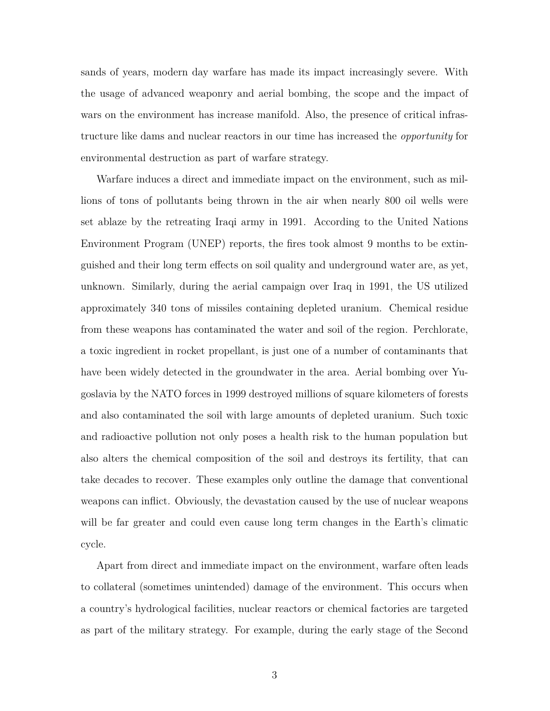sands of years, modern day warfare has made its impact increasingly severe. With the usage of advanced weaponry and aerial bombing, the scope and the impact of wars on the environment has increase manifold. Also, the presence of critical infrastructure like dams and nuclear reactors in our time has increased the *opportunity* for environmental destruction as part of warfare strategy.

Warfare induces a direct and immediate impact on the environment, such as millions of tons of pollutants being thrown in the air when nearly 800 oil wells were set ablaze by the retreating Iraqi army in 1991. According to the United Nations Environment Program (UNEP) reports, the fires took almost 9 months to be extinguished and their long term effects on soil quality and underground water are, as yet, unknown. Similarly, during the aerial campaign over Iraq in 1991, the US utilized approximately 340 tons of missiles containing depleted uranium. Chemical residue from these weapons has contaminated the water and soil of the region. Perchlorate, a toxic ingredient in rocket propellant, is just one of a number of contaminants that have been widely detected in the groundwater in the area. Aerial bombing over Yugoslavia by the NATO forces in 1999 destroyed millions of square kilometers of forests and also contaminated the soil with large amounts of depleted uranium. Such toxic and radioactive pollution not only poses a health risk to the human population but also alters the chemical composition of the soil and destroys its fertility, that can take decades to recover. These examples only outline the damage that conventional weapons can inflict. Obviously, the devastation caused by the use of nuclear weapons will be far greater and could even cause long term changes in the Earth's climatic cycle.

Apart from direct and immediate impact on the environment, warfare often leads to collateral (sometimes unintended) damage of the environment. This occurs when a country's hydrological facilities, nuclear reactors or chemical factories are targeted as part of the military strategy. For example, during the early stage of the Second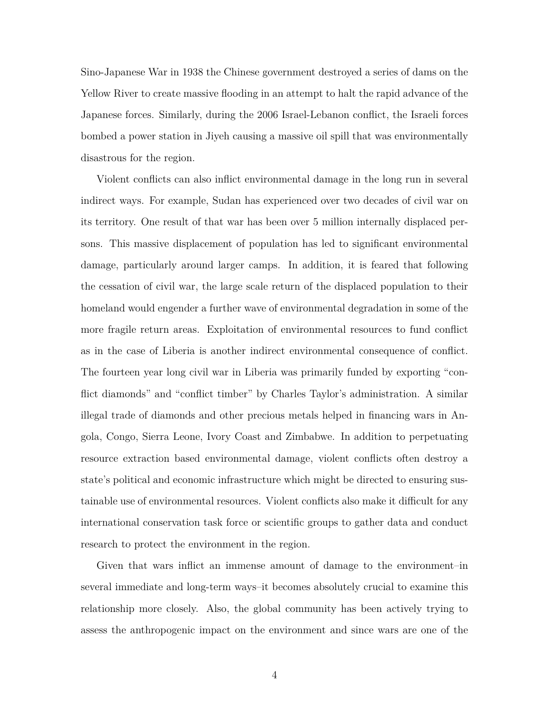Sino-Japanese War in 1938 the Chinese government destroyed a series of dams on the Yellow River to create massive flooding in an attempt to halt the rapid advance of the Japanese forces. Similarly, during the 2006 Israel-Lebanon conflict, the Israeli forces bombed a power station in Jiyeh causing a massive oil spill that was environmentally disastrous for the region.

Violent conflicts can also inflict environmental damage in the long run in several indirect ways. For example, Sudan has experienced over two decades of civil war on its territory. One result of that war has been over 5 million internally displaced persons. This massive displacement of population has led to significant environmental damage, particularly around larger camps. In addition, it is feared that following the cessation of civil war, the large scale return of the displaced population to their homeland would engender a further wave of environmental degradation in some of the more fragile return areas. Exploitation of environmental resources to fund conflict as in the case of Liberia is another indirect environmental consequence of conflict. The fourteen year long civil war in Liberia was primarily funded by exporting "conflict diamonds" and "conflict timber" by Charles Taylor's administration. A similar illegal trade of diamonds and other precious metals helped in financing wars in Angola, Congo, Sierra Leone, Ivory Coast and Zimbabwe. In addition to perpetuating resource extraction based environmental damage, violent conflicts often destroy a state's political and economic infrastructure which might be directed to ensuring sustainable use of environmental resources. Violent conflicts also make it difficult for any international conservation task force or scientific groups to gather data and conduct research to protect the environment in the region.

Given that wars inflict an immense amount of damage to the environment–in several immediate and long-term ways–it becomes absolutely crucial to examine this relationship more closely. Also, the global community has been actively trying to assess the anthropogenic impact on the environment and since wars are one of the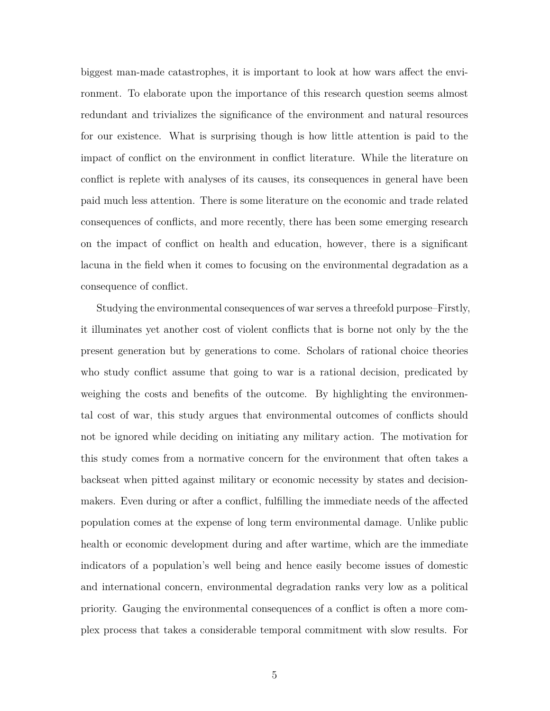biggest man-made catastrophes, it is important to look at how wars affect the environment. To elaborate upon the importance of this research question seems almost redundant and trivializes the significance of the environment and natural resources for our existence. What is surprising though is how little attention is paid to the impact of conflict on the environment in conflict literature. While the literature on conflict is replete with analyses of its causes, its consequences in general have been paid much less attention. There is some literature on the economic and trade related consequences of conflicts, and more recently, there has been some emerging research on the impact of conflict on health and education, however, there is a significant lacuna in the field when it comes to focusing on the environmental degradation as a consequence of conflict.

Studying the environmental consequences of war serves a threefold purpose–Firstly, it illuminates yet another cost of violent conflicts that is borne not only by the the present generation but by generations to come. Scholars of rational choice theories who study conflict assume that going to war is a rational decision, predicated by weighing the costs and benefits of the outcome. By highlighting the environmental cost of war, this study argues that environmental outcomes of conflicts should not be ignored while deciding on initiating any military action. The motivation for this study comes from a normative concern for the environment that often takes a backseat when pitted against military or economic necessity by states and decisionmakers. Even during or after a conflict, fulfilling the immediate needs of the affected population comes at the expense of long term environmental damage. Unlike public health or economic development during and after wartime, which are the immediate indicators of a population's well being and hence easily become issues of domestic and international concern, environmental degradation ranks very low as a political priority. Gauging the environmental consequences of a conflict is often a more complex process that takes a considerable temporal commitment with slow results. For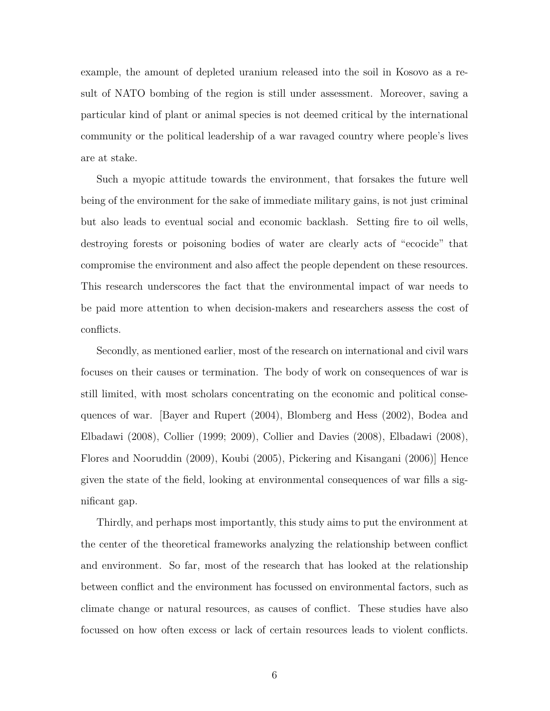example, the amount of depleted uranium released into the soil in Kosovo as a result of NATO bombing of the region is still under assessment. Moreover, saving a particular kind of plant or animal species is not deemed critical by the international community or the political leadership of a war ravaged country where people's lives are at stake.

Such a myopic attitude towards the environment, that forsakes the future well being of the environment for the sake of immediate military gains, is not just criminal but also leads to eventual social and economic backlash. Setting fire to oil wells, destroying forests or poisoning bodies of water are clearly acts of "ecocide" that compromise the environment and also affect the people dependent on these resources. This research underscores the fact that the environmental impact of war needs to be paid more attention to when decision-makers and researchers assess the cost of conflicts.

Secondly, as mentioned earlier, most of the research on international and civil wars focuses on their causes or termination. The body of work on consequences of war is still limited, with most scholars concentrating on the economic and political consequences of war. [Bayer and Rupert (2004), Blomberg and Hess (2002), Bodea and Elbadawi (2008), Collier (1999; 2009), Collier and Davies (2008), Elbadawi (2008), Flores and Nooruddin (2009), Koubi (2005), Pickering and Kisangani (2006)] Hence given the state of the field, looking at environmental consequences of war fills a significant gap.

Thirdly, and perhaps most importantly, this study aims to put the environment at the center of the theoretical frameworks analyzing the relationship between conflict and environment. So far, most of the research that has looked at the relationship between conflict and the environment has focussed on environmental factors, such as climate change or natural resources, as causes of conflict. These studies have also focussed on how often excess or lack of certain resources leads to violent conflicts.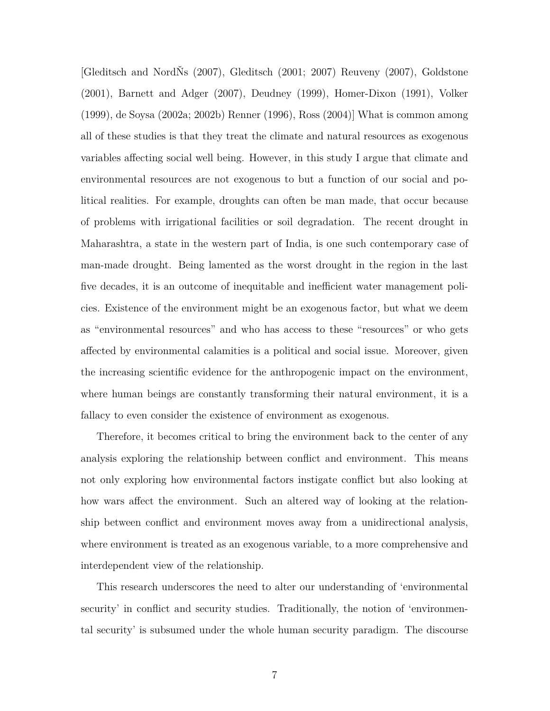[Gleditsch and NordŇs (2007), Gleditsch (2001; 2007) Reuveny (2007), Goldstone (2001), Barnett and Adger (2007), Deudney (1999), Homer-Dixon (1991), Volker (1999), de Soysa (2002a; 2002b) Renner (1996), Ross (2004)] What is common among all of these studies is that they treat the climate and natural resources as exogenous variables affecting social well being. However, in this study I argue that climate and environmental resources are not exogenous to but a function of our social and political realities. For example, droughts can often be man made, that occur because of problems with irrigational facilities or soil degradation. The recent drought in Maharashtra, a state in the western part of India, is one such contemporary case of man-made drought. Being lamented as the worst drought in the region in the last five decades, it is an outcome of inequitable and inefficient water management policies. Existence of the environment might be an exogenous factor, but what we deem as "environmental resources" and who has access to these "resources" or who gets affected by environmental calamities is a political and social issue. Moreover, given the increasing scientific evidence for the anthropogenic impact on the environment, where human beings are constantly transforming their natural environment, it is a fallacy to even consider the existence of environment as exogenous.

Therefore, it becomes critical to bring the environment back to the center of any analysis exploring the relationship between conflict and environment. This means not only exploring how environmental factors instigate conflict but also looking at how wars affect the environment. Such an altered way of looking at the relationship between conflict and environment moves away from a unidirectional analysis, where environment is treated as an exogenous variable, to a more comprehensive and interdependent view of the relationship.

This research underscores the need to alter our understanding of 'environmental security' in conflict and security studies. Traditionally, the notion of 'environmental security' is subsumed under the whole human security paradigm. The discourse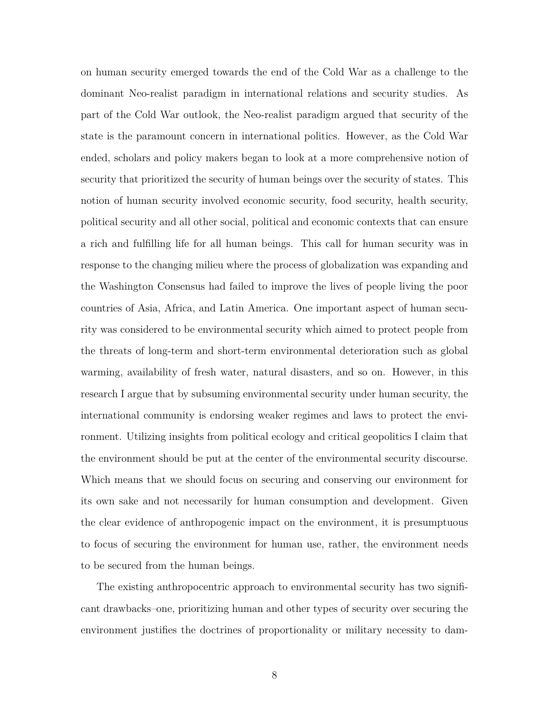on human security emerged towards the end of the Cold War as a challenge to the dominant Neo-realist paradigm in international relations and security studies. As part of the Cold War outlook, the Neo-realist paradigm argued that security of the state is the paramount concern in international politics. However, as the Cold War ended, scholars and policy makers began to look at a more comprehensive notion of security that prioritized the security of human beings over the security of states. This notion of human security involved economic security, food security, health security, political security and all other social, political and economic contexts that can ensure a rich and fulfilling life for all human beings. This call for human security was in response to the changing milieu where the process of globalization was expanding and the Washington Consensus had failed to improve the lives of people living the poor countries of Asia, Africa, and Latin America. One important aspect of human security was considered to be environmental security which aimed to protect people from the threats of long-term and short-term environmental deterioration such as global warming, availability of fresh water, natural disasters, and so on. However, in this research I argue that by subsuming environmental security under human security, the international community is endorsing weaker regimes and laws to protect the environment. Utilizing insights from political ecology and critical geopolitics I claim that the environment should be put at the center of the environmental security discourse. Which means that we should focus on securing and conserving our environment for its own sake and not necessarily for human consumption and development. Given the clear evidence of anthropogenic impact on the environment, it is presumptuous to focus of securing the environment for human use, rather, the environment needs to be secured from the human beings.

The existing anthropocentric approach to environmental security has two significant drawbacks–one, prioritizing human and other types of security over securing the environment justifies the doctrines of proportionality or military necessity to dam-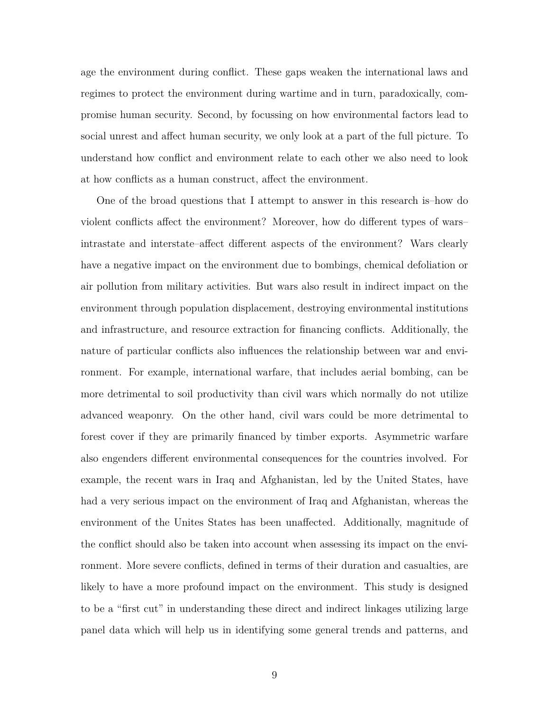age the environment during conflict. These gaps weaken the international laws and regimes to protect the environment during wartime and in turn, paradoxically, compromise human security. Second, by focussing on how environmental factors lead to social unrest and affect human security, we only look at a part of the full picture. To understand how conflict and environment relate to each other we also need to look at how conflicts as a human construct, affect the environment.

One of the broad questions that I attempt to answer in this research is–how do violent conflicts affect the environment? Moreover, how do different types of wars– intrastate and interstate–affect different aspects of the environment? Wars clearly have a negative impact on the environment due to bombings, chemical defoliation or air pollution from military activities. But wars also result in indirect impact on the environment through population displacement, destroying environmental institutions and infrastructure, and resource extraction for financing conflicts. Additionally, the nature of particular conflicts also influences the relationship between war and environment. For example, international warfare, that includes aerial bombing, can be more detrimental to soil productivity than civil wars which normally do not utilize advanced weaponry. On the other hand, civil wars could be more detrimental to forest cover if they are primarily financed by timber exports. Asymmetric warfare also engenders different environmental consequences for the countries involved. For example, the recent wars in Iraq and Afghanistan, led by the United States, have had a very serious impact on the environment of Iraq and Afghanistan, whereas the environment of the Unites States has been unaffected. Additionally, magnitude of the conflict should also be taken into account when assessing its impact on the environment. More severe conflicts, defined in terms of their duration and casualties, are likely to have a more profound impact on the environment. This study is designed to be a "first cut" in understanding these direct and indirect linkages utilizing large panel data which will help us in identifying some general trends and patterns, and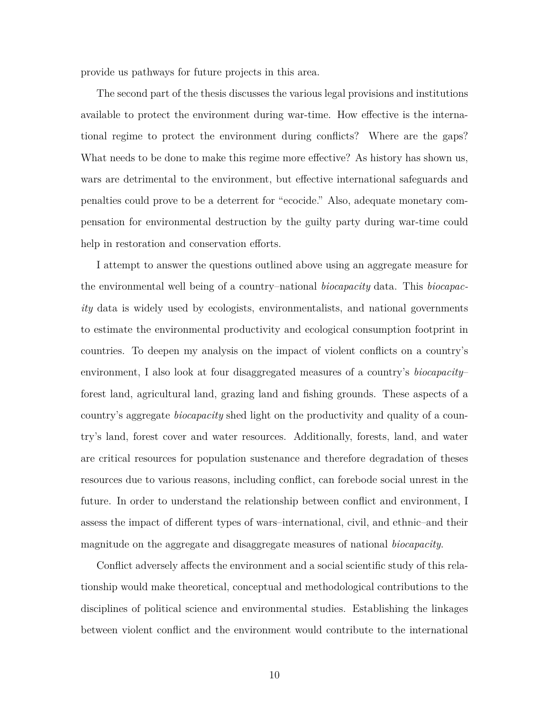provide us pathways for future projects in this area.

The second part of the thesis discusses the various legal provisions and institutions available to protect the environment during war-time. How effective is the international regime to protect the environment during conflicts? Where are the gaps? What needs to be done to make this regime more effective? As history has shown us, wars are detrimental to the environment, but effective international safeguards and penalties could prove to be a deterrent for "ecocide." Also, adequate monetary compensation for environmental destruction by the guilty party during war-time could help in restoration and conservation efforts.

I attempt to answer the questions outlined above using an aggregate measure for the environmental well being of a country–national *biocapacity* data. This *biocapacity* data is widely used by ecologists, environmentalists, and national governments to estimate the environmental productivity and ecological consumption footprint in countries. To deepen my analysis on the impact of violent conflicts on a country's environment, I also look at four disaggregated measures of a country's *biocapacity*– forest land, agricultural land, grazing land and fishing grounds. These aspects of a country's aggregate *biocapacity* shed light on the productivity and quality of a country's land, forest cover and water resources. Additionally, forests, land, and water are critical resources for population sustenance and therefore degradation of theses resources due to various reasons, including conflict, can forebode social unrest in the future. In order to understand the relationship between conflict and environment, I assess the impact of different types of wars–international, civil, and ethnic–and their magnitude on the aggregate and disaggregate measures of national *biocapacity*.

Conflict adversely affects the environment and a social scientific study of this relationship would make theoretical, conceptual and methodological contributions to the disciplines of political science and environmental studies. Establishing the linkages between violent conflict and the environment would contribute to the international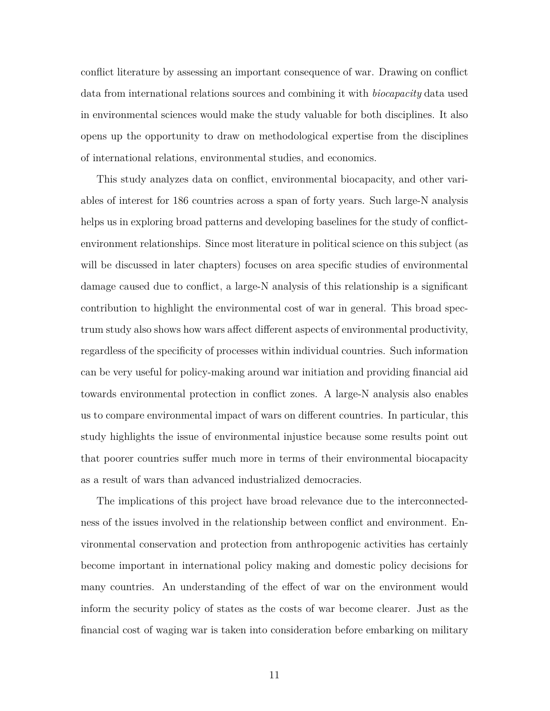conflict literature by assessing an important consequence of war. Drawing on conflict data from international relations sources and combining it with *biocapacity* data used in environmental sciences would make the study valuable for both disciplines. It also opens up the opportunity to draw on methodological expertise from the disciplines of international relations, environmental studies, and economics.

This study analyzes data on conflict, environmental biocapacity, and other variables of interest for 186 countries across a span of forty years. Such large-N analysis helps us in exploring broad patterns and developing baselines for the study of conflictenvironment relationships. Since most literature in political science on this subject (as will be discussed in later chapters) focuses on area specific studies of environmental damage caused due to conflict, a large-N analysis of this relationship is a significant contribution to highlight the environmental cost of war in general. This broad spectrum study also shows how wars affect different aspects of environmental productivity, regardless of the specificity of processes within individual countries. Such information can be very useful for policy-making around war initiation and providing financial aid towards environmental protection in conflict zones. A large-N analysis also enables us to compare environmental impact of wars on different countries. In particular, this study highlights the issue of environmental injustice because some results point out that poorer countries suffer much more in terms of their environmental biocapacity as a result of wars than advanced industrialized democracies.

The implications of this project have broad relevance due to the interconnectedness of the issues involved in the relationship between conflict and environment. Environmental conservation and protection from anthropogenic activities has certainly become important in international policy making and domestic policy decisions for many countries. An understanding of the effect of war on the environment would inform the security policy of states as the costs of war become clearer. Just as the financial cost of waging war is taken into consideration before embarking on military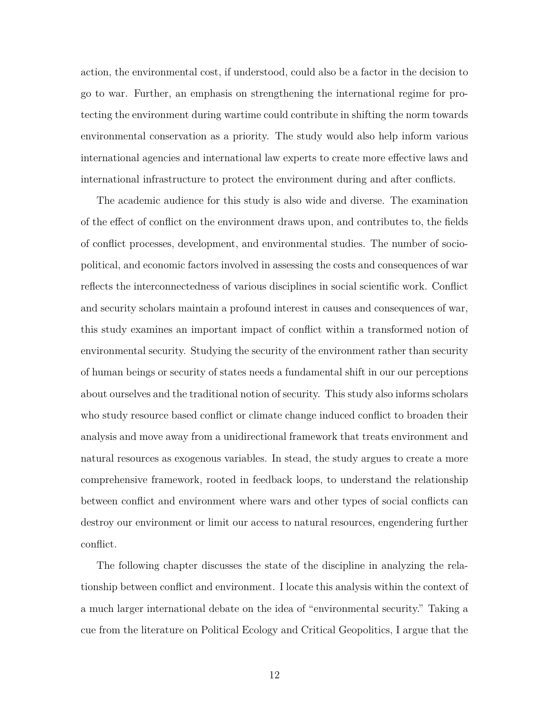action, the environmental cost, if understood, could also be a factor in the decision to go to war. Further, an emphasis on strengthening the international regime for protecting the environment during wartime could contribute in shifting the norm towards environmental conservation as a priority. The study would also help inform various international agencies and international law experts to create more effective laws and international infrastructure to protect the environment during and after conflicts.

The academic audience for this study is also wide and diverse. The examination of the effect of conflict on the environment draws upon, and contributes to, the fields of conflict processes, development, and environmental studies. The number of sociopolitical, and economic factors involved in assessing the costs and consequences of war reflects the interconnectedness of various disciplines in social scientific work. Conflict and security scholars maintain a profound interest in causes and consequences of war, this study examines an important impact of conflict within a transformed notion of environmental security. Studying the security of the environment rather than security of human beings or security of states needs a fundamental shift in our our perceptions about ourselves and the traditional notion of security. This study also informs scholars who study resource based conflict or climate change induced conflict to broaden their analysis and move away from a unidirectional framework that treats environment and natural resources as exogenous variables. In stead, the study argues to create a more comprehensive framework, rooted in feedback loops, to understand the relationship between conflict and environment where wars and other types of social conflicts can destroy our environment or limit our access to natural resources, engendering further conflict.

The following chapter discusses the state of the discipline in analyzing the relationship between conflict and environment. I locate this analysis within the context of a much larger international debate on the idea of "environmental security." Taking a cue from the literature on Political Ecology and Critical Geopolitics, I argue that the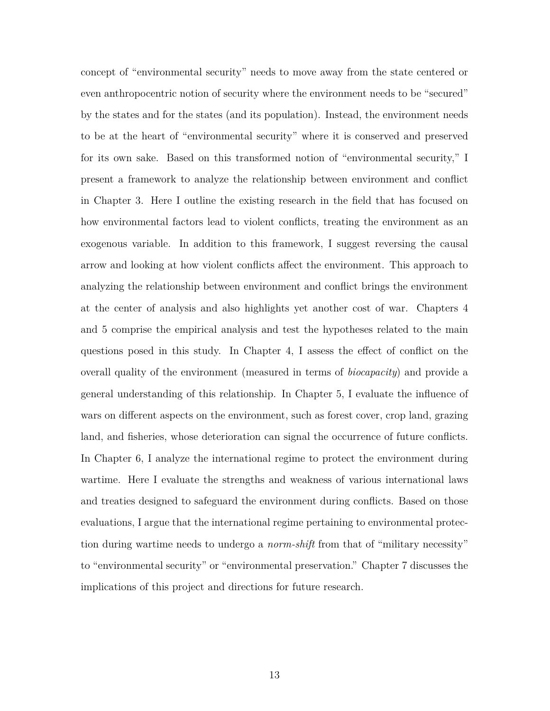concept of "environmental security" needs to move away from the state centered or even anthropocentric notion of security where the environment needs to be "secured" by the states and for the states (and its population). Instead, the environment needs to be at the heart of "environmental security" where it is conserved and preserved for its own sake. Based on this transformed notion of "environmental security," I present a framework to analyze the relationship between environment and conflict in Chapter 3. Here I outline the existing research in the field that has focused on how environmental factors lead to violent conflicts, treating the environment as an exogenous variable. In addition to this framework, I suggest reversing the causal arrow and looking at how violent conflicts affect the environment. This approach to analyzing the relationship between environment and conflict brings the environment at the center of analysis and also highlights yet another cost of war. Chapters 4 and 5 comprise the empirical analysis and test the hypotheses related to the main questions posed in this study. In Chapter 4, I assess the effect of conflict on the overall quality of the environment (measured in terms of *biocapacity*) and provide a general understanding of this relationship. In Chapter 5, I evaluate the influence of wars on different aspects on the environment, such as forest cover, crop land, grazing land, and fisheries, whose deterioration can signal the occurrence of future conflicts. In Chapter 6, I analyze the international regime to protect the environment during wartime. Here I evaluate the strengths and weakness of various international laws and treaties designed to safeguard the environment during conflicts. Based on those evaluations, I argue that the international regime pertaining to environmental protection during wartime needs to undergo a *norm-shift* from that of "military necessity" to "environmental security" or "environmental preservation." Chapter 7 discusses the implications of this project and directions for future research.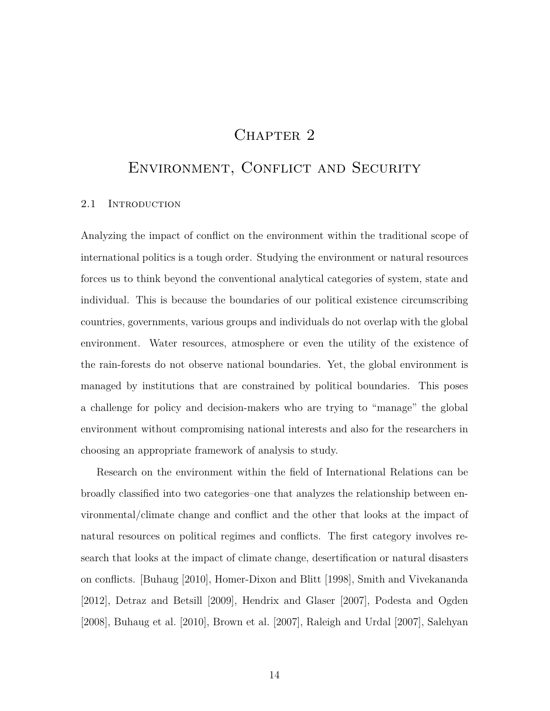# CHAPTER<sub>2</sub>

## Environment, Conflict and Security

#### 2.1 INTRODUCTION

Analyzing the impact of conflict on the environment within the traditional scope of international politics is a tough order. Studying the environment or natural resources forces us to think beyond the conventional analytical categories of system, state and individual. This is because the boundaries of our political existence circumscribing countries, governments, various groups and individuals do not overlap with the global environment. Water resources, atmosphere or even the utility of the existence of the rain-forests do not observe national boundaries. Yet, the global environment is managed by institutions that are constrained by political boundaries. This poses a challenge for policy and decision-makers who are trying to "manage" the global environment without compromising national interests and also for the researchers in choosing an appropriate framework of analysis to study.

Research on the environment within the field of International Relations can be broadly classified into two categories–one that analyzes the relationship between environmental/climate change and conflict and the other that looks at the impact of natural resources on political regimes and conflicts. The first category involves research that looks at the impact of climate change, desertification or natural disasters on conflicts. [Buhaug [2010], Homer-Dixon and Blitt [1998], Smith and Vivekananda [2012], Detraz and Betsill [2009], Hendrix and Glaser [2007], Podesta and Ogden [2008], Buhaug et al. [2010], Brown et al. [2007], Raleigh and Urdal [2007], Salehyan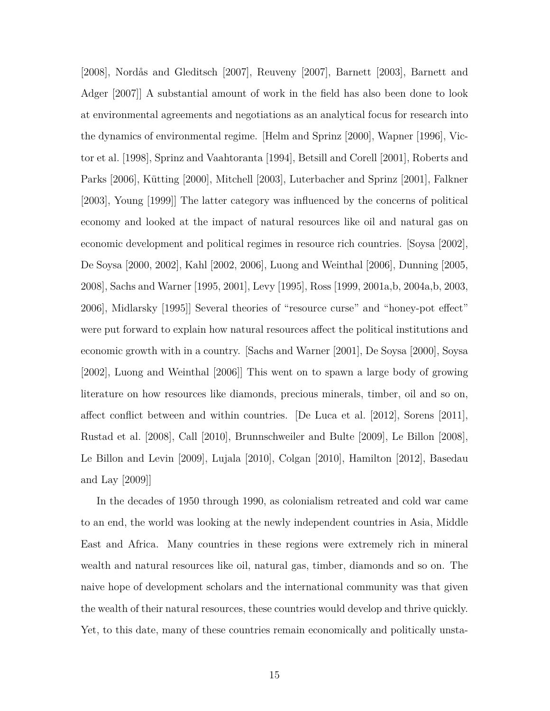[2008], Nordås and Gleditsch [2007], Reuveny [2007], Barnett [2003], Barnett and Adger [2007]] A substantial amount of work in the field has also been done to look at environmental agreements and negotiations as an analytical focus for research into the dynamics of environmental regime. [Helm and Sprinz [2000], Wapner [1996], Victor et al. [1998], Sprinz and Vaahtoranta [1994], Betsill and Corell [2001], Roberts and Parks [2006], Kütting [2000], Mitchell [2003], Luterbacher and Sprinz [2001], Falkner [2003], Young [1999]] The latter category was influenced by the concerns of political economy and looked at the impact of natural resources like oil and natural gas on economic development and political regimes in resource rich countries. [Soysa [2002], De Soysa [2000, 2002], Kahl [2002, 2006], Luong and Weinthal [2006], Dunning [2005, 2008], Sachs and Warner [1995, 2001], Levy [1995], Ross [1999, 2001a,b, 2004a,b, 2003, 2006], Midlarsky [1995]] Several theories of "resource curse" and "honey-pot effect" were put forward to explain how natural resources affect the political institutions and economic growth with in a country. [Sachs and Warner [2001], De Soysa [2000], Soysa [2002], Luong and Weinthal [2006]] This went on to spawn a large body of growing literature on how resources like diamonds, precious minerals, timber, oil and so on, affect conflict between and within countries. [De Luca et al. [2012], Sorens [2011], Rustad et al. [2008], Call [2010], Brunnschweiler and Bulte [2009], Le Billon [2008], Le Billon and Levin [2009], Lujala [2010], Colgan [2010], Hamilton [2012], Basedau and Lay [2009]]

In the decades of 1950 through 1990, as colonialism retreated and cold war came to an end, the world was looking at the newly independent countries in Asia, Middle East and Africa. Many countries in these regions were extremely rich in mineral wealth and natural resources like oil, natural gas, timber, diamonds and so on. The naive hope of development scholars and the international community was that given the wealth of their natural resources, these countries would develop and thrive quickly. Yet, to this date, many of these countries remain economically and politically unsta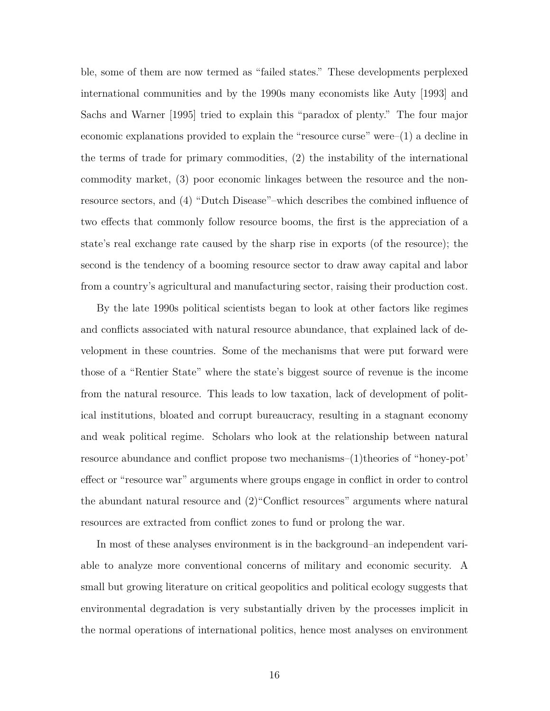ble, some of them are now termed as "failed states." These developments perplexed international communities and by the 1990s many economists like Auty [1993] and Sachs and Warner [1995] tried to explain this "paradox of plenty." The four major economic explanations provided to explain the "resource curse" were–(1) a decline in the terms of trade for primary commodities, (2) the instability of the international commodity market, (3) poor economic linkages between the resource and the nonresource sectors, and (4) "Dutch Disease"–which describes the combined influence of two effects that commonly follow resource booms, the first is the appreciation of a state's real exchange rate caused by the sharp rise in exports (of the resource); the second is the tendency of a booming resource sector to draw away capital and labor from a country's agricultural and manufacturing sector, raising their production cost.

By the late 1990s political scientists began to look at other factors like regimes and conflicts associated with natural resource abundance, that explained lack of development in these countries. Some of the mechanisms that were put forward were those of a "Rentier State" where the state's biggest source of revenue is the income from the natural resource. This leads to low taxation, lack of development of political institutions, bloated and corrupt bureaucracy, resulting in a stagnant economy and weak political regime. Scholars who look at the relationship between natural resource abundance and conflict propose two mechanisms–(1)theories of "honey-pot' effect or "resource war" arguments where groups engage in conflict in order to control the abundant natural resource and (2)"Conflict resources" arguments where natural resources are extracted from conflict zones to fund or prolong the war.

In most of these analyses environment is in the background–an independent variable to analyze more conventional concerns of military and economic security. A small but growing literature on critical geopolitics and political ecology suggests that environmental degradation is very substantially driven by the processes implicit in the normal operations of international politics, hence most analyses on environment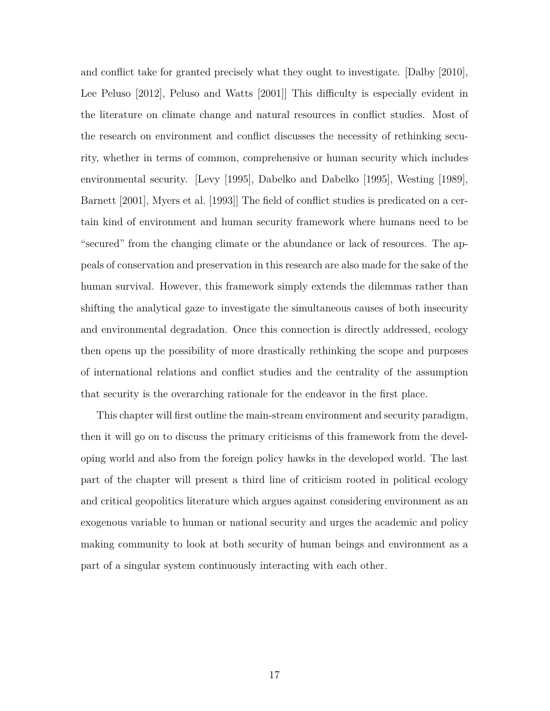and conflict take for granted precisely what they ought to investigate. [Dalby [2010], Lee Peluso [2012], Peluso and Watts [2001]] This difficulty is especially evident in the literature on climate change and natural resources in conflict studies. Most of the research on environment and conflict discusses the necessity of rethinking security, whether in terms of common, comprehensive or human security which includes environmental security. [Levy [1995], Dabelko and Dabelko [1995], Westing [1989], Barnett [2001], Myers et al. [1993]] The field of conflict studies is predicated on a certain kind of environment and human security framework where humans need to be "secured" from the changing climate or the abundance or lack of resources. The appeals of conservation and preservation in this research are also made for the sake of the human survival. However, this framework simply extends the dilemmas rather than shifting the analytical gaze to investigate the simultaneous causes of both insecurity and environmental degradation. Once this connection is directly addressed, ecology then opens up the possibility of more drastically rethinking the scope and purposes of international relations and conflict studies and the centrality of the assumption that security is the overarching rationale for the endeavor in the first place.

This chapter will first outline the main-stream environment and security paradigm, then it will go on to discuss the primary criticisms of this framework from the developing world and also from the foreign policy hawks in the developed world. The last part of the chapter will present a third line of criticism rooted in political ecology and critical geopolitics literature which argues against considering environment as an exogenous variable to human or national security and urges the academic and policy making community to look at both security of human beings and environment as a part of a singular system continuously interacting with each other.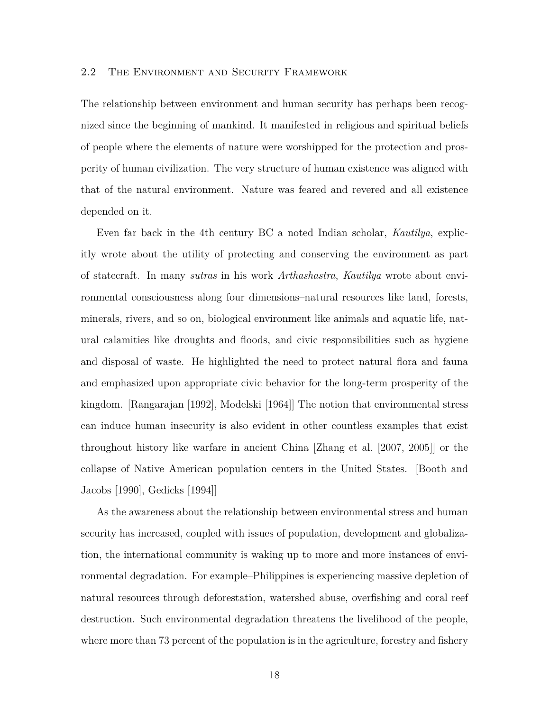#### 2.2 The Environment and Security Framework

The relationship between environment and human security has perhaps been recognized since the beginning of mankind. It manifested in religious and spiritual beliefs of people where the elements of nature were worshipped for the protection and prosperity of human civilization. The very structure of human existence was aligned with that of the natural environment. Nature was feared and revered and all existence depended on it.

Even far back in the 4th century BC a noted Indian scholar, *Kautilya*, explicitly wrote about the utility of protecting and conserving the environment as part of statecraft. In many *sutras* in his work *Arthashastra*, *Kautilya* wrote about environmental consciousness along four dimensions–natural resources like land, forests, minerals, rivers, and so on, biological environment like animals and aquatic life, natural calamities like droughts and floods, and civic responsibilities such as hygiene and disposal of waste. He highlighted the need to protect natural flora and fauna and emphasized upon appropriate civic behavior for the long-term prosperity of the kingdom. [Rangarajan [1992], Modelski [1964]] The notion that environmental stress can induce human insecurity is also evident in other countless examples that exist throughout history like warfare in ancient China [Zhang et al. [2007, 2005]] or the collapse of Native American population centers in the United States. [Booth and Jacobs [1990], Gedicks [1994]]

As the awareness about the relationship between environmental stress and human security has increased, coupled with issues of population, development and globalization, the international community is waking up to more and more instances of environmental degradation. For example–Philippines is experiencing massive depletion of natural resources through deforestation, watershed abuse, overfishing and coral reef destruction. Such environmental degradation threatens the livelihood of the people, where more than 73 percent of the population is in the agriculture, forestry and fishery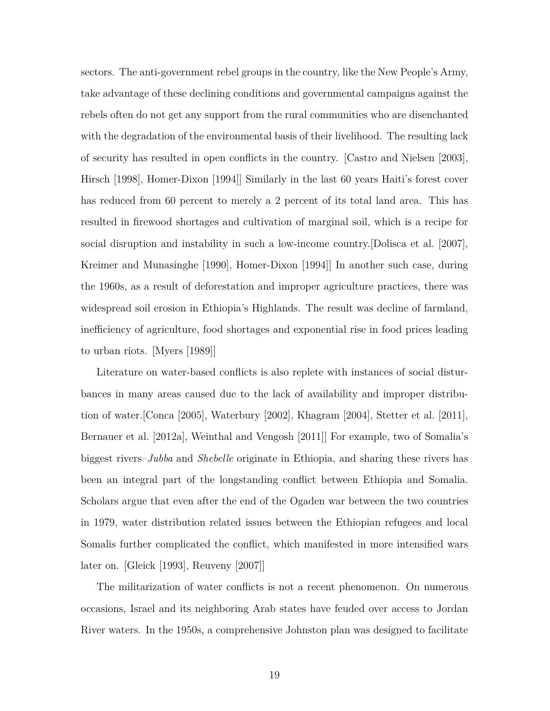sectors. The anti-government rebel groups in the country, like the New People's Army, take advantage of these declining conditions and governmental campaigns against the rebels often do not get any support from the rural communities who are disenchanted with the degradation of the environmental basis of their livelihood. The resulting lack of security has resulted in open conflicts in the country. [Castro and Nielsen [2003], Hirsch [1998], Homer-Dixon [1994]] Similarly in the last 60 years Haiti's forest cover has reduced from 60 percent to merely a 2 percent of its total land area. This has resulted in firewood shortages and cultivation of marginal soil, which is a recipe for social disruption and instability in such a low-income country.[Dolisca et al. [2007], Kreimer and Munasinghe [1990], Homer-Dixon [1994]] In another such case, during the 1960s, as a result of deforestation and improper agriculture practices, there was widespread soil erosion in Ethiopia's Highlands. The result was decline of farmland, inefficiency of agriculture, food shortages and exponential rise in food prices leading to urban riots. [Myers [1989]]

Literature on water-based conflicts is also replete with instances of social disturbances in many areas caused due to the lack of availability and improper distribution of water.[Conca [2005], Waterbury [2002], Khagram [2004], Stetter et al. [2011], Bernauer et al. [2012a], Weinthal and Vengosh [2011]] For example, two of Somalia's biggest rivers–*Jubba* and *Shebelle* originate in Ethiopia, and sharing these rivers has been an integral part of the longstanding conflict between Ethiopia and Somalia. Scholars argue that even after the end of the Ogaden war between the two countries in 1979, water distribution related issues between the Ethiopian refugees and local Somalis further complicated the conflict, which manifested in more intensified wars later on. [Gleick [1993], Reuveny [2007]]

The militarization of water conflicts is not a recent phenomenon. On numerous occasions, Israel and its neighboring Arab states have feuded over access to Jordan River waters. In the 1950s, a comprehensive Johnston plan was designed to facilitate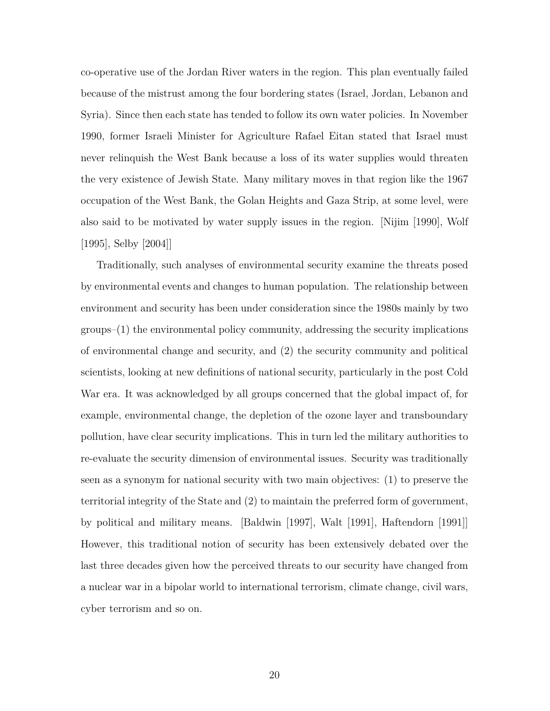co-operative use of the Jordan River waters in the region. This plan eventually failed because of the mistrust among the four bordering states (Israel, Jordan, Lebanon and Syria). Since then each state has tended to follow its own water policies. In November 1990, former Israeli Minister for Agriculture Rafael Eitan stated that Israel must never relinquish the West Bank because a loss of its water supplies would threaten the very existence of Jewish State. Many military moves in that region like the 1967 occupation of the West Bank, the Golan Heights and Gaza Strip, at some level, were also said to be motivated by water supply issues in the region. [Nijim [1990], Wolf [1995], Selby [2004]]

Traditionally, such analyses of environmental security examine the threats posed by environmental events and changes to human population. The relationship between environment and security has been under consideration since the 1980s mainly by two groups–(1) the environmental policy community, addressing the security implications of environmental change and security, and (2) the security community and political scientists, looking at new definitions of national security, particularly in the post Cold War era. It was acknowledged by all groups concerned that the global impact of, for example, environmental change, the depletion of the ozone layer and transboundary pollution, have clear security implications. This in turn led the military authorities to re-evaluate the security dimension of environmental issues. Security was traditionally seen as a synonym for national security with two main objectives: (1) to preserve the territorial integrity of the State and (2) to maintain the preferred form of government, by political and military means. [Baldwin [1997], Walt [1991], Haftendorn [1991]] However, this traditional notion of security has been extensively debated over the last three decades given how the perceived threats to our security have changed from a nuclear war in a bipolar world to international terrorism, climate change, civil wars, cyber terrorism and so on.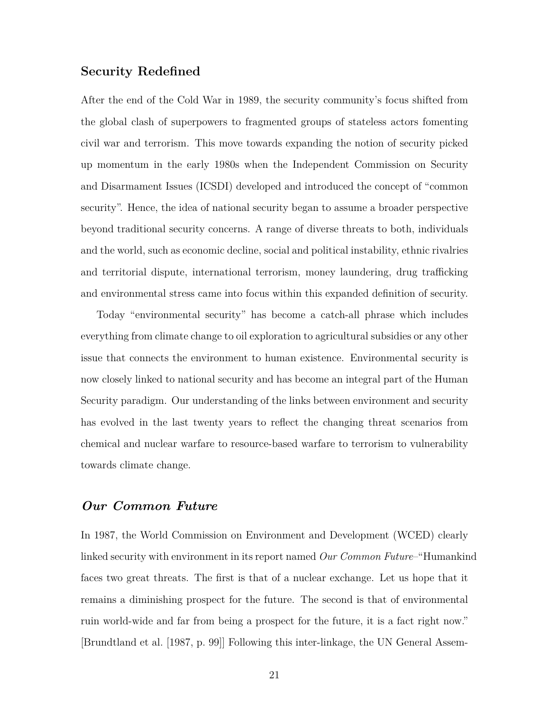### **Security Redefined**

After the end of the Cold War in 1989, the security community's focus shifted from the global clash of superpowers to fragmented groups of stateless actors fomenting civil war and terrorism. This move towards expanding the notion of security picked up momentum in the early 1980s when the Independent Commission on Security and Disarmament Issues (ICSDI) developed and introduced the concept of "common security". Hence, the idea of national security began to assume a broader perspective beyond traditional security concerns. A range of diverse threats to both, individuals and the world, such as economic decline, social and political instability, ethnic rivalries and territorial dispute, international terrorism, money laundering, drug trafficking and environmental stress came into focus within this expanded definition of security.

Today "environmental security" has become a catch-all phrase which includes everything from climate change to oil exploration to agricultural subsidies or any other issue that connects the environment to human existence. Environmental security is now closely linked to national security and has become an integral part of the Human Security paradigm. Our understanding of the links between environment and security has evolved in the last twenty years to reflect the changing threat scenarios from chemical and nuclear warfare to resource-based warfare to terrorism to vulnerability towards climate change.

### *Our Common Future*

In 1987, the World Commission on Environment and Development (WCED) clearly linked security with environment in its report named *Our Common Future*–"Humankind faces two great threats. The first is that of a nuclear exchange. Let us hope that it remains a diminishing prospect for the future. The second is that of environmental ruin world-wide and far from being a prospect for the future, it is a fact right now." [Brundtland et al. [1987, p. 99]] Following this inter-linkage, the UN General Assem-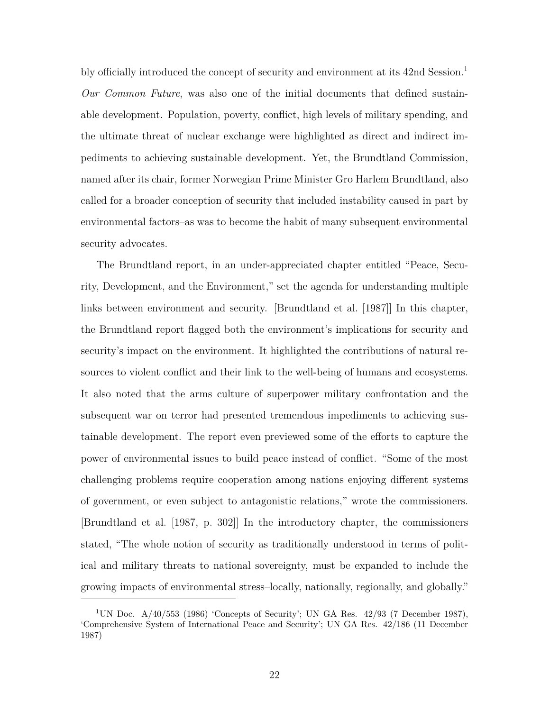bly officially introduced the concept of security and environment at its 42nd Session.<sup>1</sup> *Our Common Future*, was also one of the initial documents that defined sustainable development. Population, poverty, conflict, high levels of military spending, and the ultimate threat of nuclear exchange were highlighted as direct and indirect impediments to achieving sustainable development. Yet, the Brundtland Commission, named after its chair, former Norwegian Prime Minister Gro Harlem Brundtland, also called for a broader conception of security that included instability caused in part by environmental factors–as was to become the habit of many subsequent environmental security advocates.

The Brundtland report, in an under-appreciated chapter entitled "Peace, Security, Development, and the Environment," set the agenda for understanding multiple links between environment and security. [Brundtland et al. [1987]] In this chapter, the Brundtland report flagged both the environment's implications for security and security's impact on the environment. It highlighted the contributions of natural resources to violent conflict and their link to the well-being of humans and ecosystems. It also noted that the arms culture of superpower military confrontation and the subsequent war on terror had presented tremendous impediments to achieving sustainable development. The report even previewed some of the efforts to capture the power of environmental issues to build peace instead of conflict. "Some of the most challenging problems require cooperation among nations enjoying different systems of government, or even subject to antagonistic relations," wrote the commissioners. [Brundtland et al. [1987, p. 302]] In the introductory chapter, the commissioners stated, "The whole notion of security as traditionally understood in terms of political and military threats to national sovereignty, must be expanded to include the growing impacts of environmental stress–locally, nationally, regionally, and globally."

<sup>&</sup>lt;sup>1</sup>UN Doc.  $A/40/553$  (1986) 'Concepts of Security'; UN GA Res.  $42/93$  (7 December 1987), 'Comprehensive System of International Peace and Security'; UN GA Res. 42/186 (11 December 1987)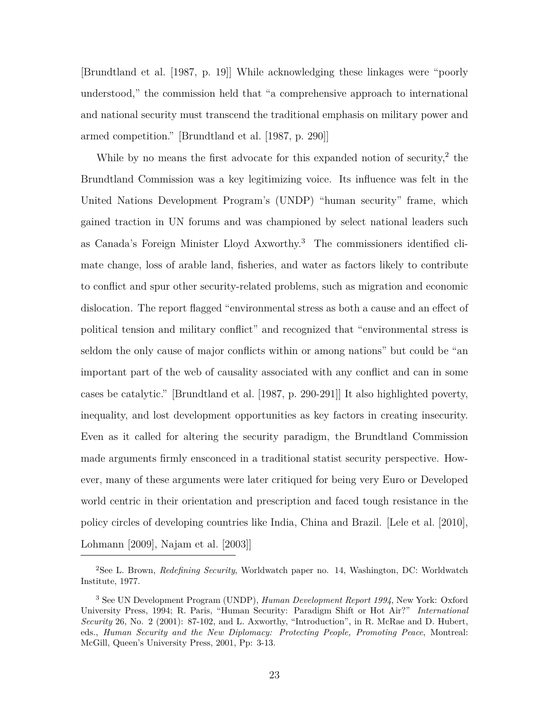[Brundtland et al. [1987, p. 19]] While acknowledging these linkages were "poorly understood," the commission held that "a comprehensive approach to international and national security must transcend the traditional emphasis on military power and armed competition." [Brundtland et al. [1987, p. 290]]

While by no means the first advocate for this expanded notion of security, $^2$  the Brundtland Commission was a key legitimizing voice. Its influence was felt in the United Nations Development Program's (UNDP) "human security" frame, which gained traction in UN forums and was championed by select national leaders such as Canada's Foreign Minister Lloyd Axworthy.<sup>3</sup> The commissioners identified climate change, loss of arable land, fisheries, and water as factors likely to contribute to conflict and spur other security-related problems, such as migration and economic dislocation. The report flagged "environmental stress as both a cause and an effect of political tension and military conflict" and recognized that "environmental stress is seldom the only cause of major conflicts within or among nations" but could be "an important part of the web of causality associated with any conflict and can in some cases be catalytic." [Brundtland et al. [1987, p. 290-291]] It also highlighted poverty, inequality, and lost development opportunities as key factors in creating insecurity. Even as it called for altering the security paradigm, the Brundtland Commission made arguments firmly ensconced in a traditional statist security perspective. However, many of these arguments were later critiqued for being very Euro or Developed world centric in their orientation and prescription and faced tough resistance in the policy circles of developing countries like India, China and Brazil. [Lele et al. [2010], Lohmann [2009], Najam et al. [2003]]

<sup>2</sup>See L. Brown, *Redefining Security*, Worldwatch paper no. 14, Washington, DC: Worldwatch Institute, 1977.

<sup>3</sup> See UN Development Program (UNDP), *Human Development Report 1994*, New York: Oxford University Press, 1994; R. Paris, "Human Security: Paradigm Shift or Hot Air?" *International Security* 26, No. 2 (2001): 87-102, and L. Axworthy, "Introduction", in R. McRae and D. Hubert, eds., *Human Security and the New Diplomacy: Protecting People, Promoting Peace*, Montreal: McGill, Queen's University Press, 2001, Pp: 3-13.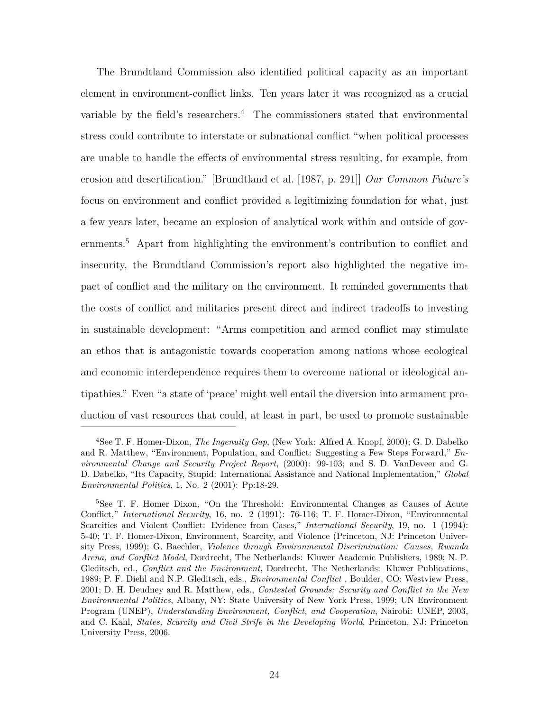The Brundtland Commission also identified political capacity as an important element in environment-conflict links. Ten years later it was recognized as a crucial variable by the field's researchers.<sup>4</sup> The commissioners stated that environmental stress could contribute to interstate or subnational conflict "when political processes are unable to handle the effects of environmental stress resulting, for example, from erosion and desertification." [Brundtland et al. [1987, p. 291]] *Our Common Future's* focus on environment and conflict provided a legitimizing foundation for what, just a few years later, became an explosion of analytical work within and outside of governments.<sup>5</sup> Apart from highlighting the environment's contribution to conflict and insecurity, the Brundtland Commission's report also highlighted the negative impact of conflict and the military on the environment. It reminded governments that the costs of conflict and militaries present direct and indirect tradeoffs to investing in sustainable development: "Arms competition and armed conflict may stimulate an ethos that is antagonistic towards cooperation among nations whose ecological and economic interdependence requires them to overcome national or ideological antipathies." Even "a state of 'peace' might well entail the diversion into armament production of vast resources that could, at least in part, be used to promote sustainable

<sup>4</sup>See T. F. Homer-Dixon, *The Ingenuity Gap*, (New York: Alfred A. Knopf, 2000); G. D. Dabelko and R. Matthew, "Environment, Population, and Conflict: Suggesting a Few Steps Forward," *Environmental Change and Security Project Report*, (2000): 99-103; and S. D. VanDeveer and G. D. Dabelko, "Its Capacity, Stupid: International Assistance and National Implementation," *Global Environmental Politics*, 1, No. 2 (2001): Pp:18-29.

<sup>5</sup>See T. F. Homer Dixon, "On the Threshold: Environmental Changes as Causes of Acute Conflict," *International Security*, 16, no. 2 (1991): 76-116; T. F. Homer-Dixon, "Environmental Scarcities and Violent Conflict: Evidence from Cases," *International Security*, 19, no. 1 (1994): 5-40; T. F. Homer-Dixon, Environment, Scarcity, and Violence (Princeton, NJ: Princeton University Press, 1999); G. Baechler, *Violence through Environmental Discrimination: Causes, Rwanda Arena, and Conflict Model*, Dordrecht, The Netherlands: Kluwer Academic Publishers, 1989; N. P. Gleditsch, ed., *Conflict and the Environment*, Dordrecht, The Netherlands: Kluwer Publications, 1989; P. F. Diehl and N.P. Gleditsch, eds., *Environmental Conflict* , Boulder, CO: Westview Press, 2001; D. H. Deudney and R. Matthew, eds., *Contested Grounds: Security and Conflict in the New Environmental Politics*, Albany, NY: State University of New York Press, 1999; UN Environment Program (UNEP), *Understanding Environment, Conflict, and Cooperation*, Nairobi: UNEP, 2003, and C. Kahl, *States, Scarcity and Civil Strife in the Developing World*, Princeton, NJ: Princeton University Press, 2006.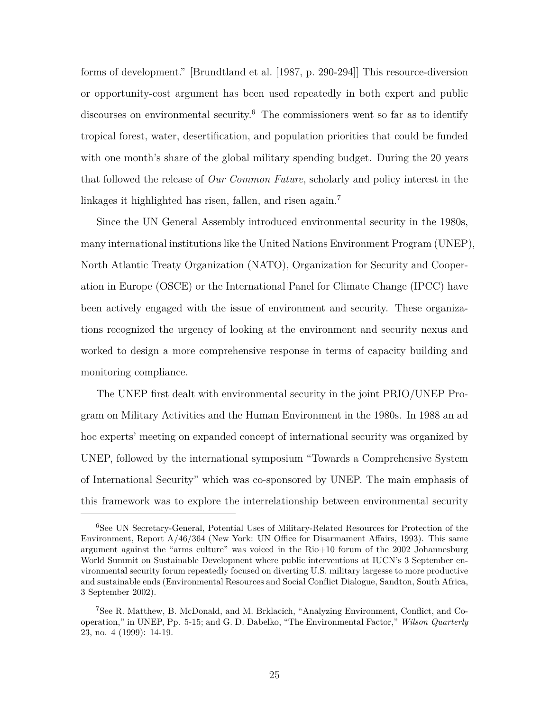forms of development." [Brundtland et al. [1987, p. 290-294]] This resource-diversion or opportunity-cost argument has been used repeatedly in both expert and public discourses on environmental security.<sup>6</sup> The commissioners went so far as to identify tropical forest, water, desertification, and population priorities that could be funded with one month's share of the global military spending budget. During the 20 years that followed the release of *Our Common Future*, scholarly and policy interest in the linkages it highlighted has risen, fallen, and risen again.<sup>7</sup>

Since the UN General Assembly introduced environmental security in the 1980s, many international institutions like the United Nations Environment Program (UNEP), North Atlantic Treaty Organization (NATO), Organization for Security and Cooperation in Europe (OSCE) or the International Panel for Climate Change (IPCC) have been actively engaged with the issue of environment and security. These organizations recognized the urgency of looking at the environment and security nexus and worked to design a more comprehensive response in terms of capacity building and monitoring compliance.

The UNEP first dealt with environmental security in the joint PRIO/UNEP Program on Military Activities and the Human Environment in the 1980s. In 1988 an ad hoc experts' meeting on expanded concept of international security was organized by UNEP, followed by the international symposium "Towards a Comprehensive System of International Security" which was co-sponsored by UNEP. The main emphasis of this framework was to explore the interrelationship between environmental security

<sup>6</sup>See UN Secretary-General, Potential Uses of Military-Related Resources for Protection of the Environment, Report A/46/364 (New York: UN Office for Disarmament Affairs, 1993). This same argument against the "arms culture" was voiced in the Rio+10 forum of the 2002 Johannesburg World Summit on Sustainable Development where public interventions at IUCN's 3 September environmental security forum repeatedly focused on diverting U.S. military largesse to more productive and sustainable ends (Environmental Resources and Social Conflict Dialogue, Sandton, South Africa, 3 September 2002).

<sup>7</sup>See R. Matthew, B. McDonald, and M. Brklacich, "Analyzing Environment, Conflict, and Cooperation," in UNEP, Pp. 5-15; and G. D. Dabelko, "The Environmental Factor," *Wilson Quarterly* 23, no. 4 (1999): 14-19.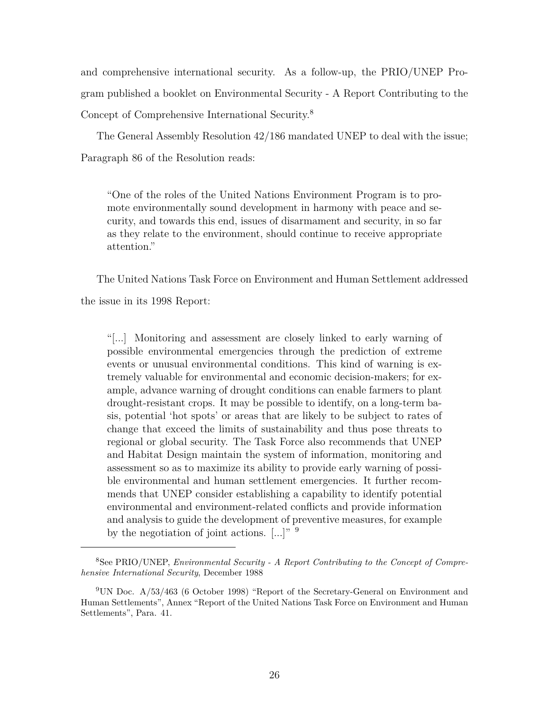and comprehensive international security. As a follow-up, the PRIO/UNEP Program published a booklet on Environmental Security - A Report Contributing to the Concept of Comprehensive International Security.<sup>8</sup>

The General Assembly Resolution 42/186 mandated UNEP to deal with the issue; Paragraph 86 of the Resolution reads:

"One of the roles of the United Nations Environment Program is to promote environmentally sound development in harmony with peace and security, and towards this end, issues of disarmament and security, in so far as they relate to the environment, should continue to receive appropriate attention."

The United Nations Task Force on Environment and Human Settlement addressed the issue in its 1998 Report:

"[...] Monitoring and assessment are closely linked to early warning of possible environmental emergencies through the prediction of extreme events or unusual environmental conditions. This kind of warning is extremely valuable for environmental and economic decision-makers; for example, advance warning of drought conditions can enable farmers to plant drought-resistant crops. It may be possible to identify, on a long-term basis, potential 'hot spots' or areas that are likely to be subject to rates of change that exceed the limits of sustainability and thus pose threats to regional or global security. The Task Force also recommends that UNEP and Habitat Design maintain the system of information, monitoring and assessment so as to maximize its ability to provide early warning of possible environmental and human settlement emergencies. It further recommends that UNEP consider establishing a capability to identify potential environmental and environment-related conflicts and provide information and analysis to guide the development of preventive measures, for example by the negotiation of joint actions.  $[...]$ <sup>" 9</sup>

<sup>8</sup>See PRIO/UNEP, *Environmental Security - A Report Contributing to the Concept of Comprehensive International Security*, December 1988

<sup>9</sup>UN Doc. A/53/463 (6 October 1998) "Report of the Secretary-General on Environment and Human Settlements", Annex "Report of the United Nations Task Force on Environment and Human Settlements", Para. 41.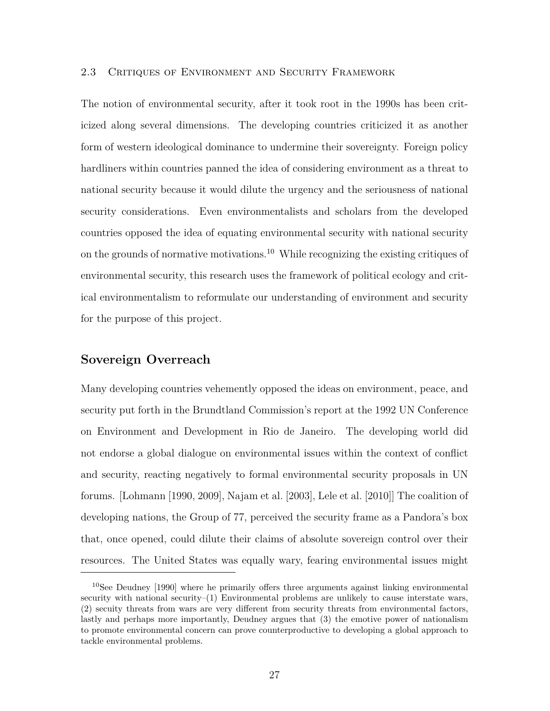## 2.3 Critiques of Environment and Security Framework

The notion of environmental security, after it took root in the 1990s has been criticized along several dimensions. The developing countries criticized it as another form of western ideological dominance to undermine their sovereignty. Foreign policy hardliners within countries panned the idea of considering environment as a threat to national security because it would dilute the urgency and the seriousness of national security considerations. Even environmentalists and scholars from the developed countries opposed the idea of equating environmental security with national security on the grounds of normative motivations.<sup>10</sup> While recognizing the existing critiques of environmental security, this research uses the framework of political ecology and critical environmentalism to reformulate our understanding of environment and security for the purpose of this project.

## **Sovereign Overreach**

Many developing countries vehemently opposed the ideas on environment, peace, and security put forth in the Brundtland Commission's report at the 1992 UN Conference on Environment and Development in Rio de Janeiro. The developing world did not endorse a global dialogue on environmental issues within the context of conflict and security, reacting negatively to formal environmental security proposals in UN forums. [Lohmann [1990, 2009], Najam et al. [2003], Lele et al. [2010]] The coalition of developing nations, the Group of 77, perceived the security frame as a Pandora's box that, once opened, could dilute their claims of absolute sovereign control over their resources. The United States was equally wary, fearing environmental issues might

<sup>&</sup>lt;sup>10</sup>See Deudney [1990] where he primarily offers three arguments against linking environmental security with national security–(1) Environmental problems are unlikely to cause interstate wars, (2) secuity threats from wars are very different from security threats from environmental factors, lastly and perhaps more importantly, Deudney argues that (3) the emotive power of nationalism to promote environmental concern can prove counterproductive to developing a global approach to tackle environmental problems.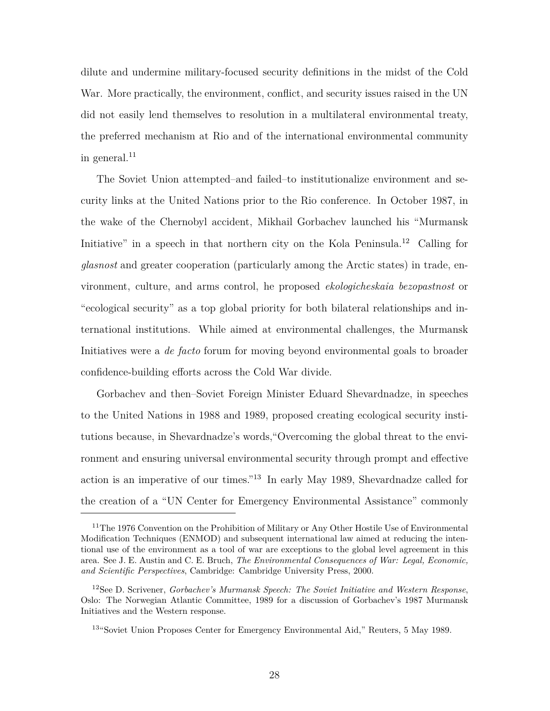dilute and undermine military-focused security definitions in the midst of the Cold War. More practically, the environment, conflict, and security issues raised in the UN did not easily lend themselves to resolution in a multilateral environmental treaty, the preferred mechanism at Rio and of the international environmental community in general. $^{11}$ 

The Soviet Union attempted–and failed–to institutionalize environment and security links at the United Nations prior to the Rio conference. In October 1987, in the wake of the Chernobyl accident, Mikhail Gorbachev launched his "Murmansk Initiative" in a speech in that northern city on the Kola Peninsula.<sup>12</sup> Calling for *glasnost* and greater cooperation (particularly among the Arctic states) in trade, environment, culture, and arms control, he proposed *ekologicheskaia bezopastnost* or "ecological security" as a top global priority for both bilateral relationships and international institutions. While aimed at environmental challenges, the Murmansk Initiatives were a *de facto* forum for moving beyond environmental goals to broader confidence-building efforts across the Cold War divide.

Gorbachev and then–Soviet Foreign Minister Eduard Shevardnadze, in speeches to the United Nations in 1988 and 1989, proposed creating ecological security institutions because, in Shevardnadze's words,"Overcoming the global threat to the environment and ensuring universal environmental security through prompt and effective action is an imperative of our times."<sup>13</sup> In early May 1989, Shevardnadze called for the creation of a "UN Center for Emergency Environmental Assistance" commonly

<sup>&</sup>lt;sup>11</sup>The 1976 Convention on the Prohibition of Military or Any Other Hostile Use of Environmental Modification Techniques (ENMOD) and subsequent international law aimed at reducing the intentional use of the environment as a tool of war are exceptions to the global level agreement in this area. See J. E. Austin and C. E. Bruch, *The Environmental Consequences of War: Legal, Economic, and Scientific Perspectives*, Cambridge: Cambridge University Press, 2000.

<sup>12</sup>See D. Scrivener, *Gorbachev's Murmansk Speech: The Soviet Initiative and Western Response*, Oslo: The Norwegian Atlantic Committee, 1989 for a discussion of Gorbachev's 1987 Murmansk Initiatives and the Western response.

<sup>13</sup>"Soviet Union Proposes Center for Emergency Environmental Aid," Reuters, 5 May 1989.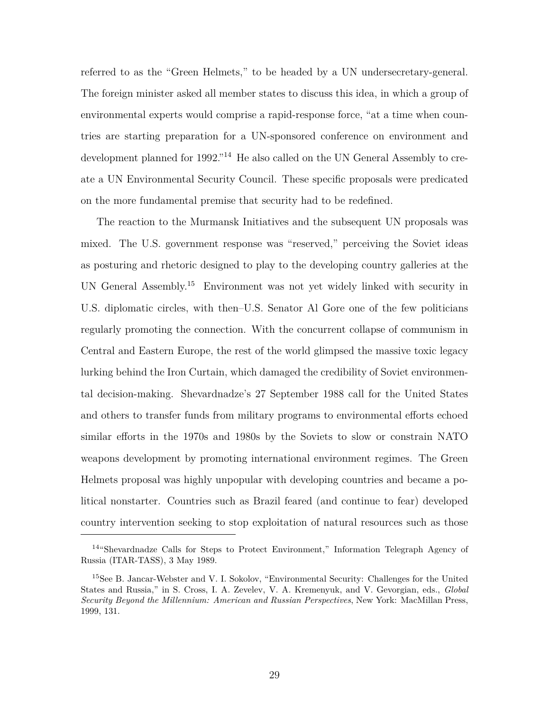referred to as the "Green Helmets," to be headed by a UN undersecretary-general. The foreign minister asked all member states to discuss this idea, in which a group of environmental experts would comprise a rapid-response force, "at a time when countries are starting preparation for a UN-sponsored conference on environment and development planned for 1992."<sup>14</sup> He also called on the UN General Assembly to create a UN Environmental Security Council. These specific proposals were predicated on the more fundamental premise that security had to be redefined.

The reaction to the Murmansk Initiatives and the subsequent UN proposals was mixed. The U.S. government response was "reserved," perceiving the Soviet ideas as posturing and rhetoric designed to play to the developing country galleries at the UN General Assembly.<sup>15</sup> Environment was not yet widely linked with security in U.S. diplomatic circles, with then–U.S. Senator Al Gore one of the few politicians regularly promoting the connection. With the concurrent collapse of communism in Central and Eastern Europe, the rest of the world glimpsed the massive toxic legacy lurking behind the Iron Curtain, which damaged the credibility of Soviet environmental decision-making. Shevardnadze's 27 September 1988 call for the United States and others to transfer funds from military programs to environmental efforts echoed similar efforts in the 1970s and 1980s by the Soviets to slow or constrain NATO weapons development by promoting international environment regimes. The Green Helmets proposal was highly unpopular with developing countries and became a political nonstarter. Countries such as Brazil feared (and continue to fear) developed country intervention seeking to stop exploitation of natural resources such as those

<sup>14</sup>"Shevardnadze Calls for Steps to Protect Environment," Information Telegraph Agency of Russia (ITAR-TASS), 3 May 1989.

<sup>15</sup>See B. Jancar-Webster and V. I. Sokolov, "Environmental Security: Challenges for the United States and Russia," in S. Cross, I. A. Zevelev, V. A. Kremenyuk, and V. Gevorgian, eds., *Global Security Beyond the Millennium: American and Russian Perspectives*, New York: MacMillan Press, 1999, 131.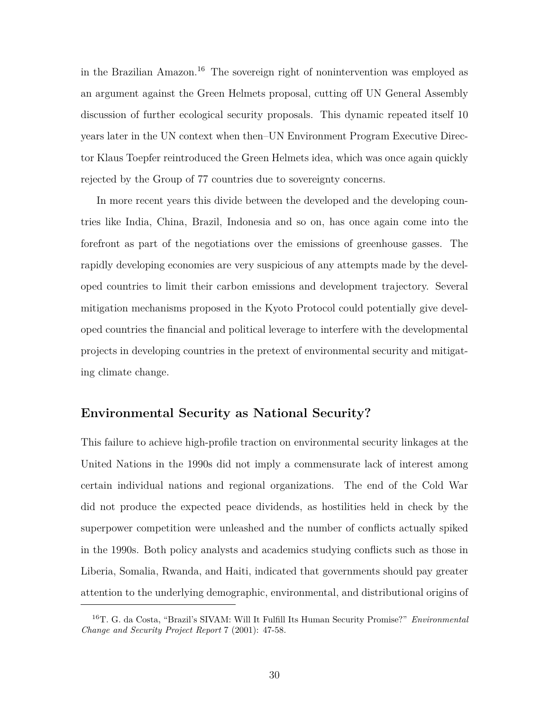in the Brazilian Amazon.<sup>16</sup> The sovereign right of nonintervention was employed as an argument against the Green Helmets proposal, cutting off UN General Assembly discussion of further ecological security proposals. This dynamic repeated itself 10 years later in the UN context when then–UN Environment Program Executive Director Klaus Toepfer reintroduced the Green Helmets idea, which was once again quickly rejected by the Group of 77 countries due to sovereignty concerns.

In more recent years this divide between the developed and the developing countries like India, China, Brazil, Indonesia and so on, has once again come into the forefront as part of the negotiations over the emissions of greenhouse gasses. The rapidly developing economies are very suspicious of any attempts made by the developed countries to limit their carbon emissions and development trajectory. Several mitigation mechanisms proposed in the Kyoto Protocol could potentially give developed countries the financial and political leverage to interfere with the developmental projects in developing countries in the pretext of environmental security and mitigating climate change.

## **Environmental Security as National Security?**

This failure to achieve high-profile traction on environmental security linkages at the United Nations in the 1990s did not imply a commensurate lack of interest among certain individual nations and regional organizations. The end of the Cold War did not produce the expected peace dividends, as hostilities held in check by the superpower competition were unleashed and the number of conflicts actually spiked in the 1990s. Both policy analysts and academics studying conflicts such as those in Liberia, Somalia, Rwanda, and Haiti, indicated that governments should pay greater attention to the underlying demographic, environmental, and distributional origins of

<sup>16</sup>T. G. da Costa, "Brazil's SIVAM: Will It Fulfill Its Human Security Promise?" *Environmental Change and Security Project Report* 7 (2001): 47-58.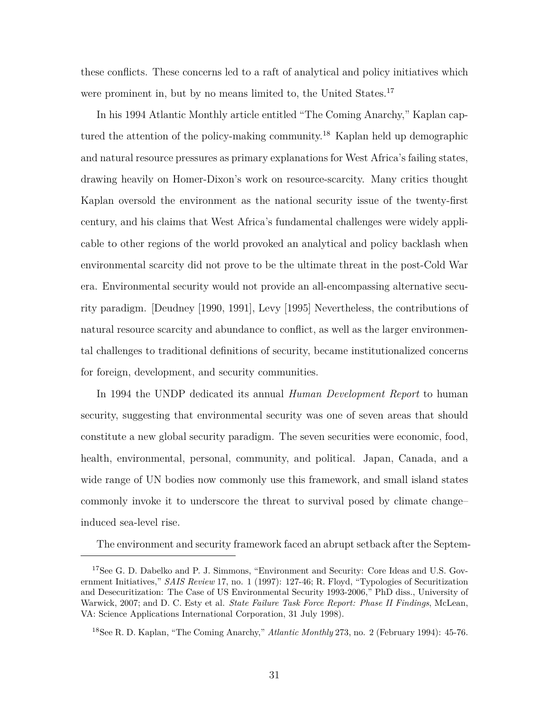these conflicts. These concerns led to a raft of analytical and policy initiatives which were prominent in, but by no means limited to, the United States.<sup>17</sup>

In his 1994 Atlantic Monthly article entitled "The Coming Anarchy," Kaplan captured the attention of the policy-making community.<sup>18</sup> Kaplan held up demographic and natural resource pressures as primary explanations for West Africa's failing states, drawing heavily on Homer-Dixon's work on resource-scarcity. Many critics thought Kaplan oversold the environment as the national security issue of the twenty-first century, and his claims that West Africa's fundamental challenges were widely applicable to other regions of the world provoked an analytical and policy backlash when environmental scarcity did not prove to be the ultimate threat in the post-Cold War era. Environmental security would not provide an all-encompassing alternative security paradigm. [Deudney [1990, 1991], Levy [1995] Nevertheless, the contributions of natural resource scarcity and abundance to conflict, as well as the larger environmental challenges to traditional definitions of security, became institutionalized concerns for foreign, development, and security communities.

In 1994 the UNDP dedicated its annual *Human Development Report* to human security, suggesting that environmental security was one of seven areas that should constitute a new global security paradigm. The seven securities were economic, food, health, environmental, personal, community, and political. Japan, Canada, and a wide range of UN bodies now commonly use this framework, and small island states commonly invoke it to underscore the threat to survival posed by climate change– induced sea-level rise.

The environment and security framework faced an abrupt setback after the Septem-

<sup>&</sup>lt;sup>17</sup>See G. D. Dabelko and P. J. Simmons, "Environment and Security: Core Ideas and U.S. Government Initiatives," *SAIS Review* 17, no. 1 (1997): 127-46; R. Floyd, "Typologies of Securitization and Desecuritization: The Case of US Environmental Security 1993-2006," PhD diss., University of Warwick, 2007; and D. C. Esty et al. *State Failure Task Force Report: Phase II Findings*, McLean, VA: Science Applications International Corporation, 31 July 1998).

<sup>18</sup>See R. D. Kaplan, "The Coming Anarchy," *Atlantic Monthly* 273, no. 2 (February 1994): 45-76.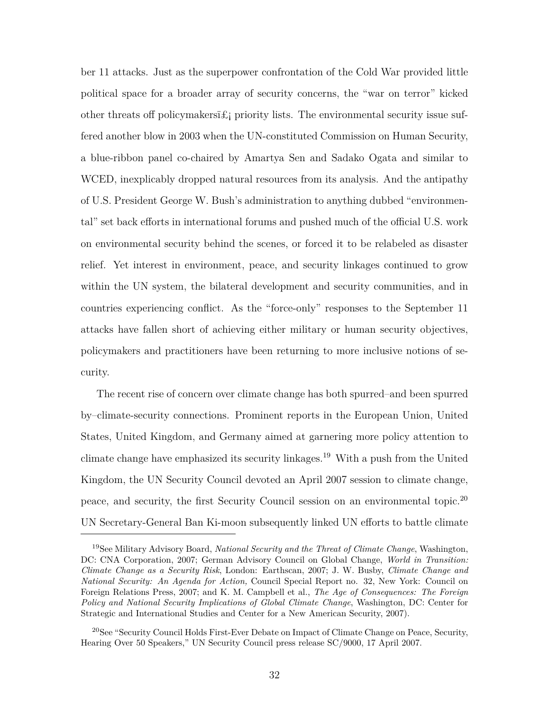ber 11 attacks. Just as the superpower confrontation of the Cold War provided little political space for a broader array of security concerns, the "war on terror" kicked other threats of policymakers  $\hat{z}_i$  priority lists. The environmental security issue suffered another blow in 2003 when the UN-constituted Commission on Human Security, a blue-ribbon panel co-chaired by Amartya Sen and Sadako Ogata and similar to WCED, inexplicably dropped natural resources from its analysis. And the antipathy of U.S. President George W. Bush's administration to anything dubbed "environmental" set back efforts in international forums and pushed much of the official U.S. work on environmental security behind the scenes, or forced it to be relabeled as disaster relief. Yet interest in environment, peace, and security linkages continued to grow within the UN system, the bilateral development and security communities, and in countries experiencing conflict. As the "force-only" responses to the September 11 attacks have fallen short of achieving either military or human security objectives, policymakers and practitioners have been returning to more inclusive notions of security.

The recent rise of concern over climate change has both spurred–and been spurred by–climate-security connections. Prominent reports in the European Union, United States, United Kingdom, and Germany aimed at garnering more policy attention to climate change have emphasized its security linkages.<sup>19</sup> With a push from the United Kingdom, the UN Security Council devoted an April 2007 session to climate change, peace, and security, the first Security Council session on an environmental topic.<sup>20</sup> UN Secretary-General Ban Ki-moon subsequently linked UN efforts to battle climate

<sup>19</sup>See Military Advisory Board, *National Security and the Threat of Climate Change*, Washington, DC: CNA Corporation, 2007; German Advisory Council on Global Change, *World in Transition: Climate Change as a Security Risk*, London: Earthscan, 2007; J. W. Busby, *Climate Change and National Security: An Agenda for Action,* Council Special Report no. 32, New York: Council on Foreign Relations Press, 2007; and K. M. Campbell et al., *The Age of Consequences: The Foreign Policy and National Security Implications of Global Climate Change*, Washington, DC: Center for Strategic and International Studies and Center for a New American Security, 2007).

 $20$ See "Security Council Holds First-Ever Debate on Impact of Climate Change on Peace, Security, Hearing Over 50 Speakers," UN Security Council press release SC/9000, 17 April 2007.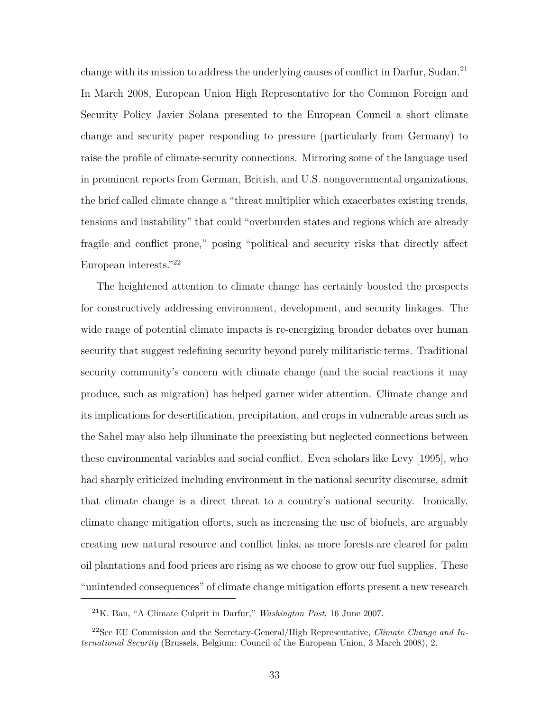change with its mission to address the underlying causes of conflict in Darfur, Sudan.<sup>21</sup> In March 2008, European Union High Representative for the Common Foreign and Security Policy Javier Solana presented to the European Council a short climate change and security paper responding to pressure (particularly from Germany) to raise the profile of climate-security connections. Mirroring some of the language used in prominent reports from German, British, and U.S. nongovernmental organizations, the brief called climate change a "threat multiplier which exacerbates existing trends, tensions and instability" that could "overburden states and regions which are already fragile and conflict prone," posing "political and security risks that directly affect European interests."<sup>22</sup>

The heightened attention to climate change has certainly boosted the prospects for constructively addressing environment, development, and security linkages. The wide range of potential climate impacts is re-energizing broader debates over human security that suggest redefining security beyond purely militaristic terms. Traditional security community's concern with climate change (and the social reactions it may produce, such as migration) has helped garner wider attention. Climate change and its implications for desertification, precipitation, and crops in vulnerable areas such as the Sahel may also help illuminate the preexisting but neglected connections between these environmental variables and social conflict. Even scholars like Levy [1995], who had sharply criticized including environment in the national security discourse, admit that climate change is a direct threat to a country's national security. Ironically, climate change mitigation efforts, such as increasing the use of biofuels, are arguably creating new natural resource and conflict links, as more forests are cleared for palm oil plantations and food prices are rising as we choose to grow our fuel supplies. These "unintended consequences" of climate change mitigation efforts present a new research

<sup>21</sup>K. Ban, "A Climate Culprit in Darfur," *Washington Post*, 16 June 2007.

<sup>22</sup>See EU Commission and the Secretary-General/High Representative, *Climate Change and International Security* (Brussels, Belgium: Council of the European Union, 3 March 2008), 2.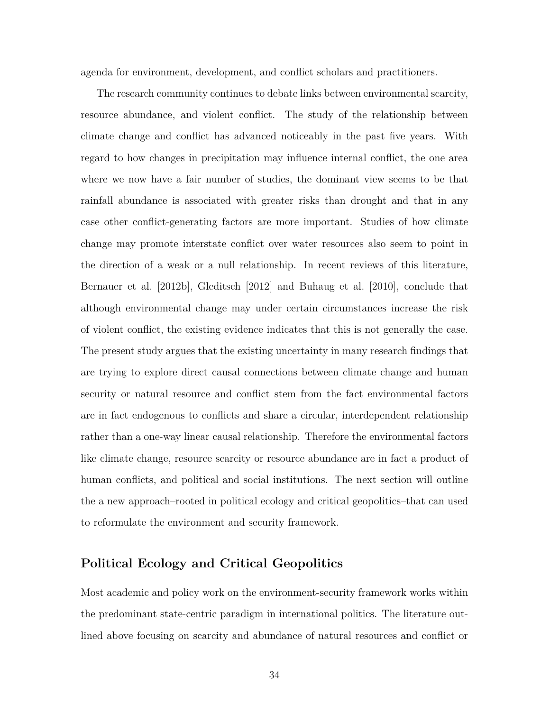agenda for environment, development, and conflict scholars and practitioners.

The research community continues to debate links between environmental scarcity, resource abundance, and violent conflict. The study of the relationship between climate change and conflict has advanced noticeably in the past five years. With regard to how changes in precipitation may influence internal conflict, the one area where we now have a fair number of studies, the dominant view seems to be that rainfall abundance is associated with greater risks than drought and that in any case other conflict-generating factors are more important. Studies of how climate change may promote interstate conflict over water resources also seem to point in the direction of a weak or a null relationship. In recent reviews of this literature, Bernauer et al. [2012b], Gleditsch [2012] and Buhaug et al. [2010], conclude that although environmental change may under certain circumstances increase the risk of violent conflict, the existing evidence indicates that this is not generally the case. The present study argues that the existing uncertainty in many research findings that are trying to explore direct causal connections between climate change and human security or natural resource and conflict stem from the fact environmental factors are in fact endogenous to conflicts and share a circular, interdependent relationship rather than a one-way linear causal relationship. Therefore the environmental factors like climate change, resource scarcity or resource abundance are in fact a product of human conflicts, and political and social institutions. The next section will outline the a new approach–rooted in political ecology and critical geopolitics–that can used to reformulate the environment and security framework.

## **Political Ecology and Critical Geopolitics**

Most academic and policy work on the environment-security framework works within the predominant state-centric paradigm in international politics. The literature outlined above focusing on scarcity and abundance of natural resources and conflict or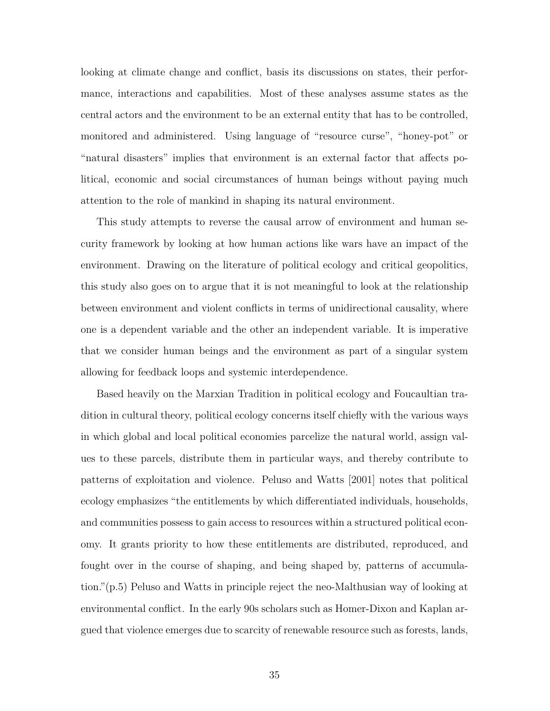looking at climate change and conflict, basis its discussions on states, their performance, interactions and capabilities. Most of these analyses assume states as the central actors and the environment to be an external entity that has to be controlled, monitored and administered. Using language of "resource curse", "honey-pot" or "natural disasters" implies that environment is an external factor that affects political, economic and social circumstances of human beings without paying much attention to the role of mankind in shaping its natural environment.

This study attempts to reverse the causal arrow of environment and human security framework by looking at how human actions like wars have an impact of the environment. Drawing on the literature of political ecology and critical geopolitics, this study also goes on to argue that it is not meaningful to look at the relationship between environment and violent conflicts in terms of unidirectional causality, where one is a dependent variable and the other an independent variable. It is imperative that we consider human beings and the environment as part of a singular system allowing for feedback loops and systemic interdependence.

Based heavily on the Marxian Tradition in political ecology and Foucaultian tradition in cultural theory, political ecology concerns itself chiefly with the various ways in which global and local political economies parcelize the natural world, assign values to these parcels, distribute them in particular ways, and thereby contribute to patterns of exploitation and violence. Peluso and Watts [2001] notes that political ecology emphasizes "the entitlements by which differentiated individuals, households, and communities possess to gain access to resources within a structured political economy. It grants priority to how these entitlements are distributed, reproduced, and fought over in the course of shaping, and being shaped by, patterns of accumulation."(p.5) Peluso and Watts in principle reject the neo-Malthusian way of looking at environmental conflict. In the early 90s scholars such as Homer-Dixon and Kaplan argued that violence emerges due to scarcity of renewable resource such as forests, lands,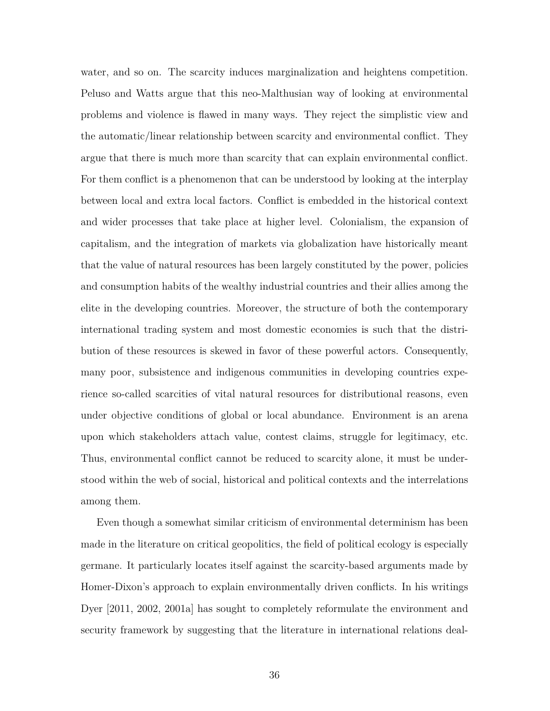water, and so on. The scarcity induces marginalization and heightens competition. Peluso and Watts argue that this neo-Malthusian way of looking at environmental problems and violence is flawed in many ways. They reject the simplistic view and the automatic/linear relationship between scarcity and environmental conflict. They argue that there is much more than scarcity that can explain environmental conflict. For them conflict is a phenomenon that can be understood by looking at the interplay between local and extra local factors. Conflict is embedded in the historical context and wider processes that take place at higher level. Colonialism, the expansion of capitalism, and the integration of markets via globalization have historically meant that the value of natural resources has been largely constituted by the power, policies and consumption habits of the wealthy industrial countries and their allies among the elite in the developing countries. Moreover, the structure of both the contemporary international trading system and most domestic economies is such that the distribution of these resources is skewed in favor of these powerful actors. Consequently, many poor, subsistence and indigenous communities in developing countries experience so-called scarcities of vital natural resources for distributional reasons, even under objective conditions of global or local abundance. Environment is an arena upon which stakeholders attach value, contest claims, struggle for legitimacy, etc. Thus, environmental conflict cannot be reduced to scarcity alone, it must be understood within the web of social, historical and political contexts and the interrelations among them.

Even though a somewhat similar criticism of environmental determinism has been made in the literature on critical geopolitics, the field of political ecology is especially germane. It particularly locates itself against the scarcity-based arguments made by Homer-Dixon's approach to explain environmentally driven conflicts. In his writings Dyer [2011, 2002, 2001a] has sought to completely reformulate the environment and security framework by suggesting that the literature in international relations deal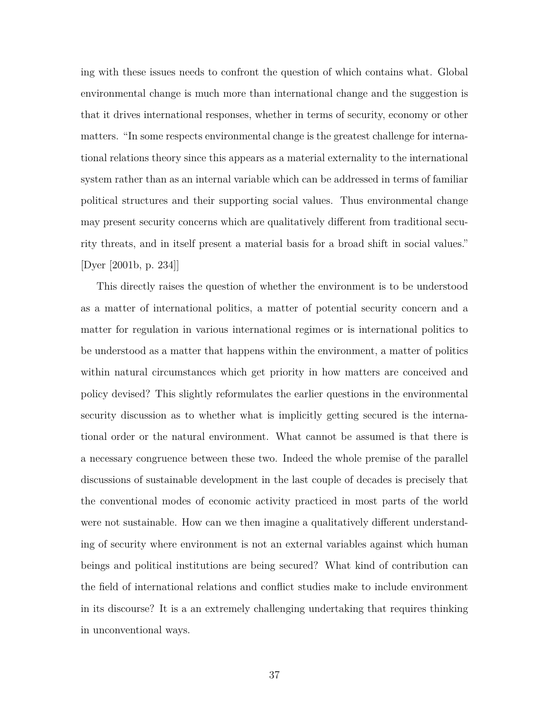ing with these issues needs to confront the question of which contains what. Global environmental change is much more than international change and the suggestion is that it drives international responses, whether in terms of security, economy or other matters. "In some respects environmental change is the greatest challenge for international relations theory since this appears as a material externality to the international system rather than as an internal variable which can be addressed in terms of familiar political structures and their supporting social values. Thus environmental change may present security concerns which are qualitatively different from traditional security threats, and in itself present a material basis for a broad shift in social values." [Dyer [2001b, p. 234]]

This directly raises the question of whether the environment is to be understood as a matter of international politics, a matter of potential security concern and a matter for regulation in various international regimes or is international politics to be understood as a matter that happens within the environment, a matter of politics within natural circumstances which get priority in how matters are conceived and policy devised? This slightly reformulates the earlier questions in the environmental security discussion as to whether what is implicitly getting secured is the international order or the natural environment. What cannot be assumed is that there is a necessary congruence between these two. Indeed the whole premise of the parallel discussions of sustainable development in the last couple of decades is precisely that the conventional modes of economic activity practiced in most parts of the world were not sustainable. How can we then imagine a qualitatively different understanding of security where environment is not an external variables against which human beings and political institutions are being secured? What kind of contribution can the field of international relations and conflict studies make to include environment in its discourse? It is a an extremely challenging undertaking that requires thinking in unconventional ways.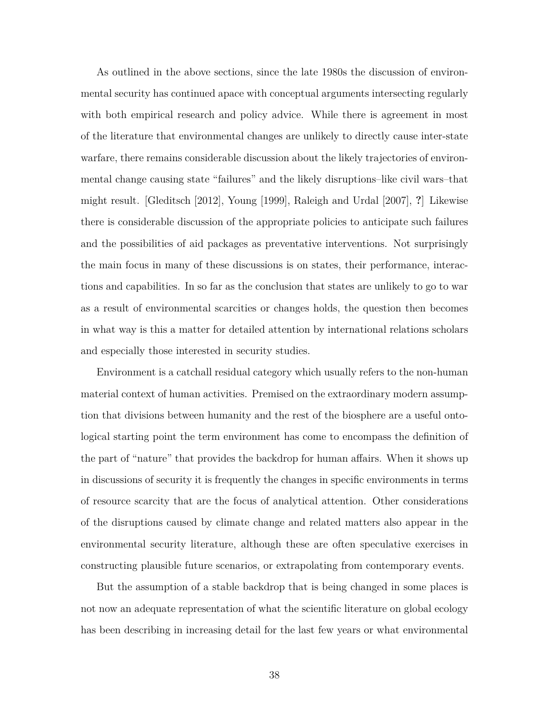As outlined in the above sections, since the late 1980s the discussion of environmental security has continued apace with conceptual arguments intersecting regularly with both empirical research and policy advice. While there is agreement in most of the literature that environmental changes are unlikely to directly cause inter-state warfare, there remains considerable discussion about the likely trajectories of environmental change causing state "failures" and the likely disruptions–like civil wars–that might result. [Gleditsch [2012], Young [1999], Raleigh and Urdal [2007], **?**] Likewise there is considerable discussion of the appropriate policies to anticipate such failures and the possibilities of aid packages as preventative interventions. Not surprisingly the main focus in many of these discussions is on states, their performance, interactions and capabilities. In so far as the conclusion that states are unlikely to go to war as a result of environmental scarcities or changes holds, the question then becomes in what way is this a matter for detailed attention by international relations scholars and especially those interested in security studies.

Environment is a catchall residual category which usually refers to the non-human material context of human activities. Premised on the extraordinary modern assumption that divisions between humanity and the rest of the biosphere are a useful ontological starting point the term environment has come to encompass the definition of the part of "nature" that provides the backdrop for human affairs. When it shows up in discussions of security it is frequently the changes in specific environments in terms of resource scarcity that are the focus of analytical attention. Other considerations of the disruptions caused by climate change and related matters also appear in the environmental security literature, although these are often speculative exercises in constructing plausible future scenarios, or extrapolating from contemporary events.

But the assumption of a stable backdrop that is being changed in some places is not now an adequate representation of what the scientific literature on global ecology has been describing in increasing detail for the last few years or what environmental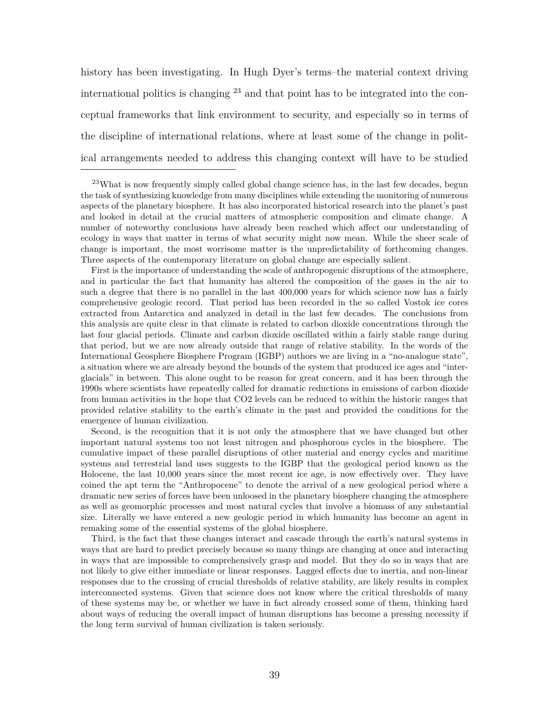history has been investigating. In Hugh Dyer's terms–the material context driving international politics is changing  $^{23}$  and that point has to be integrated into the conceptual frameworks that link environment to security, and especially so in terms of the discipline of international relations, where at least some of the change in political arrangements needed to address this changing context will have to be studied

First is the importance of understanding the scale of anthropogenic disruptions of the atmosphere, and in particular the fact that humanity has altered the composition of the gases in the air to such a degree that there is no parallel in the last  $400,000$  years for which science now has a fairly comprehensive geologic record. That period has been recorded in the so called Vostok ice cores extracted from Antarctica and analyzed in detail in the last few decades. The conclusions from this analysis are quite clear in that climate is related to carbon dioxide concentrations through the last four glacial periods. Climate and carbon dioxide oscillated within a fairly stable range during that period, but we are now already outside that range of relative stability. In the words of the International Geosphere Biosphere Program (IGBP) authors we are living in a "no-analogue state", a situation where we are already beyond the bounds of the system that produced ice ages and "interglacials" in between. This alone ought to be reason for great concern, and it has been through the 1990s where scientists have repeatedly called for dramatic reductions in emissions of carbon dioxide from human activities in the hope that CO2 levels can be reduced to within the historic ranges that provided relative stability to the earth's climate in the past and provided the conditions for the emergence of human civilization.

Second, is the recognition that it is not only the atmosphere that we have changed but other important natural systems too not least nitrogen and phosphorous cycles in the biosphere. The cumulative impact of these parallel disruptions of other material and energy cycles and maritime systems and terrestrial land uses suggests to the IGBP that the geological period known as the Holocene, the last 10,000 years since the most recent ice age, is now effectively over. They have coined the apt term the "Anthropocene" to denote the arrival of a new geological period where a dramatic new series of forces have been unloosed in the planetary biosphere changing the atmosphere as well as geomorphic processes and most natural cycles that involve a biomass of any substantial size. Literally we have entered a new geologic period in which humanity has become an agent in remaking some of the essential systems of the global biosphere.

Third, is the fact that these changes interact and cascade through the earth's natural systems in ways that are hard to predict precisely because so many things are changing at once and interacting in ways that are impossible to comprehensively grasp and model. But they do so in ways that are not likely to give either immediate or linear responses. Lagged effects due to inertia, and non-linear responses due to the crossing of crucial thresholds of relative stability, are likely results in complex interconnected systems. Given that science does not know where the critical thresholds of many of these systems may be, or whether we have in fact already crossed some of them, thinking hard about ways of reducing the overall impact of human disruptions has become a pressing necessity if the long term survival of human civilization is taken seriously.

<sup>&</sup>lt;sup>23</sup>What is now frequently simply called global change science has, in the last few decades, begun the task of synthesizing knowledge from many disciplines while extending the monitoring of numerous aspects of the planetary biosphere. It has also incorporated historical research into the planet's past and looked in detail at the crucial matters of atmospheric composition and climate change. A number of noteworthy conclusions have already been reached which affect our understanding of ecology in ways that matter in terms of what security might now mean. While the sheer scale of change is important, the most worrisome matter is the unpredictability of forthcoming changes. Three aspects of the contemporary literature on global change are especially salient.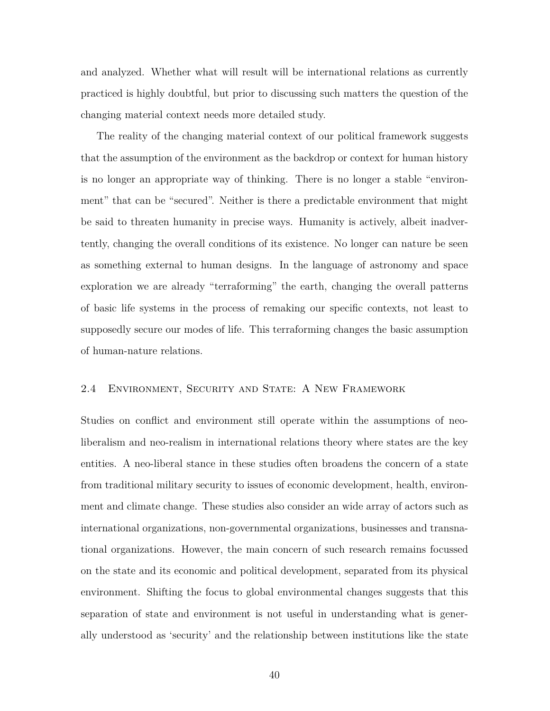and analyzed. Whether what will result will be international relations as currently practiced is highly doubtful, but prior to discussing such matters the question of the changing material context needs more detailed study.

The reality of the changing material context of our political framework suggests that the assumption of the environment as the backdrop or context for human history is no longer an appropriate way of thinking. There is no longer a stable "environment" that can be "secured". Neither is there a predictable environment that might be said to threaten humanity in precise ways. Humanity is actively, albeit inadvertently, changing the overall conditions of its existence. No longer can nature be seen as something external to human designs. In the language of astronomy and space exploration we are already "terraforming" the earth, changing the overall patterns of basic life systems in the process of remaking our specific contexts, not least to supposedly secure our modes of life. This terraforming changes the basic assumption of human-nature relations.

## 2.4 Environment, Security and State: A New Framework

Studies on conflict and environment still operate within the assumptions of neoliberalism and neo-realism in international relations theory where states are the key entities. A neo-liberal stance in these studies often broadens the concern of a state from traditional military security to issues of economic development, health, environment and climate change. These studies also consider an wide array of actors such as international organizations, non-governmental organizations, businesses and transnational organizations. However, the main concern of such research remains focussed on the state and its economic and political development, separated from its physical environment. Shifting the focus to global environmental changes suggests that this separation of state and environment is not useful in understanding what is generally understood as 'security' and the relationship between institutions like the state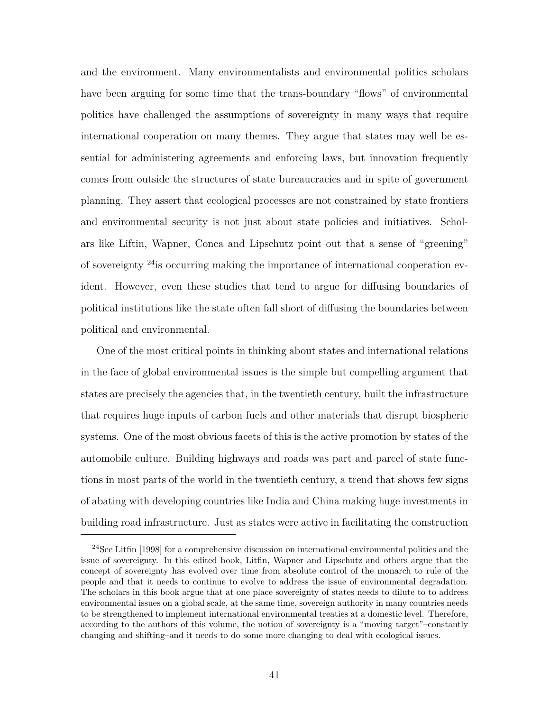and the environment. Many environmentalists and environmental politics scholars have been arguing for some time that the trans-boundary "flows" of environmental politics have challenged the assumptions of sovereignty in many ways that require international cooperation on many themes. They argue that states may well be essential for administering agreements and enforcing laws, but innovation frequently comes from outside the structures of state bureaucracies and in spite of government planning. They assert that ecological processes are not constrained by state frontiers and environmental security is not just about state policies and initiatives. Scholars like Liftin, Wapner, Conca and Lipschutz point out that a sense of "greening" of sovereignty <sup>24</sup>is occurring making the importance of international cooperation evident. However, even these studies that tend to argue for diffusing boundaries of political institutions like the state often fall short of diffusing the boundaries between political and environmental.

One of the most critical points in thinking about states and international relations in the face of global environmental issues is the simple but compelling argument that states are precisely the agencies that, in the twentieth century, built the infrastructure that requires huge inputs of carbon fuels and other materials that disrupt biospheric systems. One of the most obvious facets of this is the active promotion by states of the automobile culture. Building highways and roads was part and parcel of state functions in most parts of the world in the twentieth century, a trend that shows few signs of abating with developing countries like India and China making huge investments in building road infrastructure. Just as states were active in facilitating the construction

<sup>24</sup>See Litfin [1998] for a comprehensive discussion on international environmental politics and the issue of sovereignty. In this edited book, Litfin, Wapner and Lipschutz and others argue that the concept of sovereignty has evolved over time from absolute control of the monarch to rule of the people and that it needs to continue to evolve to address the issue of environmental degradation. The scholars in this book argue that at one place sovereignty of states needs to dilute to to address environmental issues on a global scale, at the same time, sovereign authority in many countries needs to be strengthened to implement international environmental treaties at a domestic level. Therefore, according to the authors of this volume, the notion of sovereignty is a "moving target"–constantly changing and shifting–and it needs to do some more changing to deal with ecological issues.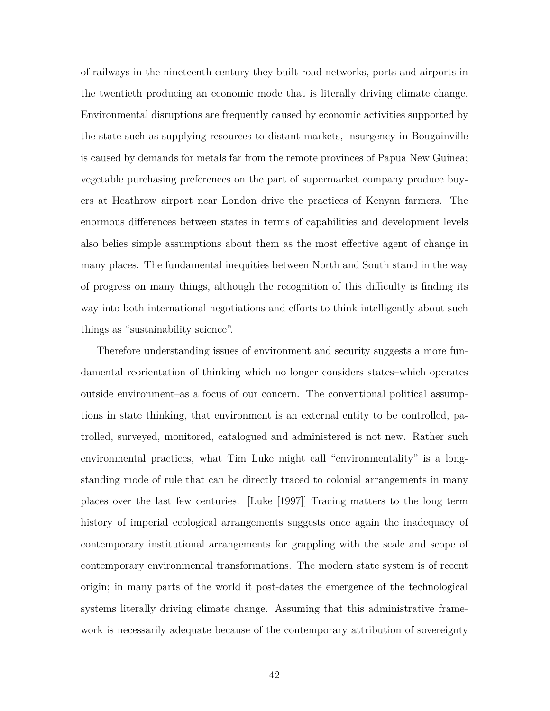of railways in the nineteenth century they built road networks, ports and airports in the twentieth producing an economic mode that is literally driving climate change. Environmental disruptions are frequently caused by economic activities supported by the state such as supplying resources to distant markets, insurgency in Bougainville is caused by demands for metals far from the remote provinces of Papua New Guinea; vegetable purchasing preferences on the part of supermarket company produce buyers at Heathrow airport near London drive the practices of Kenyan farmers. The enormous differences between states in terms of capabilities and development levels also belies simple assumptions about them as the most effective agent of change in many places. The fundamental inequities between North and South stand in the way of progress on many things, although the recognition of this difficulty is finding its way into both international negotiations and efforts to think intelligently about such things as "sustainability science".

Therefore understanding issues of environment and security suggests a more fundamental reorientation of thinking which no longer considers states–which operates outside environment–as a focus of our concern. The conventional political assumptions in state thinking, that environment is an external entity to be controlled, patrolled, surveyed, monitored, catalogued and administered is not new. Rather such environmental practices, what Tim Luke might call "environmentality" is a longstanding mode of rule that can be directly traced to colonial arrangements in many places over the last few centuries. [Luke [1997]] Tracing matters to the long term history of imperial ecological arrangements suggests once again the inadequacy of contemporary institutional arrangements for grappling with the scale and scope of contemporary environmental transformations. The modern state system is of recent origin; in many parts of the world it post-dates the emergence of the technological systems literally driving climate change. Assuming that this administrative framework is necessarily adequate because of the contemporary attribution of sovereignty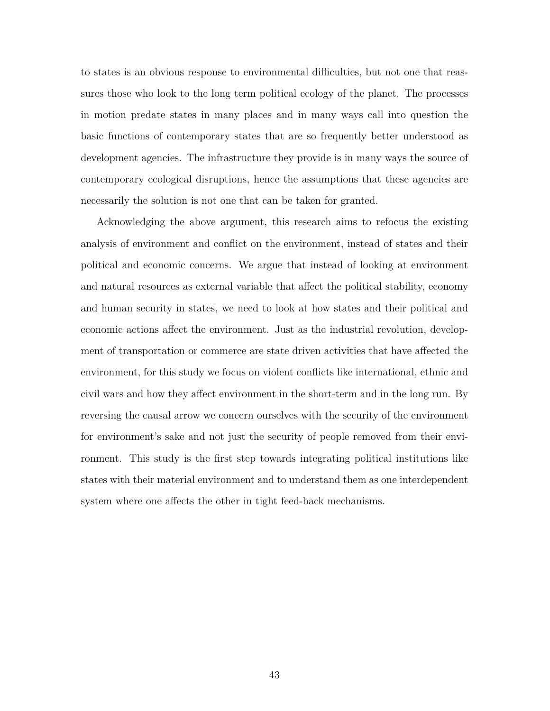to states is an obvious response to environmental difficulties, but not one that reassures those who look to the long term political ecology of the planet. The processes in motion predate states in many places and in many ways call into question the basic functions of contemporary states that are so frequently better understood as development agencies. The infrastructure they provide is in many ways the source of contemporary ecological disruptions, hence the assumptions that these agencies are necessarily the solution is not one that can be taken for granted.

Acknowledging the above argument, this research aims to refocus the existing analysis of environment and conflict on the environment, instead of states and their political and economic concerns. We argue that instead of looking at environment and natural resources as external variable that affect the political stability, economy and human security in states, we need to look at how states and their political and economic actions affect the environment. Just as the industrial revolution, development of transportation or commerce are state driven activities that have affected the environment, for this study we focus on violent conflicts like international, ethnic and civil wars and how they affect environment in the short-term and in the long run. By reversing the causal arrow we concern ourselves with the security of the environment for environment's sake and not just the security of people removed from their environment. This study is the first step towards integrating political institutions like states with their material environment and to understand them as one interdependent system where one affects the other in tight feed-back mechanisms.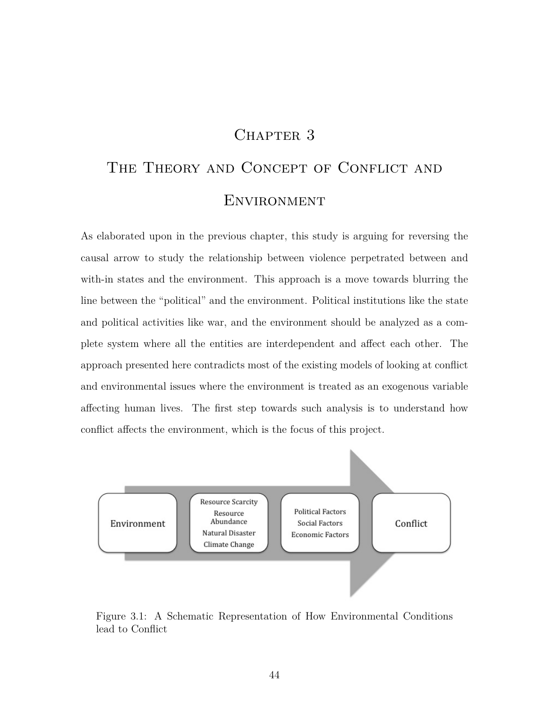## CHAPTER 3

# THE THEORY AND CONCEPT OF CONFLICT AND **ENVIRONMENT**

As elaborated upon in the previous chapter, this study is arguing for reversing the causal arrow to study the relationship between violence perpetrated between and with-in states and the environment. This approach is a move towards blurring the line between the "political" and the environment. Political institutions like the state and political activities like war, and the environment should be analyzed as a complete system where all the entities are interdependent and affect each other. The approach presented here contradicts most of the existing models of looking at conflict and environmental issues where the environment is treated as an exogenous variable affecting human lives. The first step towards such analysis is to understand how conflict affects the environment, which is the focus of this project.



Figure 3.1: A Schematic Representation of How Environmental Conditions lead to Conflict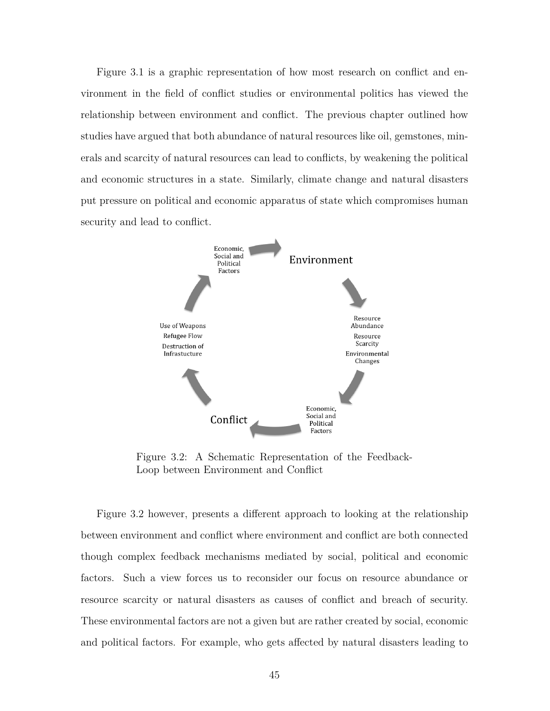Figure 3.1 is a graphic representation of how most research on conflict and environment in the field of conflict studies or environmental politics has viewed the relationship between environment and conflict. The previous chapter outlined how studies have argued that both abundance of natural resources like oil, gemstones, minerals and scarcity of natural resources can lead to conflicts, by weakening the political and economic structures in a state. Similarly, climate change and natural disasters put pressure on political and economic apparatus of state which compromises human security and lead to conflict.



Figure 3.2: A Schematic Representation of the Feedback-Loop between Environment and Conflict

Figure 3.2 however, presents a different approach to looking at the relationship between environment and conflict where environment and conflict are both connected though complex feedback mechanisms mediated by social, political and economic factors. Such a view forces us to reconsider our focus on resource abundance or resource scarcity or natural disasters as causes of conflict and breach of security. These environmental factors are not a given but are rather created by social, economic and political factors. For example, who gets affected by natural disasters leading to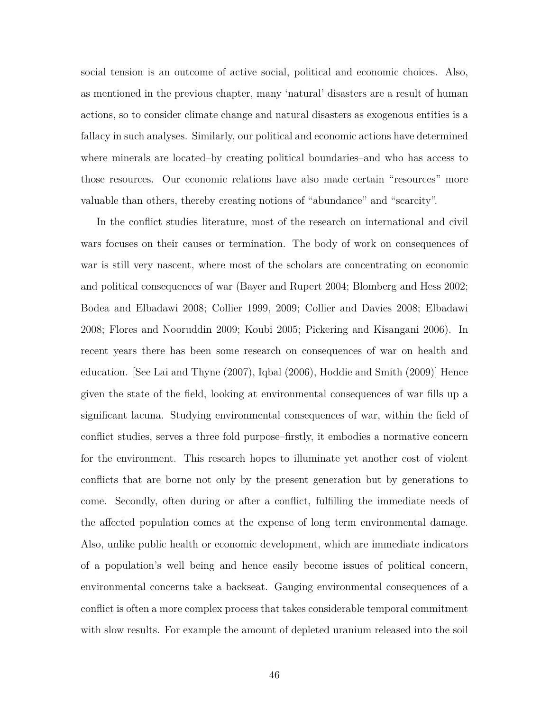social tension is an outcome of active social, political and economic choices. Also, as mentioned in the previous chapter, many 'natural' disasters are a result of human actions, so to consider climate change and natural disasters as exogenous entities is a fallacy in such analyses. Similarly, our political and economic actions have determined where minerals are located–by creating political boundaries–and who has access to those resources. Our economic relations have also made certain "resources" more valuable than others, thereby creating notions of "abundance" and "scarcity".

In the conflict studies literature, most of the research on international and civil wars focuses on their causes or termination. The body of work on consequences of war is still very nascent, where most of the scholars are concentrating on economic and political consequences of war (Bayer and Rupert 2004; Blomberg and Hess 2002; Bodea and Elbadawi 2008; Collier 1999, 2009; Collier and Davies 2008; Elbadawi 2008; Flores and Nooruddin 2009; Koubi 2005; Pickering and Kisangani 2006). In recent years there has been some research on consequences of war on health and education. [See Lai and Thyne (2007), Iqbal (2006), Hoddie and Smith (2009)] Hence given the state of the field, looking at environmental consequences of war fills up a significant lacuna. Studying environmental consequences of war, within the field of conflict studies, serves a three fold purpose–firstly, it embodies a normative concern for the environment. This research hopes to illuminate yet another cost of violent conflicts that are borne not only by the present generation but by generations to come. Secondly, often during or after a conflict, fulfilling the immediate needs of the affected population comes at the expense of long term environmental damage. Also, unlike public health or economic development, which are immediate indicators of a population's well being and hence easily become issues of political concern, environmental concerns take a backseat. Gauging environmental consequences of a conflict is often a more complex process that takes considerable temporal commitment with slow results. For example the amount of depleted uranium released into the soil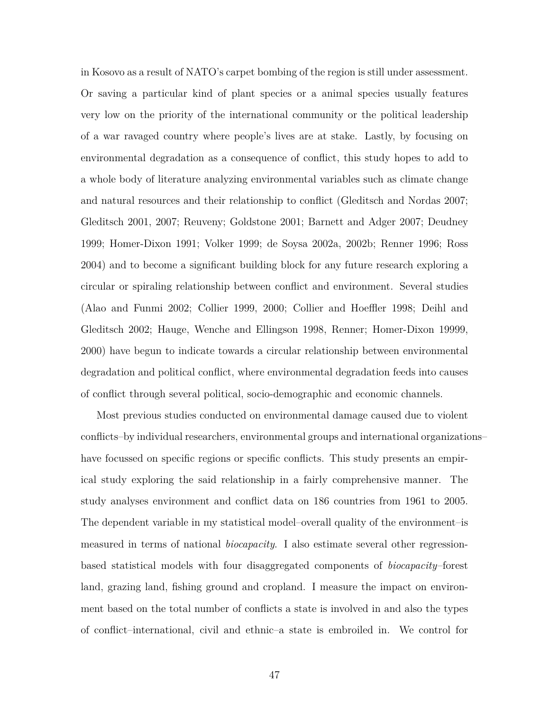in Kosovo as a result of NATO's carpet bombing of the region is still under assessment. Or saving a particular kind of plant species or a animal species usually features very low on the priority of the international community or the political leadership of a war ravaged country where people's lives are at stake. Lastly, by focusing on environmental degradation as a consequence of conflict, this study hopes to add to a whole body of literature analyzing environmental variables such as climate change and natural resources and their relationship to conflict (Gleditsch and Nordas 2007; Gleditsch 2001, 2007; Reuveny; Goldstone 2001; Barnett and Adger 2007; Deudney 1999; Homer-Dixon 1991; Volker 1999; de Soysa 2002a, 2002b; Renner 1996; Ross 2004) and to become a significant building block for any future research exploring a circular or spiraling relationship between conflict and environment. Several studies (Alao and Funmi 2002; Collier 1999, 2000; Collier and Hoeffler 1998; Deihl and Gleditsch 2002; Hauge, Wenche and Ellingson 1998, Renner; Homer-Dixon 19999, 2000) have begun to indicate towards a circular relationship between environmental degradation and political conflict, where environmental degradation feeds into causes of conflict through several political, socio-demographic and economic channels.

Most previous studies conducted on environmental damage caused due to violent conflicts–by individual researchers, environmental groups and international organizations– have focussed on specific regions or specific conflicts. This study presents an empirical study exploring the said relationship in a fairly comprehensive manner. The study analyses environment and conflict data on 186 countries from 1961 to 2005. The dependent variable in my statistical model–overall quality of the environment–is measured in terms of national *biocapacity*. I also estimate several other regressionbased statistical models with four disaggregated components of *biocapacity*–forest land, grazing land, fishing ground and cropland. I measure the impact on environment based on the total number of conflicts a state is involved in and also the types of conflict–international, civil and ethnic–a state is embroiled in. We control for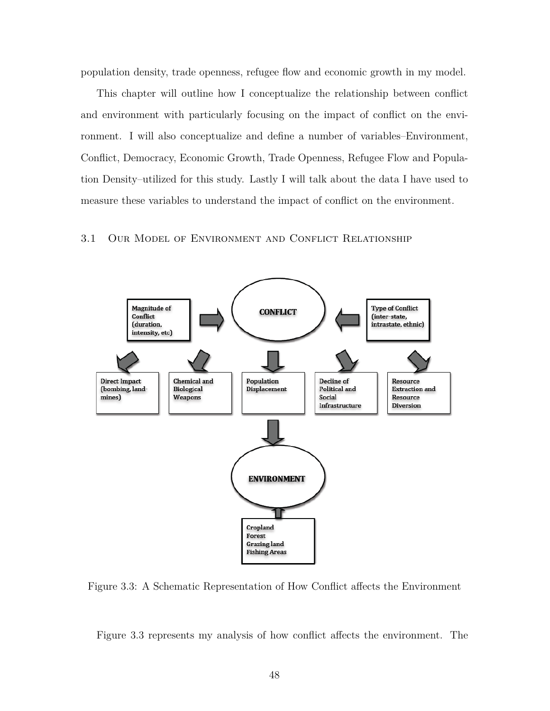population density, trade openness, refugee flow and economic growth in my model.

This chapter will outline how I conceptualize the relationship between conflict and environment with particularly focusing on the impact of conflict on the environment. I will also conceptualize and define a number of variables–Environment, Conflict, Democracy, Economic Growth, Trade Openness, Refugee Flow and Population Density–utilized for this study. Lastly I will talk about the data I have used to measure these variables to understand the impact of conflict on the environment.

## 3.1 Our Model of Environment and Conflict Relationship



Figure 3.3: A Schematic Representation of How Conflict affects the Environment

Figure 3.3 represents my analysis of how conflict affects the environment. The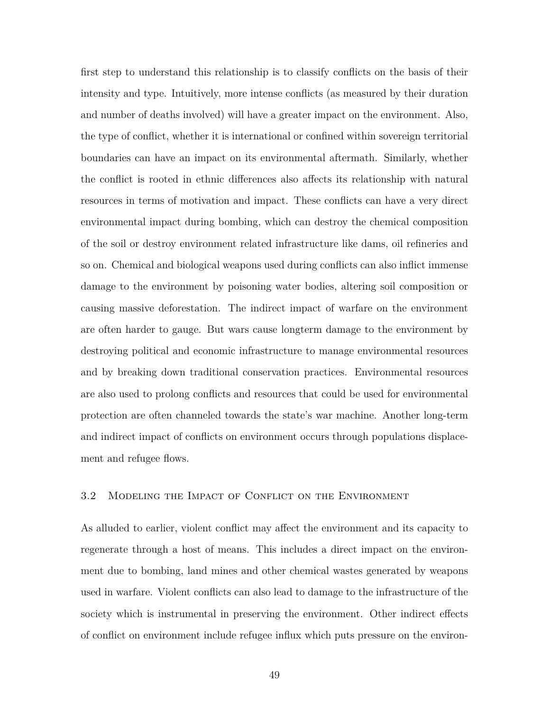first step to understand this relationship is to classify conflicts on the basis of their intensity and type. Intuitively, more intense conflicts (as measured by their duration and number of deaths involved) will have a greater impact on the environment. Also, the type of conflict, whether it is international or confined within sovereign territorial boundaries can have an impact on its environmental aftermath. Similarly, whether the conflict is rooted in ethnic differences also affects its relationship with natural resources in terms of motivation and impact. These conflicts can have a very direct environmental impact during bombing, which can destroy the chemical composition of the soil or destroy environment related infrastructure like dams, oil refineries and so on. Chemical and biological weapons used during conflicts can also inflict immense damage to the environment by poisoning water bodies, altering soil composition or causing massive deforestation. The indirect impact of warfare on the environment are often harder to gauge. But wars cause longterm damage to the environment by destroying political and economic infrastructure to manage environmental resources and by breaking down traditional conservation practices. Environmental resources are also used to prolong conflicts and resources that could be used for environmental protection are often channeled towards the state's war machine. Another long-term and indirect impact of conflicts on environment occurs through populations displacement and refugee flows.

## 3.2 Modeling the Impact of Conflict on the Environment

As alluded to earlier, violent conflict may affect the environment and its capacity to regenerate through a host of means. This includes a direct impact on the environment due to bombing, land mines and other chemical wastes generated by weapons used in warfare. Violent conflicts can also lead to damage to the infrastructure of the society which is instrumental in preserving the environment. Other indirect effects of conflict on environment include refugee influx which puts pressure on the environ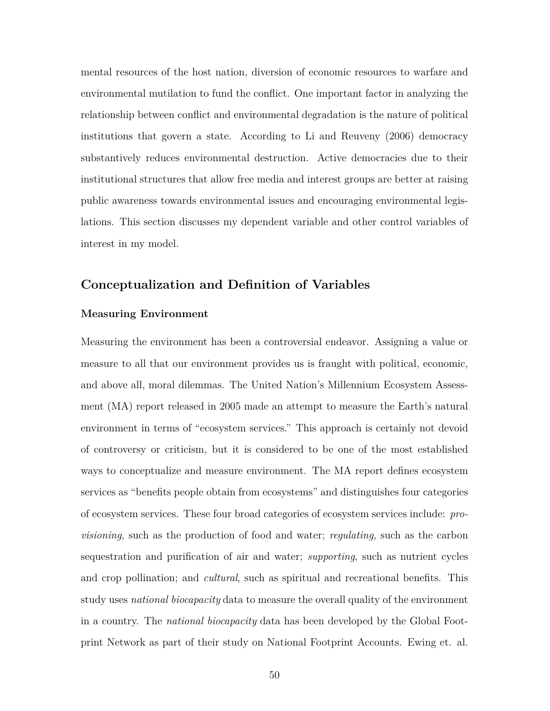mental resources of the host nation, diversion of economic resources to warfare and environmental mutilation to fund the conflict. One important factor in analyzing the relationship between conflict and environmental degradation is the nature of political institutions that govern a state. According to Li and Reuveny (2006) democracy substantively reduces environmental destruction. Active democracies due to their institutional structures that allow free media and interest groups are better at raising public awareness towards environmental issues and encouraging environmental legislations. This section discusses my dependent variable and other control variables of interest in my model.

## **Conceptualization and Definition of Variables**

### **Measuring Environment**

Measuring the environment has been a controversial endeavor. Assigning a value or measure to all that our environment provides us is fraught with political, economic, and above all, moral dilemmas. The United Nation's Millennium Ecosystem Assessment (MA) report released in 2005 made an attempt to measure the Earth's natural environment in terms of "ecosystem services." This approach is certainly not devoid of controversy or criticism, but it is considered to be one of the most established ways to conceptualize and measure environment. The MA report defines ecosystem services as "benefits people obtain from ecosystems" and distinguishes four categories of ecosystem services. These four broad categories of ecosystem services include: *provisioning*, such as the production of food and water; *regulating*, such as the carbon sequestration and purification of air and water; *supporting*, such as nutrient cycles and crop pollination; and *cultural*, such as spiritual and recreational benefits. This study uses *national biocapacity* data to measure the overall quality of the environment in a country. The *national biocapacity* data has been developed by the Global Footprint Network as part of their study on National Footprint Accounts. Ewing et. al.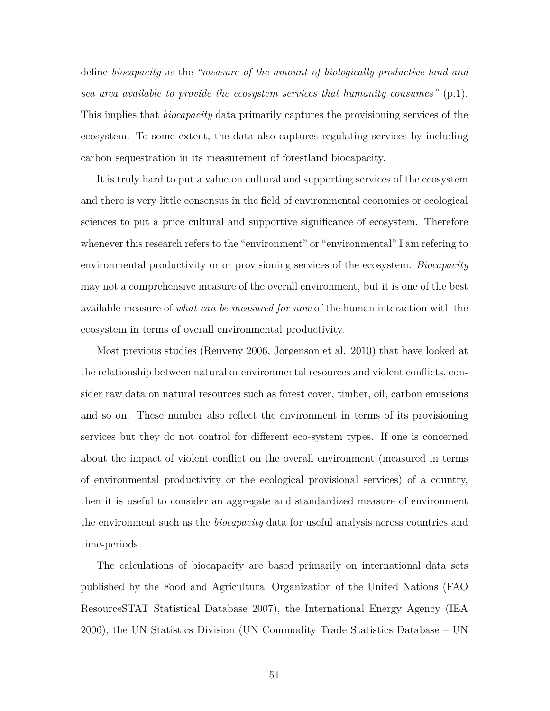define *biocapacity* as the *"measure of the amount of biologically productive land and sea area available to provide the ecosystem services that humanity consumes"* (p.1). This implies that *biocapacity* data primarily captures the provisioning services of the ecosystem. To some extent, the data also captures regulating services by including carbon sequestration in its measurement of forestland biocapacity.

It is truly hard to put a value on cultural and supporting services of the ecosystem and there is very little consensus in the field of environmental economics or ecological sciences to put a price cultural and supportive significance of ecosystem. Therefore whenever this research refers to the "environment" or "environmental" I am refering to environmental productivity or or provisioning services of the ecosystem. *Biocapacity* may not a comprehensive measure of the overall environment, but it is one of the best available measure of *what can be measured for now* of the human interaction with the ecosystem in terms of overall environmental productivity.

Most previous studies (Reuveny 2006, Jorgenson et al. 2010) that have looked at the relationship between natural or environmental resources and violent conflicts, consider raw data on natural resources such as forest cover, timber, oil, carbon emissions and so on. These number also reflect the environment in terms of its provisioning services but they do not control for different eco-system types. If one is concerned about the impact of violent conflict on the overall environment (measured in terms of environmental productivity or the ecological provisional services) of a country, then it is useful to consider an aggregate and standardized measure of environment the environment such as the *biocapacity* data for useful analysis across countries and time-periods.

The calculations of biocapacity are based primarily on international data sets published by the Food and Agricultural Organization of the United Nations (FAO ResourceSTAT Statistical Database 2007), the International Energy Agency (IEA 2006), the UN Statistics Division (UN Commodity Trade Statistics Database – UN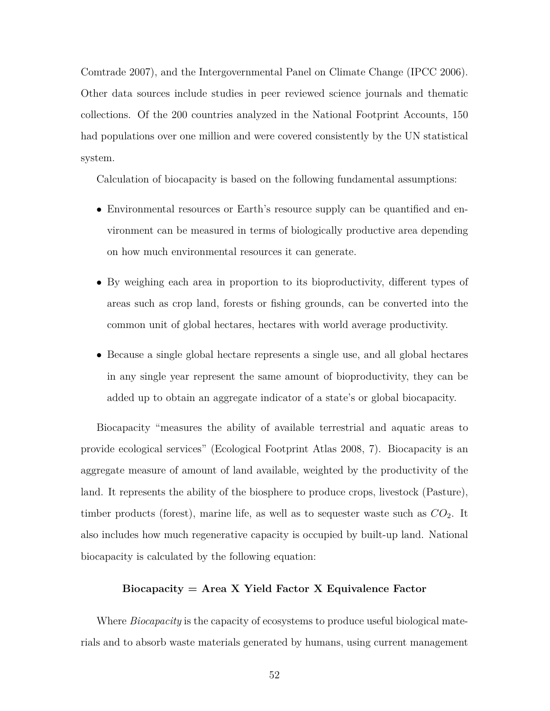Comtrade 2007), and the Intergovernmental Panel on Climate Change (IPCC 2006). Other data sources include studies in peer reviewed science journals and thematic collections. Of the 200 countries analyzed in the National Footprint Accounts, 150 had populations over one million and were covered consistently by the UN statistical system.

Calculation of biocapacity is based on the following fundamental assumptions:

- Environmental resources or Earth's resource supply can be quantified and environment can be measured in terms of biologically productive area depending on how much environmental resources it can generate.
- By weighing each area in proportion to its bioproductivity, different types of areas such as crop land, forests or fishing grounds, can be converted into the common unit of global hectares, hectares with world average productivity.
- Because a single global hectare represents a single use, and all global hectares in any single year represent the same amount of bioproductivity, they can be added up to obtain an aggregate indicator of a state's or global biocapacity.

Biocapacity "measures the ability of available terrestrial and aquatic areas to provide ecological services" (Ecological Footprint Atlas 2008, 7). Biocapacity is an aggregate measure of amount of land available, weighted by the productivity of the land. It represents the ability of the biosphere to produce crops, livestock (Pasture), timber products (forest), marine life, as well as to sequester waste such as  $CO<sub>2</sub>$ . It also includes how much regenerative capacity is occupied by built-up land. National biocapacity is calculated by the following equation:

## **Biocapacity = Area X Yield Factor X Equivalence Factor**

Where *Biocapacity* is the capacity of ecosystems to produce useful biological materials and to absorb waste materials generated by humans, using current management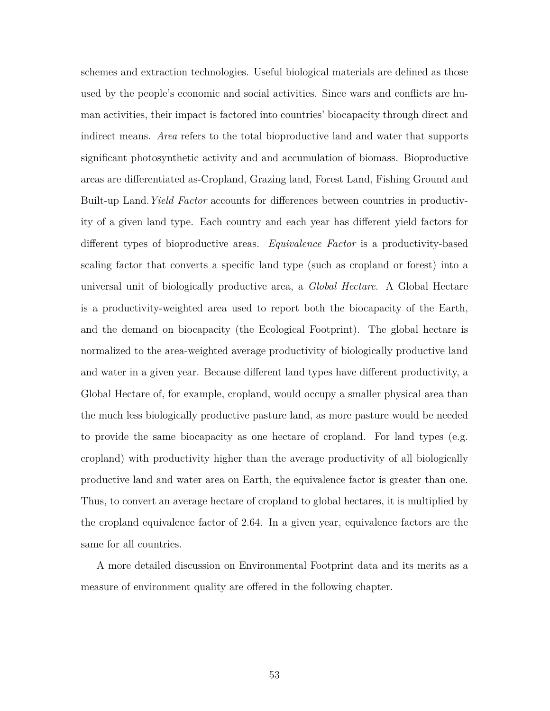schemes and extraction technologies. Useful biological materials are defined as those used by the people's economic and social activities. Since wars and conflicts are human activities, their impact is factored into countries' biocapacity through direct and indirect means. *Area* refers to the total bioproductive land and water that supports significant photosynthetic activity and and accumulation of biomass. Bioproductive areas are differentiated as-Cropland, Grazing land, Forest Land, Fishing Ground and Built-up Land.*Yield Factor* accounts for differences between countries in productivity of a given land type. Each country and each year has different yield factors for different types of bioproductive areas. *Equivalence Factor* is a productivity-based scaling factor that converts a specific land type (such as cropland or forest) into a universal unit of biologically productive area, a *Global Hectare*. A Global Hectare is a productivity-weighted area used to report both the biocapacity of the Earth, and the demand on biocapacity (the Ecological Footprint). The global hectare is normalized to the area-weighted average productivity of biologically productive land and water in a given year. Because different land types have different productivity, a Global Hectare of, for example, cropland, would occupy a smaller physical area than the much less biologically productive pasture land, as more pasture would be needed to provide the same biocapacity as one hectare of cropland. For land types (e.g. cropland) with productivity higher than the average productivity of all biologically productive land and water area on Earth, the equivalence factor is greater than one. Thus, to convert an average hectare of cropland to global hectares, it is multiplied by the cropland equivalence factor of 2.64. In a given year, equivalence factors are the same for all countries.

A more detailed discussion on Environmental Footprint data and its merits as a measure of environment quality are offered in the following chapter.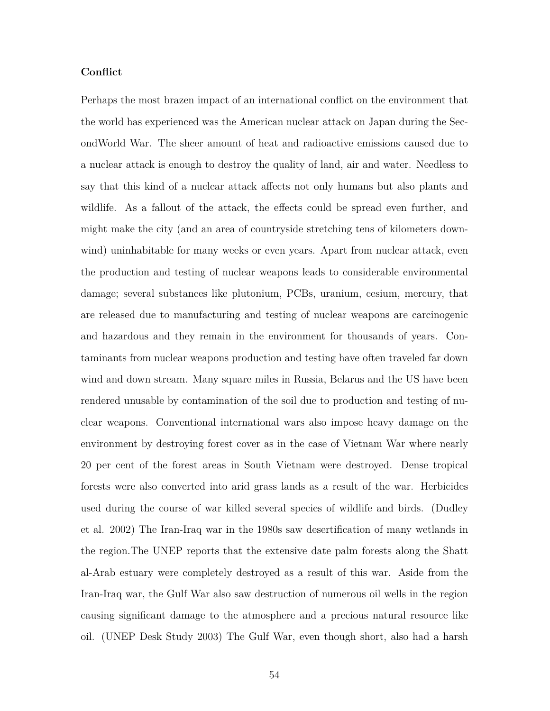## **Conflict**

Perhaps the most brazen impact of an international conflict on the environment that the world has experienced was the American nuclear attack on Japan during the SecondWorld War. The sheer amount of heat and radioactive emissions caused due to a nuclear attack is enough to destroy the quality of land, air and water. Needless to say that this kind of a nuclear attack affects not only humans but also plants and wildlife. As a fallout of the attack, the effects could be spread even further, and might make the city (and an area of countryside stretching tens of kilometers downwind) uninhabitable for many weeks or even years. Apart from nuclear attack, even the production and testing of nuclear weapons leads to considerable environmental damage; several substances like plutonium, PCBs, uranium, cesium, mercury, that are released due to manufacturing and testing of nuclear weapons are carcinogenic and hazardous and they remain in the environment for thousands of years. Contaminants from nuclear weapons production and testing have often traveled far down wind and down stream. Many square miles in Russia, Belarus and the US have been rendered unusable by contamination of the soil due to production and testing of nuclear weapons. Conventional international wars also impose heavy damage on the environment by destroying forest cover as in the case of Vietnam War where nearly 20 per cent of the forest areas in South Vietnam were destroyed. Dense tropical forests were also converted into arid grass lands as a result of the war. Herbicides used during the course of war killed several species of wildlife and birds. (Dudley et al. 2002) The Iran-Iraq war in the 1980s saw desertification of many wetlands in the region.The UNEP reports that the extensive date palm forests along the Shatt al-Arab estuary were completely destroyed as a result of this war. Aside from the Iran-Iraq war, the Gulf War also saw destruction of numerous oil wells in the region causing significant damage to the atmosphere and a precious natural resource like oil. (UNEP Desk Study 2003) The Gulf War, even though short, also had a harsh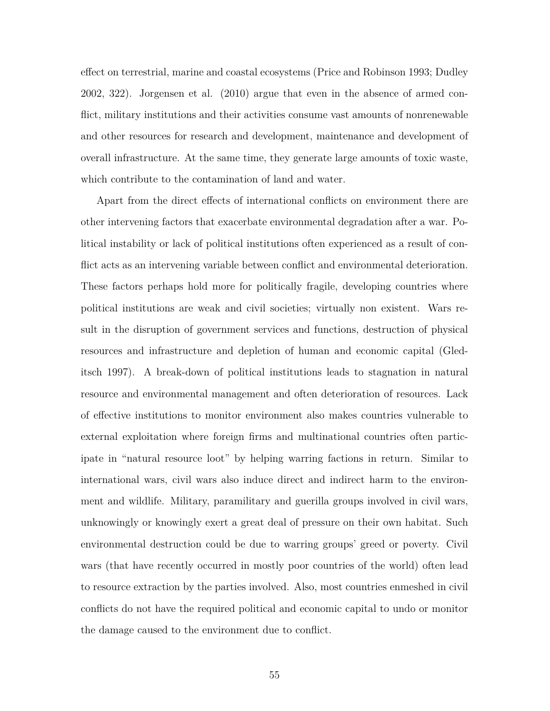effect on terrestrial, marine and coastal ecosystems (Price and Robinson 1993; Dudley 2002, 322). Jorgensen et al. (2010) argue that even in the absence of armed conflict, military institutions and their activities consume vast amounts of nonrenewable and other resources for research and development, maintenance and development of overall infrastructure. At the same time, they generate large amounts of toxic waste, which contribute to the contamination of land and water.

Apart from the direct effects of international conflicts on environment there are other intervening factors that exacerbate environmental degradation after a war. Political instability or lack of political institutions often experienced as a result of conflict acts as an intervening variable between conflict and environmental deterioration. These factors perhaps hold more for politically fragile, developing countries where political institutions are weak and civil societies; virtually non existent. Wars result in the disruption of government services and functions, destruction of physical resources and infrastructure and depletion of human and economic capital (Gleditsch 1997). A break-down of political institutions leads to stagnation in natural resource and environmental management and often deterioration of resources. Lack of effective institutions to monitor environment also makes countries vulnerable to external exploitation where foreign firms and multinational countries often participate in "natural resource loot" by helping warring factions in return. Similar to international wars, civil wars also induce direct and indirect harm to the environment and wildlife. Military, paramilitary and guerilla groups involved in civil wars, unknowingly or knowingly exert a great deal of pressure on their own habitat. Such environmental destruction could be due to warring groups' greed or poverty. Civil wars (that have recently occurred in mostly poor countries of the world) often lead to resource extraction by the parties involved. Also, most countries enmeshed in civil conflicts do not have the required political and economic capital to undo or monitor the damage caused to the environment due to conflict.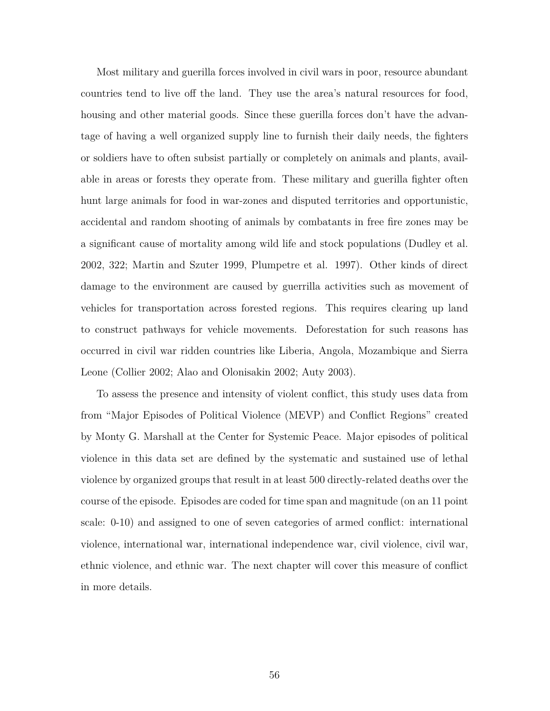Most military and guerilla forces involved in civil wars in poor, resource abundant countries tend to live off the land. They use the area's natural resources for food, housing and other material goods. Since these guerilla forces don't have the advantage of having a well organized supply line to furnish their daily needs, the fighters or soldiers have to often subsist partially or completely on animals and plants, available in areas or forests they operate from. These military and guerilla fighter often hunt large animals for food in war-zones and disputed territories and opportunistic, accidental and random shooting of animals by combatants in free fire zones may be a significant cause of mortality among wild life and stock populations (Dudley et al. 2002, 322; Martin and Szuter 1999, Plumpetre et al. 1997). Other kinds of direct damage to the environment are caused by guerrilla activities such as movement of vehicles for transportation across forested regions. This requires clearing up land to construct pathways for vehicle movements. Deforestation for such reasons has occurred in civil war ridden countries like Liberia, Angola, Mozambique and Sierra Leone (Collier 2002; Alao and Olonisakin 2002; Auty 2003).

To assess the presence and intensity of violent conflict, this study uses data from from "Major Episodes of Political Violence (MEVP) and Conflict Regions" created by Monty G. Marshall at the Center for Systemic Peace. Major episodes of political violence in this data set are defined by the systematic and sustained use of lethal violence by organized groups that result in at least 500 directly-related deaths over the course of the episode. Episodes are coded for time span and magnitude (on an 11 point scale: 0-10) and assigned to one of seven categories of armed conflict: international violence, international war, international independence war, civil violence, civil war, ethnic violence, and ethnic war. The next chapter will cover this measure of conflict in more details.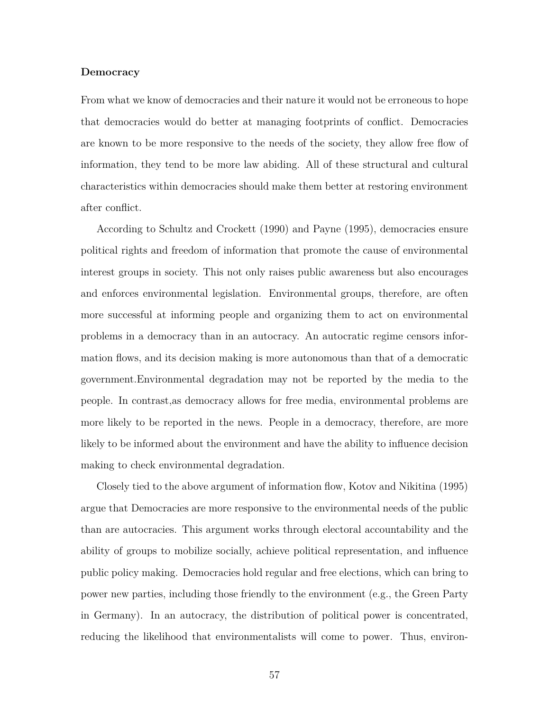#### **Democracy**

From what we know of democracies and their nature it would not be erroneous to hope that democracies would do better at managing footprints of conflict. Democracies are known to be more responsive to the needs of the society, they allow free flow of information, they tend to be more law abiding. All of these structural and cultural characteristics within democracies should make them better at restoring environment after conflict.

According to Schultz and Crockett (1990) and Payne (1995), democracies ensure political rights and freedom of information that promote the cause of environmental interest groups in society. This not only raises public awareness but also encourages and enforces environmental legislation. Environmental groups, therefore, are often more successful at informing people and organizing them to act on environmental problems in a democracy than in an autocracy. An autocratic regime censors information flows, and its decision making is more autonomous than that of a democratic government.Environmental degradation may not be reported by the media to the people. In contrast,as democracy allows for free media, environmental problems are more likely to be reported in the news. People in a democracy, therefore, are more likely to be informed about the environment and have the ability to influence decision making to check environmental degradation.

Closely tied to the above argument of information flow, Kotov and Nikitina (1995) argue that Democracies are more responsive to the environmental needs of the public than are autocracies. This argument works through electoral accountability and the ability of groups to mobilize socially, achieve political representation, and influence public policy making. Democracies hold regular and free elections, which can bring to power new parties, including those friendly to the environment (e.g., the Green Party in Germany). In an autocracy, the distribution of political power is concentrated, reducing the likelihood that environmentalists will come to power. Thus, environ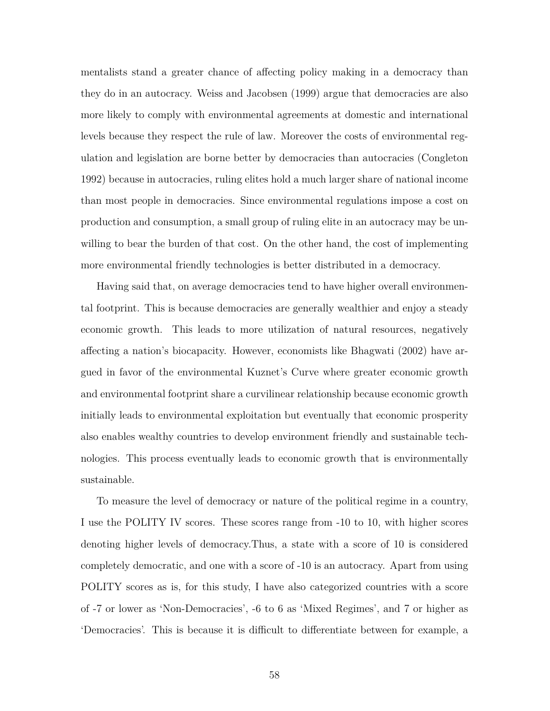mentalists stand a greater chance of affecting policy making in a democracy than they do in an autocracy. Weiss and Jacobsen (1999) argue that democracies are also more likely to comply with environmental agreements at domestic and international levels because they respect the rule of law. Moreover the costs of environmental regulation and legislation are borne better by democracies than autocracies (Congleton 1992) because in autocracies, ruling elites hold a much larger share of national income than most people in democracies. Since environmental regulations impose a cost on production and consumption, a small group of ruling elite in an autocracy may be unwilling to bear the burden of that cost. On the other hand, the cost of implementing more environmental friendly technologies is better distributed in a democracy.

Having said that, on average democracies tend to have higher overall environmental footprint. This is because democracies are generally wealthier and enjoy a steady economic growth. This leads to more utilization of natural resources, negatively affecting a nation's biocapacity. However, economists like Bhagwati (2002) have argued in favor of the environmental Kuznet's Curve where greater economic growth and environmental footprint share a curvilinear relationship because economic growth initially leads to environmental exploitation but eventually that economic prosperity also enables wealthy countries to develop environment friendly and sustainable technologies. This process eventually leads to economic growth that is environmentally sustainable.

To measure the level of democracy or nature of the political regime in a country, I use the POLITY IV scores. These scores range from -10 to 10, with higher scores denoting higher levels of democracy.Thus, a state with a score of 10 is considered completely democratic, and one with a score of -10 is an autocracy. Apart from using POLITY scores as is, for this study, I have also categorized countries with a score of -7 or lower as 'Non-Democracies', -6 to 6 as 'Mixed Regimes', and 7 or higher as 'Democracies'. This is because it is difficult to differentiate between for example, a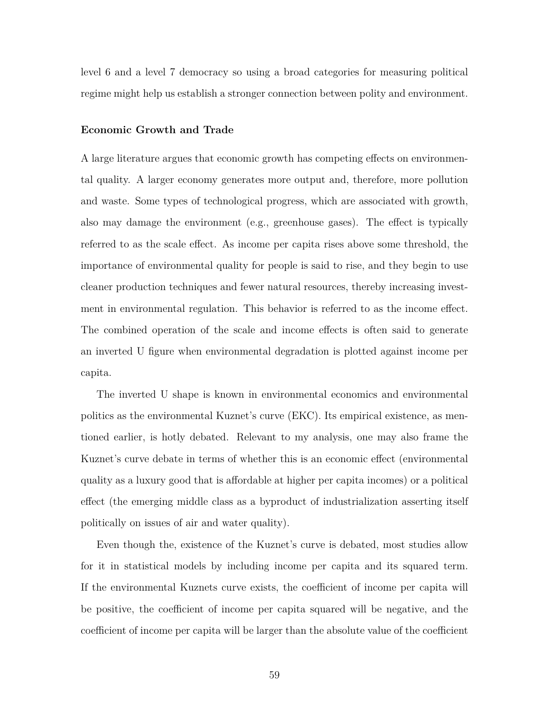level 6 and a level 7 democracy so using a broad categories for measuring political regime might help us establish a stronger connection between polity and environment.

#### **Economic Growth and Trade**

A large literature argues that economic growth has competing effects on environmental quality. A larger economy generates more output and, therefore, more pollution and waste. Some types of technological progress, which are associated with growth, also may damage the environment (e.g., greenhouse gases). The effect is typically referred to as the scale effect. As income per capita rises above some threshold, the importance of environmental quality for people is said to rise, and they begin to use cleaner production techniques and fewer natural resources, thereby increasing investment in environmental regulation. This behavior is referred to as the income effect. The combined operation of the scale and income effects is often said to generate an inverted U figure when environmental degradation is plotted against income per capita.

The inverted U shape is known in environmental economics and environmental politics as the environmental Kuznet's curve (EKC). Its empirical existence, as mentioned earlier, is hotly debated. Relevant to my analysis, one may also frame the Kuznet's curve debate in terms of whether this is an economic effect (environmental quality as a luxury good that is affordable at higher per capita incomes) or a political effect (the emerging middle class as a byproduct of industrialization asserting itself politically on issues of air and water quality).

Even though the, existence of the Kuznet's curve is debated, most studies allow for it in statistical models by including income per capita and its squared term. If the environmental Kuznets curve exists, the coefficient of income per capita will be positive, the coefficient of income per capita squared will be negative, and the coefficient of income per capita will be larger than the absolute value of the coefficient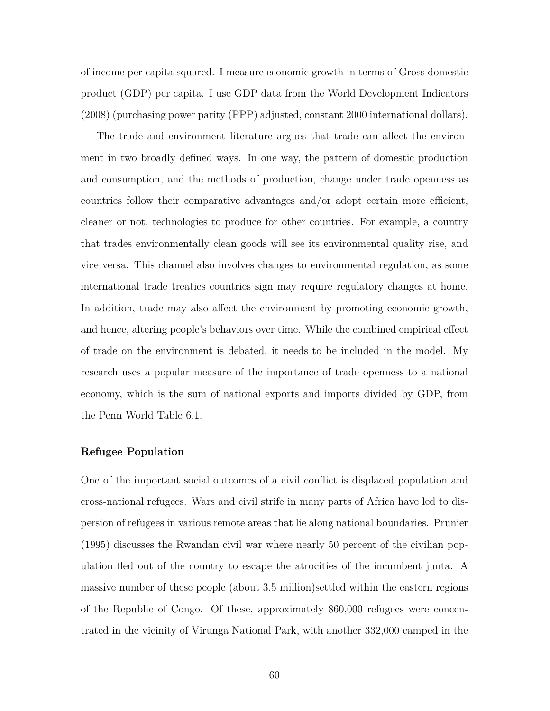of income per capita squared. I measure economic growth in terms of Gross domestic product (GDP) per capita. I use GDP data from the World Development Indicators (2008) (purchasing power parity (PPP) adjusted, constant 2000 international dollars).

The trade and environment literature argues that trade can affect the environment in two broadly defined ways. In one way, the pattern of domestic production and consumption, and the methods of production, change under trade openness as countries follow their comparative advantages and/or adopt certain more efficient, cleaner or not, technologies to produce for other countries. For example, a country that trades environmentally clean goods will see its environmental quality rise, and vice versa. This channel also involves changes to environmental regulation, as some international trade treaties countries sign may require regulatory changes at home. In addition, trade may also affect the environment by promoting economic growth, and hence, altering people's behaviors over time. While the combined empirical effect of trade on the environment is debated, it needs to be included in the model. My research uses a popular measure of the importance of trade openness to a national economy, which is the sum of national exports and imports divided by GDP, from the Penn World Table 6.1.

## **Refugee Population**

One of the important social outcomes of a civil conflict is displaced population and cross-national refugees. Wars and civil strife in many parts of Africa have led to dispersion of refugees in various remote areas that lie along national boundaries. Prunier (1995) discusses the Rwandan civil war where nearly 50 percent of the civilian population fled out of the country to escape the atrocities of the incumbent junta. A massive number of these people (about 3.5 million)settled within the eastern regions of the Republic of Congo. Of these, approximately 860,000 refugees were concentrated in the vicinity of Virunga National Park, with another 332,000 camped in the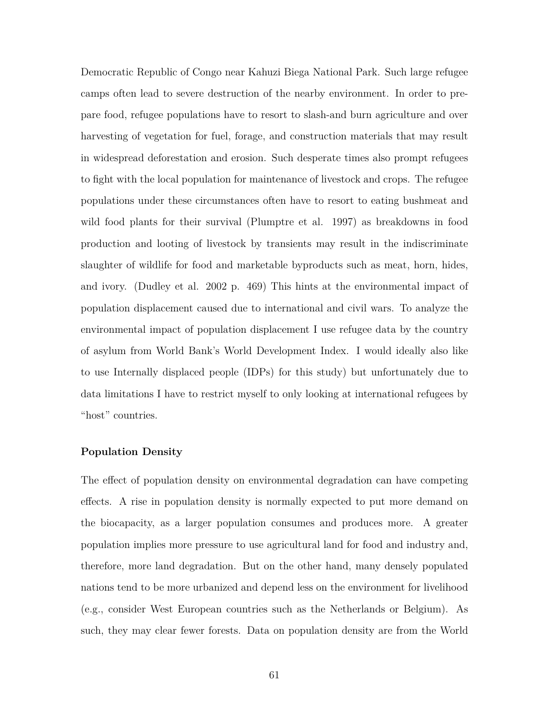Democratic Republic of Congo near Kahuzi Biega National Park. Such large refugee camps often lead to severe destruction of the nearby environment. In order to prepare food, refugee populations have to resort to slash-and burn agriculture and over harvesting of vegetation for fuel, forage, and construction materials that may result in widespread deforestation and erosion. Such desperate times also prompt refugees to fight with the local population for maintenance of livestock and crops. The refugee populations under these circumstances often have to resort to eating bushmeat and wild food plants for their survival (Plumptre et al. 1997) as breakdowns in food production and looting of livestock by transients may result in the indiscriminate slaughter of wildlife for food and marketable byproducts such as meat, horn, hides, and ivory. (Dudley et al. 2002 p. 469) This hints at the environmental impact of population displacement caused due to international and civil wars. To analyze the environmental impact of population displacement I use refugee data by the country of asylum from World Bank's World Development Index. I would ideally also like to use Internally displaced people (IDPs) for this study) but unfortunately due to data limitations I have to restrict myself to only looking at international refugees by "host" countries.

## **Population Density**

The effect of population density on environmental degradation can have competing effects. A rise in population density is normally expected to put more demand on the biocapacity, as a larger population consumes and produces more. A greater population implies more pressure to use agricultural land for food and industry and, therefore, more land degradation. But on the other hand, many densely populated nations tend to be more urbanized and depend less on the environment for livelihood (e.g., consider West European countries such as the Netherlands or Belgium). As such, they may clear fewer forests. Data on population density are from the World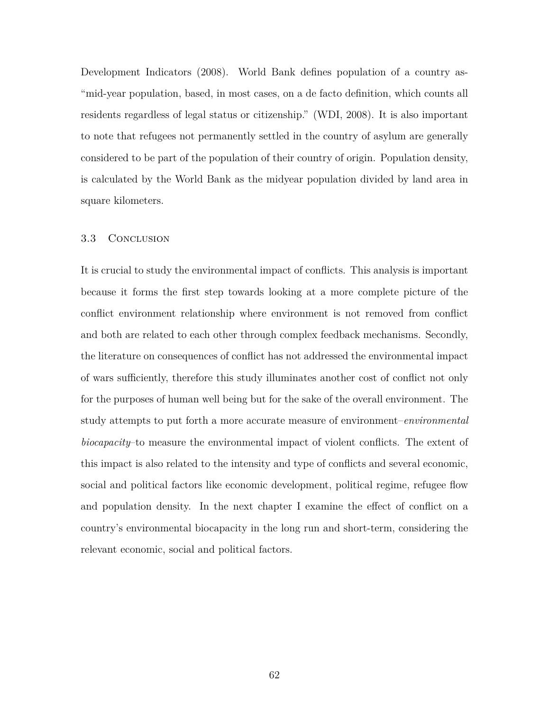Development Indicators (2008). World Bank defines population of a country as- "mid-year population, based, in most cases, on a de facto definition, which counts all residents regardless of legal status or citizenship." (WDI, 2008). It is also important to note that refugees not permanently settled in the country of asylum are generally considered to be part of the population of their country of origin. Population density, is calculated by the World Bank as the midyear population divided by land area in square kilometers.

#### 3.3 Conclusion

It is crucial to study the environmental impact of conflicts. This analysis is important because it forms the first step towards looking at a more complete picture of the conflict environment relationship where environment is not removed from conflict and both are related to each other through complex feedback mechanisms. Secondly, the literature on consequences of conflict has not addressed the environmental impact of wars sufficiently, therefore this study illuminates another cost of conflict not only for the purposes of human well being but for the sake of the overall environment. The study attempts to put forth a more accurate measure of environment–*environmental biocapacity*–to measure the environmental impact of violent conflicts. The extent of this impact is also related to the intensity and type of conflicts and several economic, social and political factors like economic development, political regime, refugee flow and population density. In the next chapter I examine the effect of conflict on a country's environmental biocapacity in the long run and short-term, considering the relevant economic, social and political factors.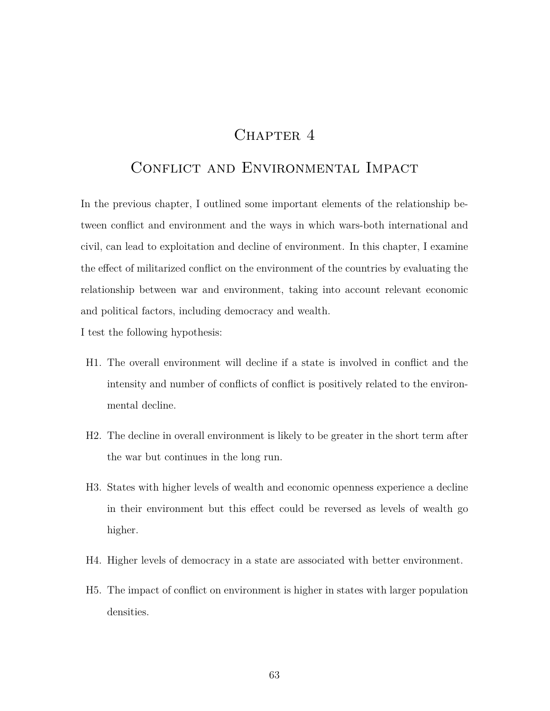# CHAPTER 4

# CONFLICT AND ENVIRONMENTAL IMPACT

In the previous chapter, I outlined some important elements of the relationship between conflict and environment and the ways in which wars-both international and civil, can lead to exploitation and decline of environment. In this chapter, I examine the effect of militarized conflict on the environment of the countries by evaluating the relationship between war and environment, taking into account relevant economic and political factors, including democracy and wealth.

I test the following hypothesis:

- H1. The overall environment will decline if a state is involved in conflict and the intensity and number of conflicts of conflict is positively related to the environmental decline.
- H2. The decline in overall environment is likely to be greater in the short term after the war but continues in the long run.
- H3. States with higher levels of wealth and economic openness experience a decline in their environment but this effect could be reversed as levels of wealth go higher.
- H4. Higher levels of democracy in a state are associated with better environment.
- H5. The impact of conflict on environment is higher in states with larger population densities.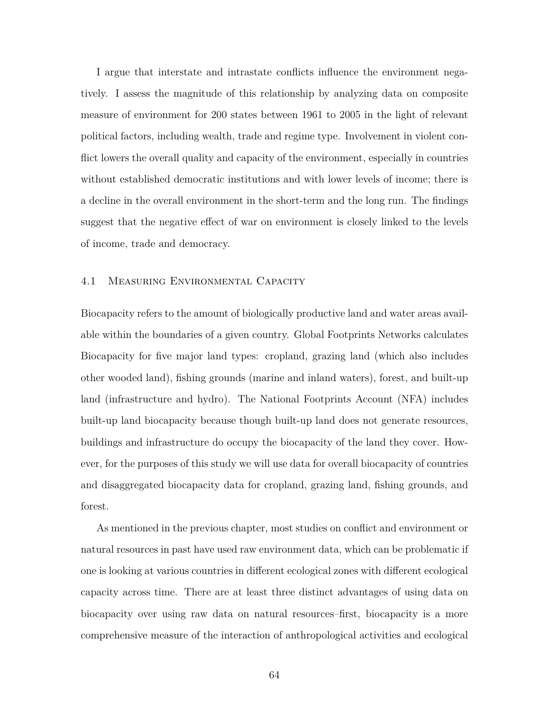I argue that interstate and intrastate conflicts influence the environment negatively. I assess the magnitude of this relationship by analyzing data on composite measure of environment for 200 states between 1961 to 2005 in the light of relevant political factors, including wealth, trade and regime type. Involvement in violent conflict lowers the overall quality and capacity of the environment, especially in countries without established democratic institutions and with lower levels of income; there is a decline in the overall environment in the short-term and the long run. The findings suggest that the negative effect of war on environment is closely linked to the levels of income, trade and democracy.

## 4.1 Measuring Environmental Capacity

Biocapacity refers to the amount of biologically productive land and water areas available within the boundaries of a given country. Global Footprints Networks calculates Biocapacity for five major land types: cropland, grazing land (which also includes other wooded land), fishing grounds (marine and inland waters), forest, and built-up land (infrastructure and hydro). The National Footprints Account (NFA) includes built-up land biocapacity because though built-up land does not generate resources, buildings and infrastructure do occupy the biocapacity of the land they cover. However, for the purposes of this study we will use data for overall biocapacity of countries and disaggregated biocapacity data for cropland, grazing land, fishing grounds, and forest.

As mentioned in the previous chapter, most studies on conflict and environment or natural resources in past have used raw environment data, which can be problematic if one is looking at various countries in different ecological zones with different ecological capacity across time. There are at least three distinct advantages of using data on biocapacity over using raw data on natural resources–first, biocapacity is a more comprehensive measure of the interaction of anthropological activities and ecological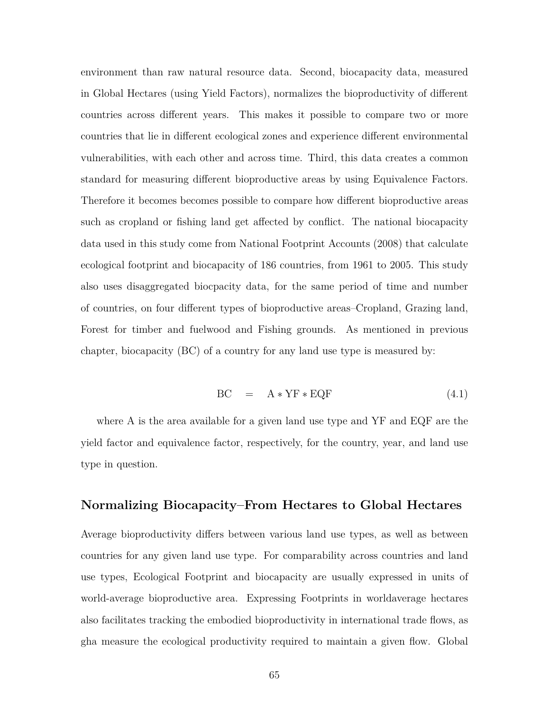environment than raw natural resource data. Second, biocapacity data, measured in Global Hectares (using Yield Factors), normalizes the bioproductivity of different countries across different years. This makes it possible to compare two or more countries that lie in different ecological zones and experience different environmental vulnerabilities, with each other and across time. Third, this data creates a common standard for measuring different bioproductive areas by using Equivalence Factors. Therefore it becomes becomes possible to compare how different bioproductive areas such as cropland or fishing land get affected by conflict. The national biocapacity data used in this study come from National Footprint Accounts (2008) that calculate ecological footprint and biocapacity of 186 countries, from 1961 to 2005. This study also uses disaggregated biocpacity data, for the same period of time and number of countries, on four different types of bioproductive areas–Cropland, Grazing land, Forest for timber and fuelwood and Fishing grounds. As mentioned in previous chapter, biocapacity (BC) of a country for any land use type is measured by:

$$
BC = A * YF * EQF
$$
 (4.1)

where A is the area available for a given land use type and YF and EQF are the yield factor and equivalence factor, respectively, for the country, year, and land use type in question.

## **Normalizing Biocapacity–From Hectares to Global Hectares**

Average bioproductivity differs between various land use types, as well as between countries for any given land use type. For comparability across countries and land use types, Ecological Footprint and biocapacity are usually expressed in units of world-average bioproductive area. Expressing Footprints in worldaverage hectares also facilitates tracking the embodied bioproductivity in international trade flows, as gha measure the ecological productivity required to maintain a given flow. Global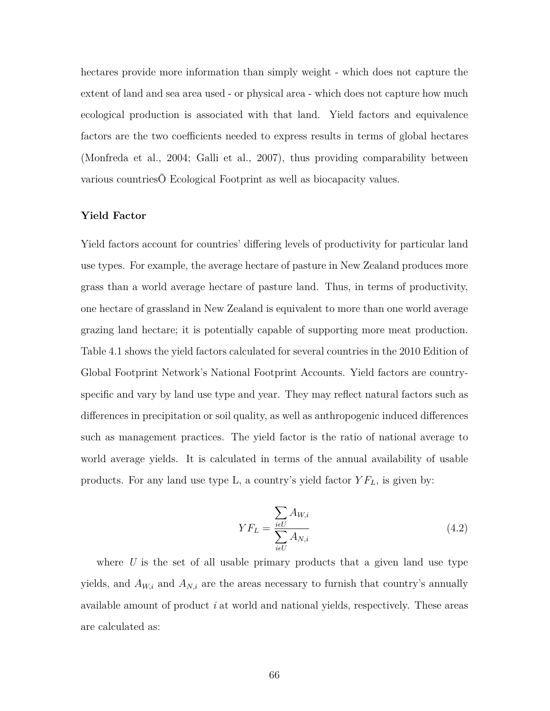hectares provide more information than simply weight - which does not capture the extent of land and sea area used - or physical area - which does not capture how much ecological production is associated with that land. Yield factors and equivalence factors are the two coefficients needed to express results in terms of global hectares (Monfreda et al., 2004; Galli et al., 2007), thus providing comparability between various countriesÕ Ecological Footprint as well as biocapacity values.

#### **Yield Factor**

Yield factors account for countries' differing levels of productivity for particular land use types. For example, the average hectare of pasture in New Zealand produces more grass than a world average hectare of pasture land. Thus, in terms of productivity, one hectare of grassland in New Zealand is equivalent to more than one world average grazing land hectare; it is potentially capable of supporting more meat production. Table 4.1 shows the yield factors calculated for several countries in the 2010 Edition of Global Footprint Network's National Footprint Accounts. Yield factors are countryspecific and vary by land use type and year. They may reflect natural factors such as differences in precipitation or soil quality, as well as anthropogenic induced differences such as management practices. The yield factor is the ratio of national average to world average yields. It is calculated in terms of the annual availability of usable products. For any land use type L, a country's yield factor *Y FL*, is given by:

$$
YF_L = \frac{\sum_{i \in U} A_{W,i}}{\sum_{i \in U} A_{N,i}} \tag{4.2}
$$

where *U* is the set of all usable primary products that a given land use type yields, and  $A_{W,i}$  and  $A_{N,i}$  are the areas necessary to furnish that country's annually available amount of product *i* at world and national yields, respectively. These areas are calculated as: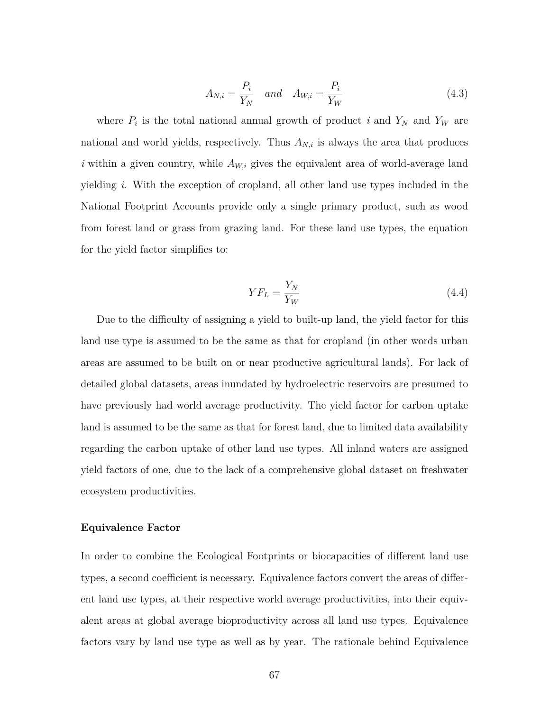$$
A_{N,i} = \frac{P_i}{Y_N} \quad and \quad A_{W,i} = \frac{P_i}{Y_W} \tag{4.3}
$$

where  $P_i$  is the total national annual growth of product *i* and  $Y_N$  and  $Y_W$  are national and world yields, respectively. Thus  $A_{N,i}$  is always the area that produces *i* within a given country, while  $A_{W,i}$  gives the equivalent area of world-average land yielding *i*. With the exception of cropland, all other land use types included in the National Footprint Accounts provide only a single primary product, such as wood from forest land or grass from grazing land. For these land use types, the equation for the yield factor simplifies to:

$$
YF_L = \frac{Y_N}{Y_W} \tag{4.4}
$$

Due to the difficulty of assigning a yield to built-up land, the yield factor for this land use type is assumed to be the same as that for cropland (in other words urban areas are assumed to be built on or near productive agricultural lands). For lack of detailed global datasets, areas inundated by hydroelectric reservoirs are presumed to have previously had world average productivity. The yield factor for carbon uptake land is assumed to be the same as that for forest land, due to limited data availability regarding the carbon uptake of other land use types. All inland waters are assigned yield factors of one, due to the lack of a comprehensive global dataset on freshwater ecosystem productivities.

#### **Equivalence Factor**

In order to combine the Ecological Footprints or biocapacities of different land use types, a second coefficient is necessary. Equivalence factors convert the areas of different land use types, at their respective world average productivities, into their equivalent areas at global average bioproductivity across all land use types. Equivalence factors vary by land use type as well as by year. The rationale behind Equivalence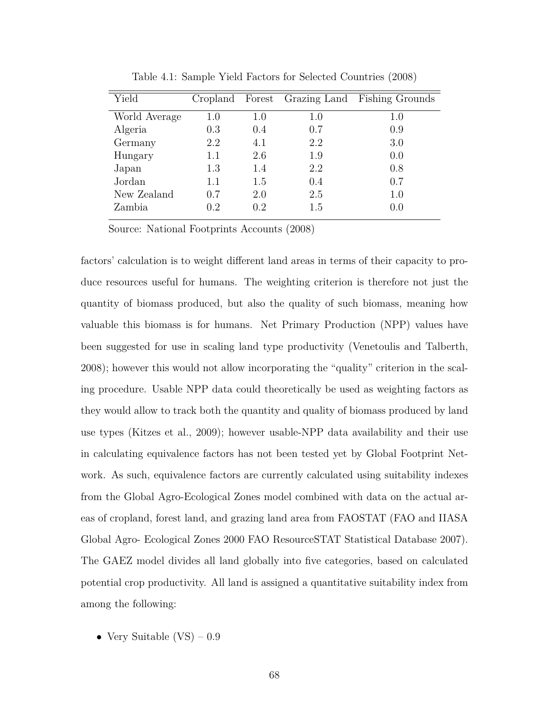| Yield         |         |         |     | Cropland Forest Grazing Land Fishing Grounds |
|---------------|---------|---------|-----|----------------------------------------------|
| World Average | 1.0     | $1.0\,$ | 1.0 | $1.0\,$                                      |
| Algeria       | 0.3     | 0.4     | 0.7 | 0.9                                          |
| Germany       | 2.2     | 4.1     | 2.2 | 3.0                                          |
| Hungary       | 1.1     | 2.6     | 1.9 | 0.0                                          |
| Japan         | 1.3     | 1.4     | 2.2 | 0.8                                          |
| Jordan        | $1.1\,$ | 1.5     | 0.4 | 0.7                                          |
| New Zealand   | 0.7     | 2.0     | 2.5 | 1.0                                          |
| Zambia        | 0.2     | 0.2     | 1.5 | 0.0                                          |

Table 4.1: Sample Yield Factors for Selected Countries (2008)

Source: National Footprints Accounts (2008)

factors' calculation is to weight different land areas in terms of their capacity to produce resources useful for humans. The weighting criterion is therefore not just the quantity of biomass produced, but also the quality of such biomass, meaning how valuable this biomass is for humans. Net Primary Production (NPP) values have been suggested for use in scaling land type productivity (Venetoulis and Talberth, 2008); however this would not allow incorporating the "quality" criterion in the scaling procedure. Usable NPP data could theoretically be used as weighting factors as they would allow to track both the quantity and quality of biomass produced by land use types (Kitzes et al., 2009); however usable-NPP data availability and their use in calculating equivalence factors has not been tested yet by Global Footprint Network. As such, equivalence factors are currently calculated using suitability indexes from the Global Agro-Ecological Zones model combined with data on the actual areas of cropland, forest land, and grazing land area from FAOSTAT (FAO and IIASA Global Agro- Ecological Zones 2000 FAO ResourceSTAT Statistical Database 2007). The GAEZ model divides all land globally into five categories, based on calculated potential crop productivity. All land is assigned a quantitative suitability index from among the following:

• Very Suitable  $(VS) - 0.9$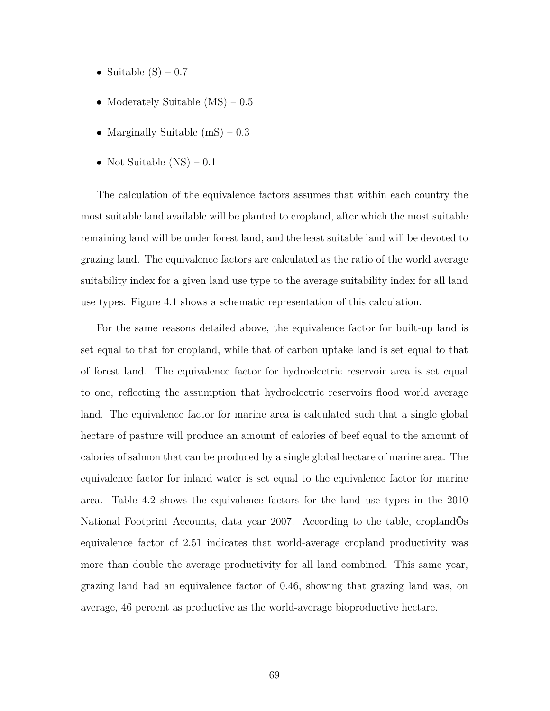- Suitable  $(S)$  0.7
- Moderately Suitable (MS) 0.5
- Marginally Suitable  $(mS) 0.3$
- Not Suitable  $(NS) 0.1$

The calculation of the equivalence factors assumes that within each country the most suitable land available will be planted to cropland, after which the most suitable remaining land will be under forest land, and the least suitable land will be devoted to grazing land. The equivalence factors are calculated as the ratio of the world average suitability index for a given land use type to the average suitability index for all land use types. Figure 4.1 shows a schematic representation of this calculation.

For the same reasons detailed above, the equivalence factor for built-up land is set equal to that for cropland, while that of carbon uptake land is set equal to that of forest land. The equivalence factor for hydroelectric reservoir area is set equal to one, reflecting the assumption that hydroelectric reservoirs flood world average land. The equivalence factor for marine area is calculated such that a single global hectare of pasture will produce an amount of calories of beef equal to the amount of calories of salmon that can be produced by a single global hectare of marine area. The equivalence factor for inland water is set equal to the equivalence factor for marine area. Table 4.2 shows the equivalence factors for the land use types in the 2010 National Footprint Accounts, data year 2007. According to the table, croplandÕs equivalence factor of 2.51 indicates that world-average cropland productivity was more than double the average productivity for all land combined. This same year, grazing land had an equivalence factor of 0.46, showing that grazing land was, on average, 46 percent as productive as the world-average bioproductive hectare.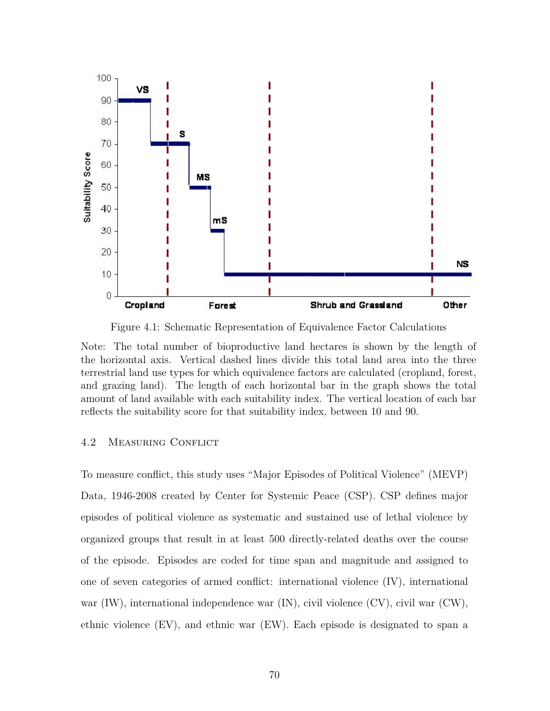

Figure 4.1: Schematic Representation of Equivalence Factor Calculations

Note: The total number of bioproductive land hectares is shown by the length of the horizontal axis. Vertical dashed lines divide this total land area into the three terrestrial land use types for which equivalence factors are calculated (cropland, forest, and grazing land). The length of each horizontal bar in the graph shows the total amount of land available with each suitability index. The vertical location of each bar reflects the suitability score for that suitability index, between 10 and 90.

#### 4.2 Measuring Conflict

To measure conflict, this study uses "Major Episodes of Political Violence" (MEVP) Data, 1946-2008 created by Center for Systemic Peace (CSP). CSP defines major episodes of political violence as systematic and sustained use of lethal violence by organized groups that result in at least 500 directly-related deaths over the course of the episode. Episodes are coded for time span and magnitude and assigned to one of seven categories of armed conflict: international violence (IV), international war (IW), international independence war (IN), civil violence (CV), civil war (CW), ethnic violence (EV), and ethnic war (EW). Each episode is designated to span a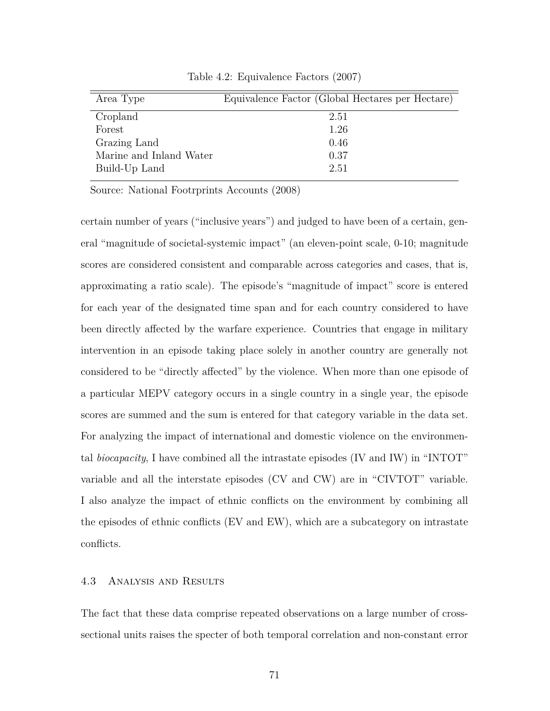| Area Type               | Equivalence Factor (Global Hectares per Hectare) |
|-------------------------|--------------------------------------------------|
| Cropland                | 2.51                                             |
| Forest                  | 1.26                                             |
| Grazing Land            | 0.46                                             |
| Marine and Inland Water | 0.37                                             |
| Build-Up Land           | 2.51                                             |

Table 4.2: Equivalence Factors (2007)

Source: National Footrprints Accounts (2008)

certain number of years ("inclusive years") and judged to have been of a certain, general "magnitude of societal-systemic impact" (an eleven-point scale, 0-10; magnitude scores are considered consistent and comparable across categories and cases, that is, approximating a ratio scale). The episode's "magnitude of impact" score is entered for each year of the designated time span and for each country considered to have been directly affected by the warfare experience. Countries that engage in military intervention in an episode taking place solely in another country are generally not considered to be "directly affected" by the violence. When more than one episode of a particular MEPV category occurs in a single country in a single year, the episode scores are summed and the sum is entered for that category variable in the data set. For analyzing the impact of international and domestic violence on the environmental *biocapacity*, I have combined all the intrastate episodes (IV and IW) in "INTOT" variable and all the interstate episodes (CV and CW) are in "CIVTOT" variable. I also analyze the impact of ethnic conflicts on the environment by combining all the episodes of ethnic conflicts (EV and EW), which are a subcategory on intrastate conflicts.

#### 4.3 Analysis and Results

The fact that these data comprise repeated observations on a large number of crosssectional units raises the specter of both temporal correlation and non-constant error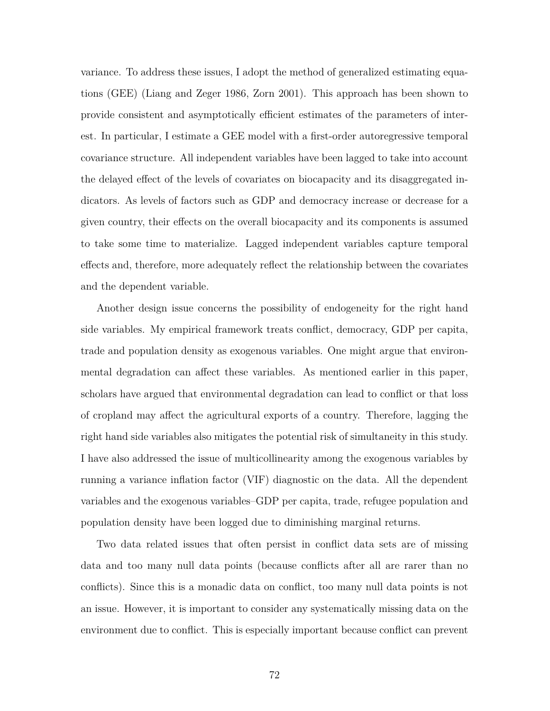variance. To address these issues, I adopt the method of generalized estimating equations (GEE) (Liang and Zeger 1986, Zorn 2001). This approach has been shown to provide consistent and asymptotically efficient estimates of the parameters of interest. In particular, I estimate a GEE model with a first-order autoregressive temporal covariance structure. All independent variables have been lagged to take into account the delayed effect of the levels of covariates on biocapacity and its disaggregated indicators. As levels of factors such as GDP and democracy increase or decrease for a given country, their effects on the overall biocapacity and its components is assumed to take some time to materialize. Lagged independent variables capture temporal effects and, therefore, more adequately reflect the relationship between the covariates and the dependent variable.

Another design issue concerns the possibility of endogeneity for the right hand side variables. My empirical framework treats conflict, democracy, GDP per capita, trade and population density as exogenous variables. One might argue that environmental degradation can affect these variables. As mentioned earlier in this paper, scholars have argued that environmental degradation can lead to conflict or that loss of cropland may affect the agricultural exports of a country. Therefore, lagging the right hand side variables also mitigates the potential risk of simultaneity in this study. I have also addressed the issue of multicollinearity among the exogenous variables by running a variance inflation factor (VIF) diagnostic on the data. All the dependent variables and the exogenous variables–GDP per capita, trade, refugee population and population density have been logged due to diminishing marginal returns.

Two data related issues that often persist in conflict data sets are of missing data and too many null data points (because conflicts after all are rarer than no conflicts). Since this is a monadic data on conflict, too many null data points is not an issue. However, it is important to consider any systematically missing data on the environment due to conflict. This is especially important because conflict can prevent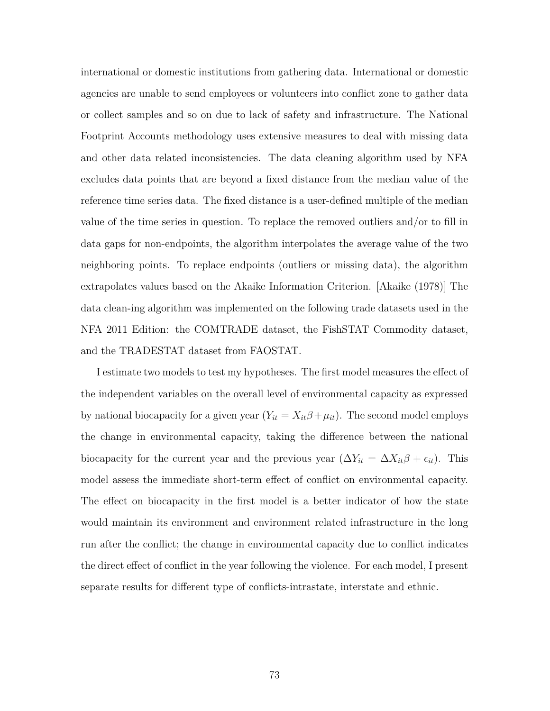international or domestic institutions from gathering data. International or domestic agencies are unable to send employees or volunteers into conflict zone to gather data or collect samples and so on due to lack of safety and infrastructure. The National Footprint Accounts methodology uses extensive measures to deal with missing data and other data related inconsistencies. The data cleaning algorithm used by NFA excludes data points that are beyond a fixed distance from the median value of the reference time series data. The fixed distance is a user-defined multiple of the median value of the time series in question. To replace the removed outliers and/or to fill in data gaps for non-endpoints, the algorithm interpolates the average value of the two neighboring points. To replace endpoints (outliers or missing data), the algorithm extrapolates values based on the Akaike Information Criterion. [Akaike (1978)] The data clean-ing algorithm was implemented on the following trade datasets used in the NFA 2011 Edition: the COMTRADE dataset, the FishSTAT Commodity dataset, and the TRADESTAT dataset from FAOSTAT.

I estimate two models to test my hypotheses. The first model measures the effect of the independent variables on the overall level of environmental capacity as expressed by national biocapacity for a given year  $(Y_{it} = X_{it}\beta + \mu_{it})$ . The second model employs the change in environmental capacity, taking the difference between the national biocapacity for the current year and the previous year  $(\Delta Y_{it} = \Delta X_{it}\beta + \epsilon_{it})$ . This model assess the immediate short-term effect of conflict on environmental capacity. The effect on biocapacity in the first model is a better indicator of how the state would maintain its environment and environment related infrastructure in the long run after the conflict; the change in environmental capacity due to conflict indicates the direct effect of conflict in the year following the violence. For each model, I present separate results for different type of conflicts-intrastate, interstate and ethnic.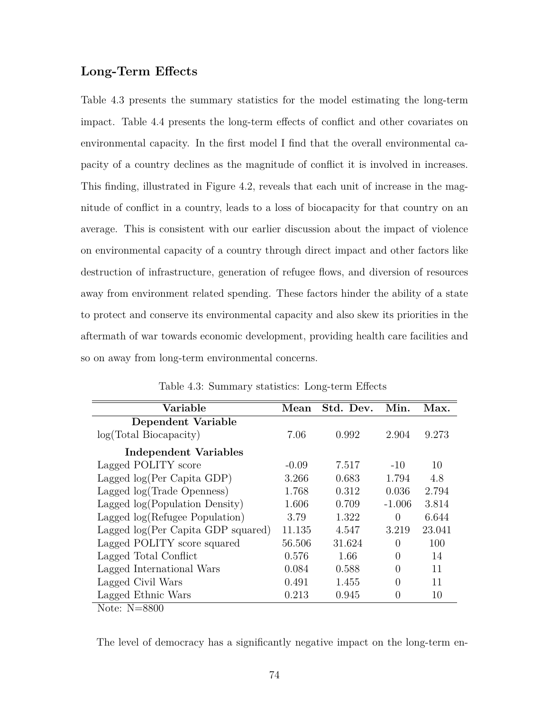## **Long-Term Effects**

Table 4.3 presents the summary statistics for the model estimating the long-term impact. Table 4.4 presents the long-term effects of conflict and other covariates on environmental capacity. In the first model I find that the overall environmental capacity of a country declines as the magnitude of conflict it is involved in increases. This finding, illustrated in Figure 4.2, reveals that each unit of increase in the magnitude of conflict in a country, leads to a loss of biocapacity for that country on an average. This is consistent with our earlier discussion about the impact of violence on environmental capacity of a country through direct impact and other factors like destruction of infrastructure, generation of refugee flows, and diversion of resources away from environment related spending. These factors hinder the ability of a state to protect and conserve its environmental capacity and also skew its priorities in the aftermath of war towards economic development, providing health care facilities and so on away from long-term environmental concerns.

| Variable                           | Mean    | Std. Dev. | Min.     | Max.   |
|------------------------------------|---------|-----------|----------|--------|
| Dependent Variable                 |         |           |          |        |
| log(Total Biocapacity)             | 7.06    | 0.992     | 2.904    | 9.273  |
| Independent Variables              |         |           |          |        |
| Lagged POLITY score                | $-0.09$ | 7.517     | $-10$    | 10     |
| Lagged $log(Per Capita GDP)$       | 3.266   | 0.683     | 1.794    | 4.8    |
| Lagged log(Trade Openness)         | 1.768   | 0.312     | 0.036    | 2.794  |
| Lagged log(Population Density)     | 1.606   | 0.709     | $-1.006$ | 3.814  |
| Lagged log(Refugee Population)     | 3.79    | 1.322     | $\Omega$ | 6.644  |
| Lagged log(Per Capita GDP squared) | 11.135  | 4.547     | 3.219    | 23.041 |
| Lagged POLITY score squared        | 56.506  | 31.624    | $\Omega$ | 100    |
| Lagged Total Conflict              | 0.576   | 1.66      | $\Omega$ | 14     |
| Lagged International Wars          | 0.084   | 0.588     | $\theta$ | 11     |
| Lagged Civil Wars                  | 0.491   | 1.455     | $\theta$ | 11     |
| Lagged Ethnic Wars                 | 0.213   | 0.945     | $\theta$ | 10     |

Table 4.3: Summary statistics: Long-term Effects

Note: N=8800

The level of democracy has a significantly negative impact on the long-term en-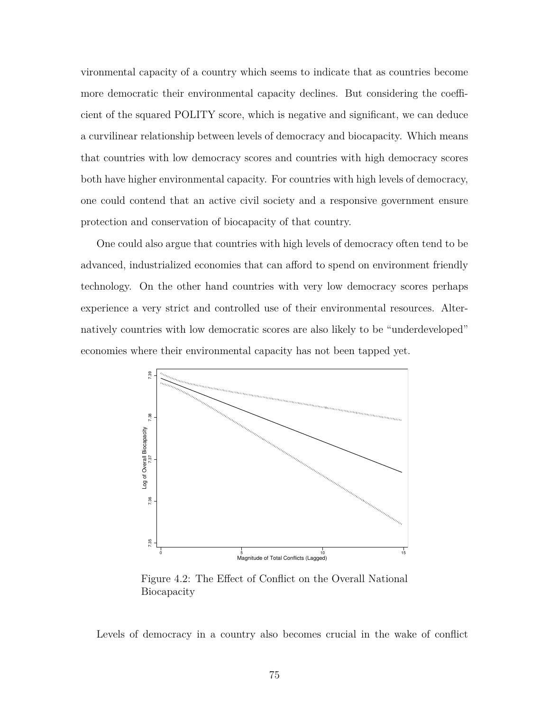vironmental capacity of a country which seems to indicate that as countries become more democratic their environmental capacity declines. But considering the coefficient of the squared POLITY score, which is negative and significant, we can deduce a curvilinear relationship between levels of democracy and biocapacity. Which means that countries with low democracy scores and countries with high democracy scores both have higher environmental capacity. For countries with high levels of democracy, one could contend that an active civil society and a responsive government ensure protection and conservation of biocapacity of that country.

One could also argue that countries with high levels of democracy often tend to be advanced, industrialized economies that can afford to spend on environment friendly technology. On the other hand countries with very low democracy scores perhaps experience a very strict and controlled use of their environmental resources. Alternatively countries with low democratic scores are also likely to be "underdeveloped" economies where their environmental capacity has not been tapped yet.



Figure 4.2: The Effect of Conflict on the Overall National Biocapacity

Levels of democracy in a country also becomes crucial in the wake of conflict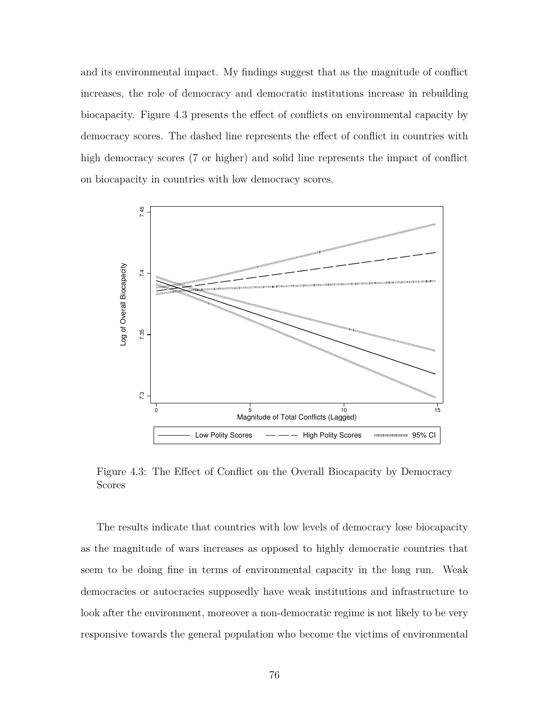and its environmental impact. My findings suggest that as the magnitude of conflict increases, the role of democracy and democratic institutions increase in rebuilding biocapacity. Figure 4.3 presents the effect of conflicts on environmental capacity by democracy scores. The dashed line represents the effect of conflict in countries with high democracy scores (7 or higher) and solid line represents the impact of conflict on biocapacity in countries with low democracy scores.



Figure 4.3: The Effect of Conflict on the Overall Biocapacity by Democracy Scores

The results indicate that countries with low levels of democracy lose biocapacity as the magnitude of wars increases as opposed to highly democratic countries that seem to be doing fine in terms of environmental capacity in the long run. Weak democracies or autocracies supposedly have weak institutions and infrastructure to look after the environment, moreover a non-democratic regime is not likely to be very responsive towards the general population who become the victims of environmental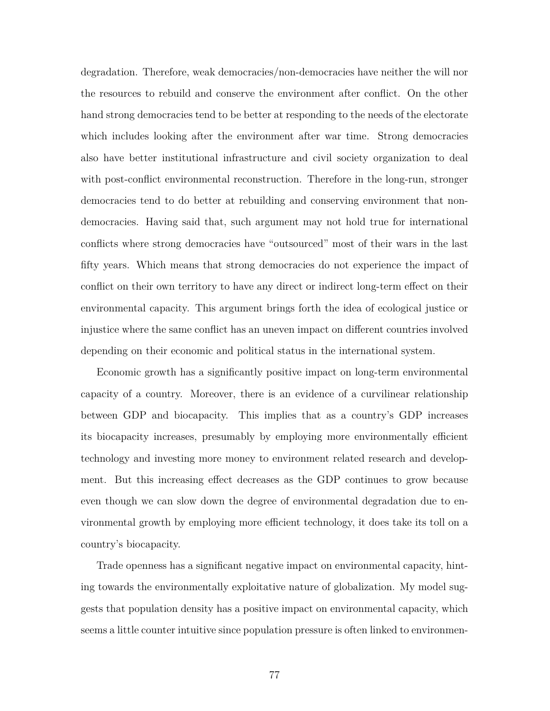degradation. Therefore, weak democracies/non-democracies have neither the will nor the resources to rebuild and conserve the environment after conflict. On the other hand strong democracies tend to be better at responding to the needs of the electorate which includes looking after the environment after war time. Strong democracies also have better institutional infrastructure and civil society organization to deal with post-conflict environmental reconstruction. Therefore in the long-run, stronger democracies tend to do better at rebuilding and conserving environment that nondemocracies. Having said that, such argument may not hold true for international conflicts where strong democracies have "outsourced" most of their wars in the last fifty years. Which means that strong democracies do not experience the impact of conflict on their own territory to have any direct or indirect long-term effect on their environmental capacity. This argument brings forth the idea of ecological justice or injustice where the same conflict has an uneven impact on different countries involved depending on their economic and political status in the international system.

Economic growth has a significantly positive impact on long-term environmental capacity of a country. Moreover, there is an evidence of a curvilinear relationship between GDP and biocapacity. This implies that as a country's GDP increases its biocapacity increases, presumably by employing more environmentally efficient technology and investing more money to environment related research and development. But this increasing effect decreases as the GDP continues to grow because even though we can slow down the degree of environmental degradation due to environmental growth by employing more efficient technology, it does take its toll on a country's biocapacity.

Trade openness has a significant negative impact on environmental capacity, hinting towards the environmentally exploitative nature of globalization. My model suggests that population density has a positive impact on environmental capacity, which seems a little counter intuitive since population pressure is often linked to environmen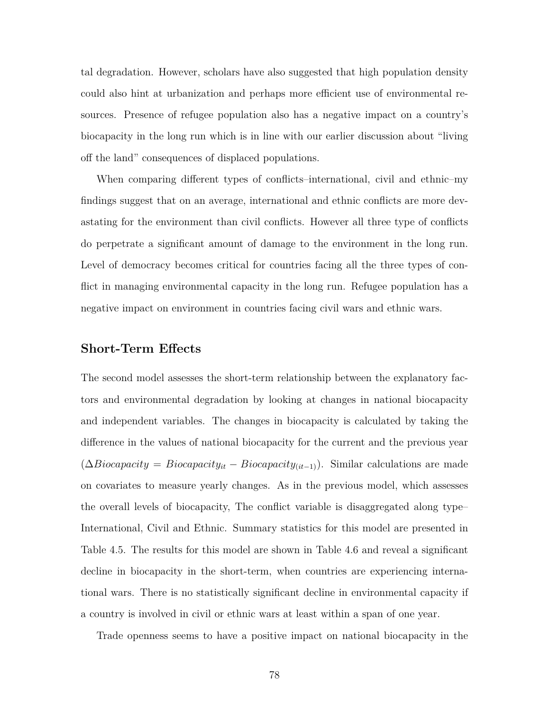tal degradation. However, scholars have also suggested that high population density could also hint at urbanization and perhaps more efficient use of environmental resources. Presence of refugee population also has a negative impact on a country's biocapacity in the long run which is in line with our earlier discussion about "living off the land" consequences of displaced populations.

When comparing different types of conflicts–international, civil and ethnic–my findings suggest that on an average, international and ethnic conflicts are more devastating for the environment than civil conflicts. However all three type of conflicts do perpetrate a significant amount of damage to the environment in the long run. Level of democracy becomes critical for countries facing all the three types of conflict in managing environmental capacity in the long run. Refugee population has a negative impact on environment in countries facing civil wars and ethnic wars.

## **Short-Term Effects**

The second model assesses the short-term relationship between the explanatory factors and environmental degradation by looking at changes in national biocapacity and independent variables. The changes in biocapacity is calculated by taking the difference in the values of national biocapacity for the current and the previous year  $(\Delta Biocapacity = Biocapacity_{it} - Biocapacity_{(it-1)})$ . Similar calculations are made on covariates to measure yearly changes. As in the previous model, which assesses the overall levels of biocapacity, The conflict variable is disaggregated along type– International, Civil and Ethnic. Summary statistics for this model are presented in Table 4.5. The results for this model are shown in Table 4.6 and reveal a significant decline in biocapacity in the short-term, when countries are experiencing international wars. There is no statistically significant decline in environmental capacity if a country is involved in civil or ethnic wars at least within a span of one year.

Trade openness seems to have a positive impact on national biocapacity in the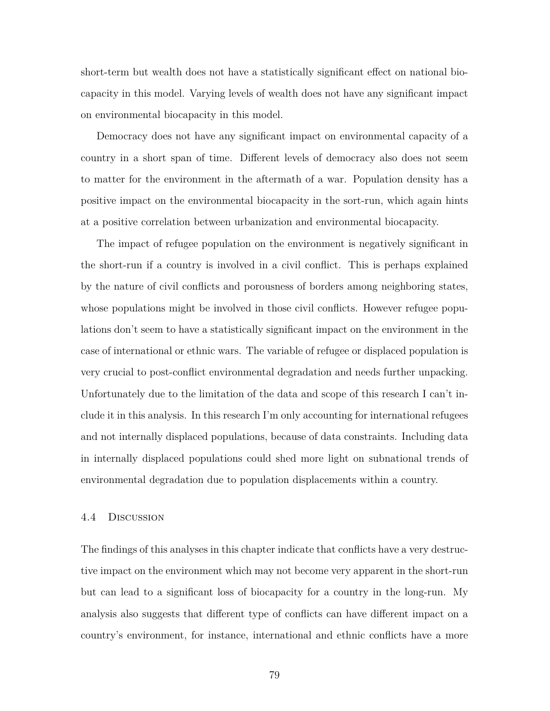short-term but wealth does not have a statistically significant effect on national biocapacity in this model. Varying levels of wealth does not have any significant impact on environmental biocapacity in this model.

Democracy does not have any significant impact on environmental capacity of a country in a short span of time. Different levels of democracy also does not seem to matter for the environment in the aftermath of a war. Population density has a positive impact on the environmental biocapacity in the sort-run, which again hints at a positive correlation between urbanization and environmental biocapacity.

The impact of refugee population on the environment is negatively significant in the short-run if a country is involved in a civil conflict. This is perhaps explained by the nature of civil conflicts and porousness of borders among neighboring states, whose populations might be involved in those civil conflicts. However refugee populations don't seem to have a statistically significant impact on the environment in the case of international or ethnic wars. The variable of refugee or displaced population is very crucial to post-conflict environmental degradation and needs further unpacking. Unfortunately due to the limitation of the data and scope of this research I can't include it in this analysis. In this research I'm only accounting for international refugees and not internally displaced populations, because of data constraints. Including data in internally displaced populations could shed more light on subnational trends of environmental degradation due to population displacements within a country.

#### 4.4 Discussion

The findings of this analyses in this chapter indicate that conflicts have a very destructive impact on the environment which may not become very apparent in the short-run but can lead to a significant loss of biocapacity for a country in the long-run. My analysis also suggests that different type of conflicts can have different impact on a country's environment, for instance, international and ethnic conflicts have a more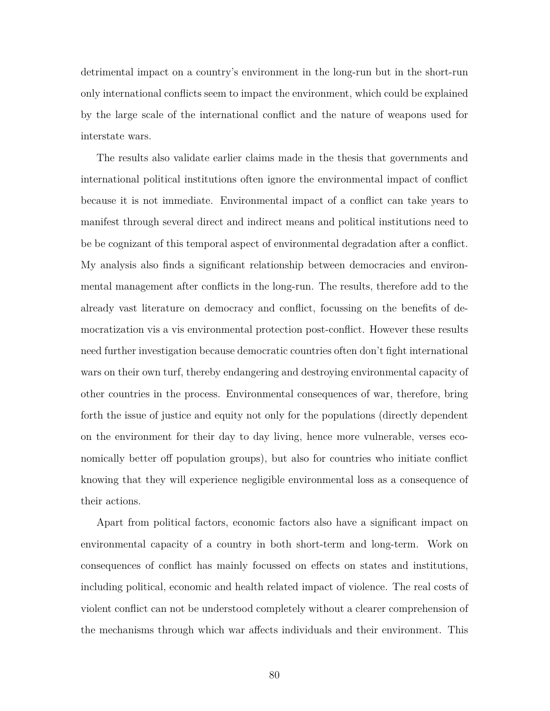detrimental impact on a country's environment in the long-run but in the short-run only international conflicts seem to impact the environment, which could be explained by the large scale of the international conflict and the nature of weapons used for interstate wars.

The results also validate earlier claims made in the thesis that governments and international political institutions often ignore the environmental impact of conflict because it is not immediate. Environmental impact of a conflict can take years to manifest through several direct and indirect means and political institutions need to be be cognizant of this temporal aspect of environmental degradation after a conflict. My analysis also finds a significant relationship between democracies and environmental management after conflicts in the long-run. The results, therefore add to the already vast literature on democracy and conflict, focussing on the benefits of democratization vis a vis environmental protection post-conflict. However these results need further investigation because democratic countries often don't fight international wars on their own turf, thereby endangering and destroying environmental capacity of other countries in the process. Environmental consequences of war, therefore, bring forth the issue of justice and equity not only for the populations (directly dependent on the environment for their day to day living, hence more vulnerable, verses economically better off population groups), but also for countries who initiate conflict knowing that they will experience negligible environmental loss as a consequence of their actions.

Apart from political factors, economic factors also have a significant impact on environmental capacity of a country in both short-term and long-term. Work on consequences of conflict has mainly focussed on effects on states and institutions, including political, economic and health related impact of violence. The real costs of violent conflict can not be understood completely without a clearer comprehension of the mechanisms through which war affects individuals and their environment. This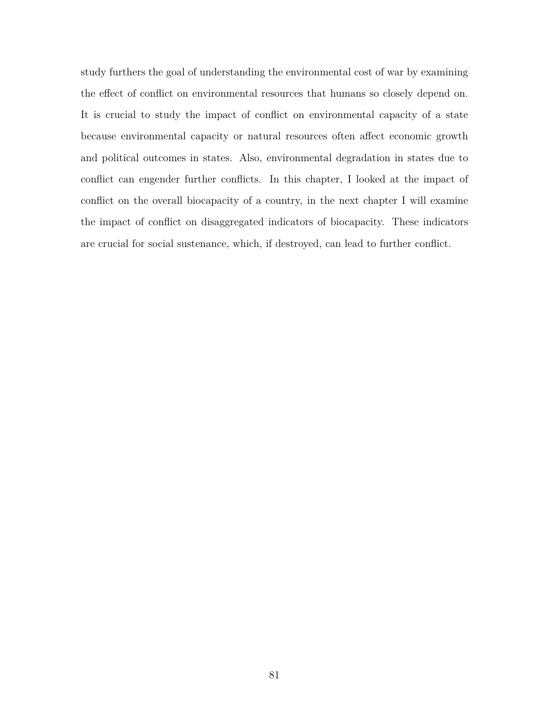study furthers the goal of understanding the environmental cost of war by examining the effect of conflict on environmental resources that humans so closely depend on. It is crucial to study the impact of conflict on environmental capacity of a state because environmental capacity or natural resources often affect economic growth and political outcomes in states. Also, environmental degradation in states due to conflict can engender further conflicts. In this chapter, I looked at the impact of conflict on the overall biocapacity of a country, in the next chapter I will examine the impact of conflict on disaggregated indicators of biocapacity. These indicators are crucial for social sustenance, which, if destroyed, can lead to further conflict.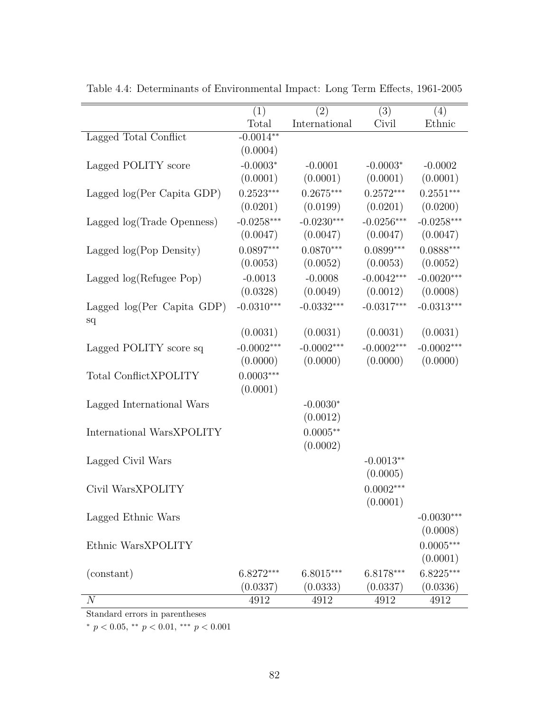|                              | (1)          | (2)           | (3)          | (4)          |
|------------------------------|--------------|---------------|--------------|--------------|
|                              | Total        | International | Civil        | Ethnic       |
| Lagged Total Conflict        | $-0.0014**$  |               |              |              |
|                              | (0.0004)     |               |              |              |
| Lagged POLITY score          | $-0.0003*$   | $-0.0001$     | $-0.0003*$   | $-0.0002$    |
|                              | (0.0001)     | (0.0001)      | (0.0001)     | (0.0001)     |
| Lagged $log(Per Capita GDP)$ | $0.2523***$  | $0.2675***$   | $0.2572***$  | $0.2551***$  |
|                              | (0.0201)     | (0.0199)      | (0.0201)     | (0.0200)     |
| Lagged log(Trade Openness)   | $-0.0258***$ | $-0.0230***$  | $-0.0256***$ | $-0.0258***$ |
|                              | (0.0047)     | (0.0047)      | (0.0047)     | (0.0047)     |
| Lagged $log(Pop Density)$    | $0.0897***$  | $0.0870***$   | $0.0899***$  | $0.0888***$  |
|                              | (0.0053)     | (0.0052)      | (0.0053)     | (0.0052)     |
| Lagged log(Refugee Pop)      | $-0.0013$    | $-0.0008$     | $-0.0042***$ | $-0.0020***$ |
|                              | (0.0328)     | (0.0049)      | (0.0012)     | (0.0008)     |
| Lagged $log(Per Capita GDP)$ | $-0.0310***$ | $-0.0332***$  | $-0.0317***$ | $-0.0313***$ |
| sq                           |              |               |              |              |
|                              | (0.0031)     | (0.0031)      | (0.0031)     | (0.0031)     |
| Lagged POLITY score sq       | $-0.0002***$ | $-0.0002***$  | $-0.0002***$ | $-0.0002***$ |
|                              | (0.0000)     | (0.0000)      | (0.0000)     | (0.0000)     |
| Total ConflictXPOLITY        | $0.0003***$  |               |              |              |
|                              | (0.0001)     |               |              |              |
| Lagged International Wars    |              | $-0.0030*$    |              |              |
|                              |              | (0.0012)      |              |              |
| International WarsXPOLITY    |              | $0.0005**$    |              |              |
|                              |              | (0.0002)      |              |              |
| Lagged Civil Wars            |              |               | $-0.0013**$  |              |
|                              |              |               | (0.0005)     |              |
| Civil WarsXPOLITY            |              |               | $0.0002***$  |              |
|                              |              |               | (0.0001)     |              |
| Lagged Ethnic Wars           |              |               |              | $-0.0030***$ |
|                              |              |               |              | (0.0008)     |
| Ethnic WarsXPOLITY           |              |               |              | $0.0005***$  |
|                              |              |               |              | (0.0001)     |
| (constant)                   | $6.8272***$  | $6.8015***$   | $6.8178***$  | $6.8225***$  |
|                              | (0.0337)     | (0.0333)      | (0.0337)     | (0.0336)     |
| $\boldsymbol{N}$             | 4912         | 4912          | 4912         | 4912         |

Table 4.4: Determinants of Environmental Impact: Long Term Effects, 1961-2005

Standard errors in parentheses

 $*$  *p* < 0.05,  $*$  *p* < 0.01,  $*$  *p* < 0.001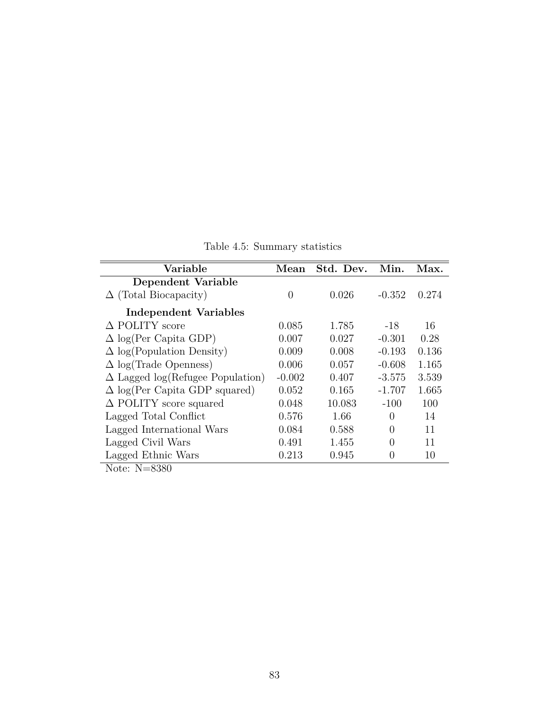Table 4.5: Summary statistics

| Variable                                | Mean     | Std. Dev. | Min.             | Max.  |
|-----------------------------------------|----------|-----------|------------------|-------|
| Dependent Variable                      |          |           |                  |       |
| $\Delta$ (Total Biocapacity)            | $\Omega$ | 0.026     | $-0.352$         | 0.274 |
| Independent Variables                   |          |           |                  |       |
| $\triangle$ POLITY score                | 0.085    | 1.785     | $-18$            | 16    |
| $\Delta$ log(Per Capita GDP)            | 0.007    | 0.027     | $-0.301$         | 0.28  |
| $\Delta$ log(Population Density)        | 0.009    | 0.008     | $-0.193$         | 0.136 |
| $\Delta$ log(Trade Openness)            | 0.006    | 0.057     | $-0.608$         | 1.165 |
| $\Delta$ Lagged log(Refugee Population) | $-0.002$ | 0.407     | $-3.575$         | 3.539 |
| $\Delta$ log(Per Capita GDP squared)    | 0.052    | 0.165     | $-1.707$         | 1.665 |
| $\Delta$ POLITY score squared           | 0.048    | 10.083    | $-100$           | 100   |
| Lagged Total Conflict                   | 0.576    | 1.66      | $\Omega$         | 14    |
| Lagged International Wars               | 0.084    | 0.588     | 0                | 11    |
| Lagged Civil Wars                       | 0.491    | 1.455     | $\left( \right)$ | 11    |
| Lagged Ethnic Wars                      | 0.213    | 0.945     | $\theta$         | 10    |
| Note: $N=8380$                          |          |           |                  |       |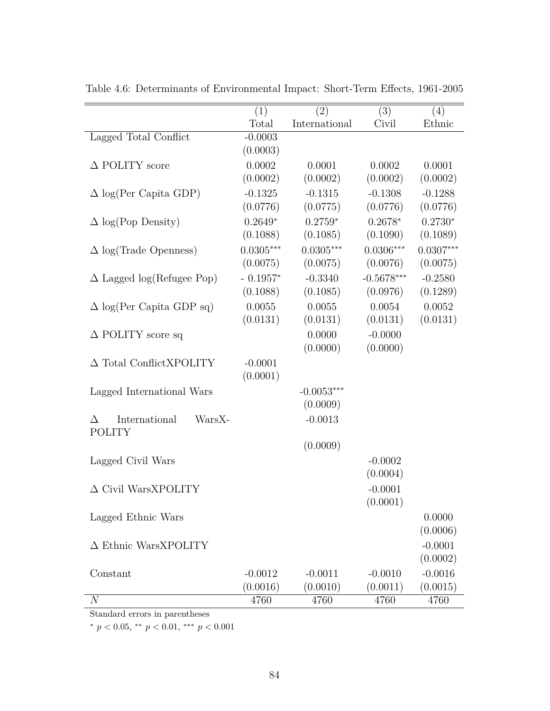|                                  | (1)         | (2)           | (3)          | (4)         |
|----------------------------------|-------------|---------------|--------------|-------------|
|                                  | Total       | International | Civil        | Ethnic      |
| Lagged Total Conflict            | $-0.0003$   |               |              |             |
|                                  | (0.0003)    |               |              |             |
| $\triangle$ POLITY score         | 0.0002      | 0.0001        | 0.0002       | 0.0001      |
|                                  | (0.0002)    | (0.0002)      | (0.0002)     | (0.0002)    |
| $\Delta$ log(Per Capita GDP)     | $-0.1325$   | $-0.1315$     | $-0.1308$    | $-0.1288$   |
|                                  | (0.0776)    | (0.0775)      | (0.0776)     | (0.0776)    |
| $\Delta$ log(Pop Density)        | $0.2649*$   | $0.2759*$     | $0.2678*$    | $0.2730*$   |
|                                  | (0.1088)    | (0.1085)      | (0.1090)     | (0.1089)    |
| $\Delta$ log(Trade Openness)     | $0.0305***$ | $0.0305***$   | $0.0306***$  | $0.0307***$ |
|                                  | (0.0075)    | (0.0075)      | (0.0076)     | (0.0075)    |
| $\Delta$ Lagged log(Refugee Pop) | $-0.1957*$  | $-0.3340$     | $-0.5678***$ | $-0.2580$   |
|                                  | (0.1088)    | (0.1085)      | (0.0976)     | (0.1289)    |
| $\Delta$ log(Per Capita GDP sq)  | 0.0055      | 0.0055        | 0.0054       | 0.0052      |
|                                  | (0.0131)    | (0.0131)      | (0.0131)     | (0.0131)    |
| $\Delta$ POLITY score sq         |             | 0.0000        | $-0.0000$    |             |
|                                  |             | (0.0000)      | (0.0000)     |             |
| $\Delta$ Total ConflictXPOLITY   | $-0.0001$   |               |              |             |
|                                  | (0.0001)    |               |              |             |
| Lagged International Wars        |             | $-0.0053***$  |              |             |
|                                  |             | (0.0009)      |              |             |
| International<br>WarsX-<br>Δ     |             | $-0.0013$     |              |             |
| <b>POLITY</b>                    |             |               |              |             |
|                                  |             | (0.0009)      |              |             |
| Lagged Civil Wars                |             |               | $-0.0002$    |             |
|                                  |             |               | (0.0004)     |             |
| $\Delta$ Civil WarsXPOLITY       |             |               | $-0.0001$    |             |
|                                  |             |               | (0.0001)     |             |
| Lagged Ethnic Wars               |             |               |              | 0.0000      |
|                                  |             |               |              | (0.0006)    |
| $\Delta$ Ethnic WarsXPOLITY      |             |               |              | $-0.0001$   |
|                                  |             |               |              | (0.0002)    |
| Constant                         | $-0.0012$   | $-0.0011$     | $-0.0010$    | $-0.0016$   |
|                                  | (0.0016)    | (0.0010)      | (0.0011)     | (0.0015)    |
| $\overline{N}$                   | 4760        | 4760          | 4760         | 4760        |

Table 4.6: Determinants of Environmental Impact: Short-Term Effects, 1961-2005

Standard errors in parentheses

 $*$  *p* < 0.05,  $*$  *p* < 0.01,  $*$  *p* < 0.001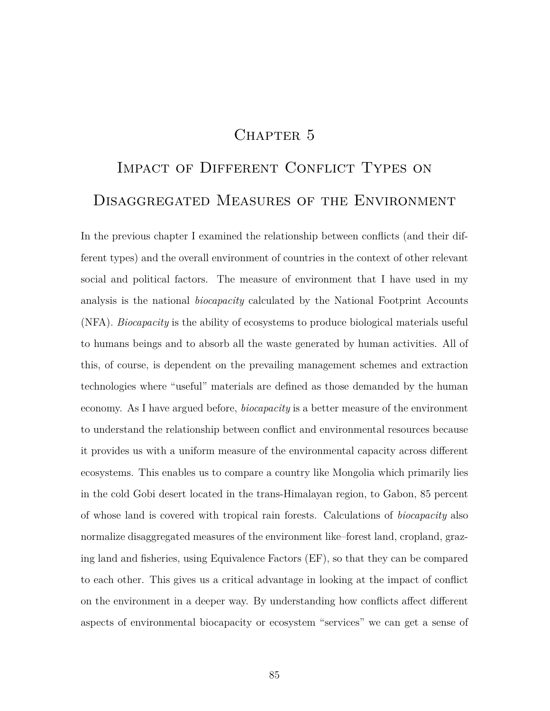# CHAPTER 5

# IMPACT OF DIFFERENT CONFLICT TYPES ON Disaggregated Measures of the Environment

In the previous chapter I examined the relationship between conflicts (and their different types) and the overall environment of countries in the context of other relevant social and political factors. The measure of environment that I have used in my analysis is the national *biocapacity* calculated by the National Footprint Accounts (NFA). *Biocapacity* is the ability of ecosystems to produce biological materials useful to humans beings and to absorb all the waste generated by human activities. All of this, of course, is dependent on the prevailing management schemes and extraction technologies where "useful" materials are defined as those demanded by the human economy. As I have argued before, *biocapacity* is a better measure of the environment to understand the relationship between conflict and environmental resources because it provides us with a uniform measure of the environmental capacity across different ecosystems. This enables us to compare a country like Mongolia which primarily lies in the cold Gobi desert located in the trans-Himalayan region, to Gabon, 85 percent of whose land is covered with tropical rain forests. Calculations of *biocapacity* also normalize disaggregated measures of the environment like–forest land, cropland, grazing land and fisheries, using Equivalence Factors (EF), so that they can be compared to each other. This gives us a critical advantage in looking at the impact of conflict on the environment in a deeper way. By understanding how conflicts affect different aspects of environmental biocapacity or ecosystem "services" we can get a sense of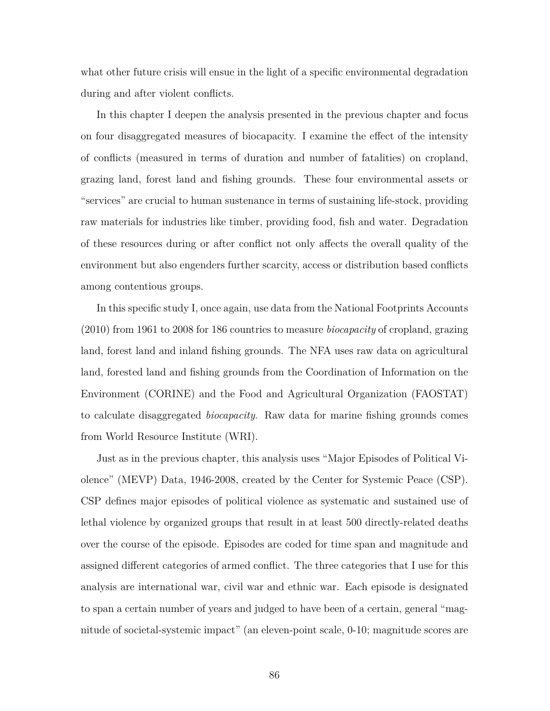what other future crisis will ensue in the light of a specific environmental degradation during and after violent conflicts.

In this chapter I deepen the analysis presented in the previous chapter and focus on four disaggregated measures of biocapacity. I examine the effect of the intensity of conflicts (measured in terms of duration and number of fatalities) on cropland, grazing land, forest land and fishing grounds. These four environmental assets or "services" are crucial to human sustenance in terms of sustaining life-stock, providing raw materials for industries like timber, providing food, fish and water. Degradation of these resources during or after conflict not only affects the overall quality of the environment but also engenders further scarcity, access or distribution based conflicts among contentious groups.

In this specific study I, once again, use data from the National Footprints Accounts (2010) from 1961 to 2008 for 186 countries to measure *biocapacity* of cropland, grazing land, forest land and inland fishing grounds. The NFA uses raw data on agricultural land, forested land and fishing grounds from the Coordination of Information on the Environment (CORINE) and the Food and Agricultural Organization (FAOSTAT) to calculate disaggregated *biocapacity*. Raw data for marine fishing grounds comes from World Resource Institute (WRI).

Just as in the previous chapter, this analysis uses "Major Episodes of Political Violence" (MEVP) Data, 1946-2008, created by the Center for Systemic Peace (CSP). CSP defines major episodes of political violence as systematic and sustained use of lethal violence by organized groups that result in at least 500 directly-related deaths over the course of the episode. Episodes are coded for time span and magnitude and assigned different categories of armed conflict. The three categories that I use for this analysis are international war, civil war and ethnic war. Each episode is designated to span a certain number of years and judged to have been of a certain, general "magnitude of societal-systemic impact" (an eleven-point scale, 0-10; magnitude scores are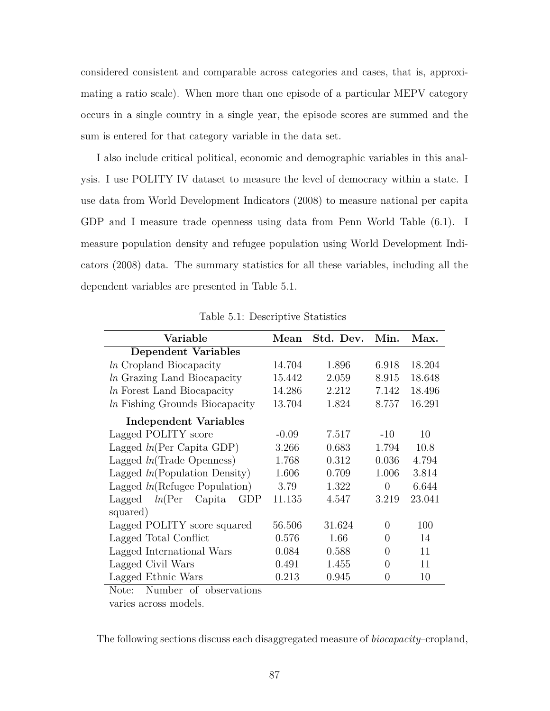considered consistent and comparable across categories and cases, that is, approximating a ratio scale). When more than one episode of a particular MEPV category occurs in a single country in a single year, the episode scores are summed and the sum is entered for that category variable in the data set.

I also include critical political, economic and demographic variables in this analysis. I use POLITY IV dataset to measure the level of democracy within a state. I use data from World Development Indicators (2008) to measure national per capita GDP and I measure trade openness using data from Penn World Table (6.1). I measure population density and refugee population using World Development Indicators (2008) data. The summary statistics for all these variables, including all the dependent variables are presented in Table 5.1.

| Variable                           | Mean    | Std. Dev. | Min.     | Max.   |
|------------------------------------|---------|-----------|----------|--------|
| <b>Dependent Variables</b>         |         |           |          |        |
| <i>ln</i> Cropland Biocapacity     | 14.704  | 1.896     | 6.918    | 18.204 |
| <i>ln</i> Grazing Land Biocapacity | 15.442  | 2.059     | 8.915    | 18.648 |
| <i>ln</i> Forest Land Biocapacity  | 14.286  | 2.212     | 7.142    | 18.496 |
| In Fishing Grounds Biocapacity     | 13.704  | 1.824     | 8.757    | 16.291 |
| Independent Variables              |         |           |          |        |
| Lagged POLITY score                | $-0.09$ | 7.517     | $-10$    | 10     |
| Lagged $ln(Per Capita GDP)$        | 3.266   | 0.683     | 1.794    | 10.8   |
| Lagged $ln(\text{Trade Openness})$ | 1.768   | 0.312     | 0.036    | 4.794  |
| Lagged $ln(Population Density)$    | 1.606   | 0.709     | 1.006    | 3.814  |
| Lagged $ln(Refugee$ Population)    | 3.79    | 1.322     | $\Omega$ | 6.644  |
| Lagged $ln(Per)$<br>Capita<br>GDP  | 11.135  | 4.547     | 3.219    | 23.041 |
| squared)                           |         |           |          |        |
| Lagged POLITY score squared        | 56.506  | 31.624    | 0        | 100    |
| Lagged Total Conflict              | 0.576   | 1.66      | 0        | 14     |
| Lagged International Wars          | 0.084   | 0.588     | $\Omega$ | 11     |
| Lagged Civil Wars                  | 0.491   | 1.455     | $\Omega$ | 11     |
| Lagged Ethnic Wars                 | 0.213   | 0.945     | $\theta$ | 10     |

Table 5.1: Descriptive Statistics

Note: Number of observations

varies across models.

The following sections discuss each disaggregated measure of *biocapacity*–cropland,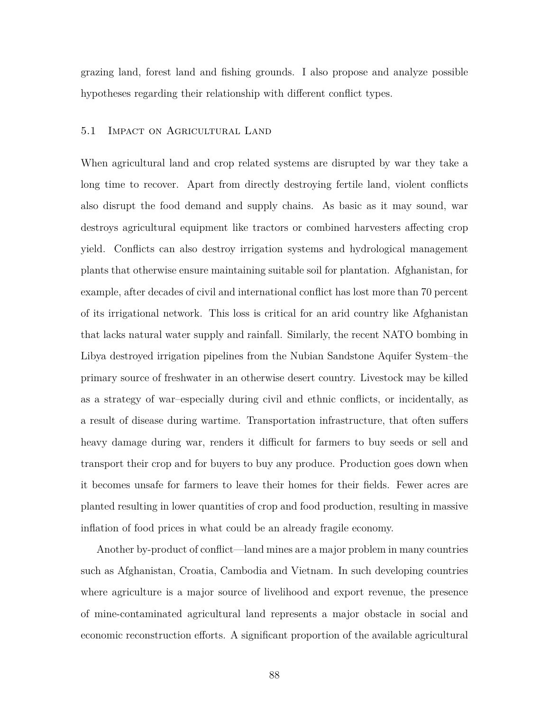grazing land, forest land and fishing grounds. I also propose and analyze possible hypotheses regarding their relationship with different conflict types.

#### 5.1 Impact on Agricultural Land

When agricultural land and crop related systems are disrupted by war they take a long time to recover. Apart from directly destroying fertile land, violent conflicts also disrupt the food demand and supply chains. As basic as it may sound, war destroys agricultural equipment like tractors or combined harvesters affecting crop yield. Conflicts can also destroy irrigation systems and hydrological management plants that otherwise ensure maintaining suitable soil for plantation. Afghanistan, for example, after decades of civil and international conflict has lost more than 70 percent of its irrigational network. This loss is critical for an arid country like Afghanistan that lacks natural water supply and rainfall. Similarly, the recent NATO bombing in Libya destroyed irrigation pipelines from the Nubian Sandstone Aquifer System–the primary source of freshwater in an otherwise desert country. Livestock may be killed as a strategy of war–especially during civil and ethnic conflicts, or incidentally, as a result of disease during wartime. Transportation infrastructure, that often suffers heavy damage during war, renders it difficult for farmers to buy seeds or sell and transport their crop and for buyers to buy any produce. Production goes down when it becomes unsafe for farmers to leave their homes for their fields. Fewer acres are planted resulting in lower quantities of crop and food production, resulting in massive inflation of food prices in what could be an already fragile economy.

Another by-product of conflict—land mines are a major problem in many countries such as Afghanistan, Croatia, Cambodia and Vietnam. In such developing countries where agriculture is a major source of livelihood and export revenue, the presence of mine-contaminated agricultural land represents a major obstacle in social and economic reconstruction efforts. A significant proportion of the available agricultural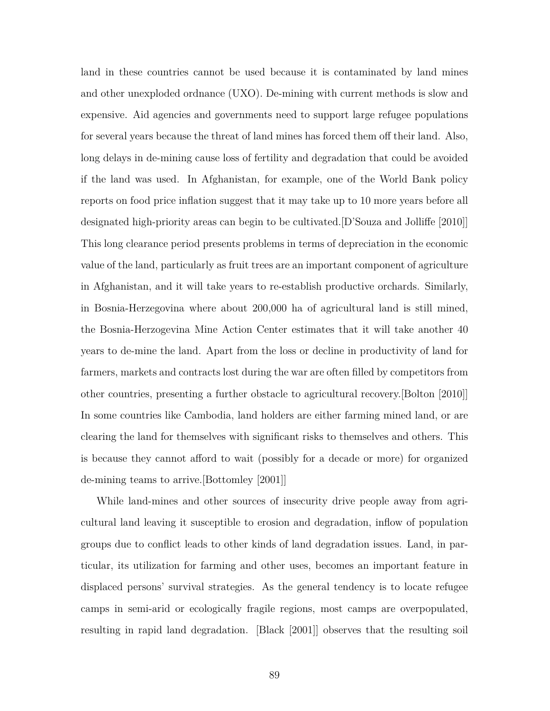land in these countries cannot be used because it is contaminated by land mines and other unexploded ordnance (UXO). De-mining with current methods is slow and expensive. Aid agencies and governments need to support large refugee populations for several years because the threat of land mines has forced them off their land. Also, long delays in de-mining cause loss of fertility and degradation that could be avoided if the land was used. In Afghanistan, for example, one of the World Bank policy reports on food price inflation suggest that it may take up to 10 more years before all designated high-priority areas can begin to be cultivated.[D'Souza and Jolliffe [2010]] This long clearance period presents problems in terms of depreciation in the economic value of the land, particularly as fruit trees are an important component of agriculture in Afghanistan, and it will take years to re-establish productive orchards. Similarly, in Bosnia-Herzegovina where about 200,000 ha of agricultural land is still mined, the Bosnia-Herzogevina Mine Action Center estimates that it will take another 40 years to de-mine the land. Apart from the loss or decline in productivity of land for farmers, markets and contracts lost during the war are often filled by competitors from other countries, presenting a further obstacle to agricultural recovery.[Bolton [2010]] In some countries like Cambodia, land holders are either farming mined land, or are clearing the land for themselves with significant risks to themselves and others. This is because they cannot afford to wait (possibly for a decade or more) for organized de-mining teams to arrive.[Bottomley [2001]]

While land-mines and other sources of insecurity drive people away from agricultural land leaving it susceptible to erosion and degradation, inflow of population groups due to conflict leads to other kinds of land degradation issues. Land, in particular, its utilization for farming and other uses, becomes an important feature in displaced persons' survival strategies. As the general tendency is to locate refugee camps in semi-arid or ecologically fragile regions, most camps are overpopulated, resulting in rapid land degradation. [Black [2001]] observes that the resulting soil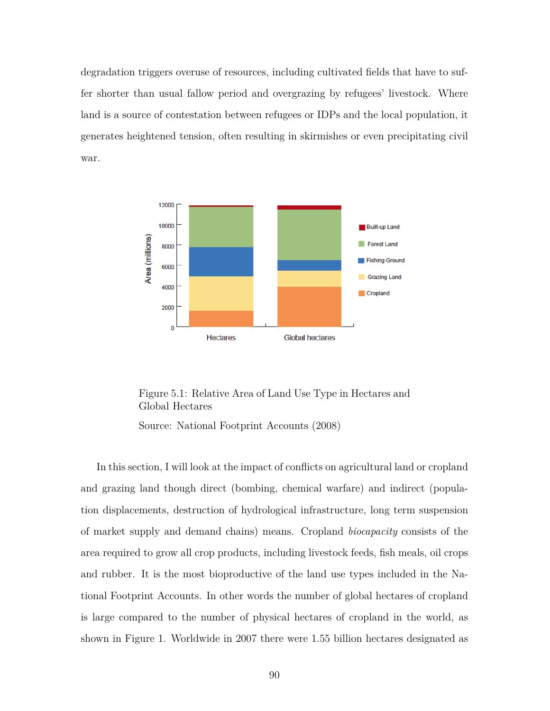degradation triggers overuse of resources, including cultivated fields that have to suffer shorter than usual fallow period and overgrazing by refugees' livestock. Where land is a source of contestation between refugees or IDPs and the local population, it generates heightened tension, often resulting in skirmishes or even precipitating civil war.



Figure 5.1: Relative Area of Land Use Type in Hectares and Global Hectares

Source: National Footprint Accounts (2008)

In this section, I will look at the impact of conflicts on agricultural land or cropland and grazing land though direct (bombing, chemical warfare) and indirect (population displacements, destruction of hydrological infrastructure, long term suspension of market supply and demand chains) means. Cropland *biocapacity* consists of the area required to grow all crop products, including livestock feeds, fish meals, oil crops and rubber. It is the most bioproductive of the land use types included in the National Footprint Accounts. In other words the number of global hectares of cropland is large compared to the number of physical hectares of cropland in the world, as shown in Figure 1. Worldwide in 2007 there were 1.55 billion hectares designated as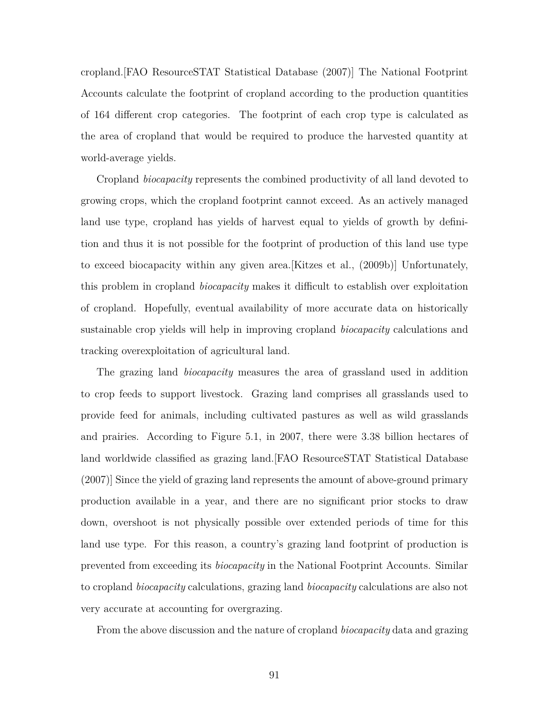cropland.[FAO ResourceSTAT Statistical Database (2007)] The National Footprint Accounts calculate the footprint of cropland according to the production quantities of 164 different crop categories. The footprint of each crop type is calculated as the area of cropland that would be required to produce the harvested quantity at world-average yields.

Cropland *biocapacity* represents the combined productivity of all land devoted to growing crops, which the cropland footprint cannot exceed. As an actively managed land use type, cropland has yields of harvest equal to yields of growth by definition and thus it is not possible for the footprint of production of this land use type to exceed biocapacity within any given area.[Kitzes et al., (2009b)] Unfortunately, this problem in cropland *biocapacity* makes it difficult to establish over exploitation of cropland. Hopefully, eventual availability of more accurate data on historically sustainable crop yields will help in improving cropland *biocapacity* calculations and tracking overexploitation of agricultural land.

The grazing land *biocapacity* measures the area of grassland used in addition to crop feeds to support livestock. Grazing land comprises all grasslands used to provide feed for animals, including cultivated pastures as well as wild grasslands and prairies. According to Figure 5.1, in 2007, there were 3.38 billion hectares of land worldwide classified as grazing land.[FAO ResourceSTAT Statistical Database (2007)] Since the yield of grazing land represents the amount of above-ground primary production available in a year, and there are no significant prior stocks to draw down, overshoot is not physically possible over extended periods of time for this land use type. For this reason, a country's grazing land footprint of production is prevented from exceeding its *biocapacity* in the National Footprint Accounts. Similar to cropland *biocapacity* calculations, grazing land *biocapacity* calculations are also not very accurate at accounting for overgrazing.

From the above discussion and the nature of cropland *biocapacity* data and grazing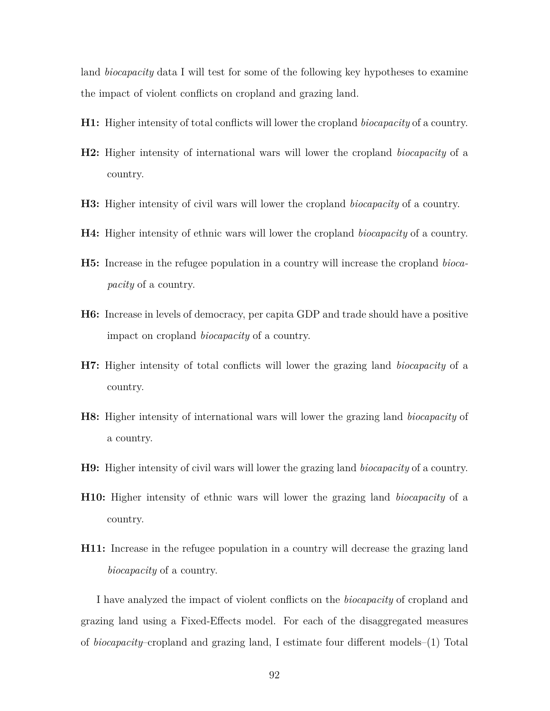land *biocapacity* data I will test for some of the following key hypotheses to examine the impact of violent conflicts on cropland and grazing land.

- **H1:** Higher intensity of total conflicts will lower the cropland *biocapacity* of a country.
- **H2:** Higher intensity of international wars will lower the cropland *biocapacity* of a country.
- **H3:** Higher intensity of civil wars will lower the cropland *biocapacity* of a country.
- **H4:** Higher intensity of ethnic wars will lower the cropland *biocapacity* of a country.
- **H5:** Increase in the refugee population in a country will increase the cropland *biocapacity* of a country.
- **H6:** Increase in levels of democracy, per capita GDP and trade should have a positive impact on cropland *biocapacity* of a country.
- **H7:** Higher intensity of total conflicts will lower the grazing land *biocapacity* of a country.
- **H8:** Higher intensity of international wars will lower the grazing land *biocapacity* of a country.
- **H9:** Higher intensity of civil wars will lower the grazing land *biocapacity* of a country.
- **H10:** Higher intensity of ethnic wars will lower the grazing land *biocapacity* of a country.
- **H11:** Increase in the refugee population in a country will decrease the grazing land *biocapacity* of a country.

I have analyzed the impact of violent conflicts on the *biocapacity* of cropland and grazing land using a Fixed-Effects model. For each of the disaggregated measures of *biocapacity*–cropland and grazing land, I estimate four different models–(1) Total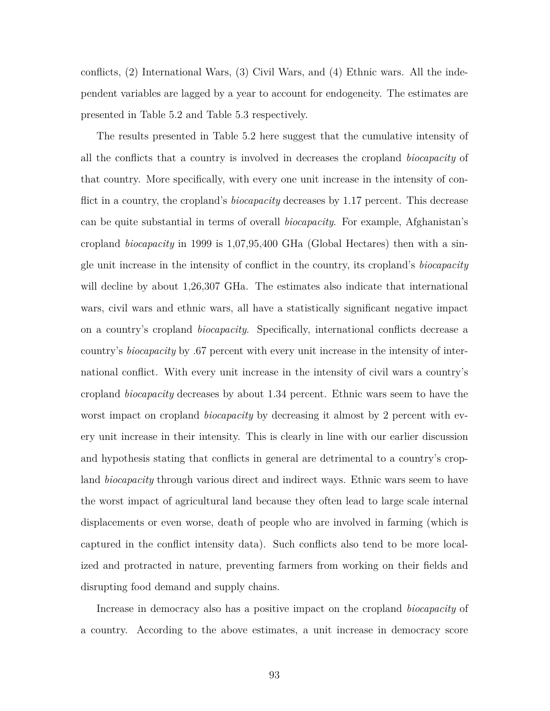conflicts, (2) International Wars, (3) Civil Wars, and (4) Ethnic wars. All the independent variables are lagged by a year to account for endogeneity. The estimates are presented in Table 5.2 and Table 5.3 respectively.

The results presented in Table 5.2 here suggest that the cumulative intensity of all the conflicts that a country is involved in decreases the cropland *biocapacity* of that country. More specifically, with every one unit increase in the intensity of conflict in a country, the cropland's *biocapacity* decreases by 1.17 percent. This decrease can be quite substantial in terms of overall *biocapacity*. For example, Afghanistan's cropland *biocapacity* in 1999 is 1,07,95,400 GHa (Global Hectares) then with a single unit increase in the intensity of conflict in the country, its cropland's *biocapacity* will decline by about 1,26,307 GHa. The estimates also indicate that international wars, civil wars and ethnic wars, all have a statistically significant negative impact on a country's cropland *biocapacity*. Specifically, international conflicts decrease a country's *biocapacity* by .67 percent with every unit increase in the intensity of international conflict. With every unit increase in the intensity of civil wars a country's cropland *biocapacity* decreases by about 1.34 percent. Ethnic wars seem to have the worst impact on cropland *biocapacity* by decreasing it almost by 2 percent with every unit increase in their intensity. This is clearly in line with our earlier discussion and hypothesis stating that conflicts in general are detrimental to a country's cropland *biocapacity* through various direct and indirect ways. Ethnic wars seem to have the worst impact of agricultural land because they often lead to large scale internal displacements or even worse, death of people who are involved in farming (which is captured in the conflict intensity data). Such conflicts also tend to be more localized and protracted in nature, preventing farmers from working on their fields and disrupting food demand and supply chains.

Increase in democracy also has a positive impact on the cropland *biocapacity* of a country. According to the above estimates, a unit increase in democracy score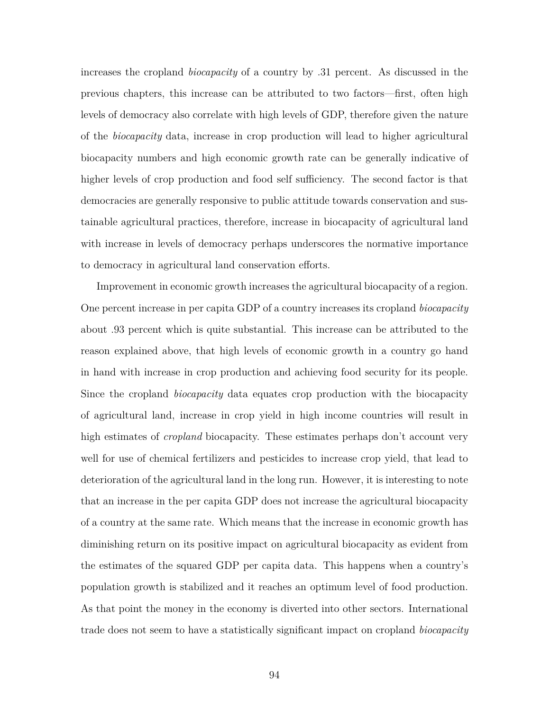increases the cropland *biocapacity* of a country by .31 percent. As discussed in the previous chapters, this increase can be attributed to two factors—first, often high levels of democracy also correlate with high levels of GDP, therefore given the nature of the *biocapacity* data, increase in crop production will lead to higher agricultural biocapacity numbers and high economic growth rate can be generally indicative of higher levels of crop production and food self sufficiency. The second factor is that democracies are generally responsive to public attitude towards conservation and sustainable agricultural practices, therefore, increase in biocapacity of agricultural land with increase in levels of democracy perhaps underscores the normative importance to democracy in agricultural land conservation efforts.

Improvement in economic growth increases the agricultural biocapacity of a region. One percent increase in per capita GDP of a country increases its cropland *biocapacity* about .93 percent which is quite substantial. This increase can be attributed to the reason explained above, that high levels of economic growth in a country go hand in hand with increase in crop production and achieving food security for its people. Since the cropland *biocapacity* data equates crop production with the biocapacity of agricultural land, increase in crop yield in high income countries will result in high estimates of *cropland* biocapacity. These estimates perhaps don't account very well for use of chemical fertilizers and pesticides to increase crop yield, that lead to deterioration of the agricultural land in the long run. However, it is interesting to note that an increase in the per capita GDP does not increase the agricultural biocapacity of a country at the same rate. Which means that the increase in economic growth has diminishing return on its positive impact on agricultural biocapacity as evident from the estimates of the squared GDP per capita data. This happens when a country's population growth is stabilized and it reaches an optimum level of food production. As that point the money in the economy is diverted into other sectors. International trade does not seem to have a statistically significant impact on cropland *biocapacity*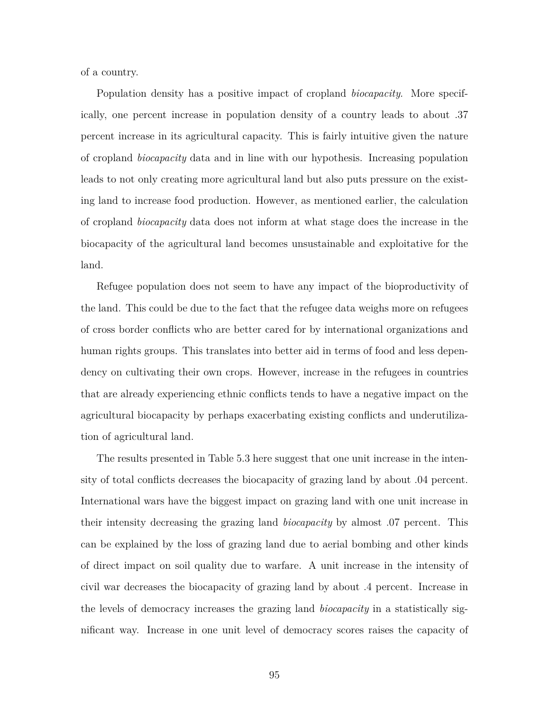of a country.

Population density has a positive impact of cropland *biocapacity*. More specifically, one percent increase in population density of a country leads to about .37 percent increase in its agricultural capacity. This is fairly intuitive given the nature of cropland *biocapacity* data and in line with our hypothesis. Increasing population leads to not only creating more agricultural land but also puts pressure on the existing land to increase food production. However, as mentioned earlier, the calculation of cropland *biocapacity* data does not inform at what stage does the increase in the biocapacity of the agricultural land becomes unsustainable and exploitative for the land.

Refugee population does not seem to have any impact of the bioproductivity of the land. This could be due to the fact that the refugee data weighs more on refugees of cross border conflicts who are better cared for by international organizations and human rights groups. This translates into better aid in terms of food and less dependency on cultivating their own crops. However, increase in the refugees in countries that are already experiencing ethnic conflicts tends to have a negative impact on the agricultural biocapacity by perhaps exacerbating existing conflicts and underutilization of agricultural land.

The results presented in Table 5.3 here suggest that one unit increase in the intensity of total conflicts decreases the biocapacity of grazing land by about .04 percent. International wars have the biggest impact on grazing land with one unit increase in their intensity decreasing the grazing land *biocapacity* by almost .07 percent. This can be explained by the loss of grazing land due to aerial bombing and other kinds of direct impact on soil quality due to warfare. A unit increase in the intensity of civil war decreases the biocapacity of grazing land by about .4 percent. Increase in the levels of democracy increases the grazing land *biocapacity* in a statistically significant way. Increase in one unit level of democracy scores raises the capacity of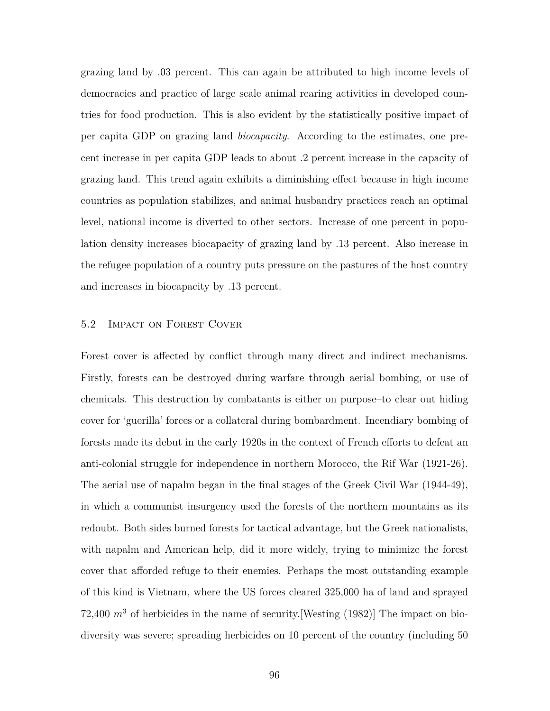grazing land by .03 percent. This can again be attributed to high income levels of democracies and practice of large scale animal rearing activities in developed countries for food production. This is also evident by the statistically positive impact of per capita GDP on grazing land *biocapacity*. According to the estimates, one precent increase in per capita GDP leads to about .2 percent increase in the capacity of grazing land. This trend again exhibits a diminishing effect because in high income countries as population stabilizes, and animal husbandry practices reach an optimal level, national income is diverted to other sectors. Increase of one percent in population density increases biocapacity of grazing land by .13 percent. Also increase in the refugee population of a country puts pressure on the pastures of the host country and increases in biocapacity by .13 percent.

#### 5.2 Impact on Forest Cover

Forest cover is affected by conflict through many direct and indirect mechanisms. Firstly, forests can be destroyed during warfare through aerial bombing, or use of chemicals. This destruction by combatants is either on purpose–to clear out hiding cover for 'guerilla' forces or a collateral during bombardment. Incendiary bombing of forests made its debut in the early 1920s in the context of French efforts to defeat an anti-colonial struggle for independence in northern Morocco, the Rif War (1921-26). The aerial use of napalm began in the final stages of the Greek Civil War (1944-49), in which a communist insurgency used the forests of the northern mountains as its redoubt. Both sides burned forests for tactical advantage, but the Greek nationalists, with napalm and American help, did it more widely, trying to minimize the forest cover that afforded refuge to their enemies. Perhaps the most outstanding example of this kind is Vietnam, where the US forces cleared 325,000 ha of land and sprayed 72,400  $m<sup>3</sup>$  of herbicides in the name of security. [Westing (1982)] The impact on biodiversity was severe; spreading herbicides on 10 percent of the country (including 50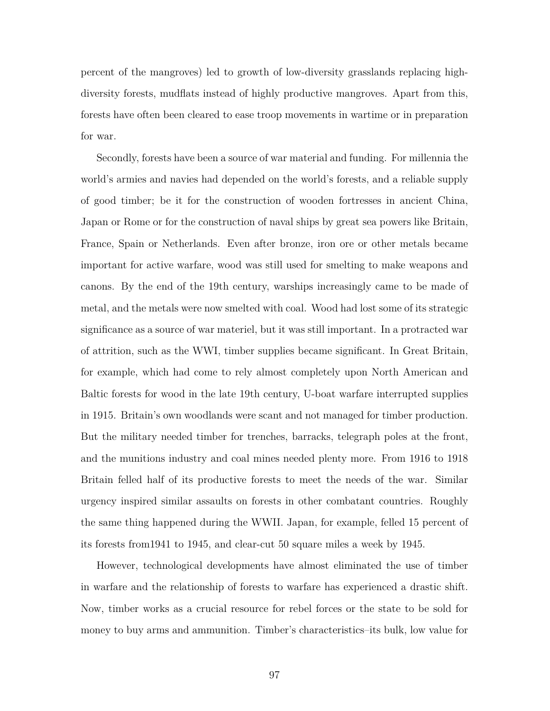percent of the mangroves) led to growth of low-diversity grasslands replacing highdiversity forests, mudflats instead of highly productive mangroves. Apart from this, forests have often been cleared to ease troop movements in wartime or in preparation for war.

Secondly, forests have been a source of war material and funding. For millennia the world's armies and navies had depended on the world's forests, and a reliable supply of good timber; be it for the construction of wooden fortresses in ancient China, Japan or Rome or for the construction of naval ships by great sea powers like Britain, France, Spain or Netherlands. Even after bronze, iron ore or other metals became important for active warfare, wood was still used for smelting to make weapons and canons. By the end of the 19th century, warships increasingly came to be made of metal, and the metals were now smelted with coal. Wood had lost some of its strategic significance as a source of war materiel, but it was still important. In a protracted war of attrition, such as the WWI, timber supplies became significant. In Great Britain, for example, which had come to rely almost completely upon North American and Baltic forests for wood in the late 19th century, U-boat warfare interrupted supplies in 1915. Britain's own woodlands were scant and not managed for timber production. But the military needed timber for trenches, barracks, telegraph poles at the front, and the munitions industry and coal mines needed plenty more. From 1916 to 1918 Britain felled half of its productive forests to meet the needs of the war. Similar urgency inspired similar assaults on forests in other combatant countries. Roughly the same thing happened during the WWII. Japan, for example, felled 15 percent of its forests from1941 to 1945, and clear-cut 50 square miles a week by 1945.

However, technological developments have almost eliminated the use of timber in warfare and the relationship of forests to warfare has experienced a drastic shift. Now, timber works as a crucial resource for rebel forces or the state to be sold for money to buy arms and ammunition. Timber's characteristics–its bulk, low value for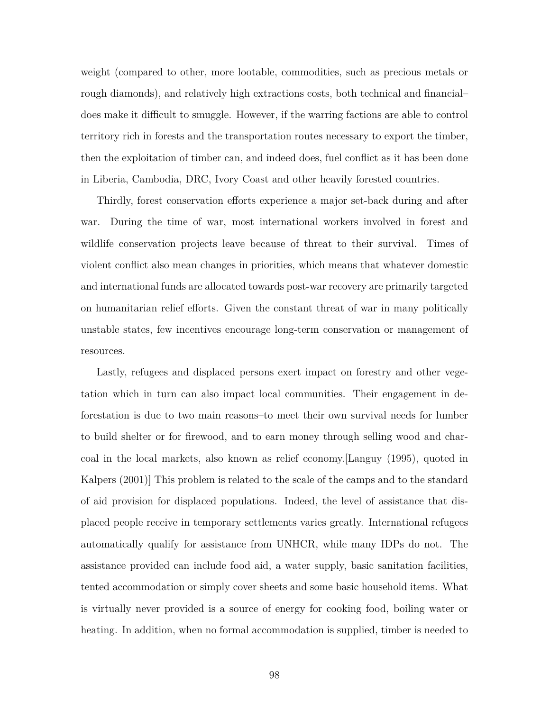weight (compared to other, more lootable, commodities, such as precious metals or rough diamonds), and relatively high extractions costs, both technical and financial– does make it difficult to smuggle. However, if the warring factions are able to control territory rich in forests and the transportation routes necessary to export the timber, then the exploitation of timber can, and indeed does, fuel conflict as it has been done in Liberia, Cambodia, DRC, Ivory Coast and other heavily forested countries.

Thirdly, forest conservation efforts experience a major set-back during and after war. During the time of war, most international workers involved in forest and wildlife conservation projects leave because of threat to their survival. Times of violent conflict also mean changes in priorities, which means that whatever domestic and international funds are allocated towards post-war recovery are primarily targeted on humanitarian relief efforts. Given the constant threat of war in many politically unstable states, few incentives encourage long-term conservation or management of resources.

Lastly, refugees and displaced persons exert impact on forestry and other vegetation which in turn can also impact local communities. Their engagement in deforestation is due to two main reasons–to meet their own survival needs for lumber to build shelter or for firewood, and to earn money through selling wood and charcoal in the local markets, also known as relief economy.[Languy (1995), quoted in Kalpers (2001)] This problem is related to the scale of the camps and to the standard of aid provision for displaced populations. Indeed, the level of assistance that displaced people receive in temporary settlements varies greatly. International refugees automatically qualify for assistance from UNHCR, while many IDPs do not. The assistance provided can include food aid, a water supply, basic sanitation facilities, tented accommodation or simply cover sheets and some basic household items. What is virtually never provided is a source of energy for cooking food, boiling water or heating. In addition, when no formal accommodation is supplied, timber is needed to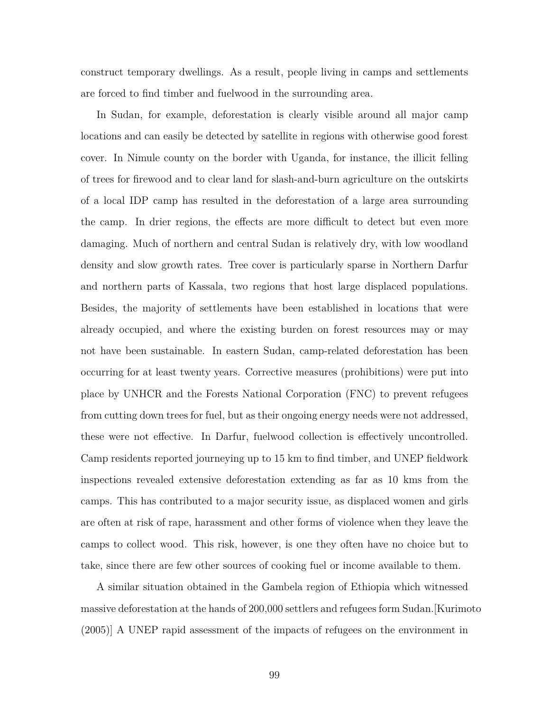construct temporary dwellings. As a result, people living in camps and settlements are forced to find timber and fuelwood in the surrounding area.

In Sudan, for example, deforestation is clearly visible around all major camp locations and can easily be detected by satellite in regions with otherwise good forest cover. In Nimule county on the border with Uganda, for instance, the illicit felling of trees for firewood and to clear land for slash-and-burn agriculture on the outskirts of a local IDP camp has resulted in the deforestation of a large area surrounding the camp. In drier regions, the effects are more difficult to detect but even more damaging. Much of northern and central Sudan is relatively dry, with low woodland density and slow growth rates. Tree cover is particularly sparse in Northern Darfur and northern parts of Kassala, two regions that host large displaced populations. Besides, the majority of settlements have been established in locations that were already occupied, and where the existing burden on forest resources may or may not have been sustainable. In eastern Sudan, camp-related deforestation has been occurring for at least twenty years. Corrective measures (prohibitions) were put into place by UNHCR and the Forests National Corporation (FNC) to prevent refugees from cutting down trees for fuel, but as their ongoing energy needs were not addressed, these were not effective. In Darfur, fuelwood collection is effectively uncontrolled. Camp residents reported journeying up to 15 km to find timber, and UNEP fieldwork inspections revealed extensive deforestation extending as far as 10 kms from the camps. This has contributed to a major security issue, as displaced women and girls are often at risk of rape, harassment and other forms of violence when they leave the camps to collect wood. This risk, however, is one they often have no choice but to take, since there are few other sources of cooking fuel or income available to them.

A similar situation obtained in the Gambela region of Ethiopia which witnessed massive deforestation at the hands of 200,000 settlers and refugees form Sudan.[Kurimoto (2005)] A UNEP rapid assessment of the impacts of refugees on the environment in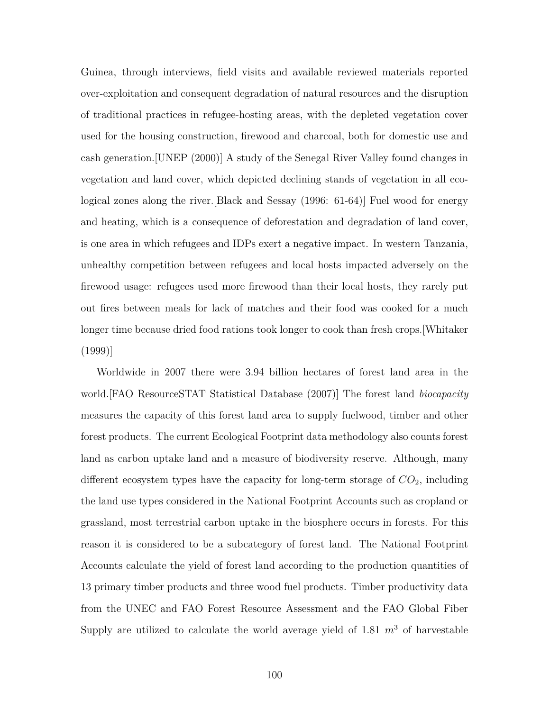Guinea, through interviews, field visits and available reviewed materials reported over-exploitation and consequent degradation of natural resources and the disruption of traditional practices in refugee-hosting areas, with the depleted vegetation cover used for the housing construction, firewood and charcoal, both for domestic use and cash generation.[UNEP (2000)] A study of the Senegal River Valley found changes in vegetation and land cover, which depicted declining stands of vegetation in all ecological zones along the river.[Black and Sessay (1996: 61-64)] Fuel wood for energy and heating, which is a consequence of deforestation and degradation of land cover, is one area in which refugees and IDPs exert a negative impact. In western Tanzania, unhealthy competition between refugees and local hosts impacted adversely on the firewood usage: refugees used more firewood than their local hosts, they rarely put out fires between meals for lack of matches and their food was cooked for a much longer time because dried food rations took longer to cook than fresh crops.[Whitaker (1999)]

Worldwide in 2007 there were 3.94 billion hectares of forest land area in the world.[FAO ResourceSTAT Statistical Database (2007)] The forest land *biocapacity* measures the capacity of this forest land area to supply fuelwood, timber and other forest products. The current Ecological Footprint data methodology also counts forest land as carbon uptake land and a measure of biodiversity reserve. Although, many different ecosystem types have the capacity for long-term storage of *CO*2, including the land use types considered in the National Footprint Accounts such as cropland or grassland, most terrestrial carbon uptake in the biosphere occurs in forests. For this reason it is considered to be a subcategory of forest land. The National Footprint Accounts calculate the yield of forest land according to the production quantities of 13 primary timber products and three wood fuel products. Timber productivity data from the UNEC and FAO Forest Resource Assessment and the FAO Global Fiber Supply are utilized to calculate the world average yield of  $1.81 \, m^3$  of harvestable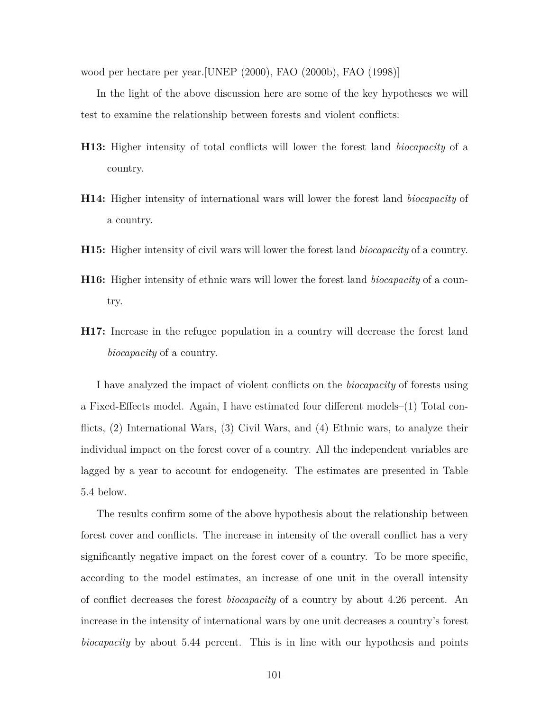wood per hectare per year.[UNEP (2000), FAO (2000b), FAO (1998)]

In the light of the above discussion here are some of the key hypotheses we will test to examine the relationship between forests and violent conflicts:

- **H13:** Higher intensity of total conflicts will lower the forest land *biocapacity* of a country.
- **H14:** Higher intensity of international wars will lower the forest land *biocapacity* of a country.
- **H15:** Higher intensity of civil wars will lower the forest land *biocapacity* of a country.
- **H16:** Higher intensity of ethnic wars will lower the forest land *biocapacity* of a country.
- **H17:** Increase in the refugee population in a country will decrease the forest land *biocapacity* of a country.

I have analyzed the impact of violent conflicts on the *biocapacity* of forests using a Fixed-Effects model. Again, I have estimated four different models–(1) Total conflicts, (2) International Wars, (3) Civil Wars, and (4) Ethnic wars, to analyze their individual impact on the forest cover of a country. All the independent variables are lagged by a year to account for endogeneity. The estimates are presented in Table 5.4 below.

The results confirm some of the above hypothesis about the relationship between forest cover and conflicts. The increase in intensity of the overall conflict has a very significantly negative impact on the forest cover of a country. To be more specific, according to the model estimates, an increase of one unit in the overall intensity of conflict decreases the forest *biocapacity* of a country by about 4.26 percent. An increase in the intensity of international wars by one unit decreases a country's forest *biocapacity* by about 5.44 percent. This is in line with our hypothesis and points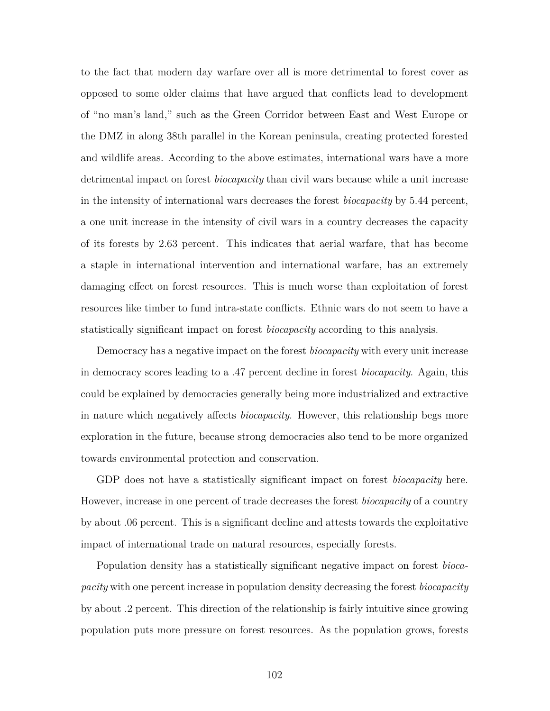to the fact that modern day warfare over all is more detrimental to forest cover as opposed to some older claims that have argued that conflicts lead to development of "no man's land," such as the Green Corridor between East and West Europe or the DMZ in along 38th parallel in the Korean peninsula, creating protected forested and wildlife areas. According to the above estimates, international wars have a more detrimental impact on forest *biocapacity* than civil wars because while a unit increase in the intensity of international wars decreases the forest *biocapacity* by 5.44 percent, a one unit increase in the intensity of civil wars in a country decreases the capacity of its forests by 2.63 percent. This indicates that aerial warfare, that has become a staple in international intervention and international warfare, has an extremely damaging effect on forest resources. This is much worse than exploitation of forest resources like timber to fund intra-state conflicts. Ethnic wars do not seem to have a statistically significant impact on forest *biocapacity* according to this analysis.

Democracy has a negative impact on the forest *biocapacity* with every unit increase in democracy scores leading to a .47 percent decline in forest *biocapacity*. Again, this could be explained by democracies generally being more industrialized and extractive in nature which negatively affects *biocapacity*. However, this relationship begs more exploration in the future, because strong democracies also tend to be more organized towards environmental protection and conservation.

GDP does not have a statistically significant impact on forest *biocapacity* here. However, increase in one percent of trade decreases the forest *biocapacity* of a country by about .06 percent. This is a significant decline and attests towards the exploitative impact of international trade on natural resources, especially forests.

Population density has a statistically significant negative impact on forest *biocapacity* with one percent increase in population density decreasing the forest *biocapacity* by about .2 percent. This direction of the relationship is fairly intuitive since growing population puts more pressure on forest resources. As the population grows, forests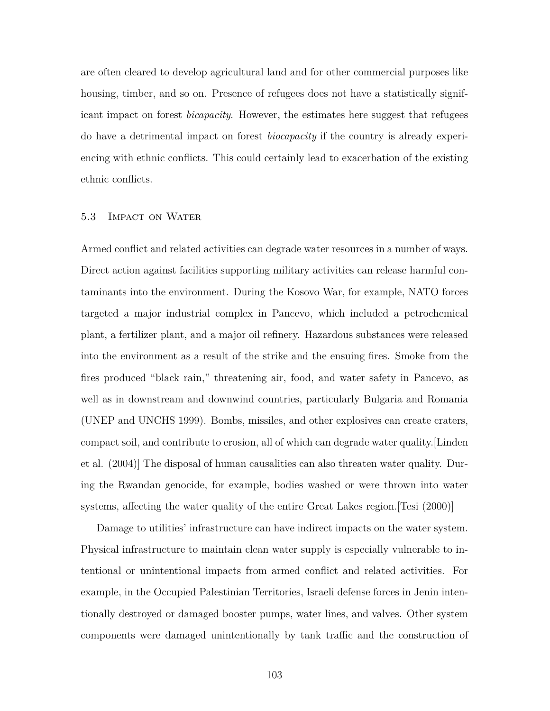are often cleared to develop agricultural land and for other commercial purposes like housing, timber, and so on. Presence of refugees does not have a statistically significant impact on forest *bicapacity*. However, the estimates here suggest that refugees do have a detrimental impact on forest *biocapacity* if the country is already experiencing with ethnic conflicts. This could certainly lead to exacerbation of the existing ethnic conflicts.

## 5.3 Impact on Water

Armed conflict and related activities can degrade water resources in a number of ways. Direct action against facilities supporting military activities can release harmful contaminants into the environment. During the Kosovo War, for example, NATO forces targeted a major industrial complex in Pancevo, which included a petrochemical plant, a fertilizer plant, and a major oil refinery. Hazardous substances were released into the environment as a result of the strike and the ensuing fires. Smoke from the fires produced "black rain," threatening air, food, and water safety in Pancevo, as well as in downstream and downwind countries, particularly Bulgaria and Romania (UNEP and UNCHS 1999). Bombs, missiles, and other explosives can create craters, compact soil, and contribute to erosion, all of which can degrade water quality.[Linden et al. (2004)] The disposal of human causalities can also threaten water quality. During the Rwandan genocide, for example, bodies washed or were thrown into water systems, affecting the water quality of the entire Great Lakes region.[Tesi (2000)]

Damage to utilities' infrastructure can have indirect impacts on the water system. Physical infrastructure to maintain clean water supply is especially vulnerable to intentional or unintentional impacts from armed conflict and related activities. For example, in the Occupied Palestinian Territories, Israeli defense forces in Jenin intentionally destroyed or damaged booster pumps, water lines, and valves. Other system components were damaged unintentionally by tank traffic and the construction of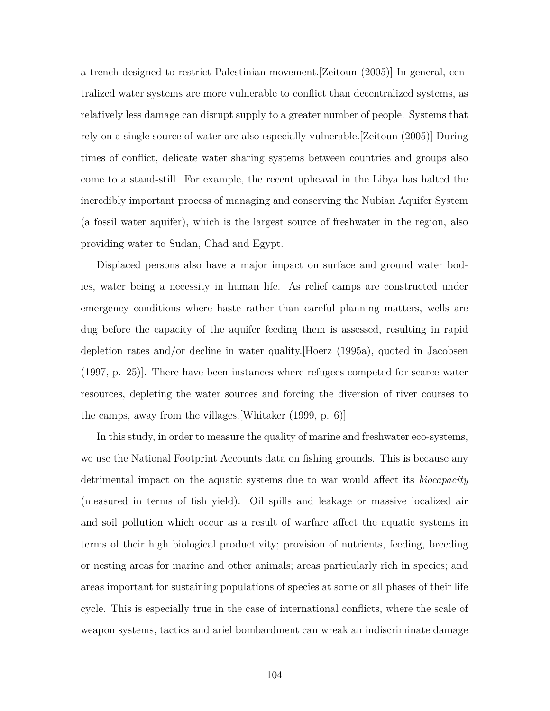a trench designed to restrict Palestinian movement.[Zeitoun (2005)] In general, centralized water systems are more vulnerable to conflict than decentralized systems, as relatively less damage can disrupt supply to a greater number of people. Systems that rely on a single source of water are also especially vulnerable.[Zeitoun (2005)] During times of conflict, delicate water sharing systems between countries and groups also come to a stand-still. For example, the recent upheaval in the Libya has halted the incredibly important process of managing and conserving the Nubian Aquifer System (a fossil water aquifer), which is the largest source of freshwater in the region, also providing water to Sudan, Chad and Egypt.

Displaced persons also have a major impact on surface and ground water bodies, water being a necessity in human life. As relief camps are constructed under emergency conditions where haste rather than careful planning matters, wells are dug before the capacity of the aquifer feeding them is assessed, resulting in rapid depletion rates and/or decline in water quality.[Hoerz (1995a), quoted in Jacobsen (1997, p. 25)]. There have been instances where refugees competed for scarce water resources, depleting the water sources and forcing the diversion of river courses to the camps, away from the villages.[Whitaker (1999, p. 6)]

In this study, in order to measure the quality of marine and freshwater eco-systems, we use the National Footprint Accounts data on fishing grounds. This is because any detrimental impact on the aquatic systems due to war would affect its *biocapacity* (measured in terms of fish yield). Oil spills and leakage or massive localized air and soil pollution which occur as a result of warfare affect the aquatic systems in terms of their high biological productivity; provision of nutrients, feeding, breeding or nesting areas for marine and other animals; areas particularly rich in species; and areas important for sustaining populations of species at some or all phases of their life cycle. This is especially true in the case of international conflicts, where the scale of weapon systems, tactics and ariel bombardment can wreak an indiscriminate damage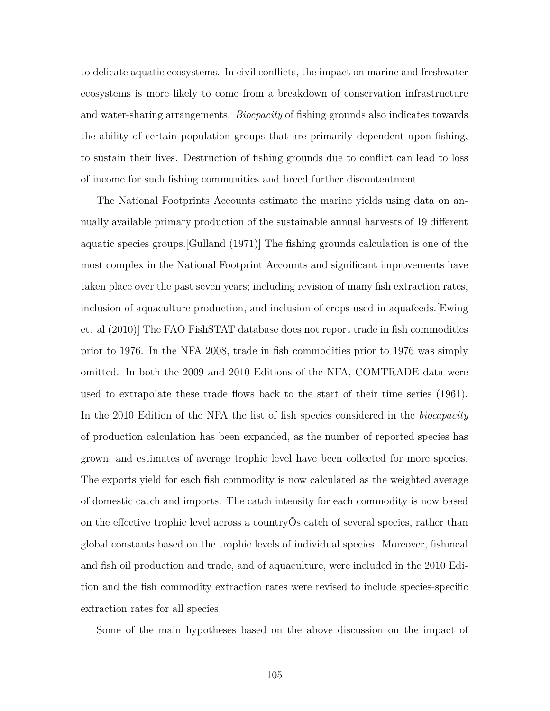to delicate aquatic ecosystems. In civil conflicts, the impact on marine and freshwater ecosystems is more likely to come from a breakdown of conservation infrastructure and water-sharing arrangements. *Biocpacity* of fishing grounds also indicates towards the ability of certain population groups that are primarily dependent upon fishing, to sustain their lives. Destruction of fishing grounds due to conflict can lead to loss of income for such fishing communities and breed further discontentment.

The National Footprints Accounts estimate the marine yields using data on annually available primary production of the sustainable annual harvests of 19 different aquatic species groups.[Gulland (1971)] The fishing grounds calculation is one of the most complex in the National Footprint Accounts and significant improvements have taken place over the past seven years; including revision of many fish extraction rates, inclusion of aquaculture production, and inclusion of crops used in aquafeeds.[Ewing et. al (2010)] The FAO FishSTAT database does not report trade in fish commodities prior to 1976. In the NFA 2008, trade in fish commodities prior to 1976 was simply omitted. In both the 2009 and 2010 Editions of the NFA, COMTRADE data were used to extrapolate these trade flows back to the start of their time series (1961). In the 2010 Edition of the NFA the list of fish species considered in the *biocapacity* of production calculation has been expanded, as the number of reported species has grown, and estimates of average trophic level have been collected for more species. The exports yield for each fish commodity is now calculated as the weighted average of domestic catch and imports. The catch intensity for each commodity is now based on the effective trophic level across a countryÕs catch of several species, rather than global constants based on the trophic levels of individual species. Moreover, fishmeal and fish oil production and trade, and of aquaculture, were included in the 2010 Edition and the fish commodity extraction rates were revised to include species-specific extraction rates for all species.

Some of the main hypotheses based on the above discussion on the impact of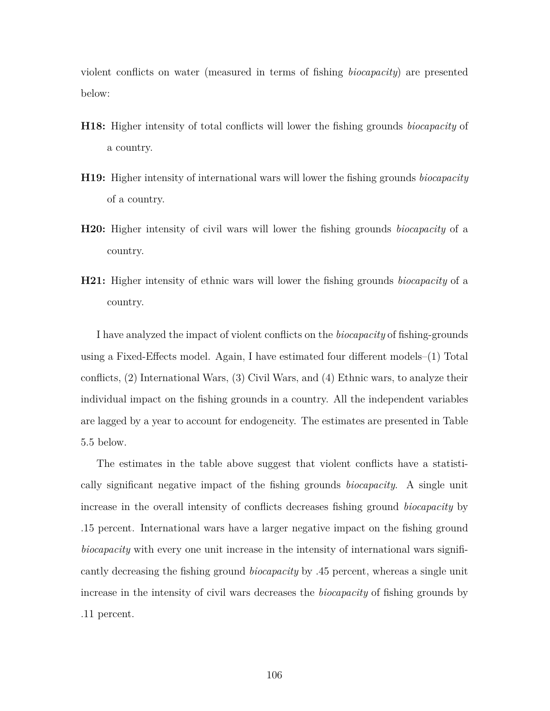violent conflicts on water (measured in terms of fishing *biocapacity*) are presented below:

- **H18:** Higher intensity of total conflicts will lower the fishing grounds *biocapacity* of a country.
- **H19:** Higher intensity of international wars will lower the fishing grounds *biocapacity* of a country.
- **H20:** Higher intensity of civil wars will lower the fishing grounds *biocapacity* of a country.
- **H21:** Higher intensity of ethnic wars will lower the fishing grounds *biocapacity* of a country.

I have analyzed the impact of violent conflicts on the *biocapacity* of fishing-grounds using a Fixed-Effects model. Again, I have estimated four different models–(1) Total conflicts, (2) International Wars, (3) Civil Wars, and (4) Ethnic wars, to analyze their individual impact on the fishing grounds in a country. All the independent variables are lagged by a year to account for endogeneity. The estimates are presented in Table 5.5 below.

The estimates in the table above suggest that violent conflicts have a statistically significant negative impact of the fishing grounds *biocapacity*. A single unit increase in the overall intensity of conflicts decreases fishing ground *biocapacity* by .15 percent. International wars have a larger negative impact on the fishing ground *biocapacity* with every one unit increase in the intensity of international wars significantly decreasing the fishing ground *biocapacity* by .45 percent, whereas a single unit increase in the intensity of civil wars decreases the *biocapacity* of fishing grounds by .11 percent.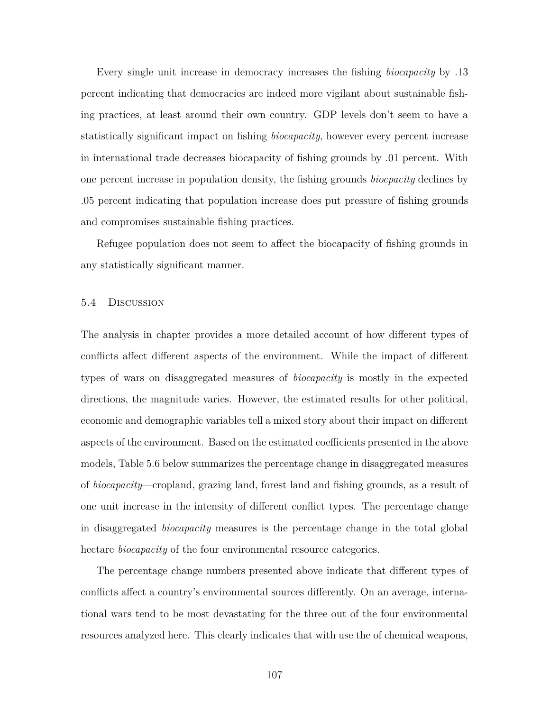Every single unit increase in democracy increases the fishing *biocapacity* by .13 percent indicating that democracies are indeed more vigilant about sustainable fishing practices, at least around their own country. GDP levels don't seem to have a statistically significant impact on fishing *biocapacity*, however every percent increase in international trade decreases biocapacity of fishing grounds by .01 percent. With one percent increase in population density, the fishing grounds *biocpacity* declines by .05 percent indicating that population increase does put pressure of fishing grounds and compromises sustainable fishing practices.

Refugee population does not seem to affect the biocapacity of fishing grounds in any statistically significant manner.

#### 5.4 Discussion

The analysis in chapter provides a more detailed account of how different types of conflicts affect different aspects of the environment. While the impact of different types of wars on disaggregated measures of *biocapacity* is mostly in the expected directions, the magnitude varies. However, the estimated results for other political, economic and demographic variables tell a mixed story about their impact on different aspects of the environment. Based on the estimated coefficients presented in the above models, Table 5.6 below summarizes the percentage change in disaggregated measures of *biocapacity*—cropland, grazing land, forest land and fishing grounds, as a result of one unit increase in the intensity of different conflict types. The percentage change in disaggregated *biocapacity* measures is the percentage change in the total global hectare *biocapacity* of the four environmental resource categories.

The percentage change numbers presented above indicate that different types of conflicts affect a country's environmental sources differently. On an average, international wars tend to be most devastating for the three out of the four environmental resources analyzed here. This clearly indicates that with use the of chemical weapons,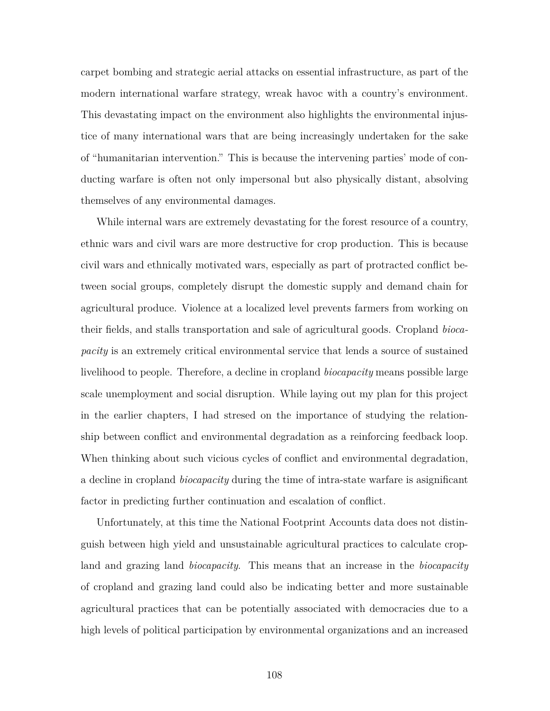carpet bombing and strategic aerial attacks on essential infrastructure, as part of the modern international warfare strategy, wreak havoc with a country's environment. This devastating impact on the environment also highlights the environmental injustice of many international wars that are being increasingly undertaken for the sake of "humanitarian intervention." This is because the intervening parties' mode of conducting warfare is often not only impersonal but also physically distant, absolving themselves of any environmental damages.

While internal wars are extremely devastating for the forest resource of a country, ethnic wars and civil wars are more destructive for crop production. This is because civil wars and ethnically motivated wars, especially as part of protracted conflict between social groups, completely disrupt the domestic supply and demand chain for agricultural produce. Violence at a localized level prevents farmers from working on their fields, and stalls transportation and sale of agricultural goods. Cropland *biocapacity* is an extremely critical environmental service that lends a source of sustained livelihood to people. Therefore, a decline in cropland *biocapacity* means possible large scale unemployment and social disruption. While laying out my plan for this project in the earlier chapters, I had stresed on the importance of studying the relationship between conflict and environmental degradation as a reinforcing feedback loop. When thinking about such vicious cycles of conflict and environmental degradation, a decline in cropland *biocapacity* during the time of intra-state warfare is asignificant factor in predicting further continuation and escalation of conflict.

Unfortunately, at this time the National Footprint Accounts data does not distinguish between high yield and unsustainable agricultural practices to calculate cropland and grazing land *biocapacity*. This means that an increase in the *biocapacity* of cropland and grazing land could also be indicating better and more sustainable agricultural practices that can be potentially associated with democracies due to a high levels of political participation by environmental organizations and an increased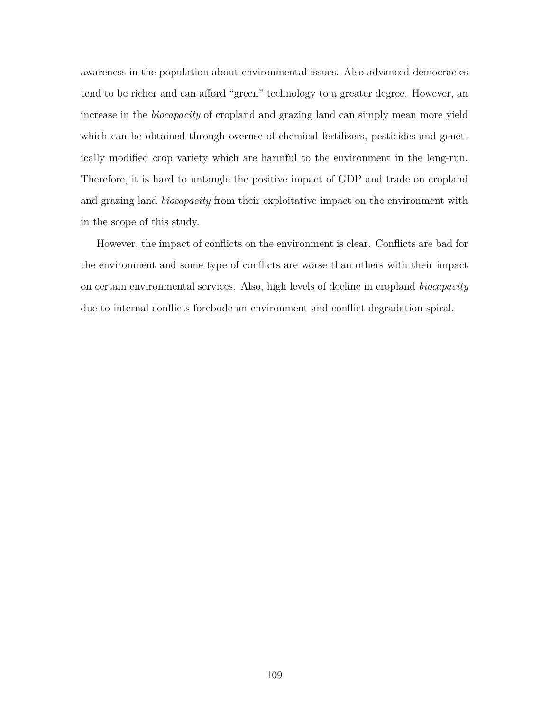awareness in the population about environmental issues. Also advanced democracies tend to be richer and can afford "green" technology to a greater degree. However, an increase in the *biocapacity* of cropland and grazing land can simply mean more yield which can be obtained through overuse of chemical fertilizers, pesticides and genetically modified crop variety which are harmful to the environment in the long-run. Therefore, it is hard to untangle the positive impact of GDP and trade on cropland and grazing land *biocapacity* from their exploitative impact on the environment with in the scope of this study.

However, the impact of conflicts on the environment is clear. Conflicts are bad for the environment and some type of conflicts are worse than others with their impact on certain environmental services. Also, high levels of decline in cropland *biocapacity* due to internal conflicts forebode an environment and conflict degradation spiral.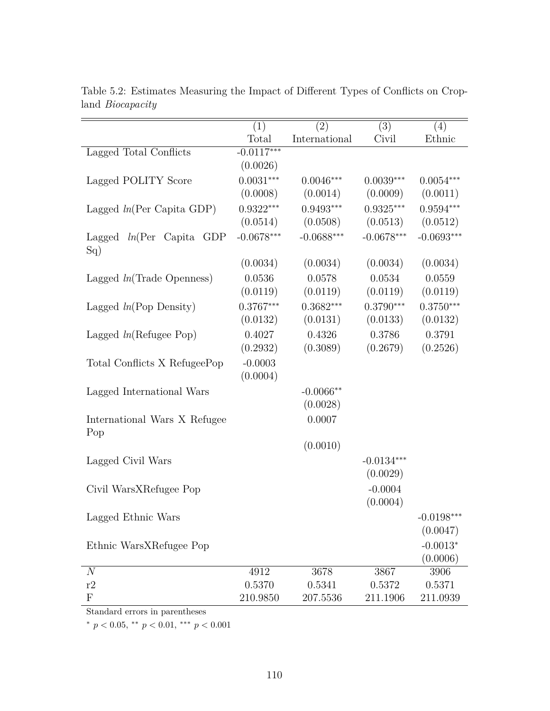|                                     | (1)                | (2)                | (3)                | (4)                |
|-------------------------------------|--------------------|--------------------|--------------------|--------------------|
|                                     | Total              | International      | Civil              | Ethnic             |
| Lagged Total Conflicts              | $-0.0117***$       |                    |                    |                    |
|                                     | (0.0026)           |                    |                    |                    |
| Lagged POLITY Score                 | $0.0031***$        | $0.0046***$        | $0.0039***$        | $0.0054***$        |
|                                     | (0.0008)           | (0.0014)           | (0.0009)           | (0.0011)           |
| Lagged $ln(Per Capita GDP)$         | $0.9322***$        | $0.9493***$        | $0.9325***$        | $0.9594***$        |
|                                     | (0.0514)           | (0.0508)           | (0.0513)           | (0.0512)           |
| Lagged $ln(Per)$ Capita GDP<br>Sq)  | $-0.0678***$       | $-0.0688***$       | $-0.0678***$       | $-0.0693***$       |
|                                     | (0.0034)           | (0.0034)           | (0.0034)           | (0.0034)           |
| Lagged $ln(\text{Trade Openness})$  | 0.0536             | 0.0578             | 0.0534             | 0.0559             |
|                                     | (0.0119)           | (0.0119)           | (0.0119)           | (0.0119)           |
| Lagged $ln(Pop$ Density)            | $0.3767***$        | $0.3682***$        | $0.3790***$        | $0.3750***$        |
|                                     | (0.0132)           | (0.0131)           | (0.0133)           | (0.0132)           |
| Lagged $ln(Refuge Pop)$             | 0.4027             | 0.4326             | 0.3786             | 0.3791             |
|                                     | (0.2932)           | (0.3089)           | (0.2679)           | (0.2526)           |
| Total Conflicts X RefugeePop        | $-0.0003$          |                    |                    |                    |
|                                     | (0.0004)           |                    |                    |                    |
| Lagged International Wars           |                    | $-0.0066**$        |                    |                    |
|                                     |                    | (0.0028)           |                    |                    |
| International Wars X Refugee<br>Pop |                    | 0.0007             |                    |                    |
|                                     |                    | (0.0010)           |                    |                    |
| Lagged Civil Wars                   |                    |                    | $-0.0134***$       |                    |
|                                     |                    |                    | (0.0029)           |                    |
| Civil WarsXRefugee Pop              |                    |                    | $-0.0004$          |                    |
|                                     |                    |                    | (0.0004)           |                    |
| Lagged Ethnic Wars                  |                    |                    |                    | $-0.0198***$       |
|                                     |                    |                    |                    | (0.0047)           |
| Ethnic WarsXRefugee Pop             |                    |                    |                    | $-0.0013*$         |
|                                     |                    |                    |                    | (0.0006)           |
| $\mathcal{N}$                       | 4912               | 3678               | 3867               | 3906               |
|                                     |                    |                    |                    |                    |
| r2<br>${\bf F}$                     | 0.5370<br>210.9850 | 0.5341<br>207.5536 | 0.5372<br>211.1906 | 0.5371<br>211.0939 |

Table 5.2: Estimates Measuring the Impact of Different Types of Conflicts on Cropland *Biocapacity*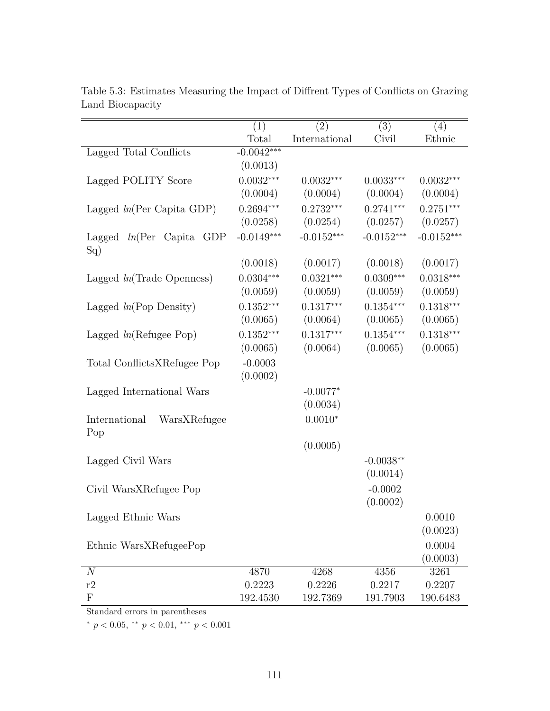|                                            | (1)          | (2)           | (3)          | (4)          |
|--------------------------------------------|--------------|---------------|--------------|--------------|
|                                            | Total        | International | Civil        | Ethnic       |
| Lagged Total Conflicts                     | $-0.0042***$ |               |              |              |
|                                            | (0.0013)     |               |              |              |
| Lagged POLITY Score                        | $0.0032***$  | $0.0032***$   | $0.0033***$  | $0.0032***$  |
|                                            | (0.0004)     | (0.0004)      | (0.0004)     | (0.0004)     |
| Lagged $ln(Per Capita GDP)$                | $0.2694***$  | $0.2732***$   | $0.2741***$  | $0.2751***$  |
|                                            | (0.0258)     | (0.0254)      | (0.0257)     | (0.0257)     |
| Lagged $ln(Per \text{ Capita GDP})$<br>Sq) | $-0.0149***$ | $-0.0152***$  | $-0.0152***$ | $-0.0152***$ |
|                                            | (0.0018)     | (0.0017)      | (0.0018)     | (0.0017)     |
| Lagged $ln(\text{Trade Openness})$         | $0.0304***$  | $0.0321***$   | $0.0309***$  | $0.0318***$  |
|                                            | (0.0059)     | (0.0059)      | (0.0059)     | (0.0059)     |
| Lagged $ln(Pop$ Density)                   | $0.1352***$  | $0.1317***$   | $0.1354***$  | $0.1318***$  |
|                                            | (0.0065)     | (0.0064)      | (0.0065)     | (0.0065)     |
| Lagged $ln($ Refugee Pop $)$               | $0.1352***$  | $0.1317***$   | $0.1354***$  | $0.1318***$  |
|                                            | (0.0065)     | (0.0064)      | (0.0065)     | (0.0065)     |
| Total ConflictsXRefugee Pop                | $-0.0003$    |               |              |              |
|                                            | (0.0002)     |               |              |              |
| Lagged International Wars                  |              | $-0.0077*$    |              |              |
|                                            |              | (0.0034)      |              |              |
| International<br>WarsXRefugee<br>Pop       |              | $0.0010*$     |              |              |
|                                            |              | (0.0005)      |              |              |
| Lagged Civil Wars                          |              |               | $-0.0038**$  |              |
|                                            |              |               | (0.0014)     |              |
| Civil WarsXRefugee Pop                     |              |               | $-0.0002$    |              |
|                                            |              |               | (0.0002)     |              |
| Lagged Ethnic Wars                         |              |               |              | 0.0010       |
|                                            |              |               |              | (0.0023)     |
| Ethnic WarsXRefugeePop                     |              |               |              | 0.0004       |
|                                            |              |               |              | (0.0003)     |
| $\overline{N}$                             | 4870         | 4268          | 4356         | 3261         |
| r2                                         | 0.2223       | 0.2226        | 0.2217       | 0.2207       |
| $\mathbf{F}$                               | 192.4530     | 192.7369      | 191.7903     | 190.6483     |

Table 5.3: Estimates Measuring the Impact of Diffrent Types of Conflicts on Grazing Land Biocapacity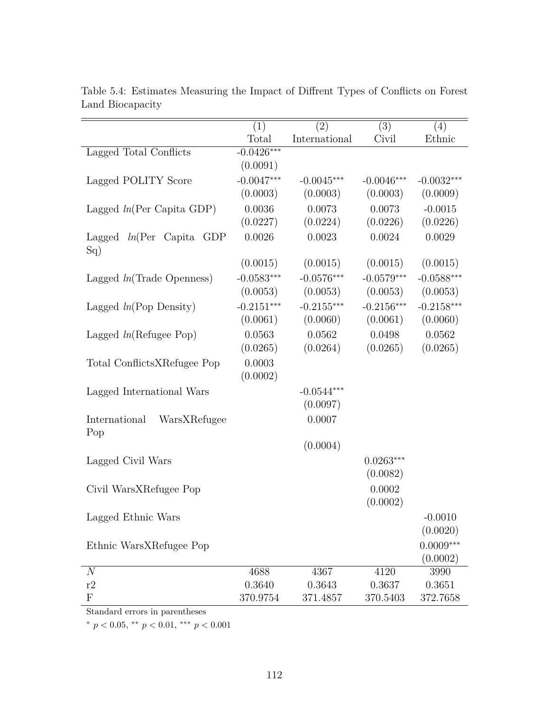|                                      | (1)          | (2)           | (3)          | (4)          |
|--------------------------------------|--------------|---------------|--------------|--------------|
|                                      | Total        | International | Civil        | Ethnic       |
| Lagged Total Conflicts               | $-0.0426***$ |               |              |              |
|                                      | (0.0091)     |               |              |              |
| Lagged POLITY Score                  | $-0.0047***$ | $-0.0045***$  | $-0.0046***$ | $-0.0032***$ |
|                                      | (0.0003)     | (0.0003)      | (0.0003)     | (0.0009)     |
| Lagged $ln(Per Capita GDP)$          | 0.0036       | 0.0073        | 0.0073       | $-0.0015$    |
|                                      | (0.0227)     | (0.0224)      | (0.0226)     | (0.0226)     |
| Lagged $ln(Per)$ Capita GDP<br>Sq)   | 0.0026       | 0.0023        | 0.0024       | 0.0029       |
|                                      | (0.0015)     | (0.0015)      | (0.0015)     | (0.0015)     |
| Lagged $ln(\text{Trade Openness})$   | $-0.0583***$ | $-0.0576***$  | $-0.0579***$ | $-0.0588***$ |
|                                      | (0.0053)     | (0.0053)      | (0.0053)     | (0.0053)     |
| Lagged $ln(Pop$ Density)             | $-0.2151***$ | $-0.2155***$  | $-0.2156***$ | $-0.2158***$ |
|                                      | (0.0061)     | (0.0060)      | (0.0061)     | (0.0060)     |
| Lagged $ln(Refuge Pop)$              | 0.0563       | 0.0562        | 0.0498       | 0.0562       |
|                                      | (0.0265)     | (0.0264)      | (0.0265)     | (0.0265)     |
| Total ConflictsXRefugee Pop          | 0.0003       |               |              |              |
|                                      | (0.0002)     |               |              |              |
| Lagged International Wars            |              | $-0.0544***$  |              |              |
|                                      |              | (0.0097)      |              |              |
| International<br>WarsXRefugee<br>Pop |              | 0.0007        |              |              |
|                                      |              | (0.0004)      |              |              |
| Lagged Civil Wars                    |              |               | $0.0263***$  |              |
|                                      |              |               | (0.0082)     |              |
| Civil WarsXRefugee Pop               |              |               | 0.0002       |              |
|                                      |              |               | (0.0002)     |              |
| Lagged Ethnic Wars                   |              |               |              | $-0.0010$    |
|                                      |              |               |              | (0.0020)     |
| Ethnic WarsXRefugee Pop              |              |               |              | $0.0009***$  |
|                                      |              |               |              | (0.0002)     |
| $\overline{N}$                       | 4688         | 4367          | 4120         | 3990         |
| r2                                   | 0.3640       | 0.3643        | 0.3637       | 0.3651       |
| $\mathbf{F}$                         | 370.9754     | 371.4857      | 370.5403     | 372.7658     |

Table 5.4: Estimates Measuring the Impact of Diffrent Types of Conflicts on Forest Land Biocapacity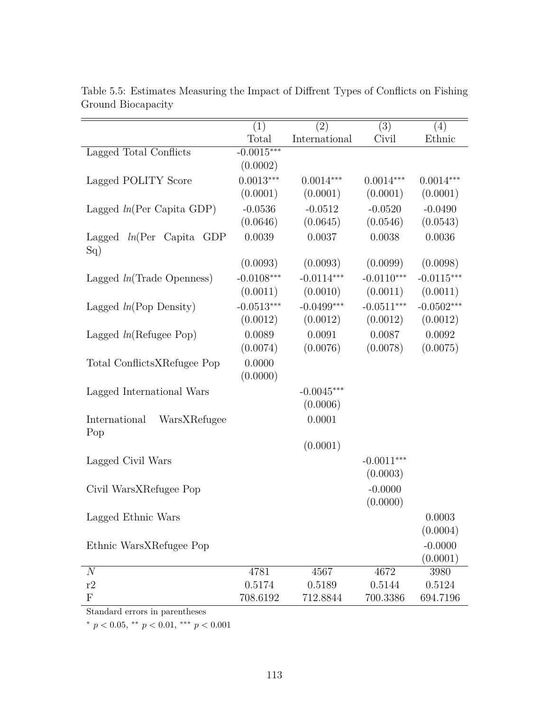|                                      | (1)          | (2)           | (3)          | (4)          |
|--------------------------------------|--------------|---------------|--------------|--------------|
|                                      | Total        | International | Civil        | Ethnic       |
| Lagged Total Conflicts               | $-0.0015***$ |               |              |              |
|                                      | (0.0002)     |               |              |              |
| Lagged POLITY Score                  | $0.0013***$  | $0.0014***$   | $0.0014***$  | $0.0014***$  |
|                                      | (0.0001)     | (0.0001)      | (0.0001)     | (0.0001)     |
| Lagged $ln(Per Capita GDP)$          | $-0.0536$    | $-0.0512$     | $-0.0520$    | $-0.0490$    |
|                                      | (0.0646)     | (0.0645)      | (0.0546)     | (0.0543)     |
| Lagged $ln(Per)$ Capita GDP<br>Sq)   | 0.0039       | 0.0037        | 0.0038       | 0.0036       |
|                                      | (0.0093)     | (0.0093)      | (0.0099)     | (0.0098)     |
| Lagged $ln(\text{Trade Openness})$   | $-0.0108***$ | $-0.0114***$  | $-0.0110***$ | $-0.0115***$ |
|                                      | (0.0011)     | (0.0010)      | (0.0011)     | (0.0011)     |
| Lagged $ln(Pop$ Density)             | $-0.0513***$ | $-0.0499***$  | $-0.0511***$ | $-0.0502***$ |
|                                      | (0.0012)     | (0.0012)      | (0.0012)     | (0.0012)     |
| Lagged $ln(Refuge Pop)$              | 0.0089       | 0.0091        | 0.0087       | 0.0092       |
|                                      | (0.0074)     | (0.0076)      | (0.0078)     | (0.0075)     |
| Total ConflictsXRefugee Pop          | 0.0000       |               |              |              |
|                                      | (0.0000)     |               |              |              |
| Lagged International Wars            |              | $-0.0045***$  |              |              |
|                                      |              | (0.0006)      |              |              |
| International<br>WarsXRefugee<br>Pop |              | 0.0001        |              |              |
|                                      |              | (0.0001)      |              |              |
| Lagged Civil Wars                    |              |               | $-0.0011***$ |              |
|                                      |              |               | (0.0003)     |              |
| Civil WarsXRefugee Pop               |              |               | $-0.0000$    |              |
|                                      |              |               | (0.0000)     |              |
| Lagged Ethnic Wars                   |              |               |              | 0.0003       |
|                                      |              |               |              | (0.0004)     |
| Ethnic WarsXRefugee Pop              |              |               |              | $-0.0000$    |
|                                      |              |               |              | (0.0001)     |
| $\mathcal{N}$                        | 4781         | 4567          | 4672         | 3980         |
| r2                                   | 0.5174       | 0.5189        | 0.5144       | 0.5124       |
| $\boldsymbol{\mathrm{F}}$            | 708.6192     | 712.8844      | 700.3386     | 694.7196     |

Table 5.5: Estimates Measuring the Impact of Diffrent Types of Conflicts on Fishing Ground Biocapacity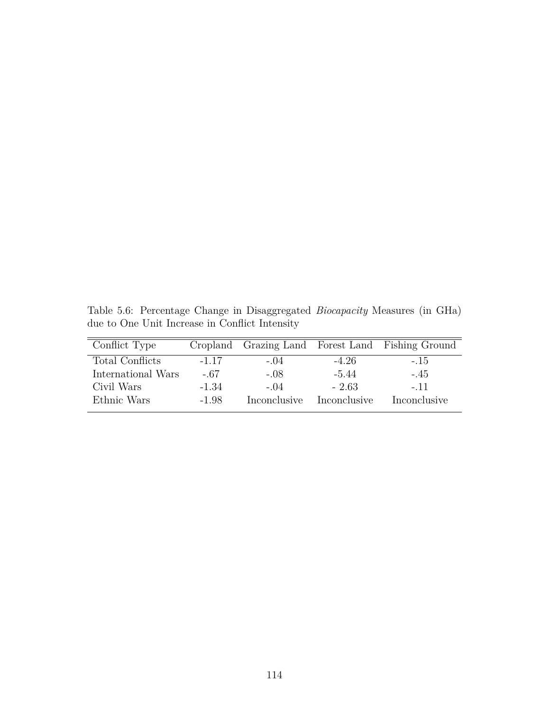Table 5.6: Percentage Change in Disaggregated *Biocapacity* Measures (in GHa) due to One Unit Increase in Conflict Intensity

| Conflict Type          |         |              |              | Cropland Grazing Land Forest Land Fishing Ground |
|------------------------|---------|--------------|--------------|--------------------------------------------------|
| <b>Total Conflicts</b> | $-1.17$ | $-.04$       | $-4.26$      | $-.15$                                           |
| International Wars     | $-.67$  | $-.08$       | $-5.44$      | $-.45$                                           |
| Civil Wars             | $-1.34$ | $-04$        | $-2.63$      | $-.11$                                           |
| Ethnic Wars            | $-1.98$ | Inconclusive | Inconclusive | Inconclusive                                     |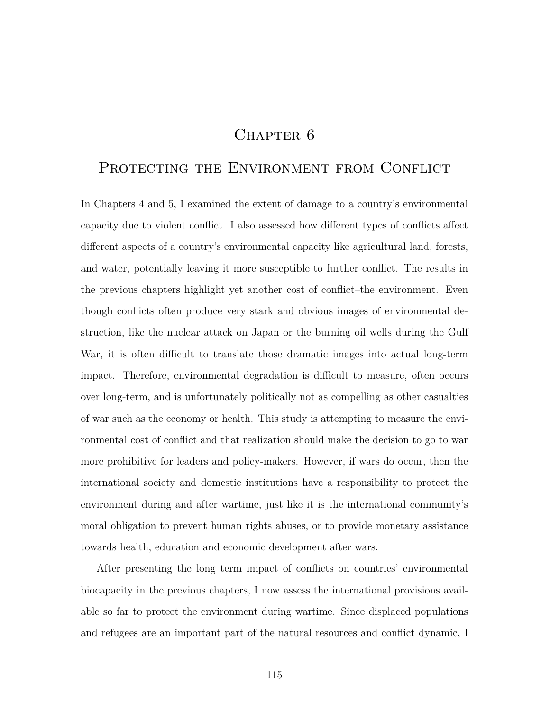# CHAPTER 6

# PROTECTING THE ENVIRONMENT FROM CONFLICT

In Chapters 4 and 5, I examined the extent of damage to a country's environmental capacity due to violent conflict. I also assessed how different types of conflicts affect different aspects of a country's environmental capacity like agricultural land, forests, and water, potentially leaving it more susceptible to further conflict. The results in the previous chapters highlight yet another cost of conflict–the environment. Even though conflicts often produce very stark and obvious images of environmental destruction, like the nuclear attack on Japan or the burning oil wells during the Gulf War, it is often difficult to translate those dramatic images into actual long-term impact. Therefore, environmental degradation is difficult to measure, often occurs over long-term, and is unfortunately politically not as compelling as other casualties of war such as the economy or health. This study is attempting to measure the environmental cost of conflict and that realization should make the decision to go to war more prohibitive for leaders and policy-makers. However, if wars do occur, then the international society and domestic institutions have a responsibility to protect the environment during and after wartime, just like it is the international community's moral obligation to prevent human rights abuses, or to provide monetary assistance towards health, education and economic development after wars.

After presenting the long term impact of conflicts on countries' environmental biocapacity in the previous chapters, I now assess the international provisions available so far to protect the environment during wartime. Since displaced populations and refugees are an important part of the natural resources and conflict dynamic, I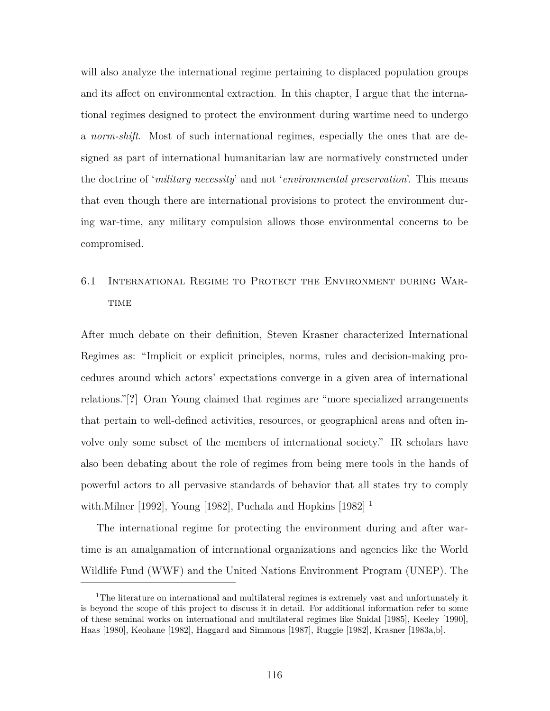will also analyze the international regime pertaining to displaced population groups and its affect on environmental extraction. In this chapter, I argue that the international regimes designed to protect the environment during wartime need to undergo a *norm-shift*. Most of such international regimes, especially the ones that are designed as part of international humanitarian law are normatively constructed under the doctrine of '*military necessity*' and not '*environmental preservation*'. This means that even though there are international provisions to protect the environment during war-time, any military compulsion allows those environmental concerns to be compromised.

# 6.1 International Regime to Protect the Environment during War-**TIME**

After much debate on their definition, Steven Krasner characterized International Regimes as: "Implicit or explicit principles, norms, rules and decision-making procedures around which actors' expectations converge in a given area of international relations."[**?**] Oran Young claimed that regimes are "more specialized arrangements that pertain to well-defined activities, resources, or geographical areas and often involve only some subset of the members of international society." IR scholars have also been debating about the role of regimes from being mere tools in the hands of powerful actors to all pervasive standards of behavior that all states try to comply with.Milner [1992], Young [1982], Puchala and Hopkins  $[1982]$ <sup>1</sup>

The international regime for protecting the environment during and after wartime is an amalgamation of international organizations and agencies like the World Wildlife Fund (WWF) and the United Nations Environment Program (UNEP). The

<sup>&</sup>lt;sup>1</sup>The literature on international and multilateral regimes is extremely vast and unfortunately it is beyond the scope of this project to discuss it in detail. For additional information refer to some of these seminal works on international and multilateral regimes like Snidal [1985], Keeley [1990], Haas [1980], Keohane [1982], Haggard and Simmons [1987], Ruggie [1982], Krasner [1983a,b].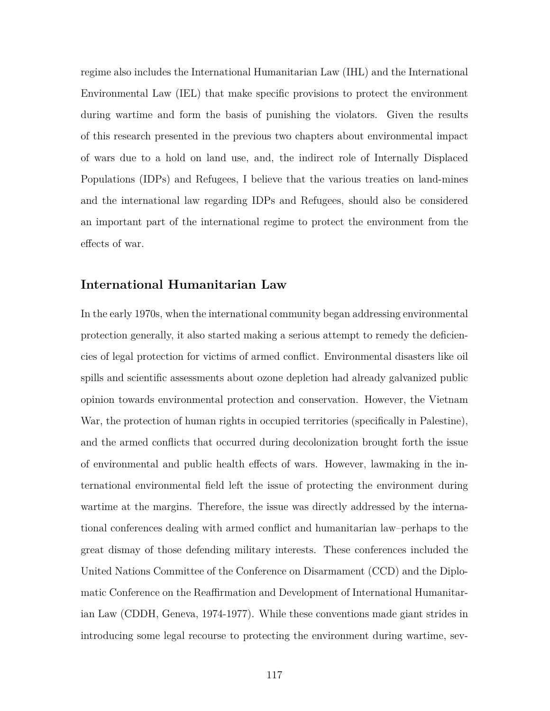regime also includes the International Humanitarian Law (IHL) and the International Environmental Law (IEL) that make specific provisions to protect the environment during wartime and form the basis of punishing the violators. Given the results of this research presented in the previous two chapters about environmental impact of wars due to a hold on land use, and, the indirect role of Internally Displaced Populations (IDPs) and Refugees, I believe that the various treaties on land-mines and the international law regarding IDPs and Refugees, should also be considered an important part of the international regime to protect the environment from the effects of war.

## **International Humanitarian Law**

In the early 1970s, when the international community began addressing environmental protection generally, it also started making a serious attempt to remedy the deficiencies of legal protection for victims of armed conflict. Environmental disasters like oil spills and scientific assessments about ozone depletion had already galvanized public opinion towards environmental protection and conservation. However, the Vietnam War, the protection of human rights in occupied territories (specifically in Palestine), and the armed conflicts that occurred during decolonization brought forth the issue of environmental and public health effects of wars. However, lawmaking in the international environmental field left the issue of protecting the environment during wartime at the margins. Therefore, the issue was directly addressed by the international conferences dealing with armed conflict and humanitarian law–perhaps to the great dismay of those defending military interests. These conferences included the United Nations Committee of the Conference on Disarmament (CCD) and the Diplomatic Conference on the Reaffirmation and Development of International Humanitarian Law (CDDH, Geneva, 1974-1977). While these conventions made giant strides in introducing some legal recourse to protecting the environment during wartime, sev-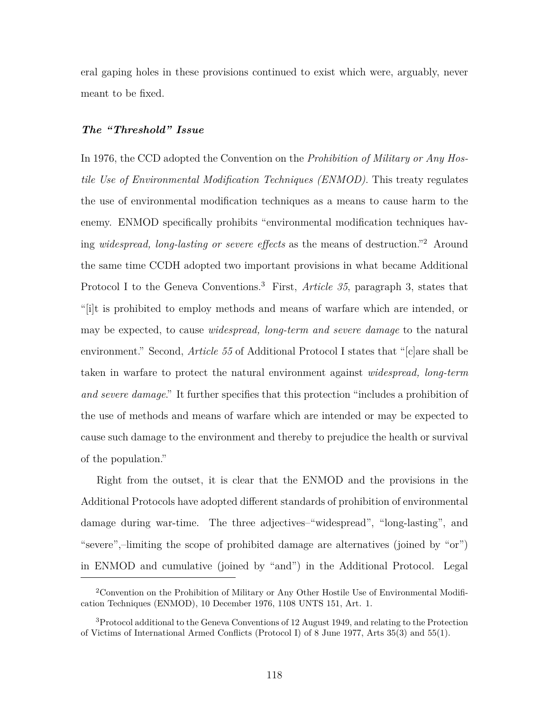eral gaping holes in these provisions continued to exist which were, arguably, never meant to be fixed.

## *The "Threshold" Issue*

In 1976, the CCD adopted the Convention on the *Prohibition of Military or Any Hostile Use of Environmental Modification Techniques (ENMOD)*. This treaty regulates the use of environmental modification techniques as a means to cause harm to the enemy. ENMOD specifically prohibits "environmental modification techniques having *widespread, long-lasting or severe effects* as the means of destruction."<sup>2</sup> Around the same time CCDH adopted two important provisions in what became Additional Protocol I to the Geneva Conventions.<sup>3</sup> First, *Article 35*, paragraph 3, states that "[i]t is prohibited to employ methods and means of warfare which are intended, or may be expected, to cause *widespread, long-term and severe damage* to the natural environment." Second, *Article 55* of Additional Protocol I states that "[c]are shall be taken in warfare to protect the natural environment against *widespread, long-term and severe damage*." It further specifies that this protection "includes a prohibition of the use of methods and means of warfare which are intended or may be expected to cause such damage to the environment and thereby to prejudice the health or survival of the population."

Right from the outset, it is clear that the ENMOD and the provisions in the Additional Protocols have adopted different standards of prohibition of environmental damage during war-time. The three adjectives–"widespread", "long-lasting", and "severe",–limiting the scope of prohibited damage are alternatives (joined by "or") in ENMOD and cumulative (joined by "and") in the Additional Protocol. Legal

<sup>2</sup>Convention on the Prohibition of Military or Any Other Hostile Use of Environmental Modification Techniques (ENMOD), 10 December 1976, 1108 UNTS 151, Art. 1.

<sup>3</sup>Protocol additional to the Geneva Conventions of 12 August 1949, and relating to the Protection of Victims of International Armed Conflicts (Protocol I) of 8 June 1977, Arts 35(3) and 55(1).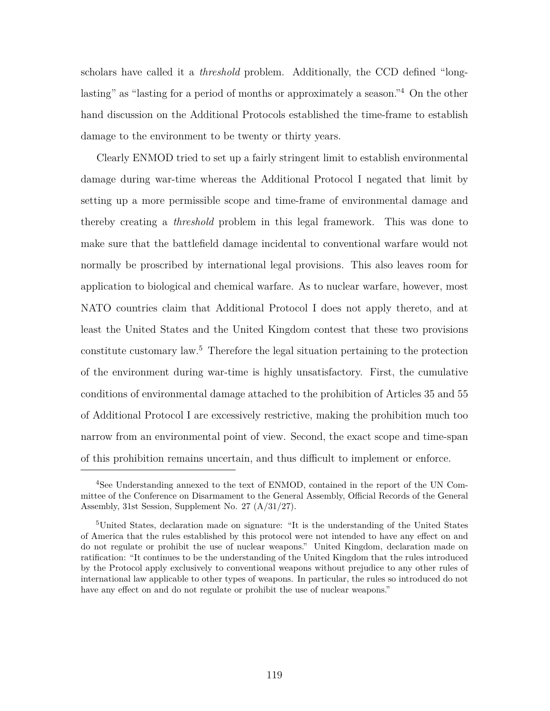scholars have called it a *threshold* problem. Additionally, the CCD defined "longlasting" as "lasting for a period of months or approximately a season."<sup>4</sup> On the other hand discussion on the Additional Protocols established the time-frame to establish damage to the environment to be twenty or thirty years.

Clearly ENMOD tried to set up a fairly stringent limit to establish environmental damage during war-time whereas the Additional Protocol I negated that limit by setting up a more permissible scope and time-frame of environmental damage and thereby creating a *threshold* problem in this legal framework. This was done to make sure that the battlefield damage incidental to conventional warfare would not normally be proscribed by international legal provisions. This also leaves room for application to biological and chemical warfare. As to nuclear warfare, however, most NATO countries claim that Additional Protocol I does not apply thereto, and at least the United States and the United Kingdom contest that these two provisions constitute customary law.<sup>5</sup> Therefore the legal situation pertaining to the protection of the environment during war-time is highly unsatisfactory. First, the cumulative conditions of environmental damage attached to the prohibition of Articles 35 and 55 of Additional Protocol I are excessively restrictive, making the prohibition much too narrow from an environmental point of view. Second, the exact scope and time-span of this prohibition remains uncertain, and thus difficult to implement or enforce.

<sup>4</sup>See Understanding annexed to the text of ENMOD, contained in the report of the UN Committee of the Conference on Disarmament to the General Assembly, Official Records of the General Assembly, 31st Session, Supplement No. 27 (A/31/27).

<sup>5</sup>United States, declaration made on signature: "It is the understanding of the United States of America that the rules established by this protocol were not intended to have any effect on and do not regulate or prohibit the use of nuclear weapons." United Kingdom, declaration made on ratification: "It continues to be the understanding of the United Kingdom that the rules introduced by the Protocol apply exclusively to conventional weapons without prejudice to any other rules of international law applicable to other types of weapons. In particular, the rules so introduced do not have any effect on and do not regulate or prohibit the use of nuclear weapons."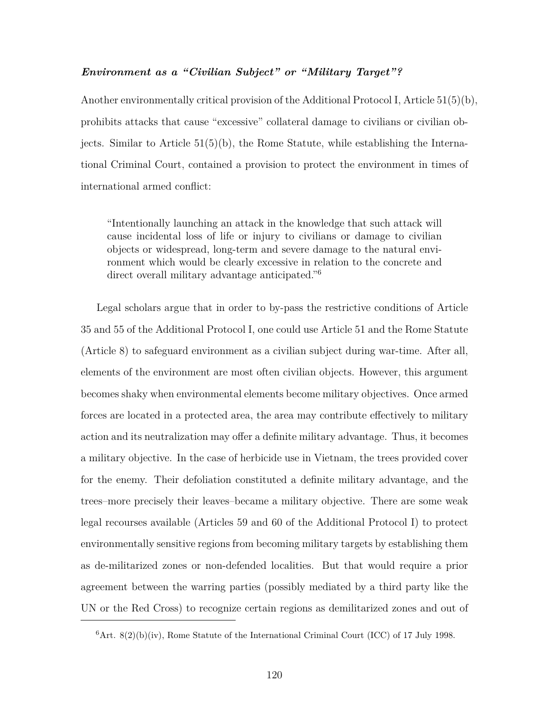## *Environment as a "Civilian Subject" or "Military Target"?*

Another environmentally critical provision of the Additional Protocol I, Article 51(5)(b), prohibits attacks that cause "excessive" collateral damage to civilians or civilian objects. Similar to Article  $51(5)(b)$ , the Rome Statute, while establishing the International Criminal Court, contained a provision to protect the environment in times of international armed conflict:

"Intentionally launching an attack in the knowledge that such attack will cause incidental loss of life or injury to civilians or damage to civilian objects or widespread, long-term and severe damage to the natural environment which would be clearly excessive in relation to the concrete and direct overall military advantage anticipated."<sup>6</sup>

Legal scholars argue that in order to by-pass the restrictive conditions of Article 35 and 55 of the Additional Protocol I, one could use Article 51 and the Rome Statute (Article 8) to safeguard environment as a civilian subject during war-time. After all, elements of the environment are most often civilian objects. However, this argument becomes shaky when environmental elements become military objectives. Once armed forces are located in a protected area, the area may contribute effectively to military action and its neutralization may offer a definite military advantage. Thus, it becomes a military objective. In the case of herbicide use in Vietnam, the trees provided cover for the enemy. Their defoliation constituted a definite military advantage, and the trees–more precisely their leaves–became a military objective. There are some weak legal recourses available (Articles 59 and 60 of the Additional Protocol I) to protect environmentally sensitive regions from becoming military targets by establishing them as de-militarized zones or non-defended localities. But that would require a prior agreement between the warring parties (possibly mediated by a third party like the UN or the Red Cross) to recognize certain regions as demilitarized zones and out of

 $6$ Art.  $8(2)(b)(iv)$ , Rome Statute of the International Criminal Court (ICC) of 17 July 1998.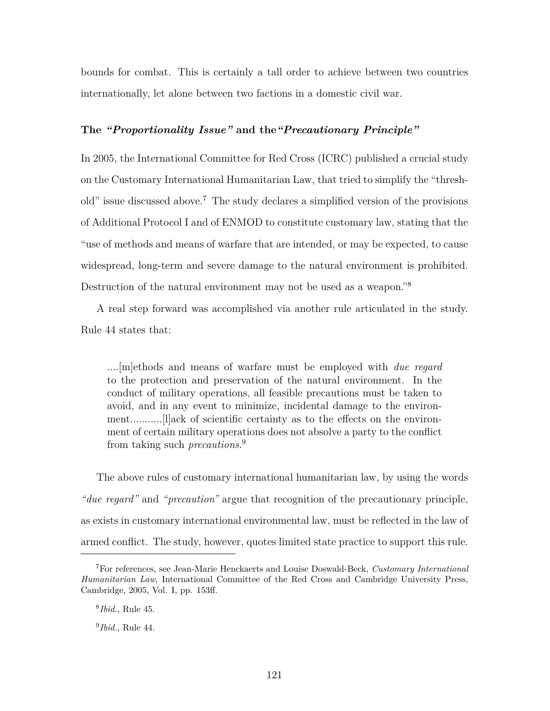bounds for combat. This is certainly a tall order to achieve between two countries internationally, let alone between two factions in a domestic civil war.

## **The** *"Proportionality Issue"* **and the***"Precautionary Principle"*

In 2005, the International Committee for Red Cross (ICRC) published a crucial study on the Customary International Humanitarian Law, that tried to simplify the "threshold" issue discussed above.<sup>7</sup> The study declares a simplified version of the provisions of Additional Protocol I and of ENMOD to constitute customary law, stating that the "use of methods and means of warfare that are intended, or may be expected, to cause widespread, long-term and severe damage to the natural environment is prohibited. Destruction of the natural environment may not be used as a weapon."<sup>8</sup>

A real step forward was accomplished via another rule articulated in the study. Rule 44 states that:

....[m]ethods and means of warfare must be employed with *due regard* to the protection and preservation of the natural environment. In the conduct of military operations, all feasible precautions must be taken to avoid, and in any event to minimize, incidental damage to the environment...........[l]ack of scientific certainty as to the effects on the environment of certain military operations does not absolve a party to the conflict from taking such *precautions*. 9

The above rules of customary international humanitarian law, by using the words *"due regard"* and *"precaution"* argue that recognition of the precautionary principle, as exists in customary international environmental law, must be reflected in the law of armed conflict. The study, however, quotes limited state practice to support this rule.

<sup>7</sup>For references, see Jean-Marie Henckaerts and Louise Doswald-Beck, *Customary International Humanitarian Law*, International Committee of the Red Cross and Cambridge University Press, Cambridge, 2005, Vol. I, pp. 153ff.

<sup>8</sup> *Ibid.*, Rule 45.

<sup>9</sup> *Ibid.*, Rule 44.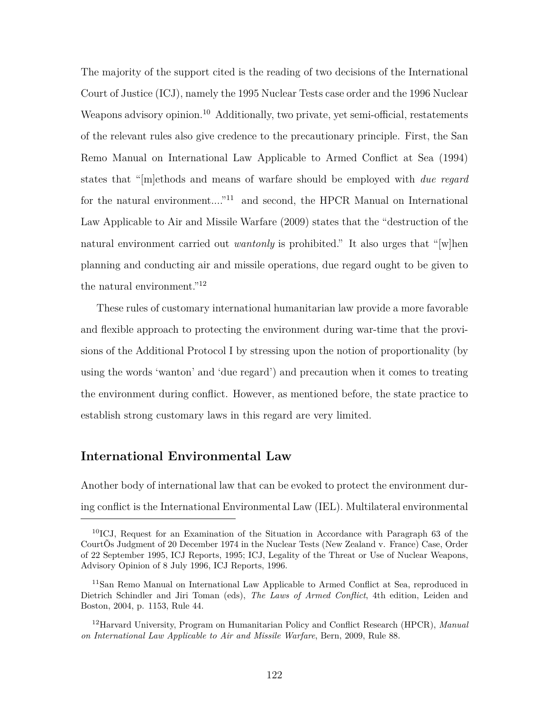The majority of the support cited is the reading of two decisions of the International Court of Justice (ICJ), namely the 1995 Nuclear Tests case order and the 1996 Nuclear Weapons advisory opinion.<sup>10</sup> Additionally, two private, yet semi-official, restatements of the relevant rules also give credence to the precautionary principle. First, the San Remo Manual on International Law Applicable to Armed Conflict at Sea (1994) states that "[m]ethods and means of warfare should be employed with *due regard* for the natural environment...."<sup>11</sup> and second, the HPCR Manual on International Law Applicable to Air and Missile Warfare (2009) states that the "destruction of the natural environment carried out *wantonly* is prohibited." It also urges that "[w]hen planning and conducting air and missile operations, due regard ought to be given to the natural environment."<sup>12</sup>

These rules of customary international humanitarian law provide a more favorable and flexible approach to protecting the environment during war-time that the provisions of the Additional Protocol I by stressing upon the notion of proportionality (by using the words 'wanton' and 'due regard') and precaution when it comes to treating the environment during conflict. However, as mentioned before, the state practice to establish strong customary laws in this regard are very limited.

## **International Environmental Law**

Another body of international law that can be evoked to protect the environment during conflict is the International Environmental Law (IEL). Multilateral environmental

<sup>10</sup>ICJ, Request for an Examination of the Situation in Accordance with Paragraph 63 of the CourtÕs Judgment of 20 December 1974 in the Nuclear Tests (New Zealand v. France) Case, Order of 22 September 1995, ICJ Reports, 1995; ICJ, Legality of the Threat or Use of Nuclear Weapons, Advisory Opinion of 8 July 1996, ICJ Reports, 1996.

<sup>11</sup>San Remo Manual on International Law Applicable to Armed Conflict at Sea, reproduced in Dietrich Schindler and Jiri Toman (eds), *The Laws of Armed Conflict*, 4th edition, Leiden and Boston, 2004, p. 1153, Rule 44.

<sup>12</sup>Harvard University, Program on Humanitarian Policy and Conflict Research (HPCR), *Manual on International Law Applicable to Air and Missile Warfare*, Bern, 2009, Rule 88.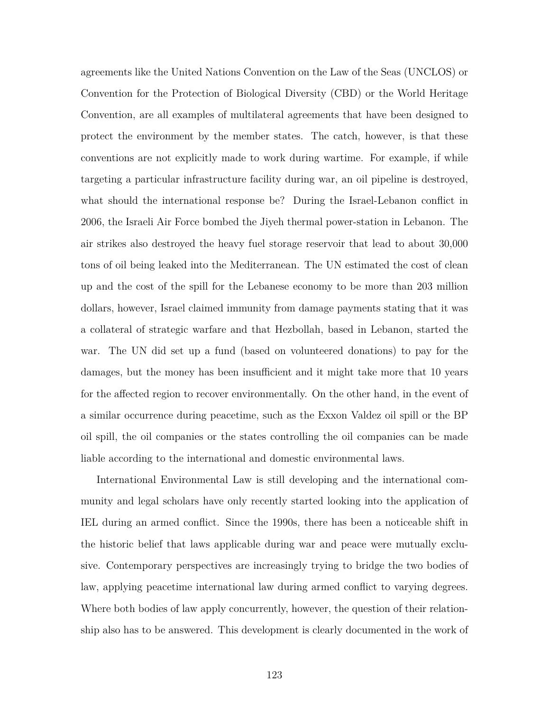agreements like the United Nations Convention on the Law of the Seas (UNCLOS) or Convention for the Protection of Biological Diversity (CBD) or the World Heritage Convention, are all examples of multilateral agreements that have been designed to protect the environment by the member states. The catch, however, is that these conventions are not explicitly made to work during wartime. For example, if while targeting a particular infrastructure facility during war, an oil pipeline is destroyed, what should the international response be? During the Israel-Lebanon conflict in 2006, the Israeli Air Force bombed the Jiyeh thermal power-station in Lebanon. The air strikes also destroyed the heavy fuel storage reservoir that lead to about 30,000 tons of oil being leaked into the Mediterranean. The UN estimated the cost of clean up and the cost of the spill for the Lebanese economy to be more than 203 million dollars, however, Israel claimed immunity from damage payments stating that it was a collateral of strategic warfare and that Hezbollah, based in Lebanon, started the war. The UN did set up a fund (based on volunteered donations) to pay for the damages, but the money has been insufficient and it might take more that 10 years for the affected region to recover environmentally. On the other hand, in the event of a similar occurrence during peacetime, such as the Exxon Valdez oil spill or the BP oil spill, the oil companies or the states controlling the oil companies can be made liable according to the international and domestic environmental laws.

International Environmental Law is still developing and the international community and legal scholars have only recently started looking into the application of IEL during an armed conflict. Since the 1990s, there has been a noticeable shift in the historic belief that laws applicable during war and peace were mutually exclusive. Contemporary perspectives are increasingly trying to bridge the two bodies of law, applying peacetime international law during armed conflict to varying degrees. Where both bodies of law apply concurrently, however, the question of their relationship also has to be answered. This development is clearly documented in the work of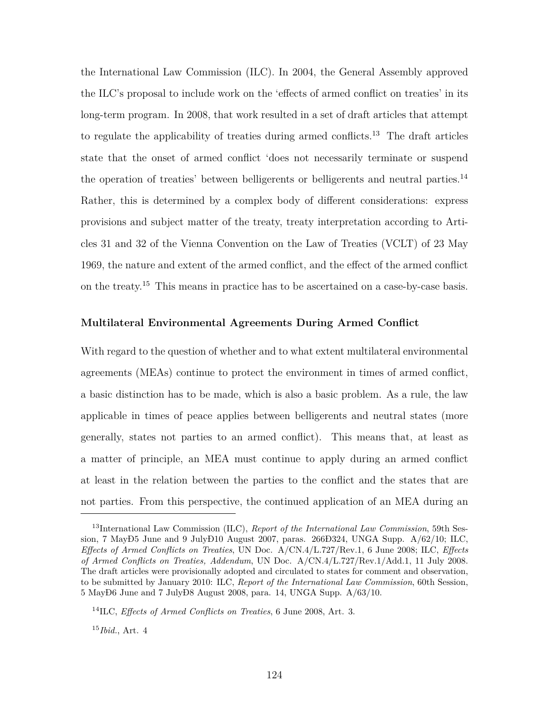the International Law Commission (ILC). In 2004, the General Assembly approved the ILC's proposal to include work on the 'effects of armed conflict on treaties' in its long-term program. In 2008, that work resulted in a set of draft articles that attempt to regulate the applicability of treaties during armed conflicts.<sup>13</sup> The draft articles state that the onset of armed conflict 'does not necessarily terminate or suspend the operation of treaties' between belligerents or belligerents and neutral parties.<sup>14</sup> Rather, this is determined by a complex body of different considerations: express provisions and subject matter of the treaty, treaty interpretation according to Articles 31 and 32 of the Vienna Convention on the Law of Treaties (VCLT) of 23 May 1969, the nature and extent of the armed conflict, and the effect of the armed conflict on the treaty.<sup>15</sup> This means in practice has to be ascertained on a case-by-case basis.

### **Multilateral Environmental Agreements During Armed Conflict**

With regard to the question of whether and to what extent multilateral environmental agreements (MEAs) continue to protect the environment in times of armed conflict, a basic distinction has to be made, which is also a basic problem. As a rule, the law applicable in times of peace applies between belligerents and neutral states (more generally, states not parties to an armed conflict). This means that, at least as a matter of principle, an MEA must continue to apply during an armed conflict at least in the relation between the parties to the conflict and the states that are not parties. From this perspective, the continued application of an MEA during an

<sup>13</sup>International Law Commission (ILC), *Report of the International Law Commission*, 59th Session, 7 MayÐ5 June and 9 JulyÐ10 August 2007, paras. 266Ð324, UNGA Supp.  $A/62/10$ ; ILC, *Effects of Armed Conflicts on Treaties*, UN Doc. A/CN.4/L.727/Rev.1, 6 June 2008; ILC, *Effects of Armed Conflicts on Treaties, Addendum*, UN Doc. A/CN.4/L.727/Rev.1/Add.1, 11 July 2008. The draft articles were provisionally adopted and circulated to states for comment and observation, to be submitted by January 2010: ILC, *Report of the International Law Commission*, 60th Session, 5 MayÐ6 June and 7 JulyÐ8 August 2008, para. 14, UNGA Supp. A/63/10.

<sup>14</sup>ILC, *Effects of Armed Conflicts on Treaties*, 6 June 2008, Art. 3.

<sup>15</sup>*Ibid.*, Art. 4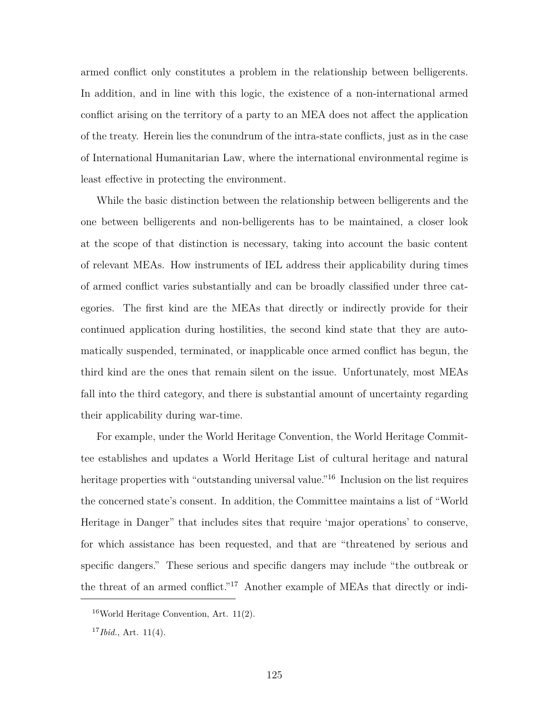armed conflict only constitutes a problem in the relationship between belligerents. In addition, and in line with this logic, the existence of a non-international armed conflict arising on the territory of a party to an MEA does not affect the application of the treaty. Herein lies the conundrum of the intra-state conflicts, just as in the case of International Humanitarian Law, where the international environmental regime is least effective in protecting the environment.

While the basic distinction between the relationship between belligerents and the one between belligerents and non-belligerents has to be maintained, a closer look at the scope of that distinction is necessary, taking into account the basic content of relevant MEAs. How instruments of IEL address their applicability during times of armed conflict varies substantially and can be broadly classified under three categories. The first kind are the MEAs that directly or indirectly provide for their continued application during hostilities, the second kind state that they are automatically suspended, terminated, or inapplicable once armed conflict has begun, the third kind are the ones that remain silent on the issue. Unfortunately, most MEAs fall into the third category, and there is substantial amount of uncertainty regarding their applicability during war-time.

For example, under the World Heritage Convention, the World Heritage Committee establishes and updates a World Heritage List of cultural heritage and natural heritage properties with "outstanding universal value."<sup>16</sup> Inclusion on the list requires the concerned state's consent. In addition, the Committee maintains a list of "World Heritage in Danger" that includes sites that require 'major operations' to conserve, for which assistance has been requested, and that are "threatened by serious and specific dangers." These serious and specific dangers may include "the outbreak or the threat of an armed conflict."<sup>17</sup> Another example of MEAs that directly or indi-

 $16$ World Heritage Convention, Art. 11(2).

<sup>17</sup>*Ibid.*, Art. 11(4).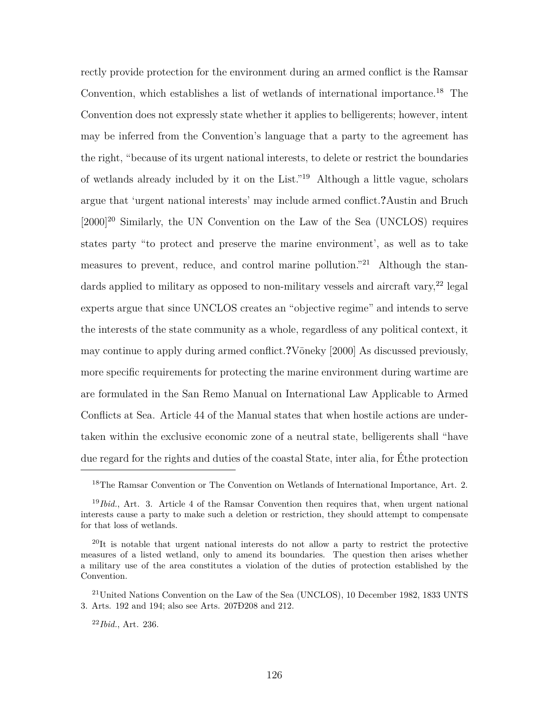rectly provide protection for the environment during an armed conflict is the Ramsar Convention, which establishes a list of wetlands of international importance.<sup>18</sup> The Convention does not expressly state whether it applies to belligerents; however, intent may be inferred from the Convention's language that a party to the agreement has the right, "because of its urgent national interests, to delete or restrict the boundaries of wetlands already included by it on the List."<sup>19</sup> Although a little vague, scholars argue that 'urgent national interests' may include armed conflict.**?**Austin and Bruch  $[2000]^{20}$  Similarly, the UN Convention on the Law of the Sea (UNCLOS) requires states party "to protect and preserve the marine environment', as well as to take measures to prevent, reduce, and control marine pollution.<sup>"21</sup> Although the standards applied to military as opposed to non-military vessels and aircraft vary,  $22$  legal experts argue that since UNCLOS creates an "objective regime" and intends to serve the interests of the state community as a whole, regardless of any political context, it may continue to apply during armed conflict.**?**Vöneky [2000] As discussed previously, more specific requirements for protecting the marine environment during wartime are are formulated in the San Remo Manual on International Law Applicable to Armed Conflicts at Sea. Article 44 of the Manual states that when hostile actions are undertaken within the exclusive economic zone of a neutral state, belligerents shall "have due regard for the rights and duties of the coastal State, inter alia, for Éthe protection

<sup>18</sup>The Ramsar Convention or The Convention on Wetlands of International Importance, Art. 2.

<sup>&</sup>lt;sup>19</sup>*Ibid.*, Art. 3. Article 4 of the Ramsar Convention then requires that, when urgent national interests cause a party to make such a deletion or restriction, they should attempt to compensate for that loss of wetlands.

 $^{20}$ It is notable that urgent national interests do not allow a party to restrict the protective measures of a listed wetland, only to amend its boundaries. The question then arises whether a military use of the area constitutes a violation of the duties of protection established by the Convention.

<sup>21</sup>United Nations Convention on the Law of the Sea (UNCLOS), 10 December 1982, 1833 UNTS 3. Arts. 192 and 194; also see Arts. 207Ð208 and 212.

<sup>22</sup>*Ibid.*, Art. 236.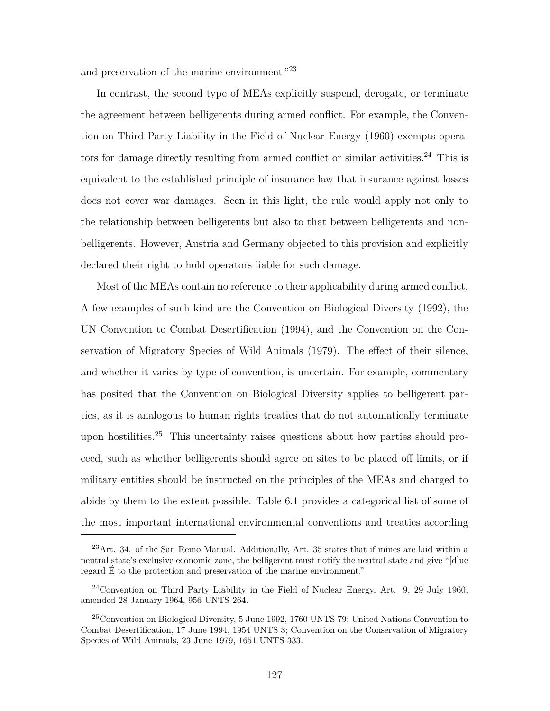and preservation of the marine environment."<sup>23</sup>

In contrast, the second type of MEAs explicitly suspend, derogate, or terminate the agreement between belligerents during armed conflict. For example, the Convention on Third Party Liability in the Field of Nuclear Energy (1960) exempts operators for damage directly resulting from armed conflict or similar activities.<sup>24</sup> This is equivalent to the established principle of insurance law that insurance against losses does not cover war damages. Seen in this light, the rule would apply not only to the relationship between belligerents but also to that between belligerents and nonbelligerents. However, Austria and Germany objected to this provision and explicitly declared their right to hold operators liable for such damage.

Most of the MEAs contain no reference to their applicability during armed conflict. A few examples of such kind are the Convention on Biological Diversity (1992), the UN Convention to Combat Desertification (1994), and the Convention on the Conservation of Migratory Species of Wild Animals (1979). The effect of their silence, and whether it varies by type of convention, is uncertain. For example, commentary has posited that the Convention on Biological Diversity applies to belligerent parties, as it is analogous to human rights treaties that do not automatically terminate upon hostilities.<sup>25</sup> This uncertainty raises questions about how parties should proceed, such as whether belligerents should agree on sites to be placed off limits, or if military entities should be instructed on the principles of the MEAs and charged to abide by them to the extent possible. Table 6.1 provides a categorical list of some of the most important international environmental conventions and treaties according

 $^{23}$ Art. 34. of the San Remo Manual. Additionally, Art. 35 states that if mines are laid within a neutral state's exclusive economic zone, the belligerent must notify the neutral state and give "[d]ue regard É to the protection and preservation of the marine environment."

 $^{24}$ Convention on Third Party Liability in the Field of Nuclear Energy, Art. 9, 29 July 1960, amended 28 January 1964, 956 UNTS 264.

 $25$ Convention on Biological Diversity,  $5$  June 1992, 1760 UNTS 79; United Nations Convention to Combat Desertification, 17 June 1994, 1954 UNTS 3; Convention on the Conservation of Migratory Species of Wild Animals, 23 June 1979, 1651 UNTS 333.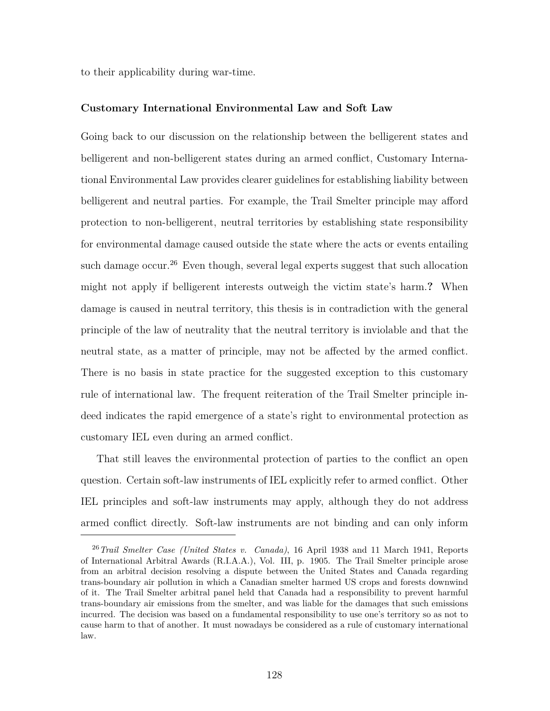to their applicability during war-time.

### **Customary International Environmental Law and Soft Law**

Going back to our discussion on the relationship between the belligerent states and belligerent and non-belligerent states during an armed conflict, Customary International Environmental Law provides clearer guidelines for establishing liability between belligerent and neutral parties. For example, the Trail Smelter principle may afford protection to non-belligerent, neutral territories by establishing state responsibility for environmental damage caused outside the state where the acts or events entailing such damage occur.<sup>26</sup> Even though, several legal experts suggest that such allocation might not apply if belligerent interests outweigh the victim state's harm.**?** When damage is caused in neutral territory, this thesis is in contradiction with the general principle of the law of neutrality that the neutral territory is inviolable and that the neutral state, as a matter of principle, may not be affected by the armed conflict. There is no basis in state practice for the suggested exception to this customary rule of international law. The frequent reiteration of the Trail Smelter principle indeed indicates the rapid emergence of a state's right to environmental protection as customary IEL even during an armed conflict.

That still leaves the environmental protection of parties to the conflict an open question. Certain soft-law instruments of IEL explicitly refer to armed conflict. Other IEL principles and soft-law instruments may apply, although they do not address armed conflict directly. Soft-law instruments are not binding and can only inform

<sup>26</sup>*Trail Smelter Case (United States v. Canada)*, 16 April 1938 and 11 March 1941, Reports of International Arbitral Awards (R.I.A.A.), Vol. III, p. 1905. The Trail Smelter principle arose from an arbitral decision resolving a dispute between the United States and Canada regarding trans-boundary air pollution in which a Canadian smelter harmed US crops and forests downwind of it. The Trail Smelter arbitral panel held that Canada had a responsibility to prevent harmful trans-boundary air emissions from the smelter, and was liable for the damages that such emissions incurred. The decision was based on a fundamental responsibility to use one's territory so as not to cause harm to that of another. It must nowadays be considered as a rule of customary international law.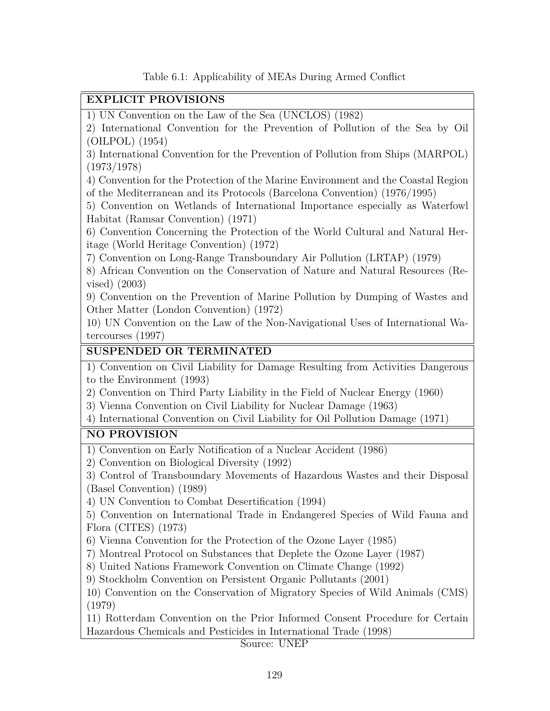Table 6.1: Applicability of MEAs During Armed Conflict

## **EXPLICIT PROVISIONS**

1) UN Convention on the Law of the Sea (UNCLOS) (1982)

2) International Convention for the Prevention of Pollution of the Sea by Oil (OILPOL) (1954)

3) International Convention for the Prevention of Pollution from Ships (MARPOL) (1973/1978)

4) Convention for the Protection of the Marine Environment and the Coastal Region of the Mediterranean and its Protocols (Barcelona Convention) (1976/1995)

5) Convention on Wetlands of International Importance especially as Waterfowl Habitat (Ramsar Convention) (1971)

6) Convention Concerning the Protection of the World Cultural and Natural Heritage (World Heritage Convention) (1972)

7) Convention on Long-Range Transboundary Air Pollution (LRTAP) (1979)

8) African Convention on the Conservation of Nature and Natural Resources (Revised) (2003)

9) Convention on the Prevention of Marine Pollution by Dumping of Wastes and Other Matter (London Convention) (1972)

10) UN Convention on the Law of the Non-Navigational Uses of International Watercourses (1997)

## **SUSPENDED OR TERMINATED**

1) Convention on Civil Liability for Damage Resulting from Activities Dangerous to the Environment (1993)

2) Convention on Third Party Liability in the Field of Nuclear Energy (1960)

3) Vienna Convention on Civil Liability for Nuclear Damage (1963)

4) International Convention on Civil Liability for Oil Pollution Damage (1971)

## **NO PROVISION**

1) Convention on Early Notification of a Nuclear Accident (1986)

2) Convention on Biological Diversity (1992)

3) Control of Transboundary Movements of Hazardous Wastes and their Disposal (Basel Convention) (1989)

4) UN Convention to Combat Desertification (1994)

5) Convention on International Trade in Endangered Species of Wild Fauna and Flora (CITES) (1973)

6) Vienna Convention for the Protection of the Ozone Layer (1985)

7) Montreal Protocol on Substances that Deplete the Ozone Layer (1987)

8) United Nations Framework Convention on Climate Change (1992)

9) Stockholm Convention on Persistent Organic Pollutants (2001)

10) Convention on the Conservation of Migratory Species of Wild Animals (CMS) (1979)

11) Rotterdam Convention on the Prior Informed Consent Procedure for Certain Hazardous Chemicals and Pesticides in International Trade (1998)

Source: UNEP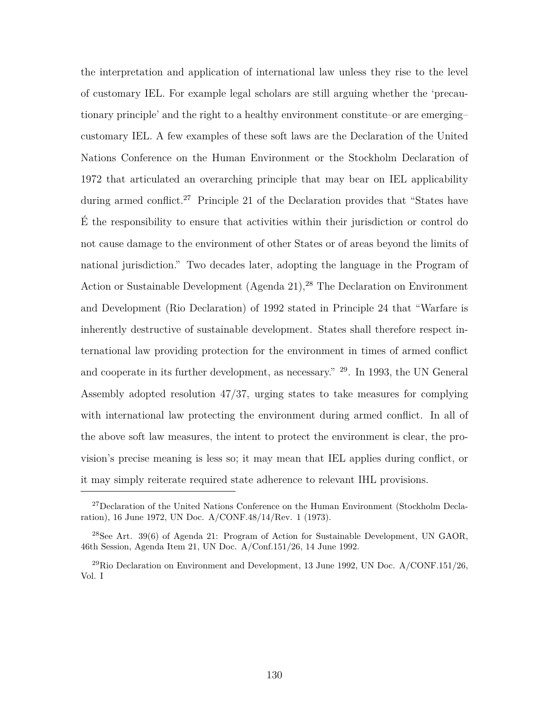the interpretation and application of international law unless they rise to the level of customary IEL. For example legal scholars are still arguing whether the 'precautionary principle' and the right to a healthy environment constitute–or are emerging– customary IEL. A few examples of these soft laws are the Declaration of the United Nations Conference on the Human Environment or the Stockholm Declaration of 1972 that articulated an overarching principle that may bear on IEL applicability during armed conflict.<sup>27</sup> Principle 21 of the Declaration provides that "States have É the responsibility to ensure that activities within their jurisdiction or control do not cause damage to the environment of other States or of areas beyond the limits of national jurisdiction." Two decades later, adopting the language in the Program of Action or Sustainable Development (Agenda 21),<sup>28</sup> The Declaration on Environment and Development (Rio Declaration) of 1992 stated in Principle 24 that "Warfare is inherently destructive of sustainable development. States shall therefore respect international law providing protection for the environment in times of armed conflict and cooperate in its further development, as necessary." <sup>29</sup>. In 1993, the UN General Assembly adopted resolution 47/37, urging states to take measures for complying with international law protecting the environment during armed conflict. In all of the above soft law measures, the intent to protect the environment is clear, the provision's precise meaning is less so; it may mean that IEL applies during conflict, or it may simply reiterate required state adherence to relevant IHL provisions.

<sup>27</sup>Declaration of the United Nations Conference on the Human Environment (Stockholm Declaration), 16 June 1972, UN Doc. A/CONF.48/14/Rev. 1 (1973).

 $^{28}$ See Art. 39(6) of Agenda 21: Program of Action for Sustainable Development, UN GAOR, 46th Session, Agenda Item 21, UN Doc. A/Conf.151/26, 14 June 1992.

<sup>&</sup>lt;sup>29</sup>Rio Declaration on Environment and Development, 13 June 1992, UN Doc.  $A/CONF.151/26$ , Vol. I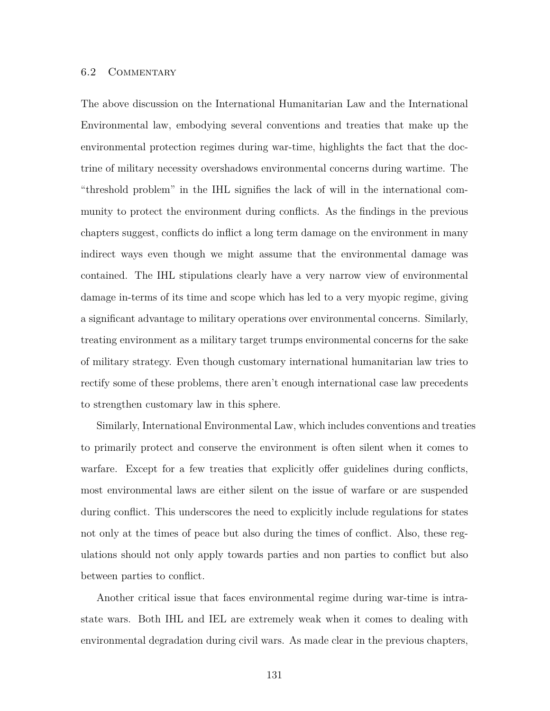### 6.2 Commentary

The above discussion on the International Humanitarian Law and the International Environmental law, embodying several conventions and treaties that make up the environmental protection regimes during war-time, highlights the fact that the doctrine of military necessity overshadows environmental concerns during wartime. The "threshold problem" in the IHL signifies the lack of will in the international community to protect the environment during conflicts. As the findings in the previous chapters suggest, conflicts do inflict a long term damage on the environment in many indirect ways even though we might assume that the environmental damage was contained. The IHL stipulations clearly have a very narrow view of environmental damage in-terms of its time and scope which has led to a very myopic regime, giving a significant advantage to military operations over environmental concerns. Similarly, treating environment as a military target trumps environmental concerns for the sake of military strategy. Even though customary international humanitarian law tries to rectify some of these problems, there aren't enough international case law precedents to strengthen customary law in this sphere.

Similarly, International Environmental Law, which includes conventions and treaties to primarily protect and conserve the environment is often silent when it comes to warfare. Except for a few treaties that explicitly offer guidelines during conflicts, most environmental laws are either silent on the issue of warfare or are suspended during conflict. This underscores the need to explicitly include regulations for states not only at the times of peace but also during the times of conflict. Also, these regulations should not only apply towards parties and non parties to conflict but also between parties to conflict.

Another critical issue that faces environmental regime during war-time is intrastate wars. Both IHL and IEL are extremely weak when it comes to dealing with environmental degradation during civil wars. As made clear in the previous chapters,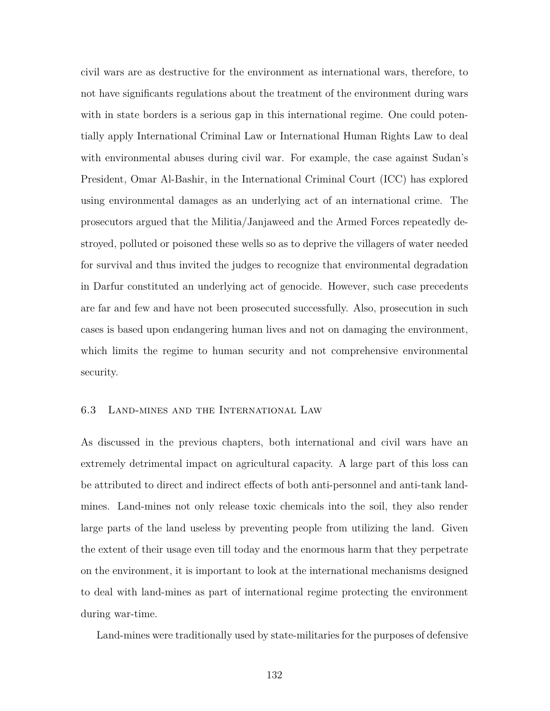civil wars are as destructive for the environment as international wars, therefore, to not have significants regulations about the treatment of the environment during wars with in state borders is a serious gap in this international regime. One could potentially apply International Criminal Law or International Human Rights Law to deal with environmental abuses during civil war. For example, the case against Sudan's President, Omar Al-Bashir, in the International Criminal Court (ICC) has explored using environmental damages as an underlying act of an international crime. The prosecutors argued that the Militia/Janjaweed and the Armed Forces repeatedly destroyed, polluted or poisoned these wells so as to deprive the villagers of water needed for survival and thus invited the judges to recognize that environmental degradation in Darfur constituted an underlying act of genocide. However, such case precedents are far and few and have not been prosecuted successfully. Also, prosecution in such cases is based upon endangering human lives and not on damaging the environment, which limits the regime to human security and not comprehensive environmental security.

#### 6.3 Land-mines and the International Law

As discussed in the previous chapters, both international and civil wars have an extremely detrimental impact on agricultural capacity. A large part of this loss can be attributed to direct and indirect effects of both anti-personnel and anti-tank landmines. Land-mines not only release toxic chemicals into the soil, they also render large parts of the land useless by preventing people from utilizing the land. Given the extent of their usage even till today and the enormous harm that they perpetrate on the environment, it is important to look at the international mechanisms designed to deal with land-mines as part of international regime protecting the environment during war-time.

Land-mines were traditionally used by state-militaries for the purposes of defensive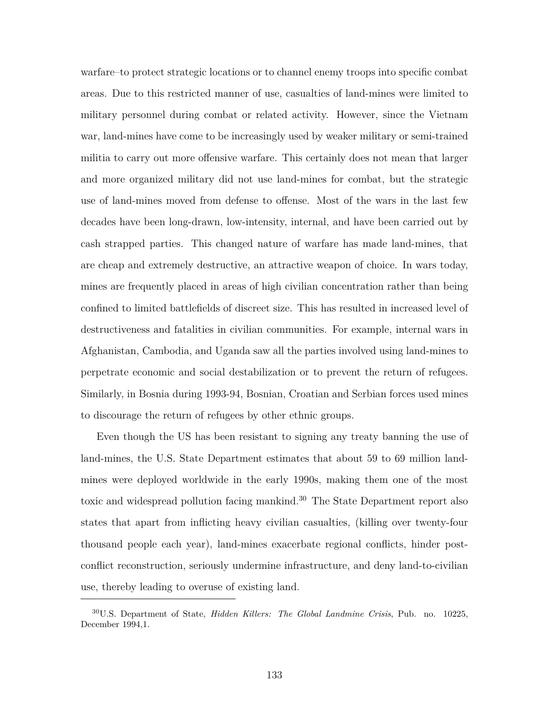warfare–to protect strategic locations or to channel enemy troops into specific combat areas. Due to this restricted manner of use, casualties of land-mines were limited to military personnel during combat or related activity. However, since the Vietnam war, land-mines have come to be increasingly used by weaker military or semi-trained militia to carry out more offensive warfare. This certainly does not mean that larger and more organized military did not use land-mines for combat, but the strategic use of land-mines moved from defense to offense. Most of the wars in the last few decades have been long-drawn, low-intensity, internal, and have been carried out by cash strapped parties. This changed nature of warfare has made land-mines, that are cheap and extremely destructive, an attractive weapon of choice. In wars today, mines are frequently placed in areas of high civilian concentration rather than being confined to limited battlefields of discreet size. This has resulted in increased level of destructiveness and fatalities in civilian communities. For example, internal wars in Afghanistan, Cambodia, and Uganda saw all the parties involved using land-mines to perpetrate economic and social destabilization or to prevent the return of refugees. Similarly, in Bosnia during 1993-94, Bosnian, Croatian and Serbian forces used mines to discourage the return of refugees by other ethnic groups.

Even though the US has been resistant to signing any treaty banning the use of land-mines, the U.S. State Department estimates that about 59 to 69 million landmines were deployed worldwide in the early 1990s, making them one of the most toxic and widespread pollution facing mankind.<sup>30</sup> The State Department report also states that apart from inflicting heavy civilian casualties, (killing over twenty-four thousand people each year), land-mines exacerbate regional conflicts, hinder postconflict reconstruction, seriously undermine infrastructure, and deny land-to-civilian use, thereby leading to overuse of existing land.

<sup>30</sup>U.S. Department of State, *Hidden Killers: The Global Landmine Crisis*, Pub. no. 10225, December 1994,1.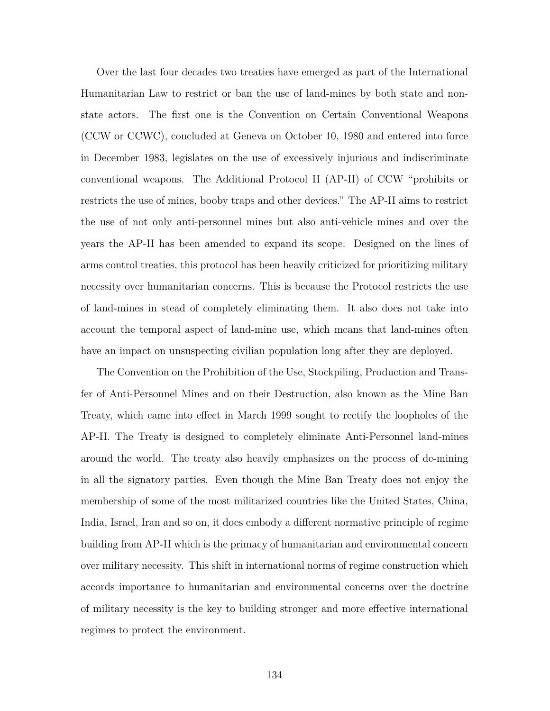Over the last four decades two treaties have emerged as part of the International Humanitarian Law to restrict or ban the use of land-mines by both state and nonstate actors. The first one is the Convention on Certain Conventional Weapons (CCW or CCWC), concluded at Geneva on October 10, 1980 and entered into force in December 1983, legislates on the use of excessively injurious and indiscriminate conventional weapons. The Additional Protocol II (AP-II) of CCW "prohibits or restricts the use of mines, booby traps and other devices." The AP-II aims to restrict the use of not only anti-personnel mines but also anti-vehicle mines and over the years the AP-II has been amended to expand its scope. Designed on the lines of arms control treaties, this protocol has been heavily criticized for prioritizing military necessity over humanitarian concerns. This is because the Protocol restricts the use of land-mines in stead of completely eliminating them. It also does not take into account the temporal aspect of land-mine use, which means that land-mines often have an impact on unsuspecting civilian population long after they are deployed.

The Convention on the Prohibition of the Use, Stockpiling, Production and Transfer of Anti-Personnel Mines and on their Destruction, also known as the Mine Ban Treaty, which came into effect in March 1999 sought to rectify the loopholes of the AP-II. The Treaty is designed to completely eliminate Anti-Personnel land-mines around the world. The treaty also heavily emphasizes on the process of de-mining in all the signatory parties. Even though the Mine Ban Treaty does not enjoy the membership of some of the most militarized countries like the United States, China, India, Israel, Iran and so on, it does embody a different normative principle of regime building from AP-II which is the primacy of humanitarian and environmental concern over military necessity. This shift in international norms of regime construction which accords importance to humanitarian and environmental concerns over the doctrine of military necessity is the key to building stronger and more effective international regimes to protect the environment.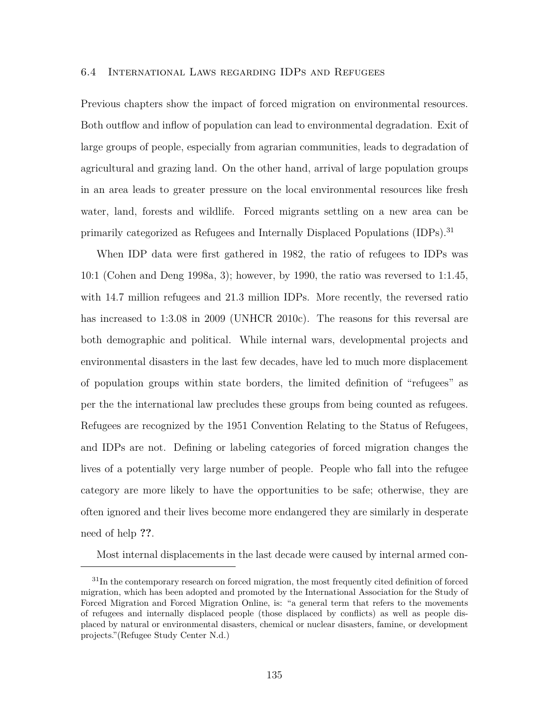#### 6.4 International Laws regarding IDPs and Refugees

Previous chapters show the impact of forced migration on environmental resources. Both outflow and inflow of population can lead to environmental degradation. Exit of large groups of people, especially from agrarian communities, leads to degradation of agricultural and grazing land. On the other hand, arrival of large population groups in an area leads to greater pressure on the local environmental resources like fresh water, land, forests and wildlife. Forced migrants settling on a new area can be primarily categorized as Refugees and Internally Displaced Populations (IDPs).<sup>31</sup>

When IDP data were first gathered in 1982, the ratio of refugees to IDPs was 10:1 (Cohen and Deng 1998a, 3); however, by 1990, the ratio was reversed to 1:1.45, with 14.7 million refugees and 21.3 million IDPs. More recently, the reversed ratio has increased to 1:3.08 in 2009 (UNHCR 2010c). The reasons for this reversal are both demographic and political. While internal wars, developmental projects and environmental disasters in the last few decades, have led to much more displacement of population groups within state borders, the limited definition of "refugees" as per the the international law precludes these groups from being counted as refugees. Refugees are recognized by the 1951 Convention Relating to the Status of Refugees, and IDPs are not. Defining or labeling categories of forced migration changes the lives of a potentially very large number of people. People who fall into the refugee category are more likely to have the opportunities to be safe; otherwise, they are often ignored and their lives become more endangered they are similarly in desperate need of help **??**.

Most internal displacements in the last decade were caused by internal armed con-

<sup>31</sup>In the contemporary research on forced migration, the most frequently cited definition of forced migration, which has been adopted and promoted by the International Association for the Study of Forced Migration and Forced Migration Online, is: "a general term that refers to the movements of refugees and internally displaced people (those displaced by conflicts) as well as people displaced by natural or environmental disasters, chemical or nuclear disasters, famine, or development projects."(Refugee Study Center N.d.)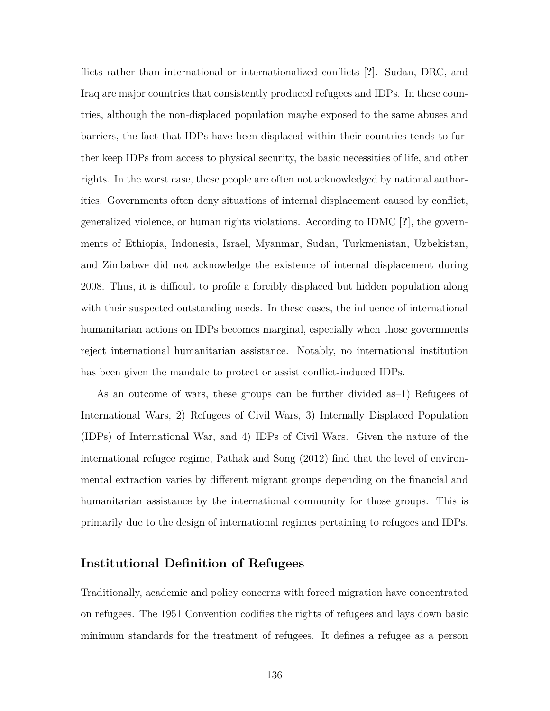flicts rather than international or internationalized conflicts [**?**]. Sudan, DRC, and Iraq are major countries that consistently produced refugees and IDPs. In these countries, although the non-displaced population maybe exposed to the same abuses and barriers, the fact that IDPs have been displaced within their countries tends to further keep IDPs from access to physical security, the basic necessities of life, and other rights. In the worst case, these people are often not acknowledged by national authorities. Governments often deny situations of internal displacement caused by conflict, generalized violence, or human rights violations. According to IDMC [**?**], the governments of Ethiopia, Indonesia, Israel, Myanmar, Sudan, Turkmenistan, Uzbekistan, and Zimbabwe did not acknowledge the existence of internal displacement during 2008. Thus, it is difficult to profile a forcibly displaced but hidden population along with their suspected outstanding needs. In these cases, the influence of international humanitarian actions on IDPs becomes marginal, especially when those governments reject international humanitarian assistance. Notably, no international institution has been given the mandate to protect or assist conflict-induced IDPs.

As an outcome of wars, these groups can be further divided as–1) Refugees of International Wars, 2) Refugees of Civil Wars, 3) Internally Displaced Population (IDPs) of International War, and 4) IDPs of Civil Wars. Given the nature of the international refugee regime, Pathak and Song (2012) find that the level of environmental extraction varies by different migrant groups depending on the financial and humanitarian assistance by the international community for those groups. This is primarily due to the design of international regimes pertaining to refugees and IDPs.

## **Institutional Definition of Refugees**

Traditionally, academic and policy concerns with forced migration have concentrated on refugees. The 1951 Convention codifies the rights of refugees and lays down basic minimum standards for the treatment of refugees. It defines a refugee as a person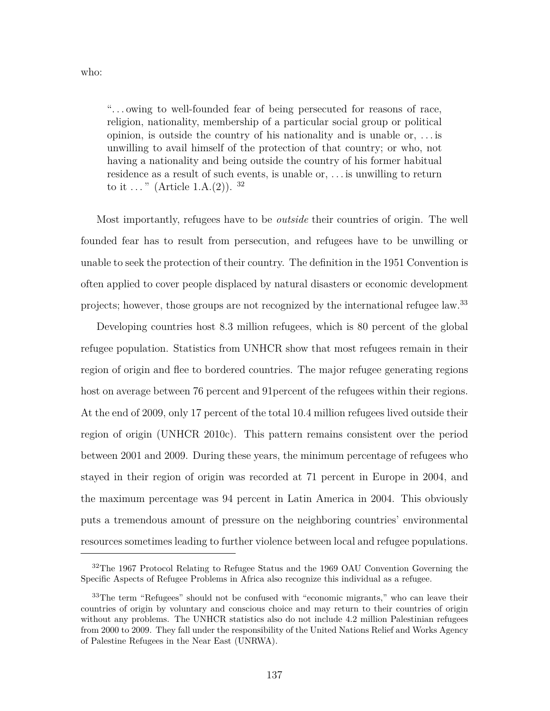who:

". . . owing to well-founded fear of being persecuted for reasons of race, religion, nationality, membership of a particular social group or political opinion, is outside the country of his nationality and is unable or, . . . is unwilling to avail himself of the protection of that country; or who, not having a nationality and being outside the country of his former habitual residence as a result of such events, is unable or, . . . is unwilling to return to it ..." (Article 1.A.(2)).  $32$ 

Most importantly, refugees have to be *outside* their countries of origin. The well founded fear has to result from persecution, and refugees have to be unwilling or unable to seek the protection of their country. The definition in the 1951 Convention is often applied to cover people displaced by natural disasters or economic development projects; however, those groups are not recognized by the international refugee law.<sup>33</sup>

Developing countries host 8.3 million refugees, which is 80 percent of the global refugee population. Statistics from UNHCR show that most refugees remain in their region of origin and flee to bordered countries. The major refugee generating regions host on average between 76 percent and 91percent of the refugees within their regions. At the end of 2009, only 17 percent of the total 10.4 million refugees lived outside their region of origin (UNHCR 2010c). This pattern remains consistent over the period between 2001 and 2009. During these years, the minimum percentage of refugees who stayed in their region of origin was recorded at 71 percent in Europe in 2004, and the maximum percentage was 94 percent in Latin America in 2004. This obviously puts a tremendous amount of pressure on the neighboring countries' environmental resources sometimes leading to further violence between local and refugee populations.

<sup>&</sup>lt;sup>32</sup>The 1967 Protocol Relating to Refugee Status and the 1969 OAU Convention Governing the Specific Aspects of Refugee Problems in Africa also recognize this individual as a refugee.

<sup>&</sup>lt;sup>33</sup>The term "Refugees" should not be confused with "economic migrants," who can leave their countries of origin by voluntary and conscious choice and may return to their countries of origin without any problems. The UNHCR statistics also do not include 4.2 million Palestinian refugees from 2000 to 2009. They fall under the responsibility of the United Nations Relief and Works Agency of Palestine Refugees in the Near East (UNRWA).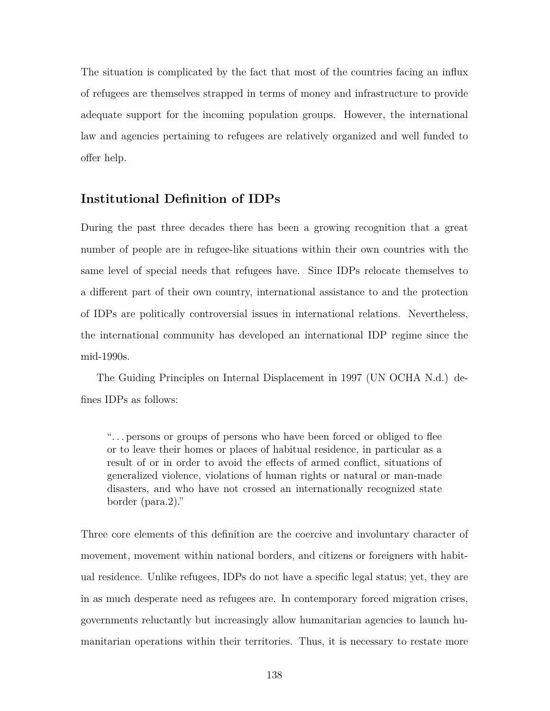The situation is complicated by the fact that most of the countries facing an influx of refugees are themselves strapped in terms of money and infrastructure to provide adequate support for the incoming population groups. However, the international law and agencies pertaining to refugees are relatively organized and well funded to offer help.

# **Institutional Definition of IDPs**

During the past three decades there has been a growing recognition that a great number of people are in refugee-like situations within their own countries with the same level of special needs that refugees have. Since IDPs relocate themselves to a different part of their own country, international assistance to and the protection of IDPs are politically controversial issues in international relations. Nevertheless, the international community has developed an international IDP regime since the mid-1990s.

The Guiding Principles on Internal Displacement in 1997 (UN OCHA N.d.) defines IDPs as follows:

". . . persons or groups of persons who have been forced or obliged to flee or to leave their homes or places of habitual residence, in particular as a result of or in order to avoid the effects of armed conflict, situations of generalized violence, violations of human rights or natural or man-made disasters, and who have not crossed an internationally recognized state border (para.2)."

Three core elements of this definition are the coercive and involuntary character of movement, movement within national borders, and citizens or foreigners with habitual residence. Unlike refugees, IDPs do not have a specific legal status; yet, they are in as much desperate need as refugees are. In contemporary forced migration crises, governments reluctantly but increasingly allow humanitarian agencies to launch humanitarian operations within their territories. Thus, it is necessary to restate more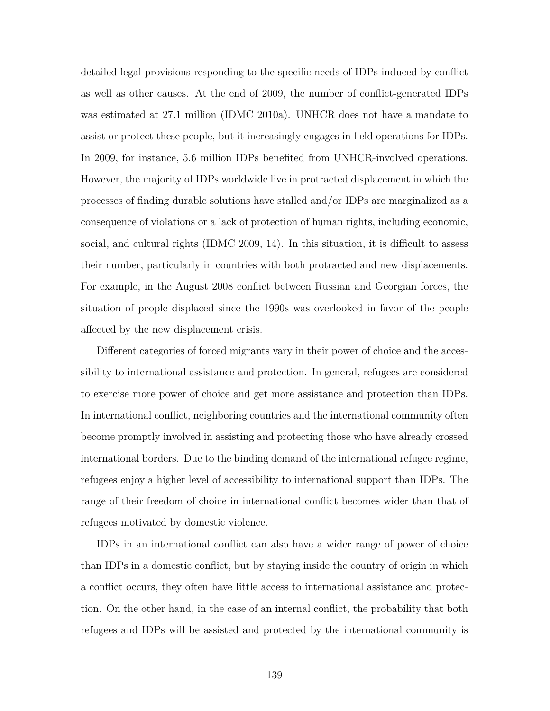detailed legal provisions responding to the specific needs of IDPs induced by conflict as well as other causes. At the end of 2009, the number of conflict-generated IDPs was estimated at 27.1 million (IDMC 2010a). UNHCR does not have a mandate to assist or protect these people, but it increasingly engages in field operations for IDPs. In 2009, for instance, 5.6 million IDPs benefited from UNHCR-involved operations. However, the majority of IDPs worldwide live in protracted displacement in which the processes of finding durable solutions have stalled and/or IDPs are marginalized as a consequence of violations or a lack of protection of human rights, including economic, social, and cultural rights (IDMC 2009, 14). In this situation, it is difficult to assess their number, particularly in countries with both protracted and new displacements. For example, in the August 2008 conflict between Russian and Georgian forces, the situation of people displaced since the 1990s was overlooked in favor of the people affected by the new displacement crisis.

Different categories of forced migrants vary in their power of choice and the accessibility to international assistance and protection. In general, refugees are considered to exercise more power of choice and get more assistance and protection than IDPs. In international conflict, neighboring countries and the international community often become promptly involved in assisting and protecting those who have already crossed international borders. Due to the binding demand of the international refugee regime, refugees enjoy a higher level of accessibility to international support than IDPs. The range of their freedom of choice in international conflict becomes wider than that of refugees motivated by domestic violence.

IDPs in an international conflict can also have a wider range of power of choice than IDPs in a domestic conflict, but by staying inside the country of origin in which a conflict occurs, they often have little access to international assistance and protection. On the other hand, in the case of an internal conflict, the probability that both refugees and IDPs will be assisted and protected by the international community is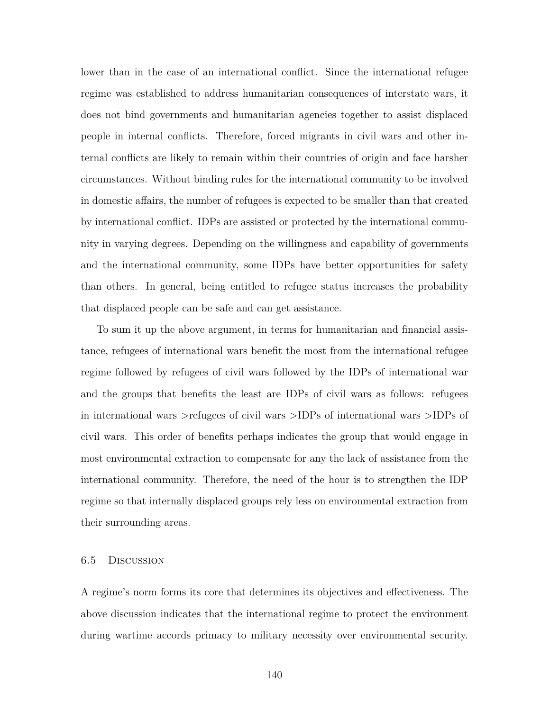lower than in the case of an international conflict. Since the international refugee regime was established to address humanitarian consequences of interstate wars, it does not bind governments and humanitarian agencies together to assist displaced people in internal conflicts. Therefore, forced migrants in civil wars and other internal conflicts are likely to remain within their countries of origin and face harsher circumstances. Without binding rules for the international community to be involved in domestic affairs, the number of refugees is expected to be smaller than that created by international conflict. IDPs are assisted or protected by the international community in varying degrees. Depending on the willingness and capability of governments and the international community, some IDPs have better opportunities for safety than others. In general, being entitled to refugee status increases the probability that displaced people can be safe and can get assistance.

To sum it up the above argument, in terms for humanitarian and financial assistance, refugees of international wars benefit the most from the international refugee regime followed by refugees of civil wars followed by the IDPs of international war and the groups that benefits the least are IDPs of civil wars as follows: refugees in international wars >refugees of civil wars >IDPs of international wars >IDPs of civil wars. This order of benefits perhaps indicates the group that would engage in most environmental extraction to compensate for any the lack of assistance from the international community. Therefore, the need of the hour is to strengthen the IDP regime so that internally displaced groups rely less on environmental extraction from their surrounding areas.

#### 6.5 Discussion

A regime's norm forms its core that determines its objectives and effectiveness. The above discussion indicates that the international regime to protect the environment during wartime accords primacy to military necessity over environmental security.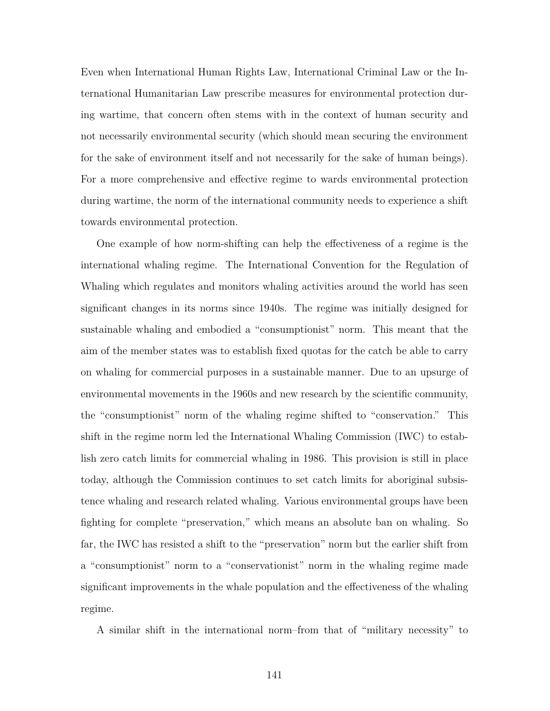Even when International Human Rights Law, International Criminal Law or the International Humanitarian Law prescribe measures for environmental protection during wartime, that concern often stems with in the context of human security and not necessarily environmental security (which should mean securing the environment for the sake of environment itself and not necessarily for the sake of human beings). For a more comprehensive and effective regime to wards environmental protection during wartime, the norm of the international community needs to experience a shift towards environmental protection.

One example of how norm-shifting can help the effectiveness of a regime is the international whaling regime. The International Convention for the Regulation of Whaling which regulates and monitors whaling activities around the world has seen significant changes in its norms since 1940s. The regime was initially designed for sustainable whaling and embodied a "consumptionist" norm. This meant that the aim of the member states was to establish fixed quotas for the catch be able to carry on whaling for commercial purposes in a sustainable manner. Due to an upsurge of environmental movements in the 1960s and new research by the scientific community, the "consumptionist" norm of the whaling regime shifted to "conservation." This shift in the regime norm led the International Whaling Commission (IWC) to establish zero catch limits for commercial whaling in 1986. This provision is still in place today, although the Commission continues to set catch limits for aboriginal subsistence whaling and research related whaling. Various environmental groups have been fighting for complete "preservation," which means an absolute ban on whaling. So far, the IWC has resisted a shift to the "preservation" norm but the earlier shift from a "consumptionist" norm to a "conservationist" norm in the whaling regime made significant improvements in the whale population and the effectiveness of the whaling regime.

A similar shift in the international norm–from that of "military necessity" to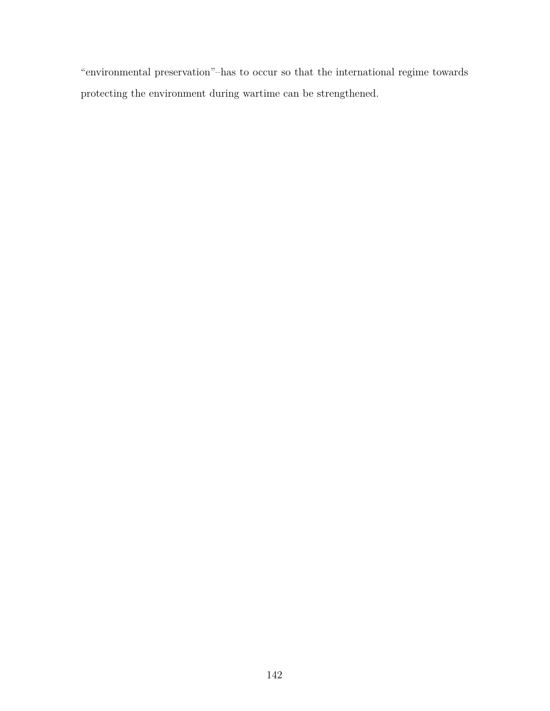"environmental preservation"–has to occur so that the international regime towards protecting the environment during wartime can be strengthened.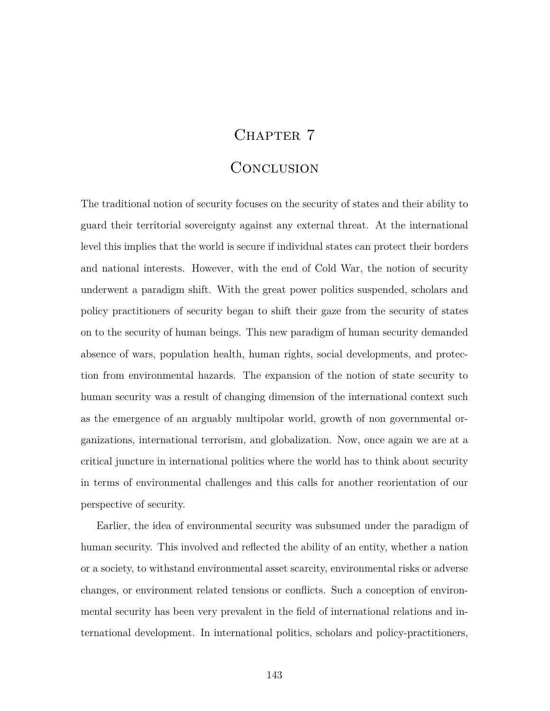# CHAPTER 7

# **CONCLUSION**

The traditional notion of security focuses on the security of states and their ability to guard their territorial sovereignty against any external threat. At the international level this implies that the world is secure if individual states can protect their borders and national interests. However, with the end of Cold War, the notion of security underwent a paradigm shift. With the great power politics suspended, scholars and policy practitioners of security began to shift their gaze from the security of states on to the security of human beings. This new paradigm of human security demanded absence of wars, population health, human rights, social developments, and protection from environmental hazards. The expansion of the notion of state security to human security was a result of changing dimension of the international context such as the emergence of an arguably multipolar world, growth of non governmental organizations, international terrorism, and globalization. Now, once again we are at a critical juncture in international politics where the world has to think about security in terms of environmental challenges and this calls for another reorientation of our perspective of security.

Earlier, the idea of environmental security was subsumed under the paradigm of human security. This involved and reflected the ability of an entity, whether a nation or a society, to withstand environmental asset scarcity, environmental risks or adverse changes, or environment related tensions or conflicts. Such a conception of environmental security has been very prevalent in the field of international relations and international development. In international politics, scholars and policy-practitioners,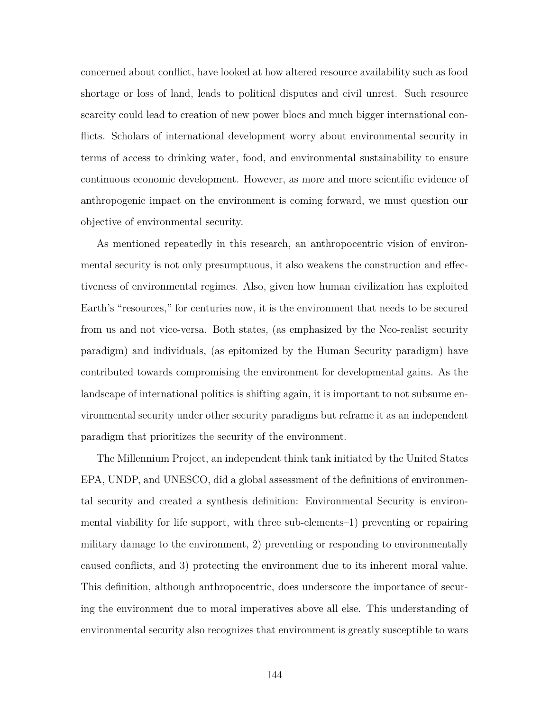concerned about conflict, have looked at how altered resource availability such as food shortage or loss of land, leads to political disputes and civil unrest. Such resource scarcity could lead to creation of new power blocs and much bigger international conflicts. Scholars of international development worry about environmental security in terms of access to drinking water, food, and environmental sustainability to ensure continuous economic development. However, as more and more scientific evidence of anthropogenic impact on the environment is coming forward, we must question our objective of environmental security.

As mentioned repeatedly in this research, an anthropocentric vision of environmental security is not only presumptuous, it also weakens the construction and effectiveness of environmental regimes. Also, given how human civilization has exploited Earth's "resources," for centuries now, it is the environment that needs to be secured from us and not vice-versa. Both states, (as emphasized by the Neo-realist security paradigm) and individuals, (as epitomized by the Human Security paradigm) have contributed towards compromising the environment for developmental gains. As the landscape of international politics is shifting again, it is important to not subsume environmental security under other security paradigms but reframe it as an independent paradigm that prioritizes the security of the environment.

The Millennium Project, an independent think tank initiated by the United States EPA, UNDP, and UNESCO, did a global assessment of the definitions of environmental security and created a synthesis definition: Environmental Security is environmental viability for life support, with three sub-elements–1) preventing or repairing military damage to the environment, 2) preventing or responding to environmentally caused conflicts, and 3) protecting the environment due to its inherent moral value. This definition, although anthropocentric, does underscore the importance of securing the environment due to moral imperatives above all else. This understanding of environmental security also recognizes that environment is greatly susceptible to wars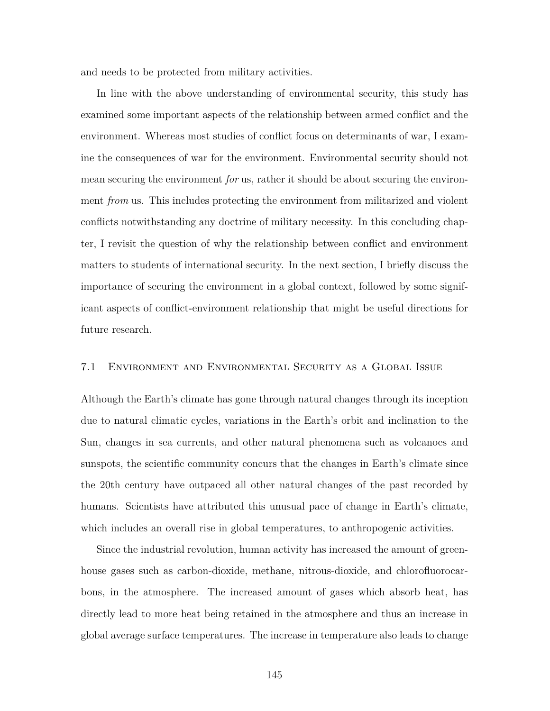and needs to be protected from military activities.

In line with the above understanding of environmental security, this study has examined some important aspects of the relationship between armed conflict and the environment. Whereas most studies of conflict focus on determinants of war, I examine the consequences of war for the environment. Environmental security should not mean securing the environment *for* us, rather it should be about securing the environment *from* us. This includes protecting the environment from militarized and violent conflicts notwithstanding any doctrine of military necessity. In this concluding chapter, I revisit the question of why the relationship between conflict and environment matters to students of international security. In the next section, I briefly discuss the importance of securing the environment in a global context, followed by some significant aspects of conflict-environment relationship that might be useful directions for future research.

#### 7.1 Environment and Environmental Security as a Global Issue

Although the Earth's climate has gone through natural changes through its inception due to natural climatic cycles, variations in the Earth's orbit and inclination to the Sun, changes in sea currents, and other natural phenomena such as volcanoes and sunspots, the scientific community concurs that the changes in Earth's climate since the 20th century have outpaced all other natural changes of the past recorded by humans. Scientists have attributed this unusual pace of change in Earth's climate, which includes an overall rise in global temperatures, to anthropogenic activities.

Since the industrial revolution, human activity has increased the amount of greenhouse gases such as carbon-dioxide, methane, nitrous-dioxide, and chlorofluorocarbons, in the atmosphere. The increased amount of gases which absorb heat, has directly lead to more heat being retained in the atmosphere and thus an increase in global average surface temperatures. The increase in temperature also leads to change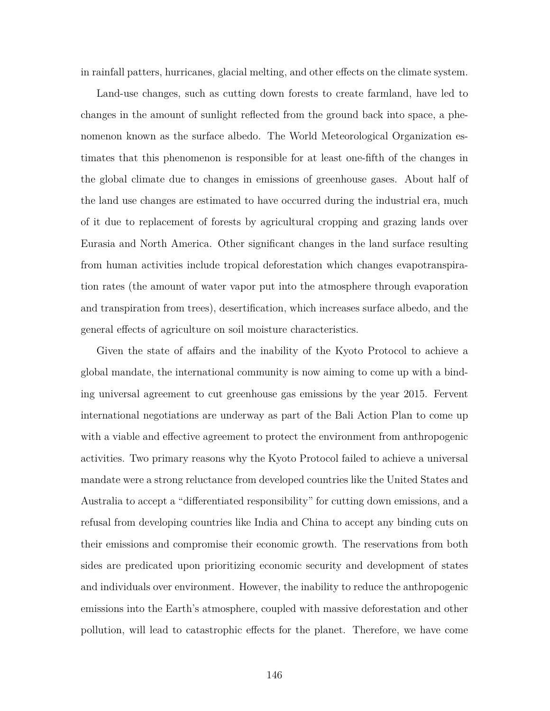in rainfall patters, hurricanes, glacial melting, and other effects on the climate system.

Land-use changes, such as cutting down forests to create farmland, have led to changes in the amount of sunlight reflected from the ground back into space, a phenomenon known as the surface albedo. The World Meteorological Organization estimates that this phenomenon is responsible for at least one-fifth of the changes in the global climate due to changes in emissions of greenhouse gases. About half of the land use changes are estimated to have occurred during the industrial era, much of it due to replacement of forests by agricultural cropping and grazing lands over Eurasia and North America. Other significant changes in the land surface resulting from human activities include tropical deforestation which changes evapotranspiration rates (the amount of water vapor put into the atmosphere through evaporation and transpiration from trees), desertification, which increases surface albedo, and the general effects of agriculture on soil moisture characteristics.

Given the state of affairs and the inability of the Kyoto Protocol to achieve a global mandate, the international community is now aiming to come up with a binding universal agreement to cut greenhouse gas emissions by the year 2015. Fervent international negotiations are underway as part of the Bali Action Plan to come up with a viable and effective agreement to protect the environment from anthropogenic activities. Two primary reasons why the Kyoto Protocol failed to achieve a universal mandate were a strong reluctance from developed countries like the United States and Australia to accept a "differentiated responsibility" for cutting down emissions, and a refusal from developing countries like India and China to accept any binding cuts on their emissions and compromise their economic growth. The reservations from both sides are predicated upon prioritizing economic security and development of states and individuals over environment. However, the inability to reduce the anthropogenic emissions into the Earth's atmosphere, coupled with massive deforestation and other pollution, will lead to catastrophic effects for the planet. Therefore, we have come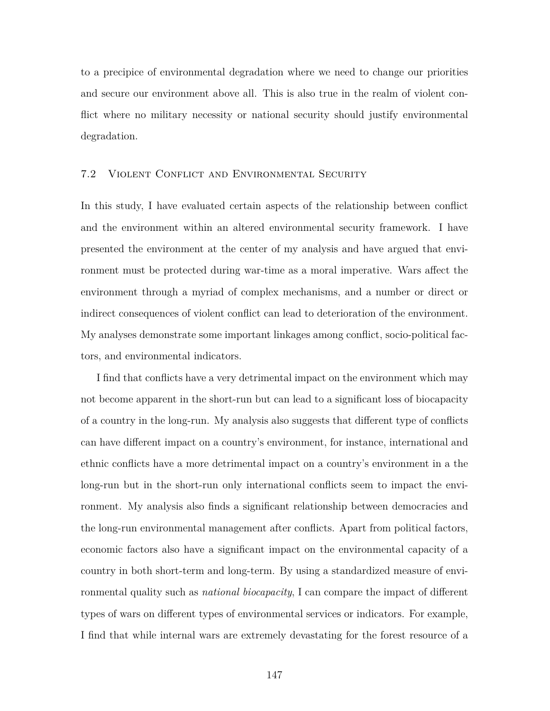to a precipice of environmental degradation where we need to change our priorities and secure our environment above all. This is also true in the realm of violent conflict where no military necessity or national security should justify environmental degradation.

#### 7.2 Violent Conflict and Environmental Security

In this study, I have evaluated certain aspects of the relationship between conflict and the environment within an altered environmental security framework. I have presented the environment at the center of my analysis and have argued that environment must be protected during war-time as a moral imperative. Wars affect the environment through a myriad of complex mechanisms, and a number or direct or indirect consequences of violent conflict can lead to deterioration of the environment. My analyses demonstrate some important linkages among conflict, socio-political factors, and environmental indicators.

I find that conflicts have a very detrimental impact on the environment which may not become apparent in the short-run but can lead to a significant loss of biocapacity of a country in the long-run. My analysis also suggests that different type of conflicts can have different impact on a country's environment, for instance, international and ethnic conflicts have a more detrimental impact on a country's environment in a the long-run but in the short-run only international conflicts seem to impact the environment. My analysis also finds a significant relationship between democracies and the long-run environmental management after conflicts. Apart from political factors, economic factors also have a significant impact on the environmental capacity of a country in both short-term and long-term. By using a standardized measure of environmental quality such as *national biocapacity*, I can compare the impact of different types of wars on different types of environmental services or indicators. For example, I find that while internal wars are extremely devastating for the forest resource of a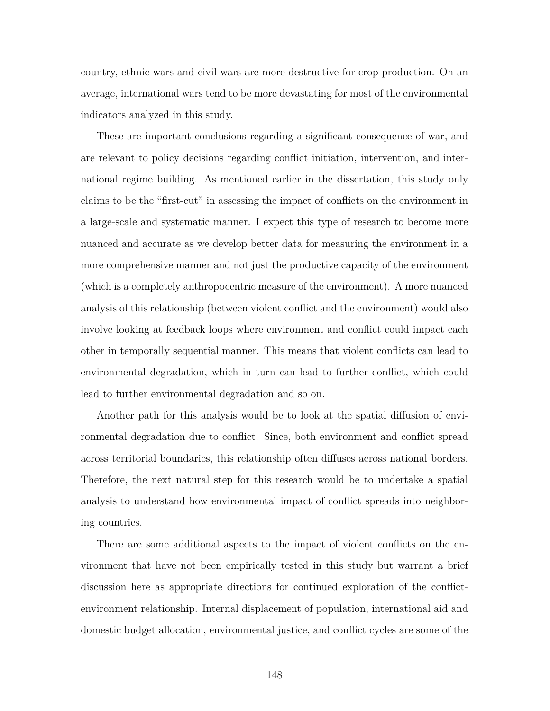country, ethnic wars and civil wars are more destructive for crop production. On an average, international wars tend to be more devastating for most of the environmental indicators analyzed in this study.

These are important conclusions regarding a significant consequence of war, and are relevant to policy decisions regarding conflict initiation, intervention, and international regime building. As mentioned earlier in the dissertation, this study only claims to be the "first-cut" in assessing the impact of conflicts on the environment in a large-scale and systematic manner. I expect this type of research to become more nuanced and accurate as we develop better data for measuring the environment in a more comprehensive manner and not just the productive capacity of the environment (which is a completely anthropocentric measure of the environment). A more nuanced analysis of this relationship (between violent conflict and the environment) would also involve looking at feedback loops where environment and conflict could impact each other in temporally sequential manner. This means that violent conflicts can lead to environmental degradation, which in turn can lead to further conflict, which could lead to further environmental degradation and so on.

Another path for this analysis would be to look at the spatial diffusion of environmental degradation due to conflict. Since, both environment and conflict spread across territorial boundaries, this relationship often diffuses across national borders. Therefore, the next natural step for this research would be to undertake a spatial analysis to understand how environmental impact of conflict spreads into neighboring countries.

There are some additional aspects to the impact of violent conflicts on the environment that have not been empirically tested in this study but warrant a brief discussion here as appropriate directions for continued exploration of the conflictenvironment relationship. Internal displacement of population, international aid and domestic budget allocation, environmental justice, and conflict cycles are some of the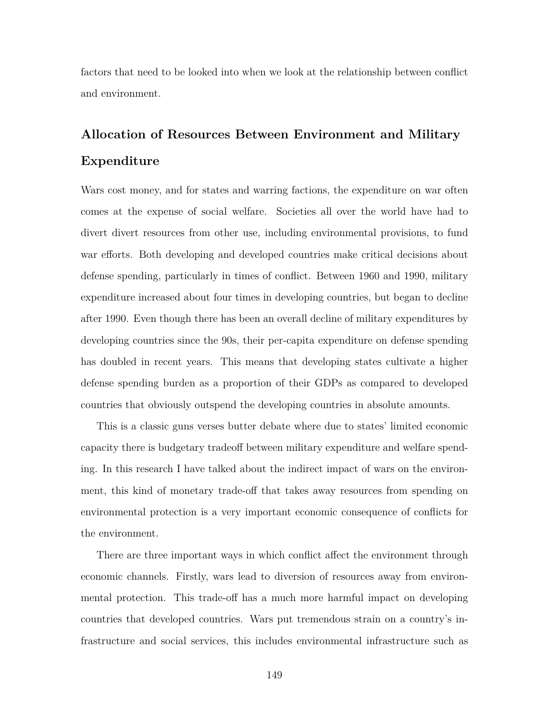factors that need to be looked into when we look at the relationship between conflict and environment.

# **Allocation of Resources Between Environment and Military Expenditure**

Wars cost money, and for states and warring factions, the expenditure on war often comes at the expense of social welfare. Societies all over the world have had to divert divert resources from other use, including environmental provisions, to fund war efforts. Both developing and developed countries make critical decisions about defense spending, particularly in times of conflict. Between 1960 and 1990, military expenditure increased about four times in developing countries, but began to decline after 1990. Even though there has been an overall decline of military expenditures by developing countries since the 90s, their per-capita expenditure on defense spending has doubled in recent years. This means that developing states cultivate a higher defense spending burden as a proportion of their GDPs as compared to developed countries that obviously outspend the developing countries in absolute amounts.

This is a classic guns verses butter debate where due to states' limited economic capacity there is budgetary tradeoff between military expenditure and welfare spending. In this research I have talked about the indirect impact of wars on the environment, this kind of monetary trade-off that takes away resources from spending on environmental protection is a very important economic consequence of conflicts for the environment.

There are three important ways in which conflict affect the environment through economic channels. Firstly, wars lead to diversion of resources away from environmental protection. This trade-off has a much more harmful impact on developing countries that developed countries. Wars put tremendous strain on a country's infrastructure and social services, this includes environmental infrastructure such as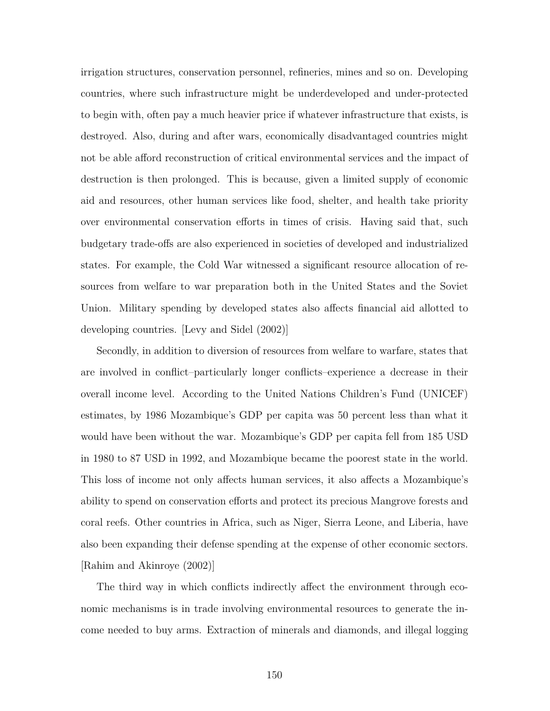irrigation structures, conservation personnel, refineries, mines and so on. Developing countries, where such infrastructure might be underdeveloped and under-protected to begin with, often pay a much heavier price if whatever infrastructure that exists, is destroyed. Also, during and after wars, economically disadvantaged countries might not be able afford reconstruction of critical environmental services and the impact of destruction is then prolonged. This is because, given a limited supply of economic aid and resources, other human services like food, shelter, and health take priority over environmental conservation efforts in times of crisis. Having said that, such budgetary trade-offs are also experienced in societies of developed and industrialized states. For example, the Cold War witnessed a significant resource allocation of resources from welfare to war preparation both in the United States and the Soviet Union. Military spending by developed states also affects financial aid allotted to developing countries. [Levy and Sidel (2002)]

Secondly, in addition to diversion of resources from welfare to warfare, states that are involved in conflict–particularly longer conflicts–experience a decrease in their overall income level. According to the United Nations Children's Fund (UNICEF) estimates, by 1986 Mozambique's GDP per capita was 50 percent less than what it would have been without the war. Mozambique's GDP per capita fell from 185 USD in 1980 to 87 USD in 1992, and Mozambique became the poorest state in the world. This loss of income not only affects human services, it also affects a Mozambique's ability to spend on conservation efforts and protect its precious Mangrove forests and coral reefs. Other countries in Africa, such as Niger, Sierra Leone, and Liberia, have also been expanding their defense spending at the expense of other economic sectors. [Rahim and Akinroye (2002)]

The third way in which conflicts indirectly affect the environment through economic mechanisms is in trade involving environmental resources to generate the income needed to buy arms. Extraction of minerals and diamonds, and illegal logging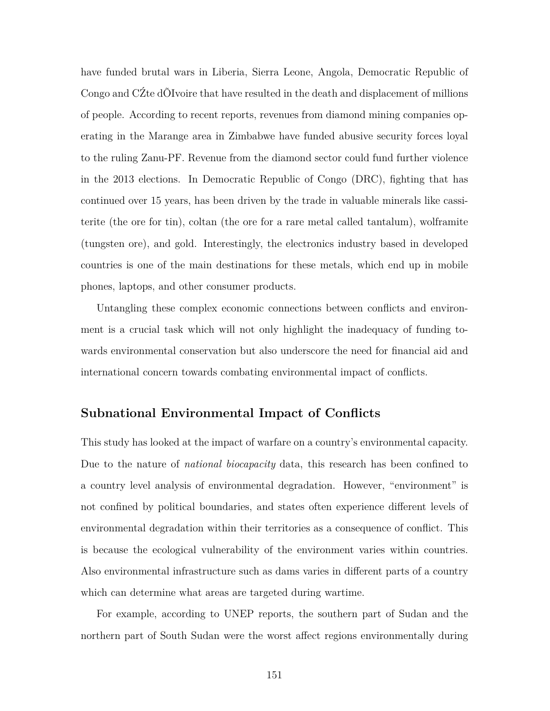have funded brutal wars in Liberia, Sierra Leone, Angola, Democratic Republic of Congo and CŹte dÕIvoire that have resulted in the death and displacement of millions of people. According to recent reports, revenues from diamond mining companies operating in the Marange area in Zimbabwe have funded abusive security forces loyal to the ruling Zanu-PF. Revenue from the diamond sector could fund further violence in the 2013 elections. In Democratic Republic of Congo (DRC), fighting that has continued over 15 years, has been driven by the trade in valuable minerals like cassiterite (the ore for tin), coltan (the ore for a rare metal called tantalum), wolframite (tungsten ore), and gold. Interestingly, the electronics industry based in developed countries is one of the main destinations for these metals, which end up in mobile phones, laptops, and other consumer products.

Untangling these complex economic connections between conflicts and environment is a crucial task which will not only highlight the inadequacy of funding towards environmental conservation but also underscore the need for financial aid and international concern towards combating environmental impact of conflicts.

## **Subnational Environmental Impact of Conflicts**

This study has looked at the impact of warfare on a country's environmental capacity. Due to the nature of *national biocapacity* data, this research has been confined to a country level analysis of environmental degradation. However, "environment" is not confined by political boundaries, and states often experience different levels of environmental degradation within their territories as a consequence of conflict. This is because the ecological vulnerability of the environment varies within countries. Also environmental infrastructure such as dams varies in different parts of a country which can determine what areas are targeted during wartime.

For example, according to UNEP reports, the southern part of Sudan and the northern part of South Sudan were the worst affect regions environmentally during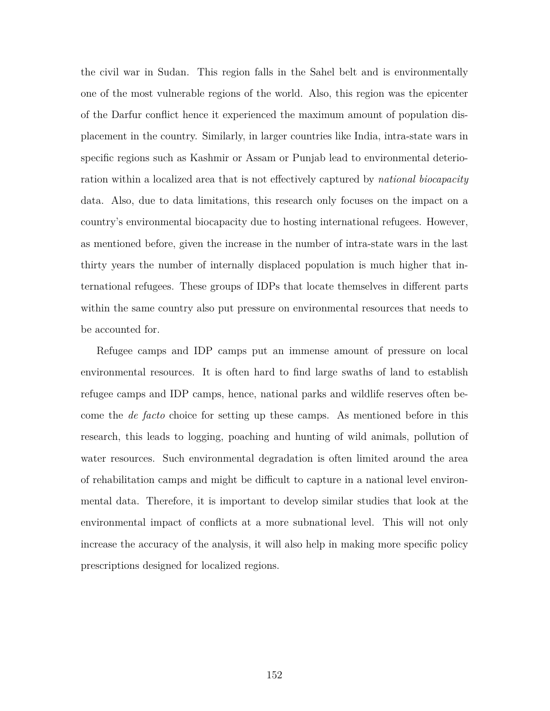the civil war in Sudan. This region falls in the Sahel belt and is environmentally one of the most vulnerable regions of the world. Also, this region was the epicenter of the Darfur conflict hence it experienced the maximum amount of population displacement in the country. Similarly, in larger countries like India, intra-state wars in specific regions such as Kashmir or Assam or Punjab lead to environmental deterioration within a localized area that is not effectively captured by *national biocapacity* data. Also, due to data limitations, this research only focuses on the impact on a country's environmental biocapacity due to hosting international refugees. However, as mentioned before, given the increase in the number of intra-state wars in the last thirty years the number of internally displaced population is much higher that international refugees. These groups of IDPs that locate themselves in different parts within the same country also put pressure on environmental resources that needs to be accounted for.

Refugee camps and IDP camps put an immense amount of pressure on local environmental resources. It is often hard to find large swaths of land to establish refugee camps and IDP camps, hence, national parks and wildlife reserves often become the *de facto* choice for setting up these camps. As mentioned before in this research, this leads to logging, poaching and hunting of wild animals, pollution of water resources. Such environmental degradation is often limited around the area of rehabilitation camps and might be difficult to capture in a national level environmental data. Therefore, it is important to develop similar studies that look at the environmental impact of conflicts at a more subnational level. This will not only increase the accuracy of the analysis, it will also help in making more specific policy prescriptions designed for localized regions.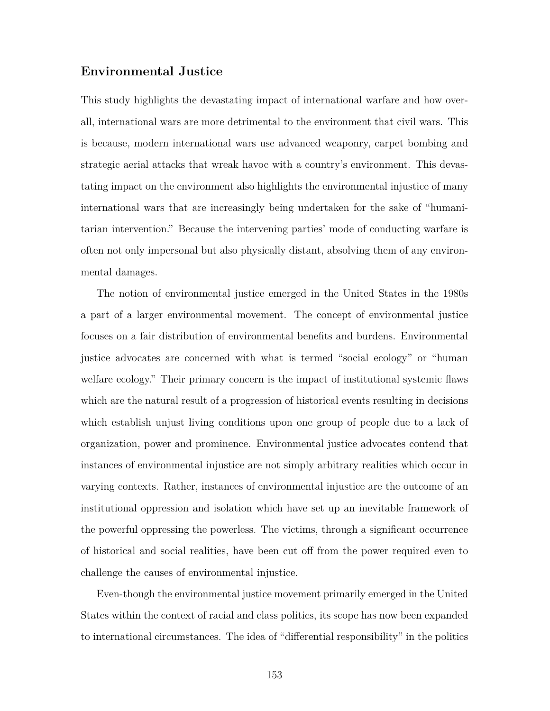## **Environmental Justice**

This study highlights the devastating impact of international warfare and how overall, international wars are more detrimental to the environment that civil wars. This is because, modern international wars use advanced weaponry, carpet bombing and strategic aerial attacks that wreak havoc with a country's environment. This devastating impact on the environment also highlights the environmental injustice of many international wars that are increasingly being undertaken for the sake of "humanitarian intervention." Because the intervening parties' mode of conducting warfare is often not only impersonal but also physically distant, absolving them of any environmental damages.

The notion of environmental justice emerged in the United States in the 1980s a part of a larger environmental movement. The concept of environmental justice focuses on a fair distribution of environmental benefits and burdens. Environmental justice advocates are concerned with what is termed "social ecology" or "human welfare ecology." Their primary concern is the impact of institutional systemic flaws which are the natural result of a progression of historical events resulting in decisions which establish unjust living conditions upon one group of people due to a lack of organization, power and prominence. Environmental justice advocates contend that instances of environmental injustice are not simply arbitrary realities which occur in varying contexts. Rather, instances of environmental injustice are the outcome of an institutional oppression and isolation which have set up an inevitable framework of the powerful oppressing the powerless. The victims, through a significant occurrence of historical and social realities, have been cut off from the power required even to challenge the causes of environmental injustice.

Even-though the environmental justice movement primarily emerged in the United States within the context of racial and class politics, its scope has now been expanded to international circumstances. The idea of "differential responsibility" in the politics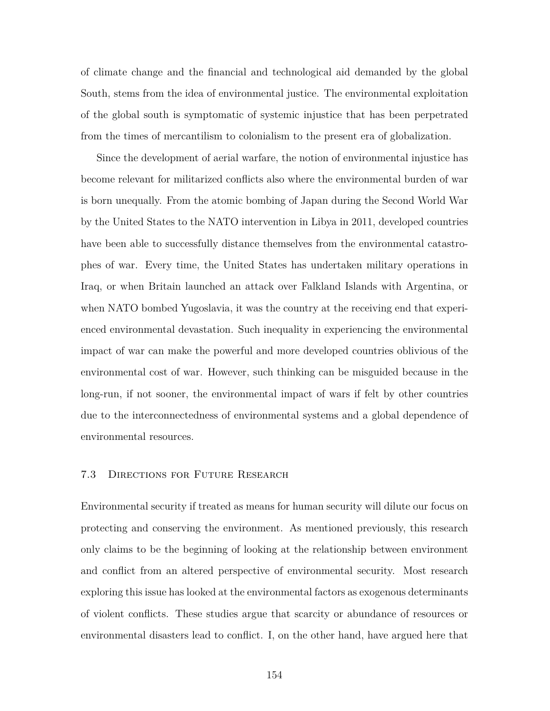of climate change and the financial and technological aid demanded by the global South, stems from the idea of environmental justice. The environmental exploitation of the global south is symptomatic of systemic injustice that has been perpetrated from the times of mercantilism to colonialism to the present era of globalization.

Since the development of aerial warfare, the notion of environmental injustice has become relevant for militarized conflicts also where the environmental burden of war is born unequally. From the atomic bombing of Japan during the Second World War by the United States to the NATO intervention in Libya in 2011, developed countries have been able to successfully distance themselves from the environmental catastrophes of war. Every time, the United States has undertaken military operations in Iraq, or when Britain launched an attack over Falkland Islands with Argentina, or when NATO bombed Yugoslavia, it was the country at the receiving end that experienced environmental devastation. Such inequality in experiencing the environmental impact of war can make the powerful and more developed countries oblivious of the environmental cost of war. However, such thinking can be misguided because in the long-run, if not sooner, the environmental impact of wars if felt by other countries due to the interconnectedness of environmental systems and a global dependence of environmental resources.

#### 7.3 Directions for Future Research

Environmental security if treated as means for human security will dilute our focus on protecting and conserving the environment. As mentioned previously, this research only claims to be the beginning of looking at the relationship between environment and conflict from an altered perspective of environmental security. Most research exploring this issue has looked at the environmental factors as exogenous determinants of violent conflicts. These studies argue that scarcity or abundance of resources or environmental disasters lead to conflict. I, on the other hand, have argued here that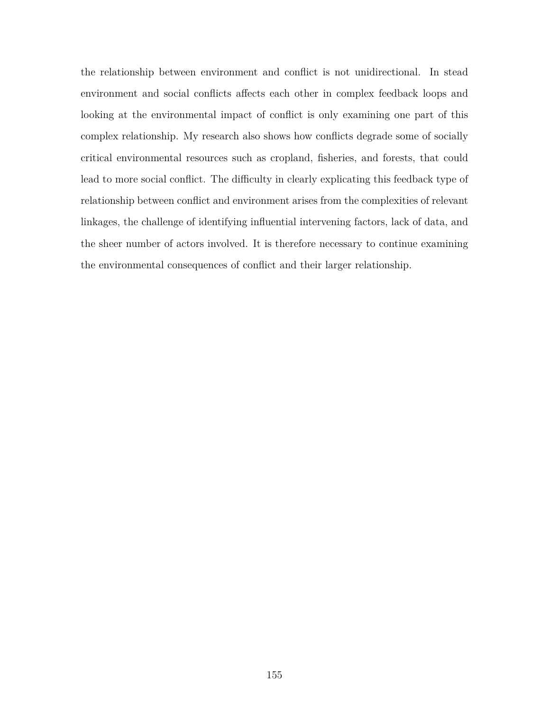the relationship between environment and conflict is not unidirectional. In stead environment and social conflicts affects each other in complex feedback loops and looking at the environmental impact of conflict is only examining one part of this complex relationship. My research also shows how conflicts degrade some of socially critical environmental resources such as cropland, fisheries, and forests, that could lead to more social conflict. The difficulty in clearly explicating this feedback type of relationship between conflict and environment arises from the complexities of relevant linkages, the challenge of identifying influential intervening factors, lack of data, and the sheer number of actors involved. It is therefore necessary to continue examining the environmental consequences of conflict and their larger relationship.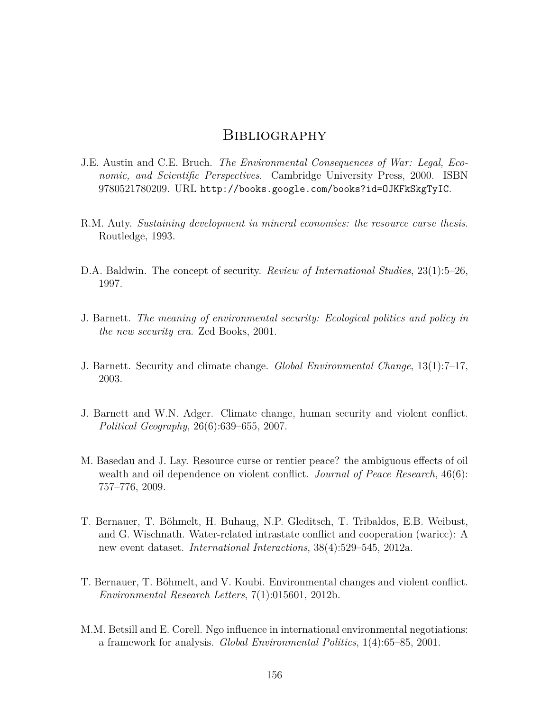# **BIBLIOGRAPHY**

- J.E. Austin and C.E. Bruch. *The Environmental Consequences of War: Legal, Economic, and Scientific Perspectives*. Cambridge University Press, 2000. ISBN 9780521780209. URL http://books.google.com/books?id=OJKFkSkgTyIC.
- R.M. Auty. *Sustaining development in mineral economies: the resource curse thesis*. Routledge, 1993.
- D.A. Baldwin. The concept of security. *Review of International Studies*, 23(1):5–26, 1997.
- J. Barnett. *The meaning of environmental security: Ecological politics and policy in the new security era*. Zed Books, 2001.
- J. Barnett. Security and climate change. *Global Environmental Change*, 13(1):7–17, 2003.
- J. Barnett and W.N. Adger. Climate change, human security and violent conflict. *Political Geography*, 26(6):639–655, 2007.
- M. Basedau and J. Lay. Resource curse or rentier peace? the ambiguous effects of oil wealth and oil dependence on violent conflict. *Journal of Peace Research*, 46(6): 757–776, 2009.
- T. Bernauer, T. Böhmelt, H. Buhaug, N.P. Gleditsch, T. Tribaldos, E.B. Weibust, and G. Wischnath. Water-related intrastate conflict and cooperation (waricc): A new event dataset. *International Interactions*, 38(4):529–545, 2012a.
- T. Bernauer, T. Böhmelt, and V. Koubi. Environmental changes and violent conflict. *Environmental Research Letters*, 7(1):015601, 2012b.
- M.M. Betsill and E. Corell. Ngo influence in international environmental negotiations: a framework for analysis. *Global Environmental Politics*, 1(4):65–85, 2001.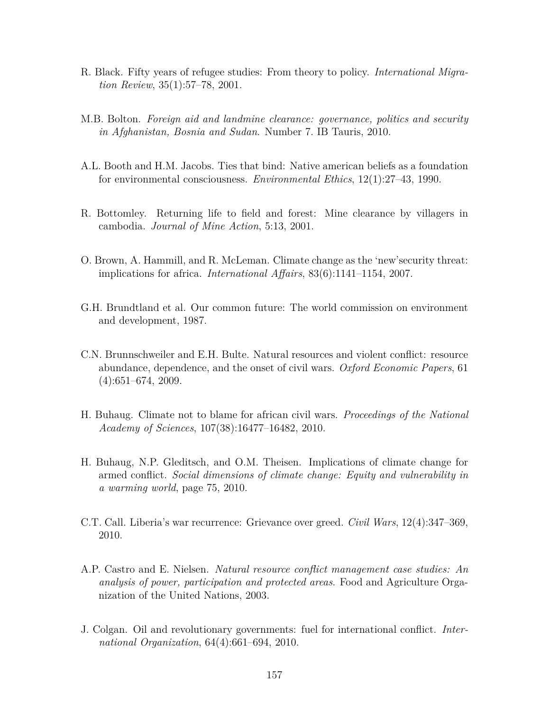- R. Black. Fifty years of refugee studies: From theory to policy. *International Migration Review*, 35(1):57–78, 2001.
- M.B. Bolton. *Foreign aid and landmine clearance: governance, politics and security in Afghanistan, Bosnia and Sudan*. Number 7. IB Tauris, 2010.
- A.L. Booth and H.M. Jacobs. Ties that bind: Native american beliefs as a foundation for environmental consciousness. *Environmental Ethics*, 12(1):27–43, 1990.
- R. Bottomley. Returning life to field and forest: Mine clearance by villagers in cambodia. *Journal of Mine Action*, 5:13, 2001.
- O. Brown, A. Hammill, and R. McLeman. Climate change as the 'new'security threat: implications for africa. *International Affairs*, 83(6):1141–1154, 2007.
- G.H. Brundtland et al. Our common future: The world commission on environment and development, 1987.
- C.N. Brunnschweiler and E.H. Bulte. Natural resources and violent conflict: resource abundance, dependence, and the onset of civil wars. *Oxford Economic Papers*, 61 (4):651–674, 2009.
- H. Buhaug. Climate not to blame for african civil wars. *Proceedings of the National Academy of Sciences*, 107(38):16477–16482, 2010.
- H. Buhaug, N.P. Gleditsch, and O.M. Theisen. Implications of climate change for armed conflict. *Social dimensions of climate change: Equity and vulnerability in a warming world*, page 75, 2010.
- C.T. Call. Liberia's war recurrence: Grievance over greed. *Civil Wars*, 12(4):347–369, 2010.
- A.P. Castro and E. Nielsen. *Natural resource conflict management case studies: An analysis of power, participation and protected areas*. Food and Agriculture Organization of the United Nations, 2003.
- J. Colgan. Oil and revolutionary governments: fuel for international conflict. *International Organization*, 64(4):661–694, 2010.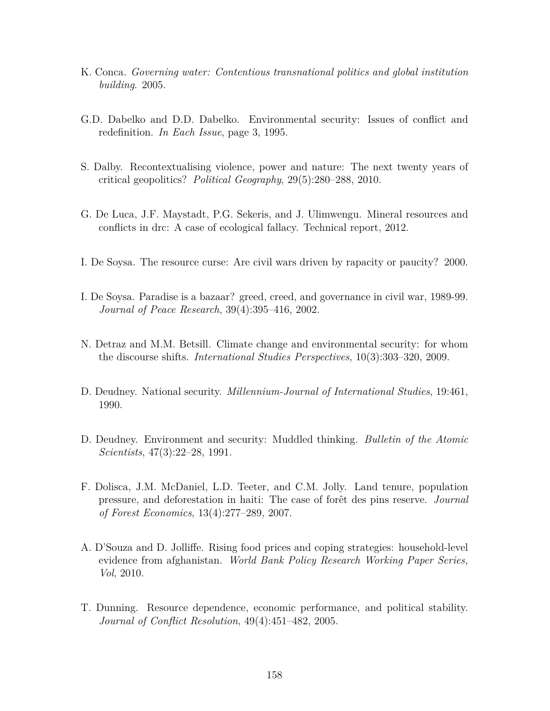- K. Conca. *Governing water: Contentious transnational politics and global institution building*. 2005.
- G.D. Dabelko and D.D. Dabelko. Environmental security: Issues of conflict and redefinition. *In Each Issue*, page 3, 1995.
- S. Dalby. Recontextualising violence, power and nature: The next twenty years of critical geopolitics? *Political Geography*, 29(5):280–288, 2010.
- G. De Luca, J.F. Maystadt, P.G. Sekeris, and J. Ulimwengu. Mineral resources and conflicts in drc: A case of ecological fallacy. Technical report, 2012.
- I. De Soysa. The resource curse: Are civil wars driven by rapacity or paucity? 2000.
- I. De Soysa. Paradise is a bazaar? greed, creed, and governance in civil war, 1989-99. *Journal of Peace Research*, 39(4):395–416, 2002.
- N. Detraz and M.M. Betsill. Climate change and environmental security: for whom the discourse shifts. *International Studies Perspectives*, 10(3):303–320, 2009.
- D. Deudney. National security. *Millennium-Journal of International Studies*, 19:461, 1990.
- D. Deudney. Environment and security: Muddled thinking. *Bulletin of the Atomic Scientists*, 47(3):22–28, 1991.
- F. Dolisca, J.M. McDaniel, L.D. Teeter, and C.M. Jolly. Land tenure, population pressure, and deforestation in haiti: The case of forêt des pins reserve. *Journal of Forest Economics*, 13(4):277–289, 2007.
- A. D'Souza and D. Jolliffe. Rising food prices and coping strategies: household-level evidence from afghanistan. *World Bank Policy Research Working Paper Series, Vol*, 2010.
- T. Dunning. Resource dependence, economic performance, and political stability. *Journal of Conflict Resolution*, 49(4):451–482, 2005.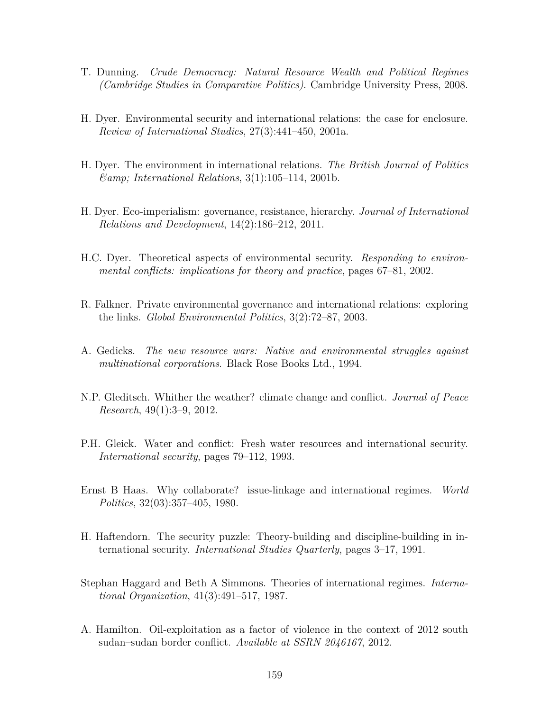- T. Dunning. *Crude Democracy: Natural Resource Wealth and Political Regimes (Cambridge Studies in Comparative Politics)*. Cambridge University Press, 2008.
- H. Dyer. Environmental security and international relations: the case for enclosure. *Review of International Studies*, 27(3):441–450, 2001a.
- H. Dyer. The environment in international relations. *The British Journal of Politics & International Relations*, 3(1):105–114, 2001b.
- H. Dyer. Eco-imperialism: governance, resistance, hierarchy. *Journal of International Relations and Development*, 14(2):186–212, 2011.
- H.C. Dyer. Theoretical aspects of environmental security. *Responding to environmental conflicts: implications for theory and practice*, pages 67–81, 2002.
- R. Falkner. Private environmental governance and international relations: exploring the links. *Global Environmental Politics*, 3(2):72–87, 2003.
- A. Gedicks. *The new resource wars: Native and environmental struggles against multinational corporations*. Black Rose Books Ltd., 1994.
- N.P. Gleditsch. Whither the weather? climate change and conflict. *Journal of Peace Research*, 49(1):3–9, 2012.
- P.H. Gleick. Water and conflict: Fresh water resources and international security. *International security*, pages 79–112, 1993.
- Ernst B Haas. Why collaborate? issue-linkage and international regimes. *World Politics*, 32(03):357–405, 1980.
- H. Haftendorn. The security puzzle: Theory-building and discipline-building in international security. *International Studies Quarterly*, pages 3–17, 1991.
- Stephan Haggard and Beth A Simmons. Theories of international regimes. *International Organization*, 41(3):491–517, 1987.
- A. Hamilton. Oil-exploitation as a factor of violence in the context of 2012 south sudan–sudan border conflict. *Available at SSRN 2046167*, 2012.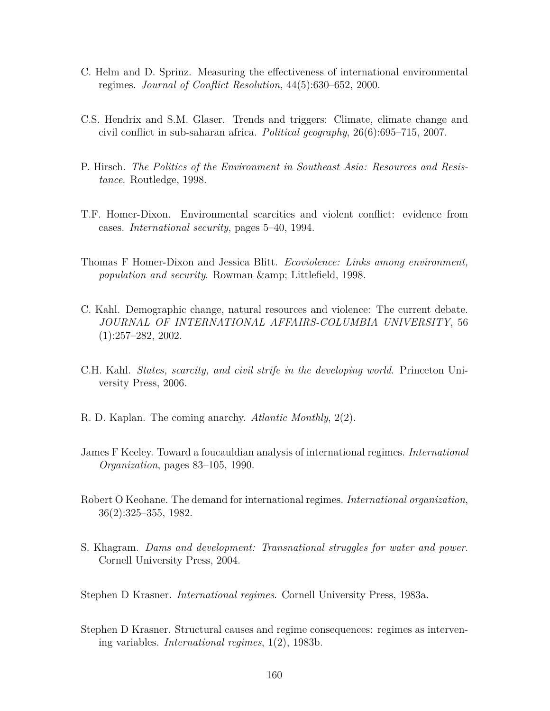- C. Helm and D. Sprinz. Measuring the effectiveness of international environmental regimes. *Journal of Conflict Resolution*, 44(5):630–652, 2000.
- C.S. Hendrix and S.M. Glaser. Trends and triggers: Climate, climate change and civil conflict in sub-saharan africa. *Political geography*, 26(6):695–715, 2007.
- P. Hirsch. *The Politics of the Environment in Southeast Asia: Resources and Resistance*. Routledge, 1998.
- T.F. Homer-Dixon. Environmental scarcities and violent conflict: evidence from cases. *International security*, pages 5–40, 1994.
- Thomas F Homer-Dixon and Jessica Blitt. *Ecoviolence: Links among environment, population and security.* Rowman & amp; Littlefield, 1998.
- C. Kahl. Demographic change, natural resources and violence: The current debate. *JOURNAL OF INTERNATIONAL AFFAIRS-COLUMBIA UNIVERSITY*, 56 (1):257–282, 2002.
- C.H. Kahl. *States, scarcity, and civil strife in the developing world*. Princeton University Press, 2006.
- R. D. Kaplan. The coming anarchy. *Atlantic Monthly*, 2(2).
- James F Keeley. Toward a foucauldian analysis of international regimes. *International Organization*, pages 83–105, 1990.
- Robert O Keohane. The demand for international regimes. *International organization*, 36(2):325–355, 1982.
- S. Khagram. *Dams and development: Transnational struggles for water and power*. Cornell University Press, 2004.

Stephen D Krasner. *International regimes*. Cornell University Press, 1983a.

Stephen D Krasner. Structural causes and regime consequences: regimes as intervening variables. *International regimes*, 1(2), 1983b.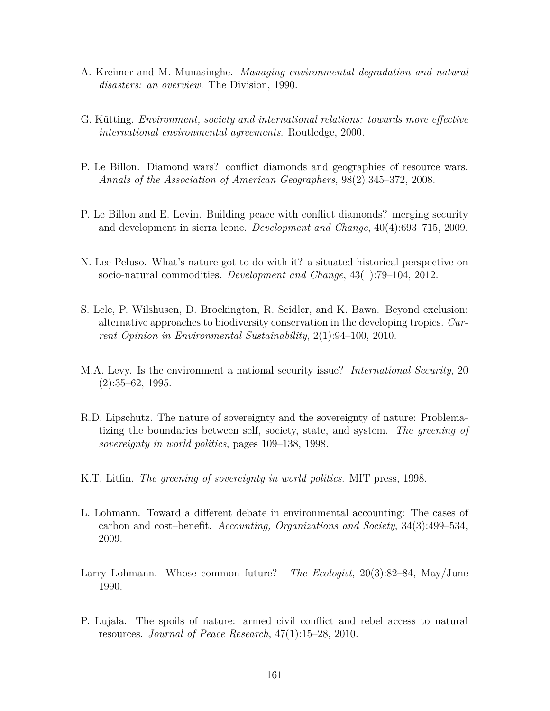- A. Kreimer and M. Munasinghe. *Managing environmental degradation and natural disasters: an overview*. The Division, 1990.
- G. Kütting. *Environment, society and international relations: towards more effective international environmental agreements*. Routledge, 2000.
- P. Le Billon. Diamond wars? conflict diamonds and geographies of resource wars. *Annals of the Association of American Geographers*, 98(2):345–372, 2008.
- P. Le Billon and E. Levin. Building peace with conflict diamonds? merging security and development in sierra leone. *Development and Change*, 40(4):693–715, 2009.
- N. Lee Peluso. What's nature got to do with it? a situated historical perspective on socio-natural commodities. *Development and Change*, 43(1):79–104, 2012.
- S. Lele, P. Wilshusen, D. Brockington, R. Seidler, and K. Bawa. Beyond exclusion: alternative approaches to biodiversity conservation in the developing tropics. *Current Opinion in Environmental Sustainability*, 2(1):94–100, 2010.
- M.A. Levy. Is the environment a national security issue? *International Security*, 20  $(2):35-62, 1995.$
- R.D. Lipschutz. The nature of sovereignty and the sovereignty of nature: Problematizing the boundaries between self, society, state, and system. *The greening of sovereignty in world politics*, pages 109–138, 1998.
- K.T. Litfin. *The greening of sovereignty in world politics*. MIT press, 1998.
- L. Lohmann. Toward a different debate in environmental accounting: The cases of carbon and cost–benefit. *Accounting, Organizations and Society*, 34(3):499–534, 2009.
- Larry Lohmann. Whose common future? *The Ecologist*, 20(3):82–84, May/June 1990.
- P. Lujala. The spoils of nature: armed civil conflict and rebel access to natural resources. *Journal of Peace Research*, 47(1):15–28, 2010.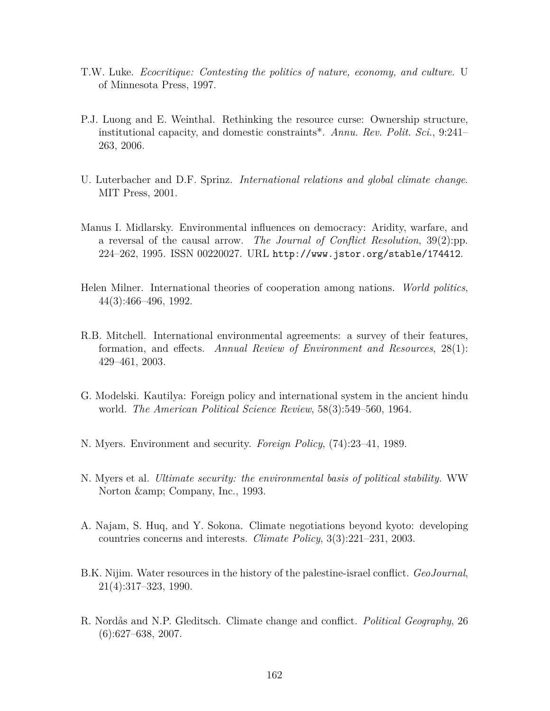- T.W. Luke. *Ecocritique: Contesting the politics of nature, economy, and culture*. U of Minnesota Press, 1997.
- P.J. Luong and E. Weinthal. Rethinking the resource curse: Ownership structure, institutional capacity, and domestic constraints\*. *Annu. Rev. Polit. Sci.*, 9:241– 263, 2006.
- U. Luterbacher and D.F. Sprinz. *International relations and global climate change*. MIT Press, 2001.
- Manus I. Midlarsky. Environmental influences on democracy: Aridity, warfare, and a reversal of the causal arrow. *The Journal of Conflict Resolution*, 39(2):pp. 224–262, 1995. ISSN 00220027. URL http://www.jstor.org/stable/174412.
- Helen Milner. International theories of cooperation among nations. *World politics*, 44(3):466–496, 1992.
- R.B. Mitchell. International environmental agreements: a survey of their features, formation, and effects. *Annual Review of Environment and Resources*, 28(1): 429–461, 2003.
- G. Modelski. Kautilya: Foreign policy and international system in the ancient hindu world. *The American Political Science Review*, 58(3):549–560, 1964.
- N. Myers. Environment and security. *Foreign Policy*, (74):23–41, 1989.
- N. Myers et al. *Ultimate security: the environmental basis of political stability.* WW Norton & amp; Company, Inc., 1993.
- A. Najam, S. Huq, and Y. Sokona. Climate negotiations beyond kyoto: developing countries concerns and interests. *Climate Policy*, 3(3):221–231, 2003.
- B.K. Nijim. Water resources in the history of the palestine-israel conflict. *GeoJournal*, 21(4):317–323, 1990.
- R. Nordås and N.P. Gleditsch. Climate change and conflict. *Political Geography*, 26  $(6):627-638, 2007.$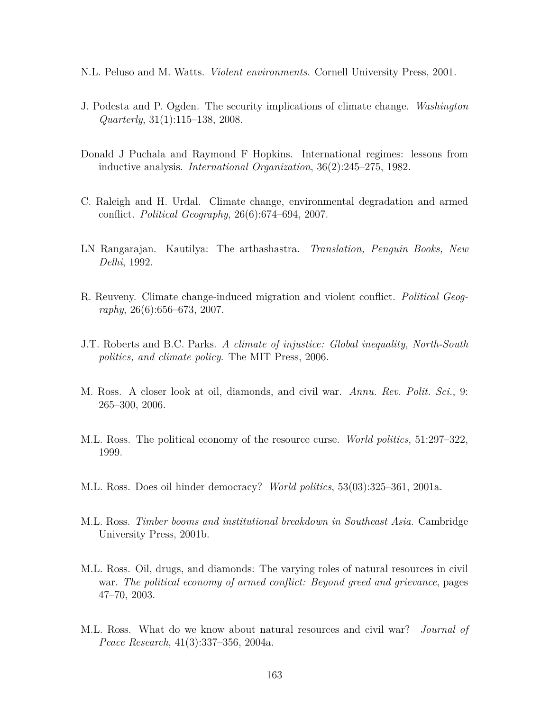- N.L. Peluso and M. Watts. *Violent environments*. Cornell University Press, 2001.
- J. Podesta and P. Ogden. The security implications of climate change. *Washington Quarterly*, 31(1):115–138, 2008.
- Donald J Puchala and Raymond F Hopkins. International regimes: lessons from inductive analysis. *International Organization*, 36(2):245–275, 1982.
- C. Raleigh and H. Urdal. Climate change, environmental degradation and armed conflict. *Political Geography*, 26(6):674–694, 2007.
- LN Rangarajan. Kautilya: The arthashastra. *Translation, Penguin Books, New Delhi*, 1992.
- R. Reuveny. Climate change-induced migration and violent conflict. *Political Geography*, 26(6):656–673, 2007.
- J.T. Roberts and B.C. Parks. *A climate of injustice: Global inequality, North-South politics, and climate policy*. The MIT Press, 2006.
- M. Ross. A closer look at oil, diamonds, and civil war. *Annu. Rev. Polit. Sci.*, 9: 265–300, 2006.
- M.L. Ross. The political economy of the resource curse. *World politics*, 51:297–322, 1999.
- M.L. Ross. Does oil hinder democracy? *World politics*, 53(03):325–361, 2001a.
- M.L. Ross. *Timber booms and institutional breakdown in Southeast Asia*. Cambridge University Press, 2001b.
- M.L. Ross. Oil, drugs, and diamonds: The varying roles of natural resources in civil war. *The political economy of armed conflict: Beyond greed and grievance*, pages 47–70, 2003.
- M.L. Ross. What do we know about natural resources and civil war? *Journal of Peace Research*, 41(3):337–356, 2004a.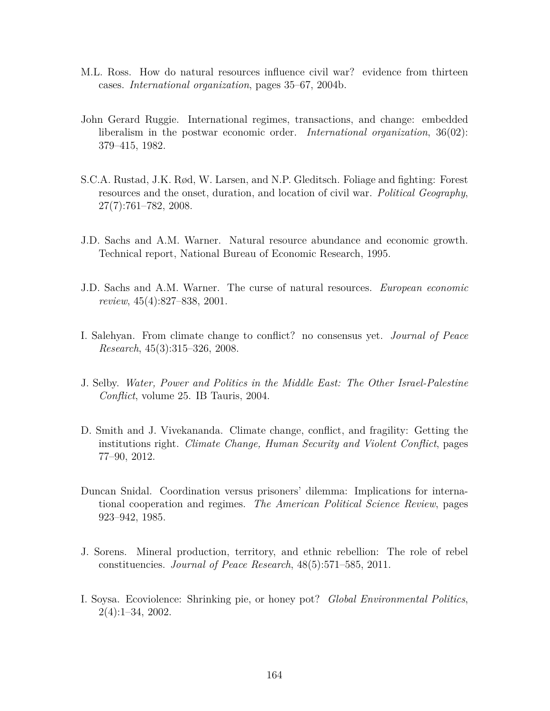- M.L. Ross. How do natural resources influence civil war? evidence from thirteen cases. *International organization*, pages 35–67, 2004b.
- John Gerard Ruggie. International regimes, transactions, and change: embedded liberalism in the postwar economic order. *International organization*, 36(02): 379–415, 1982.
- S.C.A. Rustad, J.K. Rød, W. Larsen, and N.P. Gleditsch. Foliage and fighting: Forest resources and the onset, duration, and location of civil war. *Political Geography*, 27(7):761–782, 2008.
- J.D. Sachs and A.M. Warner. Natural resource abundance and economic growth. Technical report, National Bureau of Economic Research, 1995.
- J.D. Sachs and A.M. Warner. The curse of natural resources. *European economic review*, 45(4):827–838, 2001.
- I. Salehyan. From climate change to conflict? no consensus yet. *Journal of Peace Research*, 45(3):315–326, 2008.
- J. Selby. *Water, Power and Politics in the Middle East: The Other Israel-Palestine Conflict*, volume 25. IB Tauris, 2004.
- D. Smith and J. Vivekananda. Climate change, conflict, and fragility: Getting the institutions right. *Climate Change, Human Security and Violent Conflict*, pages 77–90, 2012.
- Duncan Snidal. Coordination versus prisoners' dilemma: Implications for international cooperation and regimes. *The American Political Science Review*, pages 923–942, 1985.
- J. Sorens. Mineral production, territory, and ethnic rebellion: The role of rebel constituencies. *Journal of Peace Research*, 48(5):571–585, 2011.
- I. Soysa. Ecoviolence: Shrinking pie, or honey pot? *Global Environmental Politics*, 2(4):1–34, 2002.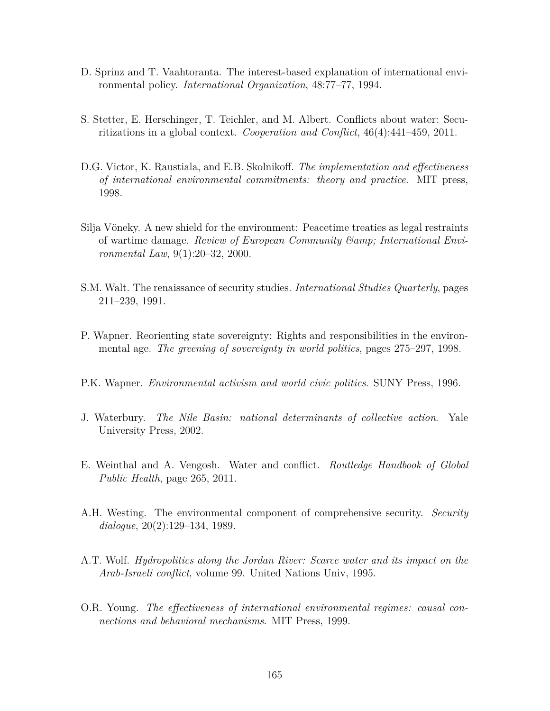- D. Sprinz and T. Vaahtoranta. The interest-based explanation of international environmental policy. *International Organization*, 48:77–77, 1994.
- S. Stetter, E. Herschinger, T. Teichler, and M. Albert. Conflicts about water: Securitizations in a global context. *Cooperation and Conflict*, 46(4):441–459, 2011.
- D.G. Victor, K. Raustiala, and E.B. Skolnikoff. *The implementation and effectiveness of international environmental commitments: theory and practice*. MIT press, 1998.
- Silja Vöneky. A new shield for the environment: Peacetime treaties as legal restraints of wartime damage. *Review of European Community & International Environmental Law*, 9(1):20–32, 2000.
- S.M. Walt. The renaissance of security studies. *International Studies Quarterly*, pages 211–239, 1991.
- P. Wapner. Reorienting state sovereignty: Rights and responsibilities in the environmental age. *The greening of sovereignty in world politics*, pages 275–297, 1998.
- P.K. Wapner. *Environmental activism and world civic politics*. SUNY Press, 1996.
- J. Waterbury. *The Nile Basin: national determinants of collective action*. Yale University Press, 2002.
- E. Weinthal and A. Vengosh. Water and conflict. *Routledge Handbook of Global Public Health*, page 265, 2011.
- A.H. Westing. The environmental component of comprehensive security. *Security dialogue*, 20(2):129–134, 1989.
- A.T. Wolf. *Hydropolitics along the Jordan River: Scarce water and its impact on the Arab-Israeli conflict*, volume 99. United Nations Univ, 1995.
- O.R. Young. *The effectiveness of international environmental regimes: causal connections and behavioral mechanisms*. MIT Press, 1999.